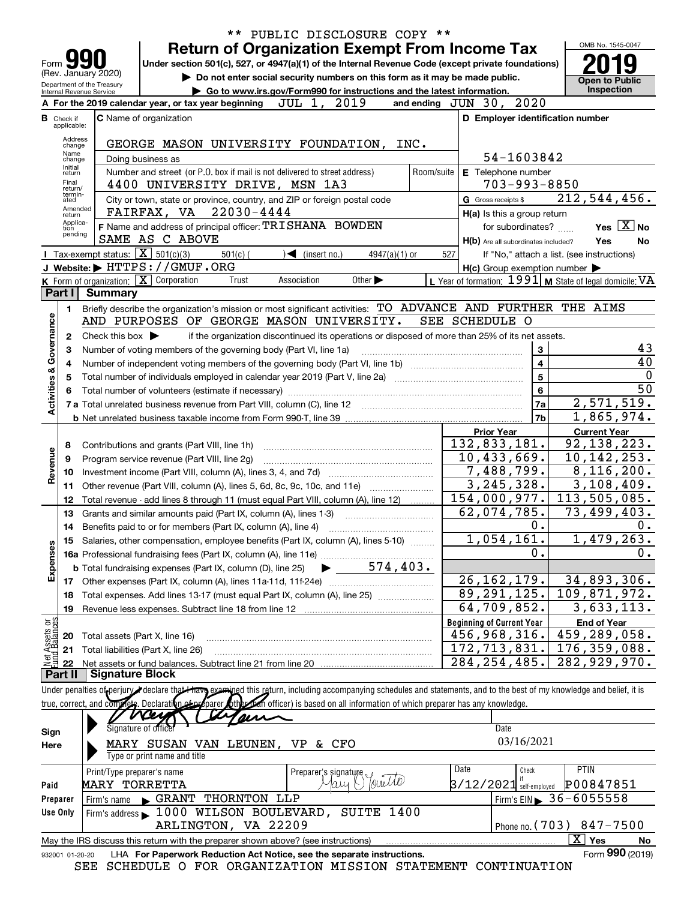|                          |                                  |                                                            |                                                                                                                                                                       | ** PUBLIC DISCLOSURE COPY **                                                                    |                      |                                                            |                                                           |
|--------------------------|----------------------------------|------------------------------------------------------------|-----------------------------------------------------------------------------------------------------------------------------------------------------------------------|-------------------------------------------------------------------------------------------------|----------------------|------------------------------------------------------------|-----------------------------------------------------------|
|                          |                                  |                                                            |                                                                                                                                                                       | <b>Return of Organization Exempt From Income Tax</b>                                            |                      |                                                            | OMB No. 1545-0047                                         |
| Form                     |                                  |                                                            | Under section 501(c), 527, or 4947(a)(1) of the Internal Revenue Code (except private foundations)                                                                    |                                                                                                 |                      |                                                            |                                                           |
|                          |                                  | (Rev. January 2020)                                        |                                                                                                                                                                       | Do not enter social security numbers on this form as it may be made public.                     |                      |                                                            | <b>Open to Public</b>                                     |
|                          |                                  | Department of the Treasury<br>Internal Revenue Service     |                                                                                                                                                                       | Go to www.irs.gov/Form990 for instructions and the latest information.                          |                      |                                                            | Inspection                                                |
|                          |                                  |                                                            | A For the 2019 calendar year, or tax year beginning $JUL 1, 2019$                                                                                                     |                                                                                                 | and ending $JUN$ 30, | 2020                                                       |                                                           |
|                          | <b>B</b> Check if<br>applicable: |                                                            | <b>C</b> Name of organization                                                                                                                                         |                                                                                                 |                      | D Employer identification number                           |                                                           |
|                          | Address                          |                                                            |                                                                                                                                                                       |                                                                                                 |                      |                                                            |                                                           |
|                          | change<br>Name                   |                                                            | GEORGE MASON UNIVERSITY FOUNDATION, INC.                                                                                                                              |                                                                                                 |                      |                                                            |                                                           |
|                          | change<br>Initial                |                                                            | Doing business as                                                                                                                                                     |                                                                                                 |                      | 54-1603842                                                 |                                                           |
|                          | return<br>Final                  |                                                            | Number and street (or P.O. box if mail is not delivered to street address)<br>4400 UNIVERSITY DRIVE, MSN 1A3                                                          |                                                                                                 |                      | Room/suite <b>E</b> Telephone number<br>$703 - 993 - 8850$ |                                                           |
|                          | return/<br>termin-<br>ated       |                                                            | City or town, state or province, country, and ZIP or foreign postal code                                                                                              |                                                                                                 | G Gross receipts \$  |                                                            | 212, 544, 456.                                            |
|                          | Amended                          |                                                            | FAIRFAX, VA 22030-4444                                                                                                                                                |                                                                                                 |                      | H(a) Is this a group return                                |                                                           |
|                          | return<br>Applica-<br>tion       |                                                            | F Name and address of principal officer: TRISHANA BOWDEN                                                                                                              |                                                                                                 |                      | for subordinates?                                          | Yes $\boxed{\text{X}}$ No                                 |
|                          | pending                          |                                                            | SAME AS C ABOVE                                                                                                                                                       |                                                                                                 |                      | H(b) Are all subordinates included?                        | Yes<br>No                                                 |
|                          |                                  | <b>T</b> Tax-exempt status: $\boxed{\mathbf{X}}$ 501(c)(3) | $501(c)$ (                                                                                                                                                            | $\sqrt{\bullet}$ (insert no.)<br>$4947(a)(1)$ or                                                | 527                  |                                                            | If "No," attach a list. (see instructions)                |
|                          |                                  |                                                            | J Website: FITTPS: / / GMUF.ORG                                                                                                                                       |                                                                                                 |                      | $H(c)$ Group exemption number $\blacktriangleright$        |                                                           |
|                          |                                  |                                                            | K Form of organization: X Corporation<br>Trust                                                                                                                        | Association<br>Other $\blacktriangleright$                                                      |                      |                                                            | L Year of formation: $1991$ M State of legal domicile: VA |
|                          | Part I                           | <b>Summary</b>                                             |                                                                                                                                                                       |                                                                                                 |                      |                                                            |                                                           |
|                          | 1                                |                                                            | Briefly describe the organization's mission or most significant activities: TO ADVANCE AND FURTHER THE AIMS                                                           |                                                                                                 |                      |                                                            |                                                           |
|                          |                                  |                                                            | AND PURPOSES OF GEORGE MASON UNIVERSITY.                                                                                                                              |                                                                                                 | SEE SCHEDULE O       |                                                            |                                                           |
|                          | $\mathbf{2}$                     | Check this box $\blacktriangleright$                       |                                                                                                                                                                       | if the organization discontinued its operations or disposed of more than 25% of its net assets. |                      |                                                            |                                                           |
| Governance               | з                                |                                                            | Number of voting members of the governing body (Part VI, line 1a)                                                                                                     |                                                                                                 |                      | 3                                                          | 43<br>40                                                  |
|                          | 4                                |                                                            |                                                                                                                                                                       |                                                                                                 |                      | $\overline{\mathbf{4}}$<br>5                               | $\mathbf{0}$                                              |
| <b>Activities &amp;</b>  | 5                                |                                                            |                                                                                                                                                                       |                                                                                                 |                      | 6                                                          | 50                                                        |
|                          | 6                                |                                                            |                                                                                                                                                                       |                                                                                                 |                      | 7a                                                         | 2,571,519.                                                |
|                          |                                  |                                                            |                                                                                                                                                                       |                                                                                                 |                      | 7b                                                         | 1,865,974.                                                |
|                          |                                  |                                                            |                                                                                                                                                                       |                                                                                                 |                      | <b>Prior Year</b>                                          | <b>Current Year</b>                                       |
|                          | 8                                |                                                            | Contributions and grants (Part VIII, line 1h)                                                                                                                         |                                                                                                 |                      | 132,833,181.                                               | 92, 138, 223.                                             |
| Revenue                  | 9                                |                                                            | Program service revenue (Part VIII, line 2g)                                                                                                                          |                                                                                                 |                      | 10,433,669.                                                | 10, 142, 253.                                             |
|                          | 10                               |                                                            |                                                                                                                                                                       |                                                                                                 |                      | 7,488,799.                                                 | 8,116,200.                                                |
|                          | 11                               |                                                            | Other revenue (Part VIII, column (A), lines 5, 6d, 8c, 9c, 10c, and 11e)                                                                                              |                                                                                                 |                      | 3, 245, 328.                                               | 3,108,409.                                                |
|                          | 12                               |                                                            | Total revenue - add lines 8 through 11 (must equal Part VIII, column (A), line 12)                                                                                    |                                                                                                 |                      | 154,000,977.                                               | 113,505,085.                                              |
|                          | 13                               |                                                            | Grants and similar amounts paid (Part IX, column (A), lines 1-3)                                                                                                      |                                                                                                 |                      | 62,074,785.                                                | 73,499,403.                                               |
|                          | 14                               |                                                            | Benefits paid to or for members (Part IX, column (A), line 4)                                                                                                         |                                                                                                 |                      | 0.<br>1,054,161.                                           | 0.                                                        |
|                          |                                  |                                                            | 15 Salaries, other compensation, employee benefits (Part IX, column (A), lines 5-10)                                                                                  |                                                                                                 |                      | 0.                                                         | 1,479,263.<br>0.                                          |
| Expenses                 |                                  |                                                            |                                                                                                                                                                       |                                                                                                 |                      |                                                            |                                                           |
|                          |                                  |                                                            |                                                                                                                                                                       |                                                                                                 |                      | 26, 162, 179.                                              | 34,893,306.                                               |
|                          | 18                               |                                                            | Total expenses. Add lines 13-17 (must equal Part IX, column (A), line 25)                                                                                             |                                                                                                 |                      | 89, 291, 125.                                              | 109,871,972.                                              |
|                          | 19                               |                                                            |                                                                                                                                                                       |                                                                                                 |                      | $\overline{64,709}$ , 852.                                 | 3,633,113.                                                |
|                          |                                  |                                                            |                                                                                                                                                                       |                                                                                                 |                      | <b>Beginning of Current Year</b>                           | <b>End of Year</b>                                        |
| : Assets or<br>dBalances | 20                               |                                                            | Total assets (Part X, line 16)                                                                                                                                        |                                                                                                 |                      | 456,968,316.                                               | 459,289,058.                                              |
|                          | 21                               |                                                            | Total liabilities (Part X, line 26)                                                                                                                                   |                                                                                                 |                      | 172,713,831.                                               | 176, 359, 088.                                            |
| 혏                        | 22                               |                                                            |                                                                                                                                                                       |                                                                                                 |                      | 284, 254, 485.                                             | 282,929,970.                                              |
|                          | Part II                          | <b>Signature Block</b>                                     |                                                                                                                                                                       |                                                                                                 |                      |                                                            |                                                           |
|                          |                                  |                                                            | Under penalties of perjury declare that Have examined this return, including accompanying schedules and statements, and to the best of my knowledge and belief, it is |                                                                                                 |                      |                                                            |                                                           |
|                          |                                  |                                                            | true, correct, and complete. Declaration of parer other family for each officer) is based on all information of which preparer has any knowledge.                     |                                                                                                 |                      |                                                            |                                                           |
|                          |                                  |                                                            | <u>VCey</u><br>Signature of office                                                                                                                                    |                                                                                                 |                      | Date                                                       |                                                           |
| Sign                     |                                  |                                                            |                                                                                                                                                                       |                                                                                                 |                      | 03/16/2021                                                 |                                                           |
| Here                     |                                  |                                                            | MARY SUSAN VAN LEUNEN, VP & CFO<br>Type or print name and title                                                                                                       |                                                                                                 |                      |                                                            |                                                           |
|                          |                                  | Print/Type preparer's name                                 |                                                                                                                                                                       |                                                                                                 | Date                 | Check                                                      | PTIN                                                      |
| Paid                     |                                  | <b>MARY TORRETTA</b>                                       |                                                                                                                                                                       | Preparer's signature                                                                            |                      | $3/12/2021$ self-employed                                  | P00847851                                                 |
| Preparer                 |                                  | Firm's name                                                | GRANT THORNTON LLP                                                                                                                                                    |                                                                                                 |                      |                                                            | Firm's EIN $\triangleright$ 36-6055558                    |
| Use Only                 |                                  |                                                            | Firm's address 1000 WILSON BOULEVARD, SUITE 1400                                                                                                                      |                                                                                                 |                      |                                                            |                                                           |
|                          |                                  |                                                            | ARLINGTON, VA 22209                                                                                                                                                   |                                                                                                 |                      |                                                            | Phone no. (703) 847-7500                                  |
|                          |                                  |                                                            | May the IRS discuss this return with the preparer shown above? (see instructions)                                                                                     |                                                                                                 |                      |                                                            | $\overline{X}$ Yes<br>No                                  |
|                          | 932001 01-20-20                  |                                                            | LHA For Paperwork Reduction Act Notice, see the separate instructions.                                                                                                |                                                                                                 |                      |                                                            | Form 990 (2019)                                           |
|                          |                                  |                                                            | SEE SCHEDULE O FOR ORGANIZATION MISSION STATEMENT CONTINUATION                                                                                                        |                                                                                                 |                      |                                                            |                                                           |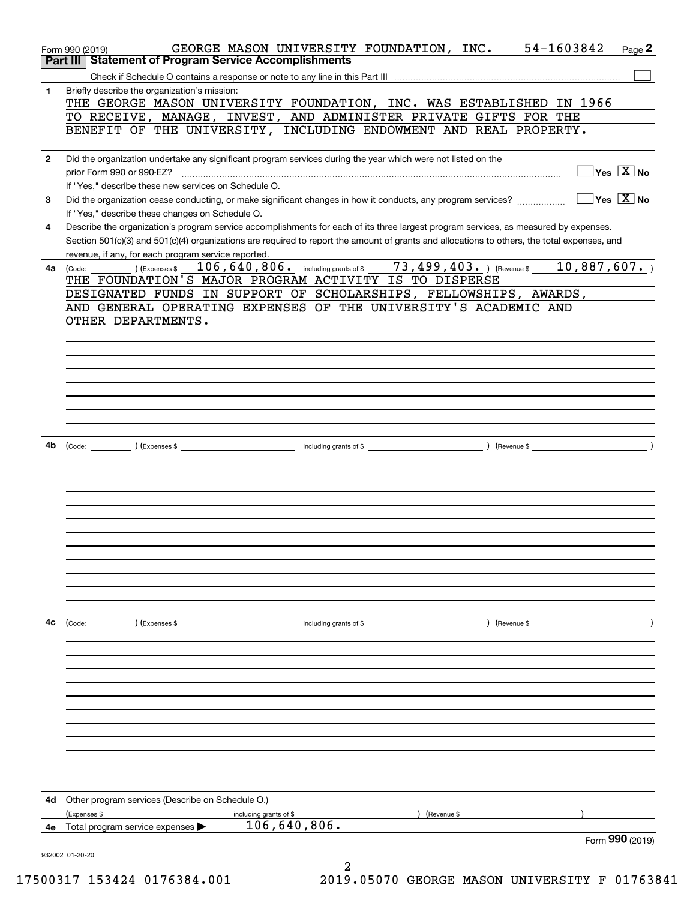|              | GEORGE MASON UNIVERSITY FOUNDATION, INC. 54-1603842<br>Page 2<br>Form 990 (2019)                                                                                                                    |
|--------------|-----------------------------------------------------------------------------------------------------------------------------------------------------------------------------------------------------|
|              | Part III   Statement of Program Service Accomplishments                                                                                                                                             |
|              |                                                                                                                                                                                                     |
| 1.           | Briefly describe the organization's mission:<br>THE GEORGE MASON UNIVERSITY FOUNDATION, INC. WAS ESTABLISHED IN 1966                                                                                |
|              | TO RECEIVE, MANAGE, INVEST, AND ADMINISTER PRIVATE GIFTS FOR THE                                                                                                                                    |
|              | BENEFIT OF THE UNIVERSITY, INCLUDING ENDOWMENT AND REAL PROPERTY.                                                                                                                                   |
|              |                                                                                                                                                                                                     |
| $\mathbf{2}$ | Did the organization undertake any significant program services during the year which were not listed on the                                                                                        |
|              | $\boxed{\phantom{1}}$ Yes $\boxed{\text{X}}$ No<br>prior Form 990 or 990-EZ?                                                                                                                        |
|              | If "Yes," describe these new services on Schedule O.                                                                                                                                                |
| 3            | $\Box$ Yes $\boxed{X}$ No<br>Did the organization cease conducting, or make significant changes in how it conducts, any program services?                                                           |
|              | If "Yes," describe these changes on Schedule O.                                                                                                                                                     |
| 4            | Describe the organization's program service accomplishments for each of its three largest program services, as measured by expenses.                                                                |
|              | Section 501(c)(3) and 501(c)(4) organizations are required to report the amount of grants and allocations to others, the total expenses, and<br>revenue, if any, for each program service reported. |
| 4a           | ) (Expenses \$ 106, 640, 806. including grants of \$ 73, 499, 403. ) (Revenue \$ 10, 887, 607. )<br>(Code:                                                                                          |
|              | THE FOUNDATION'S MAJOR PROGRAM ACTIVITY IS TO DISPERSE                                                                                                                                              |
|              | DESIGNATED FUNDS IN SUPPORT OF SCHOLARSHIPS, FELLOWSHIPS, AWARDS,                                                                                                                                   |
|              | AND GENERAL OPERATING EXPENSES OF THE UNIVERSITY'S ACADEMIC AND                                                                                                                                     |
|              | OTHER DEPARTMENTS.                                                                                                                                                                                  |
|              |                                                                                                                                                                                                     |
|              |                                                                                                                                                                                                     |
|              |                                                                                                                                                                                                     |
|              |                                                                                                                                                                                                     |
|              |                                                                                                                                                                                                     |
|              |                                                                                                                                                                                                     |
|              |                                                                                                                                                                                                     |
| 4b           |                                                                                                                                                                                                     |
|              |                                                                                                                                                                                                     |
|              |                                                                                                                                                                                                     |
|              |                                                                                                                                                                                                     |
|              |                                                                                                                                                                                                     |
|              |                                                                                                                                                                                                     |
|              |                                                                                                                                                                                                     |
|              |                                                                                                                                                                                                     |
|              |                                                                                                                                                                                                     |
|              |                                                                                                                                                                                                     |
|              |                                                                                                                                                                                                     |
|              |                                                                                                                                                                                                     |
| 4c           | (Code: ) (Expenses \$<br>(Revenue \$<br>including grants of \$                                                                                                                                      |
|              |                                                                                                                                                                                                     |
|              |                                                                                                                                                                                                     |
|              |                                                                                                                                                                                                     |
|              |                                                                                                                                                                                                     |
|              |                                                                                                                                                                                                     |
|              |                                                                                                                                                                                                     |
|              |                                                                                                                                                                                                     |
|              |                                                                                                                                                                                                     |
|              |                                                                                                                                                                                                     |
|              |                                                                                                                                                                                                     |
|              |                                                                                                                                                                                                     |
| 4d           | Other program services (Describe on Schedule O.)                                                                                                                                                    |
| 4e           | (Expenses \$<br>including grants of \$<br>(Revenue \$<br>106,640,806.<br>Total program service expenses                                                                                             |
|              | Form 990 (2019)                                                                                                                                                                                     |
|              | 932002 01-20-20                                                                                                                                                                                     |
|              |                                                                                                                                                                                                     |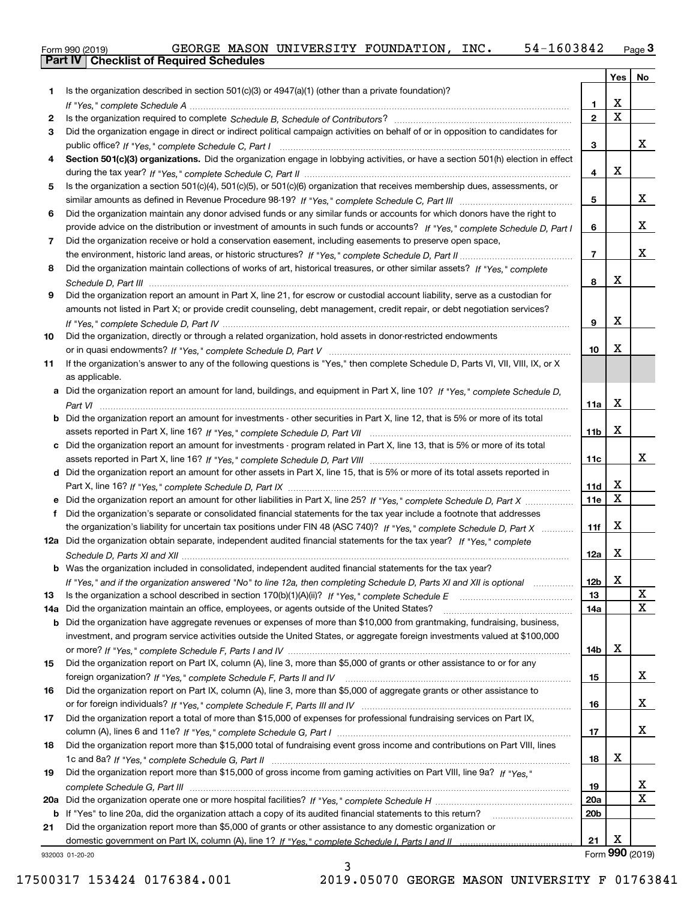| Form 990 (2019) |  |  |
|-----------------|--|--|

|     |                                                                                                                                  |                 | Yes         | No              |
|-----|----------------------------------------------------------------------------------------------------------------------------------|-----------------|-------------|-----------------|
| 1   | Is the organization described in section $501(c)(3)$ or $4947(a)(1)$ (other than a private foundation)?                          |                 |             |                 |
|     |                                                                                                                                  | 1               | X           |                 |
| 2   |                                                                                                                                  | $\overline{2}$  | $\mathbf x$ |                 |
| 3   | Did the organization engage in direct or indirect political campaign activities on behalf of or in opposition to candidates for  |                 |             |                 |
|     |                                                                                                                                  | 3               |             | х               |
| 4   | Section 501(c)(3) organizations. Did the organization engage in lobbying activities, or have a section 501(h) election in effect |                 |             |                 |
|     |                                                                                                                                  | 4               | Χ           |                 |
| 5   | Is the organization a section 501(c)(4), 501(c)(5), or 501(c)(6) organization that receives membership dues, assessments, or     |                 |             |                 |
|     |                                                                                                                                  | 5               |             | x               |
| 6   | Did the organization maintain any donor advised funds or any similar funds or accounts for which donors have the right to        |                 |             |                 |
|     | provide advice on the distribution or investment of amounts in such funds or accounts? If "Yes," complete Schedule D, Part I     | 6               |             | x               |
| 7   | Did the organization receive or hold a conservation easement, including easements to preserve open space,                        |                 |             |                 |
|     |                                                                                                                                  | $\overline{7}$  |             | х               |
| 8   | Did the organization maintain collections of works of art, historical treasures, or other similar assets? If "Yes," complete     |                 | х           |                 |
|     |                                                                                                                                  | 8               |             |                 |
| 9   | Did the organization report an amount in Part X, line 21, for escrow or custodial account liability, serve as a custodian for    |                 |             |                 |
|     | amounts not listed in Part X; or provide credit counseling, debt management, credit repair, or debt negotiation services?        |                 | X           |                 |
|     |                                                                                                                                  | 9               |             |                 |
| 10  | Did the organization, directly or through a related organization, hold assets in donor-restricted endowments                     | 10              | X           |                 |
|     | If the organization's answer to any of the following questions is "Yes," then complete Schedule D, Parts VI, VII, VIII, IX, or X |                 |             |                 |
| 11  | as applicable.                                                                                                                   |                 |             |                 |
|     | a Did the organization report an amount for land, buildings, and equipment in Part X, line 10? If "Yes," complete Schedule D,    |                 |             |                 |
|     |                                                                                                                                  | 11a             | X           |                 |
|     | Did the organization report an amount for investments - other securities in Part X, line 12, that is 5% or more of its total     |                 |             |                 |
|     |                                                                                                                                  | 11 <sub>b</sub> | X           |                 |
| c   | Did the organization report an amount for investments - program related in Part X, line 13, that is 5% or more of its total      |                 |             |                 |
|     |                                                                                                                                  | 11c             |             | x               |
|     | d Did the organization report an amount for other assets in Part X, line 15, that is 5% or more of its total assets reported in  |                 |             |                 |
|     |                                                                                                                                  | 11d             | х           |                 |
|     | e Did the organization report an amount for other liabilities in Part X, line 25? If "Yes," complete Schedule D, Part X          | 11e             | х           |                 |
| f   | Did the organization's separate or consolidated financial statements for the tax year include a footnote that addresses          |                 |             |                 |
|     | the organization's liability for uncertain tax positions under FIN 48 (ASC 740)? If "Yes," complete Schedule D, Part X           | 11f             | X           |                 |
|     | 12a Did the organization obtain separate, independent audited financial statements for the tax year? If "Yes," complete          |                 |             |                 |
|     |                                                                                                                                  | 12a             | Χ           |                 |
|     | <b>b</b> Was the organization included in consolidated, independent audited financial statements for the tax year?               |                 |             |                 |
|     | If "Yes," and if the organization answered "No" to line 12a, then completing Schedule D, Parts XI and XII is optional manum      | 12b             | X           |                 |
| 13  |                                                                                                                                  | 13              |             | х               |
| 14a | Did the organization maintain an office, employees, or agents outside of the United States?                                      | 14a             |             | x               |
| b   | Did the organization have aggregate revenues or expenses of more than \$10,000 from grantmaking, fundraising, business,          |                 |             |                 |
|     | investment, and program service activities outside the United States, or aggregate foreign investments valued at \$100,000       |                 |             |                 |
|     |                                                                                                                                  | 14b             | х           |                 |
| 15  | Did the organization report on Part IX, column (A), line 3, more than \$5,000 of grants or other assistance to or for any        |                 |             |                 |
|     |                                                                                                                                  | 15              |             | x               |
| 16  | Did the organization report on Part IX, column (A), line 3, more than \$5,000 of aggregate grants or other assistance to         |                 |             |                 |
|     |                                                                                                                                  | 16              |             | x               |
| 17  | Did the organization report a total of more than \$15,000 of expenses for professional fundraising services on Part IX,          |                 |             |                 |
|     |                                                                                                                                  | 17              |             | x               |
| 18  | Did the organization report more than \$15,000 total of fundraising event gross income and contributions on Part VIII, lines     |                 |             |                 |
|     |                                                                                                                                  | 18              | х           |                 |
| 19  | Did the organization report more than \$15,000 of gross income from gaming activities on Part VIII, line 9a? If "Yes."           |                 |             |                 |
|     |                                                                                                                                  | 19              |             | X               |
| 20a |                                                                                                                                  | <b>20a</b>      |             | x               |
| b   | If "Yes" to line 20a, did the organization attach a copy of its audited financial statements to this return?                     | 20 <sub>b</sub> |             |                 |
| 21  | Did the organization report more than \$5,000 of grants or other assistance to any domestic organization or                      |                 |             |                 |
|     |                                                                                                                                  | 21              | X           |                 |
|     | 932003 01-20-20                                                                                                                  |                 |             | Form 990 (2019) |

932003 01-20-20

3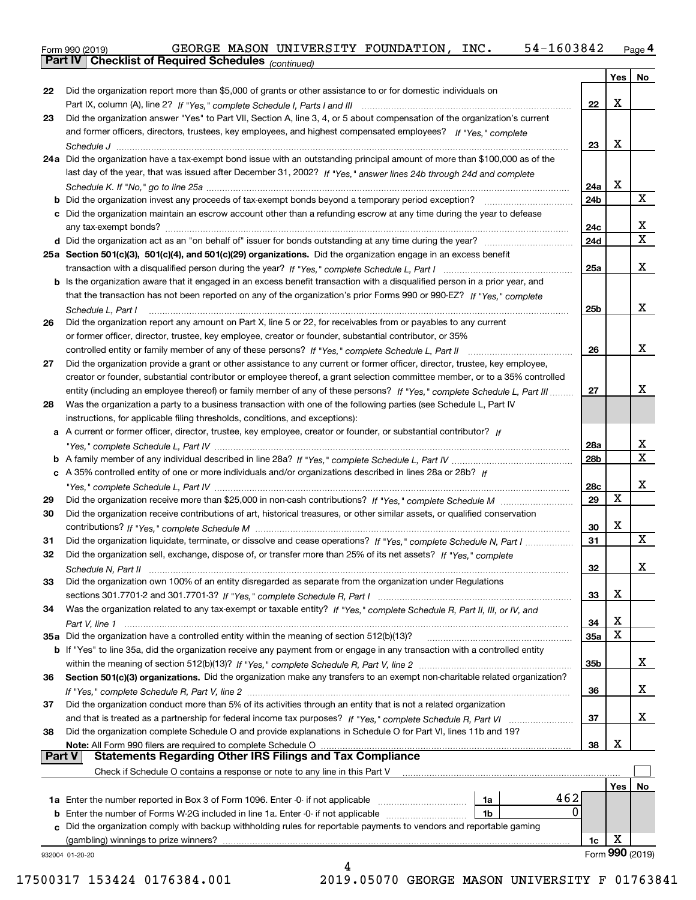Form 990 (2019) GEORGE MASON UNIVERSITY FOUNDATION,INC**.** 54-1603842 <sub>Page</sub> 4<br>**Part IV | Checklist of Required Schedules** <sub>(continued)</sub>

*(continued)*

|               |                                                                                                                              |                 | Yes | No                |
|---------------|------------------------------------------------------------------------------------------------------------------------------|-----------------|-----|-------------------|
| 22            | Did the organization report more than \$5,000 of grants or other assistance to or for domestic individuals on                |                 |     |                   |
|               |                                                                                                                              | 22              | х   |                   |
| 23            | Did the organization answer "Yes" to Part VII, Section A, line 3, 4, or 5 about compensation of the organization's current   |                 |     |                   |
|               | and former officers, directors, trustees, key employees, and highest compensated employees? If "Yes," complete               |                 |     |                   |
|               |                                                                                                                              | 23              | х   |                   |
|               | 24a Did the organization have a tax-exempt bond issue with an outstanding principal amount of more than \$100,000 as of the  |                 |     |                   |
|               | last day of the year, that was issued after December 31, 2002? If "Yes," answer lines 24b through 24d and complete           |                 |     |                   |
|               |                                                                                                                              | 24a             | Х   |                   |
|               |                                                                                                                              | 24 <sub>b</sub> |     | X                 |
|               | c Did the organization maintain an escrow account other than a refunding escrow at any time during the year to defease       |                 |     |                   |
|               |                                                                                                                              | 24c             |     | х                 |
|               |                                                                                                                              | 24d             |     | X                 |
|               | 25a Section 501(c)(3), 501(c)(4), and 501(c)(29) organizations. Did the organization engage in an excess benefit             |                 |     |                   |
|               |                                                                                                                              | 25a             |     | х                 |
|               | b Is the organization aware that it engaged in an excess benefit transaction with a disqualified person in a prior year, and |                 |     |                   |
|               | that the transaction has not been reported on any of the organization's prior Forms 990 or 990-EZ? If "Yes," complete        |                 |     |                   |
|               | Schedule L. Part I                                                                                                           | 25b             |     | х                 |
| 26            | Did the organization report any amount on Part X, line 5 or 22, for receivables from or payables to any current              |                 |     |                   |
|               | or former officer, director, trustee, key employee, creator or founder, substantial contributor, or 35%                      |                 |     |                   |
|               | controlled entity or family member of any of these persons? If "Yes," complete Schedule L, Part II                           | 26              |     | x                 |
| 27            | Did the organization provide a grant or other assistance to any current or former officer, director, trustee, key employee,  |                 |     |                   |
|               | creator or founder, substantial contributor or employee thereof, a grant selection committee member, or to a 35% controlled  |                 |     |                   |
|               | entity (including an employee thereof) or family member of any of these persons? If "Yes," complete Schedule L, Part III     | 27              |     | х                 |
|               |                                                                                                                              |                 |     |                   |
| 28            | Was the organization a party to a business transaction with one of the following parties (see Schedule L, Part IV            |                 |     |                   |
|               | instructions, for applicable filing thresholds, conditions, and exceptions):                                                 |                 |     |                   |
|               | a A current or former officer, director, trustee, key employee, creator or founder, or substantial contributor? If           |                 |     |                   |
|               |                                                                                                                              | 28a             |     | х<br>$\mathbf{X}$ |
|               |                                                                                                                              | 28b             |     |                   |
|               | c A 35% controlled entity of one or more individuals and/or organizations described in lines 28a or 28b? If                  |                 |     |                   |
|               |                                                                                                                              | <b>28c</b>      |     | х                 |
| 29            |                                                                                                                              | 29              | X   |                   |
| 30            | Did the organization receive contributions of art, historical treasures, or other similar assets, or qualified conservation  |                 |     |                   |
|               |                                                                                                                              | 30              | х   |                   |
| 31            | Did the organization liquidate, terminate, or dissolve and cease operations? If "Yes," complete Schedule N, Part I           | 31              |     | X                 |
| 32            | Did the organization sell, exchange, dispose of, or transfer more than 25% of its net assets? If "Yes," complete             |                 |     |                   |
|               |                                                                                                                              | 32              |     | x                 |
| 33            | Did the organization own 100% of an entity disregarded as separate from the organization under Regulations                   |                 |     |                   |
|               |                                                                                                                              | 33              | х   |                   |
| 34            | Was the organization related to any tax-exempt or taxable entity? If "Yes," complete Schedule R, Part II, III, or IV, and    |                 |     |                   |
|               | Part V, line 1                                                                                                               | 34              | х   |                   |
|               | 35a Did the organization have a controlled entity within the meaning of section 512(b)(13)?                                  | <b>35a</b>      | X   |                   |
|               | b If "Yes" to line 35a, did the organization receive any payment from or engage in any transaction with a controlled entity  |                 |     |                   |
|               |                                                                                                                              | 35b             |     | x                 |
| 36            | Section 501(c)(3) organizations. Did the organization make any transfers to an exempt non-charitable related organization?   |                 |     |                   |
|               |                                                                                                                              | 36              |     | x                 |
| 37            | Did the organization conduct more than 5% of its activities through an entity that is not a related organization             |                 |     |                   |
|               | and that is treated as a partnership for federal income tax purposes? If "Yes," complete Schedule R, Part VI                 | 37              |     | х                 |
| 38            | Did the organization complete Schedule O and provide explanations in Schedule O for Part VI, lines 11b and 19?               |                 |     |                   |
|               | Note: All Form 990 filers are required to complete Schedule O                                                                | 38              | х   |                   |
| <b>Part V</b> | <b>Statements Regarding Other IRS Filings and Tax Compliance</b>                                                             |                 |     |                   |
|               | Check if Schedule O contains a response or note to any line in this Part V                                                   |                 |     |                   |
|               |                                                                                                                              |                 | Yes | No.               |
|               | 462<br>1a Enter the number reported in Box 3 of Form 1096. Enter -0- if not applicable<br>1a                                 |                 |     |                   |
| b             | 0<br>Enter the number of Forms W-2G included in line 1a. Enter -0- if not applicable<br>1b                                   |                 |     |                   |
|               | Did the organization comply with backup withholding rules for reportable payments to vendors and reportable gaming           |                 |     |                   |
|               |                                                                                                                              | 1c              | Χ   |                   |
|               | 932004 01-20-20                                                                                                              |                 |     | Form 990 (2019)   |
|               | 4                                                                                                                            |                 |     |                   |

17500317 153424 0176384.001 2019.05070 GEORGE MASON UNIVERSITY F 01763841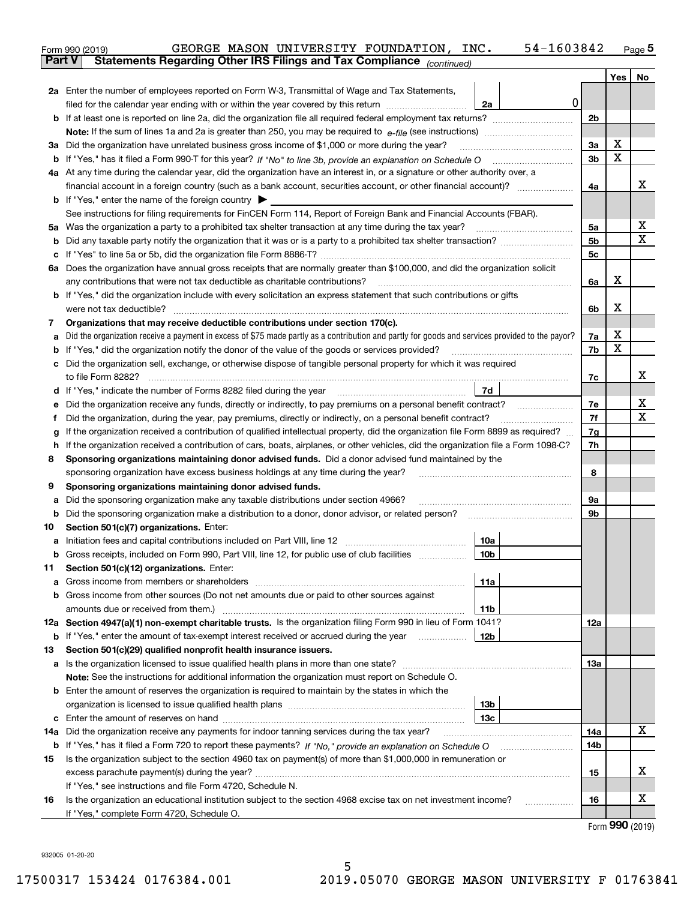|        | 54-1603842<br>GEORGE MASON UNIVERSITY FOUNDATION, INC.<br>Form 990 (2019)                                                                                                                                                            |                |         | $Page$ <sup>5</sup> |  |  |  |  |
|--------|--------------------------------------------------------------------------------------------------------------------------------------------------------------------------------------------------------------------------------------|----------------|---------|---------------------|--|--|--|--|
|        | Statements Regarding Other IRS Filings and Tax Compliance (continued)<br><b>Part V</b>                                                                                                                                               |                |         |                     |  |  |  |  |
|        |                                                                                                                                                                                                                                      |                | Yes $ $ | No                  |  |  |  |  |
|        | 2a Enter the number of employees reported on Form W-3, Transmittal of Wage and Tax Statements,                                                                                                                                       |                |         |                     |  |  |  |  |
|        | 0<br>filed for the calendar year ending with or within the year covered by this return <i>manumumumum</i><br>2a                                                                                                                      |                |         |                     |  |  |  |  |
|        |                                                                                                                                                                                                                                      | 2 <sub>b</sub> |         |                     |  |  |  |  |
|        |                                                                                                                                                                                                                                      |                |         |                     |  |  |  |  |
|        | 3a Did the organization have unrelated business gross income of \$1,000 or more during the year?                                                                                                                                     | 3a             | х       |                     |  |  |  |  |
|        |                                                                                                                                                                                                                                      | 3b             | X       |                     |  |  |  |  |
|        | 4a At any time during the calendar year, did the organization have an interest in, or a signature or other authority over, a                                                                                                         |                |         |                     |  |  |  |  |
|        | financial account in a foreign country (such as a bank account, securities account, or other financial account)?                                                                                                                     | 4a             |         | x                   |  |  |  |  |
|        | <b>b</b> If "Yes," enter the name of the foreign country $\blacktriangleright$                                                                                                                                                       |                |         |                     |  |  |  |  |
|        | See instructions for filing requirements for FinCEN Form 114, Report of Foreign Bank and Financial Accounts (FBAR).                                                                                                                  |                |         |                     |  |  |  |  |
|        |                                                                                                                                                                                                                                      | 5a             |         | Х                   |  |  |  |  |
|        |                                                                                                                                                                                                                                      | 5 <sub>b</sub> |         | х                   |  |  |  |  |
|        |                                                                                                                                                                                                                                      | 5c             |         |                     |  |  |  |  |
|        | 6a Does the organization have annual gross receipts that are normally greater than \$100,000, and did the organization solicit                                                                                                       |                |         |                     |  |  |  |  |
|        | any contributions that were not tax deductible as charitable contributions?                                                                                                                                                          | 6a             | х       |                     |  |  |  |  |
|        | <b>b</b> If "Yes," did the organization include with every solicitation an express statement that such contributions or gifts                                                                                                        |                |         |                     |  |  |  |  |
|        | were not tax deductible?                                                                                                                                                                                                             | 6b             | x       |                     |  |  |  |  |
| 7      | Organizations that may receive deductible contributions under section 170(c).                                                                                                                                                        |                |         |                     |  |  |  |  |
| а      | Did the organization receive a payment in excess of \$75 made partly as a contribution and partly for goods and services provided to the payor?                                                                                      | 7a             | х       |                     |  |  |  |  |
|        | <b>b</b> If "Yes," did the organization notify the donor of the value of the goods or services provided?                                                                                                                             | 7b             | X       |                     |  |  |  |  |
|        | c Did the organization sell, exchange, or otherwise dispose of tangible personal property for which it was required                                                                                                                  |                |         |                     |  |  |  |  |
|        |                                                                                                                                                                                                                                      | 7c             |         | x                   |  |  |  |  |
|        | 7d<br>d If "Yes," indicate the number of Forms 8282 filed during the year [11] [11] The System manuscription of Forms 8282 filed during the year [11] [12] The System manuscription of the Wales of the Wales of the Wales of the Wa |                |         |                     |  |  |  |  |
| е      | Did the organization receive any funds, directly or indirectly, to pay premiums on a personal benefit contract?                                                                                                                      | 7e             |         | X                   |  |  |  |  |
| f      | Did the organization, during the year, pay premiums, directly or indirectly, on a personal benefit contract?                                                                                                                         | 7f             |         | X                   |  |  |  |  |
| g      | If the organization received a contribution of qualified intellectual property, did the organization file Form 8899 as required?                                                                                                     | 7g<br>7h       |         |                     |  |  |  |  |
| h      | If the organization received a contribution of cars, boats, airplanes, or other vehicles, did the organization file a Form 1098-C?                                                                                                   |                |         |                     |  |  |  |  |
|        | Sponsoring organizations maintaining donor advised funds. Did a donor advised fund maintained by the<br>8                                                                                                                            |                |         |                     |  |  |  |  |
|        | sponsoring organization have excess business holdings at any time during the year?<br>Sponsoring organizations maintaining donor advised funds.                                                                                      | 8              |         |                     |  |  |  |  |
| 9      | Did the sponsoring organization make any taxable distributions under section 4966?                                                                                                                                                   | 9а             |         |                     |  |  |  |  |
| а<br>b | Did the sponsoring organization make a distribution to a donor, donor advisor, or related person?                                                                                                                                    | 9b             |         |                     |  |  |  |  |
| 10     | Section 501(c)(7) organizations. Enter:                                                                                                                                                                                              |                |         |                     |  |  |  |  |
| а      | 10a<br>Initiation fees and capital contributions included on Part VIII, line 12 [111] [11] [12] [11] [12] [11] [12] [                                                                                                                |                |         |                     |  |  |  |  |
|        | 10b <br>Gross receipts, included on Form 990, Part VIII, line 12, for public use of club facilities                                                                                                                                  |                |         |                     |  |  |  |  |
| 11     | Section 501(c)(12) organizations. Enter:                                                                                                                                                                                             |                |         |                     |  |  |  |  |
| а      | Gross income from members or shareholders<br>11a                                                                                                                                                                                     |                |         |                     |  |  |  |  |
|        | b Gross income from other sources (Do not net amounts due or paid to other sources against                                                                                                                                           |                |         |                     |  |  |  |  |
|        | amounts due or received from them.)<br>11b                                                                                                                                                                                           |                |         |                     |  |  |  |  |
|        | 12a Section 4947(a)(1) non-exempt charitable trusts. Is the organization filing Form 990 in lieu of Form 1041?                                                                                                                       | 12a            |         |                     |  |  |  |  |
|        | 12b<br><b>b</b> If "Yes," enter the amount of tax-exempt interest received or accrued during the year <i>manument</i>                                                                                                                |                |         |                     |  |  |  |  |
| 13     | Section 501(c)(29) qualified nonprofit health insurance issuers.                                                                                                                                                                     |                |         |                     |  |  |  |  |
|        | a Is the organization licensed to issue qualified health plans in more than one state?                                                                                                                                               | 13а            |         |                     |  |  |  |  |
|        | Note: See the instructions for additional information the organization must report on Schedule O.                                                                                                                                    |                |         |                     |  |  |  |  |
|        | <b>b</b> Enter the amount of reserves the organization is required to maintain by the states in which the                                                                                                                            |                |         |                     |  |  |  |  |
|        | 13b                                                                                                                                                                                                                                  |                |         |                     |  |  |  |  |
|        | 13с                                                                                                                                                                                                                                  |                |         |                     |  |  |  |  |
|        | 14a Did the organization receive any payments for indoor tanning services during the tax year?                                                                                                                                       | 14a            |         | x                   |  |  |  |  |
|        | <b>b</b> If "Yes," has it filed a Form 720 to report these payments? If "No," provide an explanation on Schedule O                                                                                                                   | 14b            |         |                     |  |  |  |  |
| 15     | Is the organization subject to the section 4960 tax on payment(s) of more than \$1,000,000 in remuneration or                                                                                                                        |                |         |                     |  |  |  |  |
|        |                                                                                                                                                                                                                                      | 15             |         | x                   |  |  |  |  |
|        | If "Yes," see instructions and file Form 4720, Schedule N.                                                                                                                                                                           |                |         |                     |  |  |  |  |
| 16     | Is the organization an educational institution subject to the section 4968 excise tax on net investment income?                                                                                                                      | 16             |         | x                   |  |  |  |  |
|        | If "Yes," complete Form 4720, Schedule O.                                                                                                                                                                                            |                |         | $000 \text{ hours}$ |  |  |  |  |

Form (2019) **990**

932005 01-20-20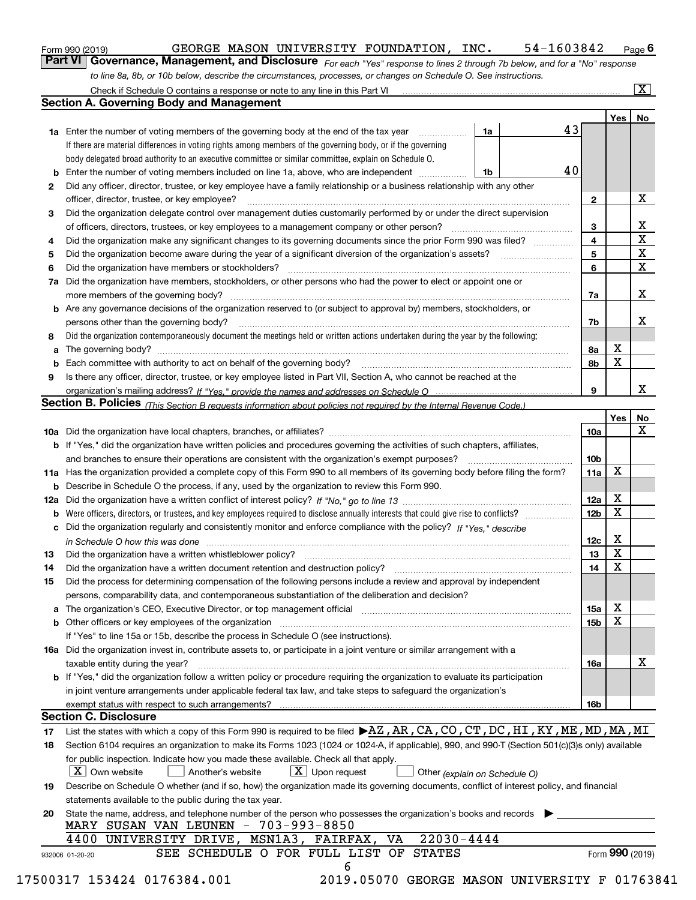| Form 990 (2019) |  |  |
|-----------------|--|--|
|                 |  |  |

### GEORGE MASON UNIVERSITY FOUNDATION, INC. 54-1603842

*For each "Yes" response to lines 2 through 7b below, and for a "No" response to line 8a, 8b, or 10b below, describe the circumstances, processes, or changes on Schedule O. See instructions.* Form 990 (2019) **CEORGE MASON UNIVERSITY FOUNDATION, INC.** 54-1603842 Page 6<br>**Part VI Governance, Management, and Disclosure** For each "Yes" response to lines 2 through 7b below, and for a "No" response

|    |                                                                                                                                                                               |            |    |                 | Yes   No        |              |
|----|-------------------------------------------------------------------------------------------------------------------------------------------------------------------------------|------------|----|-----------------|-----------------|--------------|
|    | <b>1a</b> Enter the number of voting members of the governing body at the end of the tax year                                                                                 | 1a         | 43 |                 |                 |              |
|    | If there are material differences in voting rights among members of the governing body, or if the governing                                                                   |            |    |                 |                 |              |
|    | body delegated broad authority to an executive committee or similar committee, explain on Schedule O.                                                                         |            |    |                 |                 |              |
| b  | Enter the number of voting members included on line 1a, above, who are independent                                                                                            | $\vert$ 1b | 40 |                 |                 |              |
| 2  | Did any officer, director, trustee, or key employee have a family relationship or a business relationship with any other                                                      |            |    |                 |                 |              |
|    | officer, director, trustee, or key employee?                                                                                                                                  |            |    | $\mathbf{2}$    |                 | X            |
| 3  | Did the organization delegate control over management duties customarily performed by or under the direct supervision                                                         |            |    |                 |                 |              |
|    |                                                                                                                                                                               |            |    | 3               |                 | х            |
| 4  | Did the organization make any significant changes to its governing documents since the prior Form 990 was filed?                                                              |            |    | 4               |                 | $\mathbf X$  |
| 5  |                                                                                                                                                                               |            |    | 5               |                 | $\mathbf X$  |
| 6  | Did the organization have members or stockholders?                                                                                                                            |            |    | 6               |                 | $\mathbf{x}$ |
| 7a | Did the organization have members, stockholders, or other persons who had the power to elect or appoint one or                                                                |            |    |                 |                 |              |
|    |                                                                                                                                                                               |            |    | 7a              |                 | х            |
|    | b Are any governance decisions of the organization reserved to (or subject to approval by) members, stockholders, or                                                          |            |    |                 |                 |              |
|    | persons other than the governing body?                                                                                                                                        |            |    | 7b              |                 | х            |
| 8  | Did the organization contemporaneously document the meetings held or written actions undertaken during the year by the following:                                             |            |    |                 |                 |              |
| a  |                                                                                                                                                                               |            |    | 8a              | X               |              |
| b  |                                                                                                                                                                               |            |    | 8b              | X               |              |
| 9  | Is there any officer, director, trustee, or key employee listed in Part VII, Section A, who cannot be reached at the                                                          |            |    |                 |                 |              |
|    |                                                                                                                                                                               |            |    | 9               |                 | x            |
|    | Section B. Policies <i>(This Section B requests information about policies not required by the Internal Revenue Code.)</i>                                                    |            |    |                 |                 |              |
|    |                                                                                                                                                                               |            |    |                 | Yes             | No           |
|    |                                                                                                                                                                               |            |    | 10a             |                 | X            |
|    | <b>b</b> If "Yes," did the organization have written policies and procedures governing the activities of such chapters, affiliates,                                           |            |    |                 |                 |              |
|    |                                                                                                                                                                               |            |    | 10 <sub>b</sub> |                 |              |
|    | 11a Has the organization provided a complete copy of this Form 990 to all members of its governing body before filing the form?                                               |            |    | 11a             | X               |              |
|    | <b>b</b> Describe in Schedule O the process, if any, used by the organization to review this Form 990.                                                                        |            |    |                 |                 |              |
|    |                                                                                                                                                                               |            |    | 12a             | X               |              |
| b  |                                                                                                                                                                               |            |    | 12 <sub>b</sub> | $\mathbf X$     |              |
|    | c Did the organization regularly and consistently monitor and enforce compliance with the policy? If "Yes." describe                                                          |            |    |                 |                 |              |
|    |                                                                                                                                                                               |            |    | 12c             | х               |              |
|    | in Schedule O how this was done manufactured and continuum control of the Schedule O how this was done manufactured and continuum control of the Schedule O how this was done |            |    | 13              | X               |              |
| 13 |                                                                                                                                                                               |            |    | 14              | X               |              |
| 14 |                                                                                                                                                                               |            |    |                 |                 |              |
| 15 | Did the process for determining compensation of the following persons include a review and approval by independent                                                            |            |    |                 |                 |              |
|    | persons, comparability data, and contemporaneous substantiation of the deliberation and decision?                                                                             |            |    |                 | х               |              |
| а  | The organization's CEO, Executive Director, or top management official manufactured content content of the organization's CEO, Executive Director, or top management official |            |    | 15a             | X               |              |
|    |                                                                                                                                                                               |            |    | 15 <sub>b</sub> |                 |              |
|    | If "Yes" to line 15a or 15b, describe the process in Schedule O (see instructions).                                                                                           |            |    |                 |                 |              |
|    | 16a Did the organization invest in, contribute assets to, or participate in a joint venture or similar arrangement with a                                                     |            |    |                 |                 |              |
|    | taxable entity during the year?                                                                                                                                               |            |    | 16a             |                 | X            |
|    | b If "Yes," did the organization follow a written policy or procedure requiring the organization to evaluate its participation                                                |            |    |                 |                 |              |
|    | in joint venture arrangements under applicable federal tax law, and take steps to safeguard the organization's                                                                |            |    |                 |                 |              |
|    |                                                                                                                                                                               |            |    | <b>16b</b>      |                 |              |
|    | <b>Section C. Disclosure</b>                                                                                                                                                  |            |    |                 |                 |              |
| 17 | List the states with which a copy of this Form 990 is required to be filed >AZ, AR, CA, CO, CT, DC, HI, KY, ME, MD, MA, MI                                                    |            |    |                 |                 |              |
| 18 | Section 6104 requires an organization to make its Forms 1023 (1024 or 1024-A, if applicable), 990, and 990-T (Section 501(c)(3)s only) available                              |            |    |                 |                 |              |
|    | for public inspection. Indicate how you made these available. Check all that apply.                                                                                           |            |    |                 |                 |              |
|    | $\boxed{\text{X}}$ Upon request<br>$\mid$ $\rm X \mid$ Own website<br>  Another's website<br>Other (explain on Schedule O)                                                    |            |    |                 |                 |              |
| 19 | Describe on Schedule O whether (and if so, how) the organization made its governing documents, conflict of interest policy, and financial                                     |            |    |                 |                 |              |
|    | statements available to the public during the tax year.                                                                                                                       |            |    |                 |                 |              |
| 20 | State the name, address, and telephone number of the person who possesses the organization's books and records                                                                |            |    |                 |                 |              |
|    | MARY SUSAN VAN LEUNEN - 703-993-8850                                                                                                                                          |            |    |                 |                 |              |
|    | $22030 - 4444$<br>4400 UNIVERSITY DRIVE, MSN1A3, FAIRFAX, VA                                                                                                                  |            |    |                 |                 |              |
|    | SEE SCHEDULE O FOR FULL LIST OF STATES<br>932006 01-20-20                                                                                                                     |            |    |                 | Form 990 (2019) |              |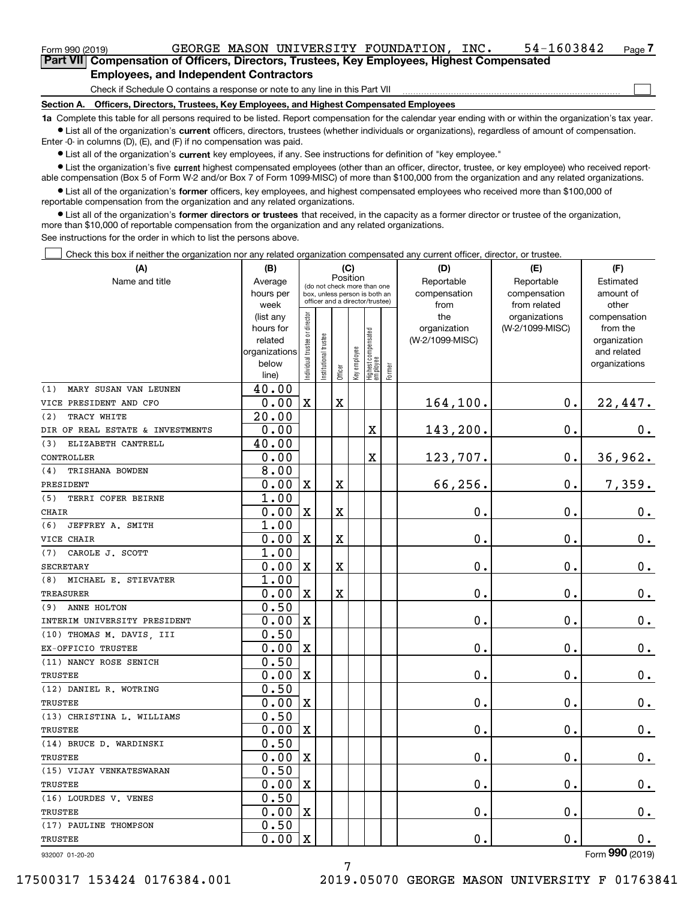| Form 990 (2019) |                                                                                            |  | GEORGE MASON UNIVERSITY FOUNDATION, | INC. | 54-1603842 | Page $\overline{I}$ |
|-----------------|--------------------------------------------------------------------------------------------|--|-------------------------------------|------|------------|---------------------|
|                 | Part VII Compensation of Officers, Directors, Trustees, Key Employees, Highest Compensated |  |                                     |      |            |                     |

### **Employees, and Independent Contractors**

Check if Schedule O contains a response or note to any line in this Part VII

**Section A. Officers, Directors, Trustees, Key Employees, and Highest Compensated Employees**

**1a**  Complete this table for all persons required to be listed. Report compensation for the calendar year ending with or within the organization's tax year. **•** List all of the organization's current officers, directors, trustees (whether individuals or organizations), regardless of amount of compensation.

Enter -0- in columns (D), (E), and (F) if no compensation was paid.

 $\bullet$  List all of the organization's  $\,$ current key employees, if any. See instructions for definition of "key employee."

**•** List the organization's five current highest compensated employees (other than an officer, director, trustee, or key employee) who received reportable compensation (Box 5 of Form W-2 and/or Box 7 of Form 1099-MISC) of more than \$100,000 from the organization and any related organizations.

**•** List all of the organization's former officers, key employees, and highest compensated employees who received more than \$100,000 of reportable compensation from the organization and any related organizations.

**former directors or trustees**  ¥ List all of the organization's that received, in the capacity as a former director or trustee of the organization, more than \$10,000 of reportable compensation from the organization and any related organizations.

See instructions for the order in which to list the persons above.

Check this box if neither the organization nor any related organization compensated any current officer, director, or trustee.  $\mathcal{L}^{\text{max}}$ 

| (A)                              | (B)                  |                                         |                                                                  | (C)                     |              |                                 |        | (D)                             | (E)             | (F)                      |  |  |
|----------------------------------|----------------------|-----------------------------------------|------------------------------------------------------------------|-------------------------|--------------|---------------------------------|--------|---------------------------------|-----------------|--------------------------|--|--|
| Name and title                   | Average              | Position<br>(do not check more than one |                                                                  |                         |              |                                 |        | Reportable                      | Reportable      | Estimated                |  |  |
|                                  | hours per            |                                         | box, unless person is both an<br>officer and a director/trustee) |                         |              |                                 |        | compensation                    | compensation    | amount of                |  |  |
|                                  | week                 |                                         |                                                                  |                         |              |                                 |        | from                            | from related    | other                    |  |  |
|                                  | (list any            |                                         |                                                                  |                         |              |                                 |        | the                             | organizations   | compensation             |  |  |
|                                  | hours for<br>related |                                         |                                                                  |                         |              |                                 |        | organization<br>(W-2/1099-MISC) | (W-2/1099-MISC) | from the<br>organization |  |  |
|                                  | organizations        |                                         |                                                                  |                         |              |                                 |        |                                 |                 | and related              |  |  |
|                                  | below                |                                         |                                                                  |                         |              |                                 |        |                                 |                 | organizations            |  |  |
|                                  | line)                | ndividual trustee or director           | nstitutional trustee                                             | Officer                 | Key employee | Highest compensated<br>employee | Former |                                 |                 |                          |  |  |
| (1)<br>MARY SUSAN VAN LEUNEN     | 40.00                |                                         |                                                                  |                         |              |                                 |        |                                 |                 |                          |  |  |
| VICE PRESIDENT AND CFO           | 0.00                 | $\mathbf x$                             |                                                                  | $\overline{\text{X}}$   |              |                                 |        | 164,100.                        | $\mathbf 0$ .   | 22,447.                  |  |  |
| TRACY WHITE<br>(2)               | 20.00                |                                         |                                                                  |                         |              |                                 |        |                                 |                 |                          |  |  |
| DIR OF REAL ESTATE & INVESTMENTS | 0.00                 |                                         |                                                                  |                         |              | X                               |        | 143,200.                        | $\mathbf 0$ .   | 0.                       |  |  |
| ELIZABETH CANTRELL<br>(3)        | 40.00                |                                         |                                                                  |                         |              |                                 |        |                                 |                 |                          |  |  |
| CONTROLLER                       | 0.00                 |                                         |                                                                  |                         |              | $\mathbf X$                     |        | 123,707.                        | $\mathbf 0$ .   | 36,962.                  |  |  |
| (4)<br>TRISHANA BOWDEN           | 8.00                 |                                         |                                                                  |                         |              |                                 |        |                                 |                 |                          |  |  |
| PRESIDENT                        | 0.00                 | $\mathbf X$                             |                                                                  | X                       |              |                                 |        | 66,256.                         | $\mathbf 0$ .   | 7, 359.                  |  |  |
| (5)<br>TERRI COFER BEIRNE        | 1.00                 |                                         |                                                                  |                         |              |                                 |        |                                 |                 |                          |  |  |
| <b>CHAIR</b>                     | 0.00                 | $\mathbf x$                             |                                                                  | X                       |              |                                 |        | 0.                              | $\mathbf 0$ .   | $0_{.}$                  |  |  |
| (6)<br>JEFFREY A. SMITH          | 1.00                 |                                         |                                                                  |                         |              |                                 |        |                                 |                 |                          |  |  |
| VICE CHAIR                       | 0.00                 | $\mathbf x$                             |                                                                  | X                       |              |                                 |        | 0.                              | $\mathbf 0$ .   | $\mathbf 0$ .            |  |  |
| CAROLE J. SCOTT<br>(7)           | 1.00                 |                                         |                                                                  |                         |              |                                 |        |                                 |                 |                          |  |  |
| <b>SECRETARY</b>                 | 0.00                 | $\mathbf x$                             |                                                                  | $\overline{\text{X}}$   |              |                                 |        | 0.                              | $\mathbf 0$ .   | $\mathbf 0$ .            |  |  |
| (8)<br>MICHAEL E. STIEVATER      | 1.00                 |                                         |                                                                  |                         |              |                                 |        |                                 |                 |                          |  |  |
| <b>TREASURER</b>                 | 0.00                 | $\mathbf x$                             |                                                                  | $\overline{\mathbf{X}}$ |              |                                 |        | 0.                              | $\mathbf 0$ .   | $0_{.}$                  |  |  |
| ANNE HOLTON<br>(9)               | 0.50                 |                                         |                                                                  |                         |              |                                 |        |                                 |                 |                          |  |  |
| INTERIM UNIVERSITY PRESIDENT     | 0.00                 | $\mathbf X$                             |                                                                  |                         |              |                                 |        | 0.                              | $\mathbf 0$ .   | $0_{.}$                  |  |  |
| (10) THOMAS M. DAVIS, III        | 0.50                 |                                         |                                                                  |                         |              |                                 |        |                                 |                 |                          |  |  |
| EX-OFFICIO TRUSTEE               | 0.00                 | X                                       |                                                                  |                         |              |                                 |        | 0.                              | $\mathbf{0}$ .  | 0.                       |  |  |
| (11) NANCY ROSE SENICH           | 0.50                 |                                         |                                                                  |                         |              |                                 |        |                                 |                 |                          |  |  |
| <b>TRUSTEE</b>                   | 0.00                 | $\mathbf X$                             |                                                                  |                         |              |                                 |        | 0.                              | $\mathbf 0$ .   | $\mathbf 0$ .            |  |  |
| (12) DANIEL R. WOTRING           | 0.50                 |                                         |                                                                  |                         |              |                                 |        |                                 |                 |                          |  |  |
| TRUSTEE                          | 0.00                 | X                                       |                                                                  |                         |              |                                 |        | 0.                              | $\mathbf 0$ .   | $\mathbf 0$ .            |  |  |
| (13) CHRISTINA L. WILLIAMS       | 0.50                 |                                         |                                                                  |                         |              |                                 |        |                                 |                 |                          |  |  |
| <b>TRUSTEE</b>                   | 0.00                 | $\mathbf X$                             |                                                                  |                         |              |                                 |        | 0.                              | $\mathbf 0$ .   | 0.                       |  |  |
| (14) BRUCE D. WARDINSKI          | 0.50                 |                                         |                                                                  |                         |              |                                 |        |                                 |                 |                          |  |  |
| TRUSTEE                          | 0.00                 | $\overline{\text{X}}$                   |                                                                  |                         |              |                                 |        | 0.                              | $\mathbf{0}$ .  | 0.                       |  |  |
| (15) VIJAY VENKATESWARAN         | 0.50                 |                                         |                                                                  |                         |              |                                 |        |                                 |                 |                          |  |  |
| TRUSTEE                          | 0.00                 | $\mathbf X$                             |                                                                  |                         |              |                                 |        | 0.                              | $\mathbf 0$ .   | $\mathbf 0$ .            |  |  |
| (16) LOURDES V. VENES            | 0.50                 |                                         |                                                                  |                         |              |                                 |        |                                 |                 |                          |  |  |
| TRUSTEE                          | 0.00                 | $\mathbf x$                             |                                                                  |                         |              |                                 |        | 0.                              | $\mathbf 0$ .   | 0.                       |  |  |
| (17) PAULINE THOMPSON            | 0.50                 |                                         |                                                                  |                         |              |                                 |        |                                 |                 |                          |  |  |
| TRUSTEE                          | 0.00                 | $\rm X$                                 |                                                                  |                         |              |                                 |        | 0.                              | $\mathbf{0}$ .  | 0.                       |  |  |

932007 01-20-20

 $\mathcal{L}^{\text{max}}$ 

7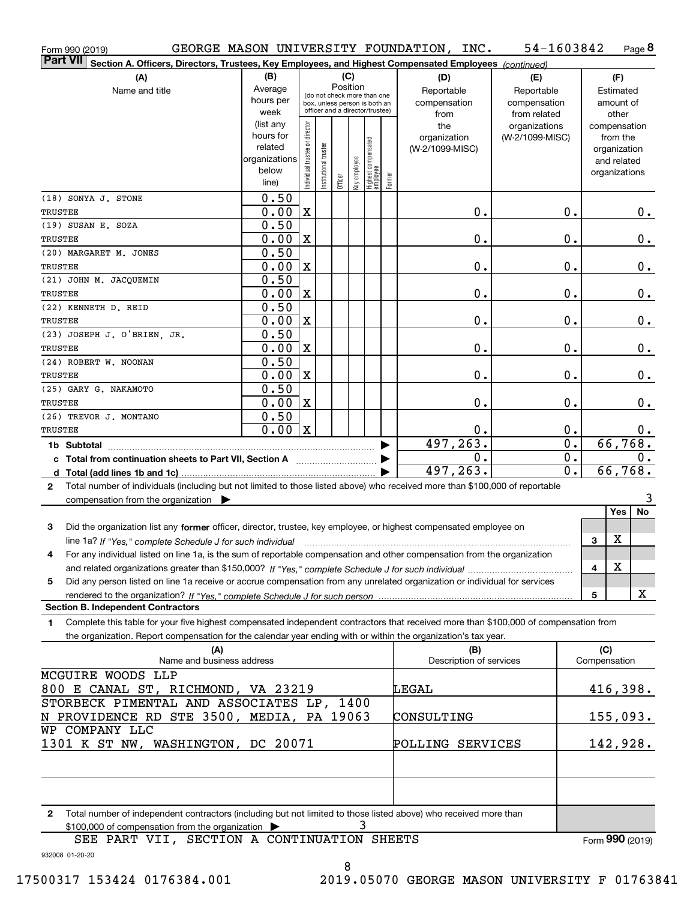| Form 990 (2019)                                                                                                                           |                        |                                |                       |          |     |                                                                  |        | GEORGE MASON UNIVERSITY FOUNDATION, INC. | 54-1603842       |              |                          | Page 8 |  |
|-------------------------------------------------------------------------------------------------------------------------------------------|------------------------|--------------------------------|-----------------------|----------|-----|------------------------------------------------------------------|--------|------------------------------------------|------------------|--------------|--------------------------|--------|--|
| <b>Part VII</b><br>Section A. Officers, Directors, Trustees, Key Employees, and Highest Compensated Employees (continued)                 |                        |                                |                       |          |     |                                                                  |        |                                          |                  |              |                          |        |  |
| (A)                                                                                                                                       | (B)                    |                                |                       |          | (C) |                                                                  |        | (D)                                      | (E)              |              | (F)                      |        |  |
| Name and title                                                                                                                            | Average                |                                |                       | Position |     | (do not check more than one                                      |        | Reportable                               | Reportable       |              | Estimated                |        |  |
|                                                                                                                                           | hours per              |                                |                       |          |     | box, unless person is both an<br>officer and a director/trustee) |        | compensation                             | compensation     |              | amount of                |        |  |
|                                                                                                                                           | week                   |                                |                       |          |     |                                                                  |        | from                                     | from related     |              | other                    |        |  |
|                                                                                                                                           | (list any<br>hours for |                                |                       |          |     |                                                                  |        | the                                      | organizations    |              | compensation             |        |  |
|                                                                                                                                           | related                |                                |                       |          |     |                                                                  |        | organization<br>(W-2/1099-MISC)          | (W-2/1099-MISC)  |              | from the<br>organization |        |  |
|                                                                                                                                           | organizations          |                                |                       |          |     |                                                                  |        |                                          |                  |              | and related              |        |  |
|                                                                                                                                           | below                  | Individual trustee or director | Institutional trustee |          |     |                                                                  |        |                                          |                  |              | organizations            |        |  |
|                                                                                                                                           | line)                  |                                |                       | Officer  |     | key employee<br>Highest compensated<br>employee                  | Former |                                          |                  |              |                          |        |  |
| (18) SONYA J. STONE                                                                                                                       | 0.50                   |                                |                       |          |     |                                                                  |        |                                          |                  |              |                          |        |  |
| <b>TRUSTEE</b>                                                                                                                            | 0.00                   | X                              |                       |          |     |                                                                  |        | 0.                                       | 0.               |              |                          | $0$ .  |  |
| (19) SUSAN E. SOZA                                                                                                                        | 0.50                   |                                |                       |          |     |                                                                  |        |                                          |                  |              |                          |        |  |
| <b>TRUSTEE</b>                                                                                                                            | 0.00                   | X                              |                       |          |     |                                                                  |        | 0.                                       | 0.               |              |                          | $0$ .  |  |
| (20) MARGARET M. JONES                                                                                                                    | 0.50                   |                                |                       |          |     |                                                                  |        |                                          |                  |              |                          |        |  |
| <b>TRUSTEE</b>                                                                                                                            | 0.00                   | X                              |                       |          |     |                                                                  |        | 0.                                       | 0.               |              |                          | $0$ .  |  |
| (21) JOHN M. JACQUEMIN                                                                                                                    | 0.50                   |                                |                       |          |     |                                                                  |        |                                          |                  |              |                          |        |  |
| <b>TRUSTEE</b>                                                                                                                            | 0.00                   | X                              |                       |          |     |                                                                  |        | 0.                                       | 0.               |              |                          | $0$ .  |  |
| (22) KENNETH D. REID                                                                                                                      | 0.50                   |                                |                       |          |     |                                                                  |        |                                          |                  |              |                          |        |  |
| <b>TRUSTEE</b>                                                                                                                            | 0.00                   | X                              |                       |          |     |                                                                  |        | 0.                                       | 0.               |              |                          | $0$ .  |  |
| (23) JOSEPH J. O'BRIEN, JR.                                                                                                               | 0.50                   |                                |                       |          |     |                                                                  |        |                                          |                  |              |                          |        |  |
| <b>TRUSTEE</b>                                                                                                                            | 0.00                   | X                              |                       |          |     |                                                                  |        | 0.                                       | 0.               |              |                          | $0$ .  |  |
| (24) ROBERT W. NOONAN                                                                                                                     | 0.50                   |                                |                       |          |     |                                                                  |        |                                          |                  |              |                          |        |  |
| <b>TRUSTEE</b>                                                                                                                            | 0.00                   | X                              |                       |          |     |                                                                  |        | 0.                                       | 0.               |              |                          | 0.     |  |
| (25) GARY G. NAKAMOTO                                                                                                                     | 0.50                   |                                |                       |          |     |                                                                  |        |                                          |                  |              |                          |        |  |
| <b>TRUSTEE</b>                                                                                                                            | 0.00<br>0.50           | X                              |                       |          |     |                                                                  |        | 0.                                       | 0.               |              |                          | 0.     |  |
| (26) TREVOR J. MONTANO<br><b>TRUSTEE</b>                                                                                                  | 0.00                   | X                              |                       |          |     |                                                                  |        | 0.                                       | 0.               |              |                          |        |  |
|                                                                                                                                           |                        |                                |                       |          |     |                                                                  |        | 497, 263.                                | $\overline{0}$ . |              | 66,768.                  | $0$ .  |  |
|                                                                                                                                           |                        |                                |                       |          |     |                                                                  |        | 0.                                       | 0.               |              |                          | $0$ .  |  |
| c Total from continuation sheets to Part VII, Section A                                                                                   |                        |                                |                       |          |     |                                                                  |        | 497, 263.                                | $\overline{0}$ . |              | 66,768.                  |        |  |
| Total number of individuals (including but not limited to those listed above) who received more than \$100,000 of reportable<br>2         |                        |                                |                       |          |     |                                                                  |        |                                          |                  |              |                          |        |  |
| compensation from the organization                                                                                                        |                        |                                |                       |          |     |                                                                  |        |                                          |                  |              |                          | 3      |  |
|                                                                                                                                           |                        |                                |                       |          |     |                                                                  |        |                                          |                  |              | Yes                      | No     |  |
| Did the organization list any former officer, director, trustee, key employee, or highest compensated employee on<br>3                    |                        |                                |                       |          |     |                                                                  |        |                                          |                  |              |                          |        |  |
| line 1a? If "Yes," complete Schedule J for such individual manufactured contained and the Ves," complete Schedule J for such individual   |                        |                                |                       |          |     |                                                                  |        |                                          |                  | З            | X                        |        |  |
| For any individual listed on line 1a, is the sum of reportable compensation and other compensation from the organization                  |                        |                                |                       |          |     |                                                                  |        |                                          |                  |              |                          |        |  |
|                                                                                                                                           |                        |                                |                       |          |     |                                                                  |        |                                          |                  | 4            | X                        |        |  |
| Did any person listed on line 1a receive or accrue compensation from any unrelated organization or individual for services<br>5           |                        |                                |                       |          |     |                                                                  |        |                                          |                  |              |                          |        |  |
|                                                                                                                                           |                        |                                |                       |          |     |                                                                  |        |                                          |                  | 5            |                          | х      |  |
| <b>Section B. Independent Contractors</b>                                                                                                 |                        |                                |                       |          |     |                                                                  |        |                                          |                  |              |                          |        |  |
| Complete this table for your five highest compensated independent contractors that received more than \$100,000 of compensation from<br>1 |                        |                                |                       |          |     |                                                                  |        |                                          |                  |              |                          |        |  |
| the organization. Report compensation for the calendar year ending with or within the organization's tax year.                            |                        |                                |                       |          |     |                                                                  |        |                                          |                  |              |                          |        |  |
| (A)                                                                                                                                       |                        |                                |                       |          |     |                                                                  |        | (B)                                      |                  |              | (C)                      |        |  |
| Name and business address                                                                                                                 |                        |                                |                       |          |     |                                                                  |        | Description of services                  |                  | Compensation |                          |        |  |
| MCGUIRE WOODS LLP                                                                                                                         |                        |                                |                       |          |     |                                                                  |        |                                          |                  |              |                          |        |  |
| 800 E CANAL ST, RICHMOND, VA 23219                                                                                                        |                        |                                |                       |          |     |                                                                  |        | LEGAL                                    |                  |              | 416,398.                 |        |  |
| STORBECK PIMENTAL AND ASSOCIATES LP, 1400                                                                                                 |                        |                                |                       |          |     |                                                                  |        |                                          |                  |              |                          |        |  |
| N PROVIDENCE RD STE 3500, MEDIA, PA 19063                                                                                                 |                        |                                |                       |          |     |                                                                  |        | CONSULTING                               |                  |              | 155,093.                 |        |  |
| WP COMPANY LLC                                                                                                                            |                        |                                |                       |          |     |                                                                  |        |                                          |                  |              |                          |        |  |
| 1301 K ST NW, WASHINGTON, DC 20071                                                                                                        |                        |                                |                       |          |     |                                                                  |        | POLLING SERVICES                         |                  |              | 142,928.                 |        |  |
|                                                                                                                                           |                        |                                |                       |          |     |                                                                  |        |                                          |                  |              |                          |        |  |
|                                                                                                                                           |                        |                                |                       |          |     |                                                                  |        |                                          |                  |              |                          |        |  |
|                                                                                                                                           |                        |                                |                       |          |     |                                                                  |        |                                          |                  |              |                          |        |  |
| 2 Total number of independent contractors (including but not limited to those listed above) who received more than                        |                        |                                |                       |          |     |                                                                  |        |                                          |                  |              |                          |        |  |

**2**Total number of independent contractors (including but not limited to those listed above) who received more than  $$100,000$  of compensation from the organization  $\blacktriangleright$   $\bf{3}$ 

SEE PART VII, SECTION A CONTINUATION SHEETS

Form (2019) **990**

932008 01-20-20

8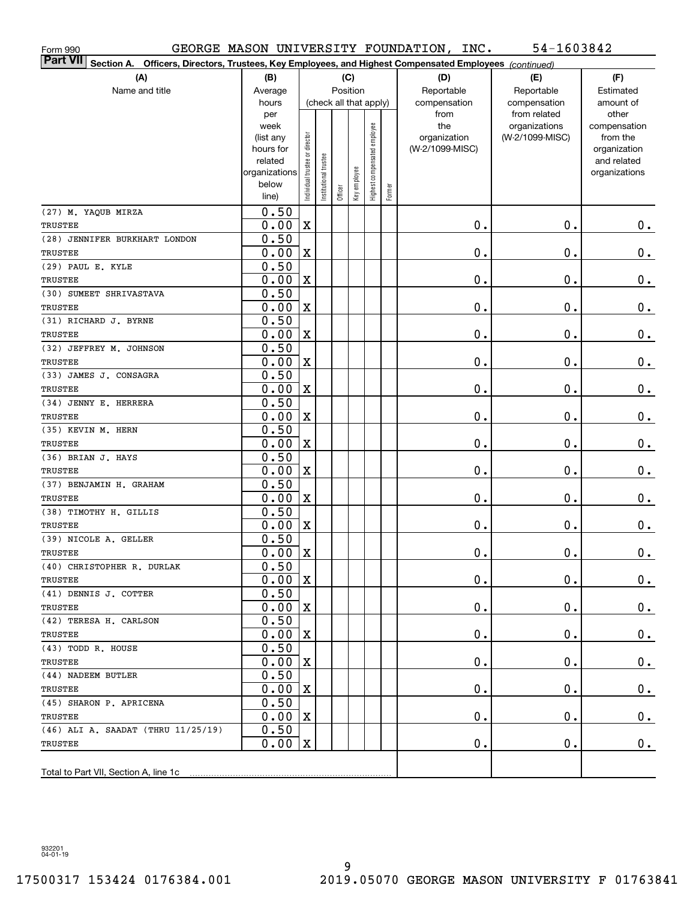| Form 990                                                                                                                     |               |                                |                       |          |              |                              |        | GEORGE MASON UNIVERSITY FOUNDATION, INC. | 54-1603842                    |                       |
|------------------------------------------------------------------------------------------------------------------------------|---------------|--------------------------------|-----------------------|----------|--------------|------------------------------|--------|------------------------------------------|-------------------------------|-----------------------|
| <b>Part VII</b><br>Officers, Directors, Trustees, Key Employees, and Highest Compensated Employees (continued)<br>Section A. |               |                                |                       |          |              |                              |        |                                          |                               |                       |
| (A)                                                                                                                          | (B)           |                                |                       |          | (C)          |                              |        | (D)                                      | (E)                           | (F)                   |
| Name and title                                                                                                               | Average       |                                |                       | Position |              |                              |        | Reportable                               | Reportable                    | Estimated             |
|                                                                                                                              | hours         |                                |                       |          |              | (check all that apply)       |        | compensation                             | compensation                  | amount of             |
|                                                                                                                              | per<br>week   |                                |                       |          |              |                              |        | from<br>the                              | from related<br>organizations | other<br>compensation |
|                                                                                                                              | (list any     |                                |                       |          |              |                              |        | organization                             | (W-2/1099-MISC)               | from the              |
|                                                                                                                              | hours for     |                                |                       |          |              |                              |        | (W-2/1099-MISC)                          |                               | organization          |
|                                                                                                                              | related       |                                |                       |          |              |                              |        |                                          |                               | and related           |
|                                                                                                                              | organizations | Individual trustee or director | Institutional trustee |          | Key employee | Highest compensated employee |        |                                          |                               | organizations         |
|                                                                                                                              | below         |                                |                       | Officer  |              |                              | Former |                                          |                               |                       |
|                                                                                                                              | line)         |                                |                       |          |              |                              |        |                                          |                               |                       |
| (27) M. YAQUB MIRZA                                                                                                          | 0.50          |                                |                       |          |              |                              |        |                                          |                               |                       |
| TRUSTEE                                                                                                                      | 0.00          | $\mathbf X$                    |                       |          |              |                              |        | $\mathbf 0$ .                            | 0.                            | $0$ .                 |
| (28) JENNIFER BURKHART LONDON                                                                                                | 0.50          |                                |                       |          |              |                              |        |                                          |                               |                       |
| TRUSTEE                                                                                                                      | 0.00          | X                              |                       |          |              |                              |        | $\mathbf 0$ .                            | $\mathbf 0$ .                 | $\mathbf 0$ .         |
| (29) PAUL E. KYLE                                                                                                            | 0.50          |                                |                       |          |              |                              |        |                                          |                               |                       |
| TRUSTEE                                                                                                                      | 0.00          | $\mathbf X$                    |                       |          |              |                              |        | $\mathbf 0$ .                            | $\mathbf 0$ .                 | $0\,.$                |
| (30) SUMEET SHRIVASTAVA                                                                                                      | 0.50          |                                |                       |          |              |                              |        |                                          |                               |                       |
| TRUSTEE                                                                                                                      | 0.00          | $\mathbf X$                    |                       |          |              |                              |        | $\mathbf 0$ .                            | 0.                            | $\mathbf 0$ .         |
| (31) RICHARD J. BYRNE                                                                                                        | 0.50          |                                |                       |          |              |                              |        |                                          |                               |                       |
| TRUSTEE                                                                                                                      | 0.00          | $\mathbf X$                    |                       |          |              |                              |        | $\mathbf 0$ .                            | 0.                            | $\mathbf 0$ .         |
| (32) JEFFREY M. JOHNSON                                                                                                      | 0.50          |                                |                       |          |              |                              |        |                                          |                               |                       |
| TRUSTEE                                                                                                                      | 0.00          | $\mathbf X$                    |                       |          |              |                              |        | $\mathbf 0$ .                            | 0.                            | $\mathbf 0$ .         |
| (33) JAMES J. CONSAGRA                                                                                                       | 0.50          |                                |                       |          |              |                              |        |                                          |                               |                       |
| TRUSTEE                                                                                                                      | 0.00          | $\mathbf X$                    |                       |          |              |                              |        | $\mathbf 0$ .                            | 0.                            | $\mathbf 0$ .         |
| (34) JENNY E. HERRERA                                                                                                        | 0.50          |                                |                       |          |              |                              |        |                                          |                               |                       |
| TRUSTEE                                                                                                                      | 0.00          | $\mathbf X$                    |                       |          |              |                              |        | $\mathbf 0$ .                            | 0.                            | $\mathbf 0$ .         |
| (35) KEVIN M. HERN                                                                                                           | 0.50          |                                |                       |          |              |                              |        |                                          |                               |                       |
| TRUSTEE                                                                                                                      | 0.00          | $\mathbf X$                    |                       |          |              |                              |        | $\mathbf 0$ .                            | 0.                            | $0\,.$                |
| (36) BRIAN J. HAYS                                                                                                           | 0.50          |                                |                       |          |              |                              |        |                                          |                               |                       |
| TRUSTEE                                                                                                                      | 0.00          | $\mathbf X$                    |                       |          |              |                              |        | $\mathbf 0$ .                            | 0.                            | $0\,.$                |
| (37) BENJAMIN H. GRAHAM                                                                                                      | 0.50          |                                |                       |          |              |                              |        |                                          |                               |                       |
| TRUSTEE                                                                                                                      | 0.00          | $\mathbf X$                    |                       |          |              |                              |        | $\mathbf 0$ .                            | 0.                            | $0\,.$                |
| (38) TIMOTHY H. GILLIS                                                                                                       | 0.50          |                                |                       |          |              |                              |        |                                          |                               |                       |
| TRUSTEE                                                                                                                      | 0.00          | X                              |                       |          |              |                              |        | Ο.                                       | 0.                            | $0\,.$                |
| (39) NICOLE A. GELLER                                                                                                        | 0.50          |                                |                       |          |              |                              |        |                                          |                               |                       |
| TRUSTEE                                                                                                                      | $0.00$ X      |                                |                       |          |              |                              |        | $\mathbf 0$ .                            | $0$ .                         | 0.                    |
| (40) CHRISTOPHER R. DURLAK                                                                                                   | 0.50          |                                |                       |          |              |                              |        |                                          |                               |                       |
| TRUSTEE                                                                                                                      | 0.00          | X                              |                       |          |              |                              |        | 0.                                       | 0.                            | $0_{.}$               |
| (41) DENNIS J. COTTER                                                                                                        | 0.50          |                                |                       |          |              |                              |        |                                          |                               |                       |
| TRUSTEE                                                                                                                      | 0.00          | X                              |                       |          |              |                              |        | $\mathbf 0$ .                            | 0.                            | $0\cdot$              |
| (42) TERESA H. CARLSON                                                                                                       | 0.50          |                                |                       |          |              |                              |        |                                          |                               |                       |
| TRUSTEE                                                                                                                      | 0.00          | X                              |                       |          |              |                              |        | $\mathbf 0$ .                            | 0.                            | $0\,.$                |
| (43) TODD R. HOUSE                                                                                                           | 0.50          |                                |                       |          |              |                              |        |                                          |                               |                       |
| TRUSTEE                                                                                                                      | 0.00          | X                              |                       |          |              |                              |        | $\mathbf 0$ .                            | 0.                            | $0\,.$                |
| (44) NADEEM BUTLER                                                                                                           | 0.50          |                                |                       |          |              |                              |        |                                          |                               |                       |
| TRUSTEE                                                                                                                      | 0.00          | X                              |                       |          |              |                              |        | $\mathbf 0$ .                            | 0.                            | $0\cdot$              |
| (45) SHARON P. APRICENA                                                                                                      | 0.50          |                                |                       |          |              |                              |        |                                          |                               |                       |
| TRUSTEE                                                                                                                      | 0.00          | X                              |                       |          |              |                              |        | $\mathbf 0$ .                            | 0.                            | $0\cdot$              |
| (46) ALI A. SAADAT (THRU 11/25/19)                                                                                           | 0.50          |                                |                       |          |              |                              |        |                                          |                               |                       |
| TRUSTEE                                                                                                                      | 0.00          | X                              |                       |          |              |                              |        | Ο.                                       | 0.                            | $0$ .                 |
|                                                                                                                              |               |                                |                       |          |              |                              |        |                                          |                               |                       |
|                                                                                                                              |               |                                |                       |          |              |                              |        |                                          |                               |                       |

932201 04-01-19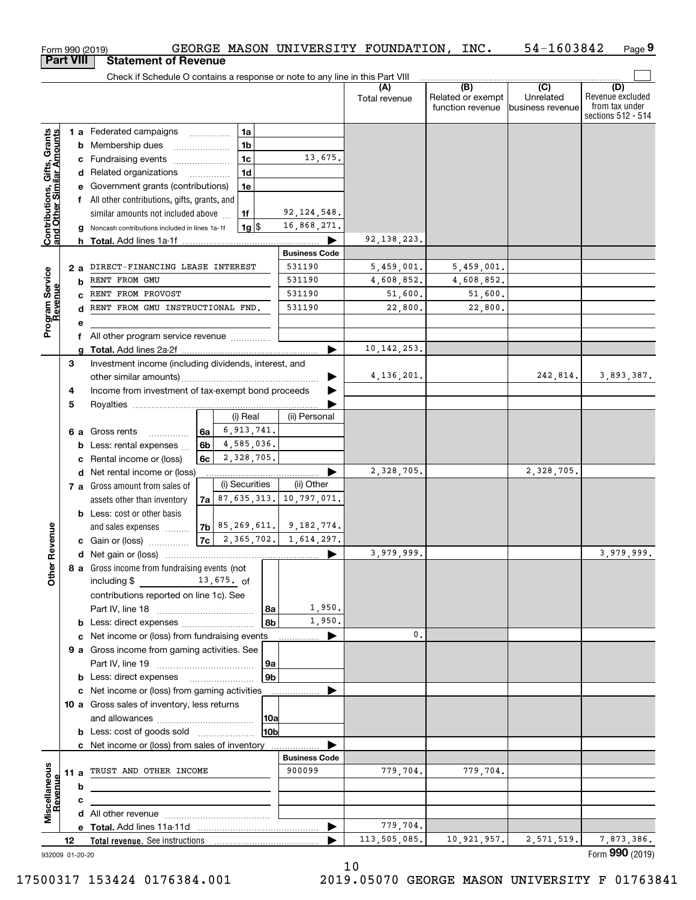|                                                           |                  | GEORGE MASON UNIVERSITY FOUNDATION, INC.<br>Form 990 (2019)                                    |                      |                      |                                              | 54-1603842                                      | Page 9                                                          |
|-----------------------------------------------------------|------------------|------------------------------------------------------------------------------------------------|----------------------|----------------------|----------------------------------------------|-------------------------------------------------|-----------------------------------------------------------------|
|                                                           | <b>Part VIII</b> | <b>Statement of Revenue</b>                                                                    |                      |                      |                                              |                                                 |                                                                 |
|                                                           |                  | Check if Schedule O contains a response or note to any line in this Part VIII                  |                      |                      |                                              |                                                 |                                                                 |
|                                                           |                  |                                                                                                |                      | (A)<br>Total revenue | (B)<br>Related or exempt<br>function revenue | $\overline{C}$<br>Unrelated<br>business revenue | (D)<br>Revenue excluded<br>from tax under<br>sections 512 - 514 |
|                                                           |                  | 1 a Federated campaigns<br>1a                                                                  |                      |                      |                                              |                                                 |                                                                 |
|                                                           |                  | 1b<br><b>b</b> Membership dues<br>$\ldots \ldots \ldots \ldots \ldots$                         |                      |                      |                                              |                                                 |                                                                 |
|                                                           |                  | 1 <sub>c</sub><br>c Fundraising events                                                         | 13,675.              |                      |                                              |                                                 |                                                                 |
|                                                           |                  | 1 <sub>d</sub><br>d Related organizations                                                      |                      |                      |                                              |                                                 |                                                                 |
|                                                           |                  | e Government grants (contributions)<br>1e                                                      |                      |                      |                                              |                                                 |                                                                 |
|                                                           |                  | f All other contributions, gifts, grants, and                                                  |                      |                      |                                              |                                                 |                                                                 |
| Contributions, Gifts, Grants<br>and Other Similar Amounts |                  | 1f<br>similar amounts not included above                                                       | 92, 124, 548.        |                      |                                              |                                                 |                                                                 |
|                                                           |                  | $1g$ $\frac{1}{3}$<br>g Noncash contributions included in lines 1a-1f                          | 16,868,271.          |                      |                                              |                                                 |                                                                 |
|                                                           |                  |                                                                                                | <b>Business Code</b> | 92, 138, 223.        |                                              |                                                 |                                                                 |
|                                                           | 2 a              | DIRECT-FINANCING LEASE INTEREST                                                                | 531190               | 5,459,001.           | 5,459,001.                                   |                                                 |                                                                 |
| Program Service<br>Revenue                                |                  | RENT FROM GMU<br>b                                                                             | 531190               | 4,608,852.           | 4,608,852.                                   |                                                 |                                                                 |
|                                                           |                  | RENT FROM PROVOST<br>C.                                                                        | 531190               | 51,600.              | 51,600.                                      |                                                 |                                                                 |
|                                                           |                  | RENT FROM GMU INSTRUCTIONAL FND.<br>d                                                          | 531190               | 22,800.              | 22,800.                                      |                                                 |                                                                 |
|                                                           |                  | е                                                                                              |                      |                      |                                              |                                                 |                                                                 |
|                                                           |                  | f All other program service revenue                                                            |                      |                      |                                              |                                                 |                                                                 |
|                                                           |                  | a                                                                                              |                      | 10, 142, 253.        |                                              |                                                 |                                                                 |
|                                                           | З                | Investment income (including dividends, interest, and                                          |                      |                      |                                              |                                                 |                                                                 |
|                                                           |                  |                                                                                                |                      | 4, 136, 201.         |                                              | 242,814.                                        | 3,893,387.                                                      |
|                                                           | 4                | Income from investment of tax-exempt bond proceeds                                             |                      |                      |                                              |                                                 |                                                                 |
|                                                           | 5                |                                                                                                |                      |                      |                                              |                                                 |                                                                 |
|                                                           |                  | (i) Real<br>6, 913, 741.                                                                       | (ii) Personal        |                      |                                              |                                                 |                                                                 |
|                                                           |                  | 6а<br>6 a Gross rents<br>4,585,036.<br>6b                                                      |                      |                      |                                              |                                                 |                                                                 |
|                                                           |                  | <b>b</b> Less: rental expenses<br>2,328,705.<br>c Rental income or (loss)<br>6с                |                      |                      |                                              |                                                 |                                                                 |
|                                                           |                  | d Net rental income or (loss)                                                                  |                      | 2,328,705.           |                                              | 2,328,705.                                      |                                                                 |
|                                                           |                  | (i) Securities<br>7 a Gross amount from sales of                                               | (ii) Other           |                      |                                              |                                                 |                                                                 |
|                                                           |                  | $7a$ 87, 635, 313. 10, 797, 071.<br>assets other than inventory                                |                      |                      |                                              |                                                 |                                                                 |
|                                                           |                  | <b>b</b> Less: cost or other basis                                                             |                      |                      |                                              |                                                 |                                                                 |
|                                                           |                  | 7b 85, 269, 611.   9, 182, 774.<br>and sales expenses                                          |                      |                      |                                              |                                                 |                                                                 |
| evenue                                                    |                  | 2,365,702. 1,614,297.<br>7c<br>c Gain or (loss)                                                |                      |                      |                                              |                                                 |                                                                 |
|                                                           |                  |                                                                                                |                      | 3,979,999.           |                                              |                                                 | 3,979,999.                                                      |
| Other R                                                   |                  | 8 a Gross income from fundraising events (not<br>$13,675.$ of<br>including \$                  |                      |                      |                                              |                                                 |                                                                 |
|                                                           |                  | contributions reported on line 1c). See                                                        |                      |                      |                                              |                                                 |                                                                 |
|                                                           |                  | 8a                                                                                             | 1,950.<br>1,950.     |                      |                                              |                                                 |                                                                 |
|                                                           |                  | 8b                                                                                             | ▶                    | $\mathbf{0}$ .       |                                              |                                                 |                                                                 |
|                                                           |                  | c Net income or (loss) from fundraising events<br>9 a Gross income from gaming activities. See |                      |                      |                                              |                                                 |                                                                 |
|                                                           |                  | 9a                                                                                             |                      |                      |                                              |                                                 |                                                                 |
|                                                           |                  | 9 <sub>b</sub><br><b>b</b> Less: direct expenses <b>manually</b>                               |                      |                      |                                              |                                                 |                                                                 |
|                                                           |                  | c Net income or (loss) from gaming activities                                                  |                      |                      |                                              |                                                 |                                                                 |
|                                                           |                  | 10 a Gross sales of inventory, less returns                                                    |                      |                      |                                              |                                                 |                                                                 |
|                                                           |                  | 10a                                                                                            |                      |                      |                                              |                                                 |                                                                 |
|                                                           |                  | 10 <sub>b</sub><br><b>b</b> Less: cost of goods sold                                           |                      |                      |                                              |                                                 |                                                                 |
|                                                           |                  | c Net income or (loss) from sales of inventory                                                 |                      |                      |                                              |                                                 |                                                                 |
|                                                           |                  |                                                                                                | <b>Business Code</b> |                      |                                              |                                                 |                                                                 |
|                                                           |                  | 11 a TRUST AND OTHER INCOME                                                                    | 900099               | 779,704.             | 779,704.                                     |                                                 |                                                                 |
| Miscellaneous<br>Revenue                                  |                  | b<br>the control of the control of the control of the control of the control of the control of |                      |                      |                                              |                                                 |                                                                 |
|                                                           |                  | c                                                                                              |                      |                      |                                              |                                                 |                                                                 |
|                                                           |                  |                                                                                                |                      | 779,704.             |                                              |                                                 |                                                                 |
|                                                           | 12               |                                                                                                |                      | 113,505,085.         | 10,921,957.                                  | 2,571,519.                                      | 7,873,386.                                                      |
| 932009 01-20-20                                           |                  |                                                                                                |                      |                      |                                              |                                                 | Form 990 (2019)                                                 |
|                                                           |                  |                                                                                                |                      |                      |                                              |                                                 |                                                                 |

932009 01-20-20

10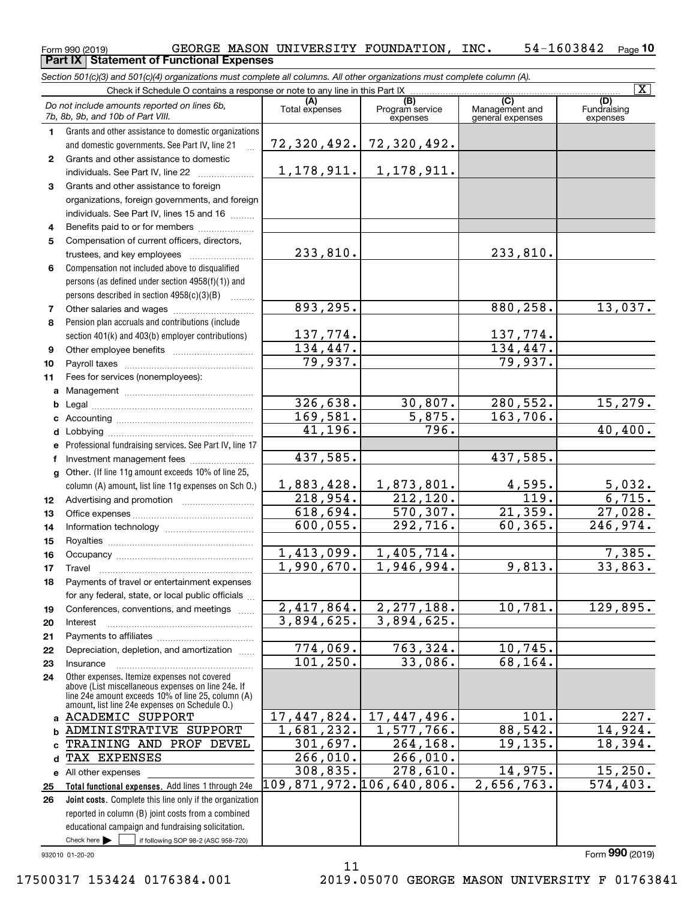### Form 990 (2019) GEORGE MASON UNIVERSITY FOUNDATION,INC**.** 54-1603842 <sub>Page</sub> 10 **Part IX Statement of Functional Expenses**

*Section 501(c)(3) and 501(c)(4) organizations must complete all columns. All other organizations must complete column (A).*

|                | Check if Schedule O contains a response or note to any line in this Part IX                                                                                                                                |                          |                                    |                                                      | $\overline{\mathbf{X}}$        |
|----------------|------------------------------------------------------------------------------------------------------------------------------------------------------------------------------------------------------------|--------------------------|------------------------------------|------------------------------------------------------|--------------------------------|
|                | Do not include amounts reported on lines 6b,<br>7b, 8b, 9b, and 10b of Part VIII.                                                                                                                          | (A)<br>Total expenses    | (B)<br>Program service<br>expenses | $\overline{C}$<br>Management and<br>general expenses | (D)<br>Fundraising<br>expenses |
| 1.             | Grants and other assistance to domestic organizations                                                                                                                                                      |                          |                                    |                                                      |                                |
|                | and domestic governments. See Part IV, line 21                                                                                                                                                             | 72,320,492.              | 72,320,492.                        |                                                      |                                |
| $\mathbf{2}$   | Grants and other assistance to domestic                                                                                                                                                                    |                          |                                    |                                                      |                                |
|                | individuals. See Part IV, line 22                                                                                                                                                                          | 1,178,911.               | 1,178,911.                         |                                                      |                                |
| 3              | Grants and other assistance to foreign                                                                                                                                                                     |                          |                                    |                                                      |                                |
|                | organizations, foreign governments, and foreign                                                                                                                                                            |                          |                                    |                                                      |                                |
|                | individuals. See Part IV, lines 15 and 16                                                                                                                                                                  |                          |                                    |                                                      |                                |
| 4              | Benefits paid to or for members                                                                                                                                                                            |                          |                                    |                                                      |                                |
| 5              | Compensation of current officers, directors,                                                                                                                                                               |                          |                                    |                                                      |                                |
|                | trustees, and key employees                                                                                                                                                                                | 233,810.                 |                                    | 233,810.                                             |                                |
| 6              | Compensation not included above to disqualified                                                                                                                                                            |                          |                                    |                                                      |                                |
|                | persons (as defined under section 4958(f)(1)) and                                                                                                                                                          |                          |                                    |                                                      |                                |
|                | persons described in section $4958(c)(3)(B)$<br>$\sim$                                                                                                                                                     |                          |                                    |                                                      |                                |
| $\overline{7}$ |                                                                                                                                                                                                            | 893, 295.                |                                    | 880, 258.                                            | 13,037.                        |
| 8              | Pension plan accruals and contributions (include                                                                                                                                                           |                          |                                    |                                                      |                                |
|                | section 401(k) and 403(b) employer contributions)                                                                                                                                                          | 137,774.                 |                                    | 137,774.                                             |                                |
| 9              |                                                                                                                                                                                                            | 134,447.                 |                                    | 134,447.                                             |                                |
| 10             |                                                                                                                                                                                                            | 79,937.                  |                                    | 79,937.                                              |                                |
| 11             | Fees for services (nonemployees):                                                                                                                                                                          |                          |                                    |                                                      |                                |
| а              |                                                                                                                                                                                                            | 326,638.                 |                                    | 280, 552.                                            |                                |
| b              |                                                                                                                                                                                                            | 169,581.                 | 30,807.<br>5,875.                  | 163,706.                                             | 15,279.                        |
| с              |                                                                                                                                                                                                            | 41,196.                  | 796.                               |                                                      | 40,400.                        |
| d              |                                                                                                                                                                                                            |                          |                                    |                                                      |                                |
| е              | Professional fundraising services. See Part IV, line 17<br>Investment management fees                                                                                                                      | 437,585.                 |                                    | 437,585.                                             |                                |
| f              | Other. (If line 11g amount exceeds 10% of line 25,                                                                                                                                                         |                          |                                    |                                                      |                                |
| g              | column (A) amount, list line 11g expenses on Sch O.)                                                                                                                                                       | 1,883,428.               | 1,873,801.                         | 4,595.                                               | 5,032.                         |
| 12             |                                                                                                                                                                                                            | 218,954.                 | 212, 120.                          | $\overline{119}$ .                                   | 6,715.                         |
| 13             |                                                                                                                                                                                                            | 618,694.                 | 570, 307.                          | 21,359.                                              | 27,028.                        |
| 14             |                                                                                                                                                                                                            | 600,055.                 | 292,716.                           | 60, 365.                                             | 246,974.                       |
| 15             |                                                                                                                                                                                                            |                          |                                    |                                                      |                                |
| 16             |                                                                                                                                                                                                            | 1,413,099.               | 1,405,714.                         |                                                      | 7,385.                         |
| 17             | Travel                                                                                                                                                                                                     | 1,990,670.               | 1,946,994.                         | 9,813.                                               | 33,863.                        |
| 18             | Payments of travel or entertainment expenses                                                                                                                                                               |                          |                                    |                                                      |                                |
|                | for any federal, state, or local public officials                                                                                                                                                          |                          |                                    |                                                      |                                |
| 19             | Conferences, conventions, and meetings                                                                                                                                                                     | 2,417,864.               | $\overline{2,277,188.}$            | 10,781.                                              | 129,895.                       |
| 20             | Interest                                                                                                                                                                                                   | 3,894,625.               | 3,894,625.                         |                                                      |                                |
| 21             |                                                                                                                                                                                                            |                          |                                    |                                                      |                                |
| 22             | Depreciation, depletion, and amortization                                                                                                                                                                  | 774,069.                 | $\overline{763, 324}$ .            | 10, 745.                                             |                                |
| 23             | Insurance                                                                                                                                                                                                  | 101, 250.                | 33,086.                            | 68, 164.                                             |                                |
| 24             | Other expenses. Itemize expenses not covered<br>above (List miscellaneous expenses on line 24e. If<br>line 24e amount exceeds 10% of line 25, column (A)<br>amount, list line 24e expenses on Schedule O.) |                          |                                    |                                                      |                                |
| a              | <b>ACADEMIC SUPPORT</b>                                                                                                                                                                                    | 17,447,824.              | 17,447,496.                        | 101.                                                 | 227.                           |
| b              | ADMINISTRATIVE SUPPORT                                                                                                                                                                                     | 1,681,232.               | 1,577,766.                         | 88,542.                                              | 14,924.                        |
| C              | TRAINING AND PROF DEVEL                                                                                                                                                                                    | 301,697.                 | 264, 168.                          | 19, 135.                                             | 18,394.                        |
| d              | TAX EXPENSES                                                                                                                                                                                               | 266,010.                 | 266,010.                           |                                                      |                                |
| е              | All other expenses                                                                                                                                                                                         | 308,835.                 | 278,610.                           | 14,975.                                              | 15, 250.                       |
| 25             | Total functional expenses. Add lines 1 through 24e                                                                                                                                                         | 109,871,972.106,640,806. |                                    | 2,656,763.                                           | $\overline{574, 403}$ .        |
| 26             | Joint costs. Complete this line only if the organization                                                                                                                                                   |                          |                                    |                                                      |                                |
|                | reported in column (B) joint costs from a combined                                                                                                                                                         |                          |                                    |                                                      |                                |
|                | educational campaign and fundraising solicitation.                                                                                                                                                         |                          |                                    |                                                      |                                |
|                | Check here $\blacktriangleright$<br>if following SOP 98-2 (ASC 958-720)                                                                                                                                    |                          |                                    |                                                      |                                |

11

932010 01-20-20

Form (2019) **990**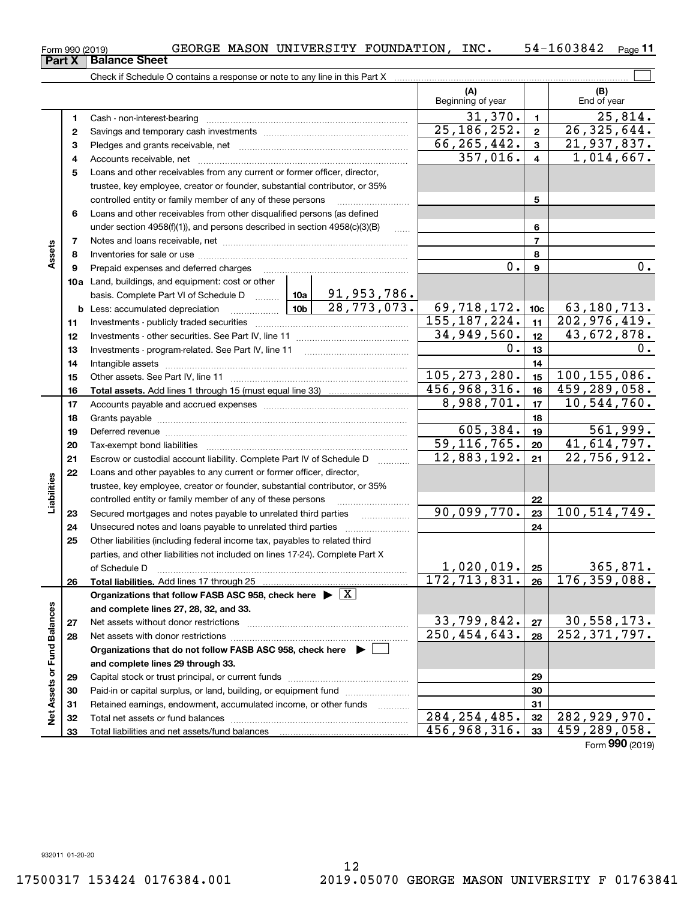**23**Savings and temporary cash investments ~~~~~~~~~~~~~~~~~~ Pledges and grants receivable, net ~~~~~~~~~~~~~~~~~~~~~

**Part X** | Balance Sheet

**1**Cash - non-interest-bearing ~~~~~~~~~~~~~~~~~~~~~~~~~

Check if Schedule O contains a response or note to any line in this Part X

|                             | 4  |                                                                                                                                                                                                                                                                                                                                                                                                                                                                                                                         |                |               |                | 357,016.          | $\overline{\mathbf{4}}$ |  | 1,014,667.                   |
|-----------------------------|----|-------------------------------------------------------------------------------------------------------------------------------------------------------------------------------------------------------------------------------------------------------------------------------------------------------------------------------------------------------------------------------------------------------------------------------------------------------------------------------------------------------------------------|----------------|---------------|----------------|-------------------|-------------------------|--|------------------------------|
|                             | 5  | Loans and other receivables from any current or former officer, director,                                                                                                                                                                                                                                                                                                                                                                                                                                               |                |               |                |                   |                         |  |                              |
|                             |    | trustee, key employee, creator or founder, substantial contributor, or 35%                                                                                                                                                                                                                                                                                                                                                                                                                                              |                |               |                |                   |                         |  |                              |
|                             |    | controlled entity or family member of any of these persons                                                                                                                                                                                                                                                                                                                                                                                                                                                              |                |               | 5              |                   |                         |  |                              |
|                             | 6  | Loans and other receivables from other disqualified persons (as defined                                                                                                                                                                                                                                                                                                                                                                                                                                                 |                |               |                |                   |                         |  |                              |
|                             |    | under section $4958(f)(1)$ , and persons described in section $4958(c)(3)(B)$                                                                                                                                                                                                                                                                                                                                                                                                                                           |                |               |                |                   | 6                       |  |                              |
|                             | 7  |                                                                                                                                                                                                                                                                                                                                                                                                                                                                                                                         |                |               |                |                   | $\overline{7}$          |  |                              |
| Assets                      | 8  |                                                                                                                                                                                                                                                                                                                                                                                                                                                                                                                         |                |               |                |                   | 8                       |  |                              |
|                             | 9  | Prepaid expenses and deferred charges                                                                                                                                                                                                                                                                                                                                                                                                                                                                                   |                | 0.            | 9              |                   | 0.                      |  |                              |
|                             |    | <b>10a</b> Land, buildings, and equipment: cost or other                                                                                                                                                                                                                                                                                                                                                                                                                                                                |                |               |                |                   |                         |  |                              |
|                             |    | basis. Complete Part VI of Schedule D  10a                                                                                                                                                                                                                                                                                                                                                                                                                                                                              |                | 91,953,786.   |                |                   |                         |  |                              |
|                             |    | $\begin{array}{c} \begin{array}{c} \end{array}$ $\begin{array}{c} \end{array}$ $\begin{array}{c} \end{array}$ $\begin{array}{c} \end{array}$ $\begin{array}{c} \end{array}$ $\begin{array}{c} \end{array}$ $\begin{array}{c} \end{array}$ $\begin{array}{c} \end{array}$ $\begin{array}{c} \end{array}$ $\begin{array}{c} \end{array}$ $\begin{array}{c} \end{array}$ $\begin{array}{c} \end{array}$ $\begin{array}{c} \end{array}$ $\begin{array}{c} \end{array}$ $\begin{$<br><b>b</b> Less: accumulated depreciation |                | 28, 773, 073. | 69,718,172.    |                   | 10 <sub>c</sub>         |  | 63,180,713.                  |
|                             | 11 |                                                                                                                                                                                                                                                                                                                                                                                                                                                                                                                         | 155, 187, 224. |               | 11             |                   | 202,976,419.            |  |                              |
|                             | 12 |                                                                                                                                                                                                                                                                                                                                                                                                                                                                                                                         |                |               | 34,949,560.    |                   | 12 <sub>2</sub>         |  | 43,672,878.                  |
|                             | 13 |                                                                                                                                                                                                                                                                                                                                                                                                                                                                                                                         |                | 0.            | 13             |                   | υ.                      |  |                              |
|                             | 14 |                                                                                                                                                                                                                                                                                                                                                                                                                                                                                                                         |                |               |                |                   | 14                      |  |                              |
|                             | 15 |                                                                                                                                                                                                                                                                                                                                                                                                                                                                                                                         |                |               |                | 105, 273, 280.    | 15                      |  | 100, 155, 086.               |
|                             | 16 |                                                                                                                                                                                                                                                                                                                                                                                                                                                                                                                         |                |               | 456,968,316.   |                   | 16                      |  | 459,289,058.                 |
|                             | 17 |                                                                                                                                                                                                                                                                                                                                                                                                                                                                                                                         |                |               | 8,988,701.     |                   | 17                      |  | 10, 544, 760.                |
|                             | 18 |                                                                                                                                                                                                                                                                                                                                                                                                                                                                                                                         |                |               |                |                   | 18                      |  |                              |
|                             | 19 | Deferred revenue manual contracts and contracts are all the contracts and contracts are contracted and contracts are contracted and contract are contracted and contract are contracted and contract are contracted and contra                                                                                                                                                                                                                                                                                          |                | 605,384.      | 19             |                   | $\overline{561,999}$ .  |  |                              |
|                             | 20 |                                                                                                                                                                                                                                                                                                                                                                                                                                                                                                                         | 59, 116, 765.  |               | 20             |                   | 41,614,797.             |  |                              |
|                             | 21 | Escrow or custodial account liability. Complete Part IV of Schedule D                                                                                                                                                                                                                                                                                                                                                                                                                                                   | 12,883,192.    |               | 21             |                   | 22,756,912.             |  |                              |
|                             | 22 | Loans and other payables to any current or former officer, director,                                                                                                                                                                                                                                                                                                                                                                                                                                                    |                |               |                |                   |                         |  |                              |
|                             |    | trustee, key employee, creator or founder, substantial contributor, or 35%                                                                                                                                                                                                                                                                                                                                                                                                                                              |                |               |                |                   |                         |  |                              |
| Liabilities                 |    | controlled entity or family member of any of these persons                                                                                                                                                                                                                                                                                                                                                                                                                                                              |                |               |                |                   | 22                      |  |                              |
|                             | 23 | Secured mortgages and notes payable to unrelated third parties                                                                                                                                                                                                                                                                                                                                                                                                                                                          |                |               | 90,099,770.    |                   | 23                      |  | 100,514,749.                 |
|                             | 24 | Unsecured notes and loans payable to unrelated third parties                                                                                                                                                                                                                                                                                                                                                                                                                                                            |                |               |                |                   | 24                      |  |                              |
|                             | 25 | Other liabilities (including federal income tax, payables to related third                                                                                                                                                                                                                                                                                                                                                                                                                                              |                |               |                |                   |                         |  |                              |
|                             |    | parties, and other liabilities not included on lines 17-24). Complete Part X                                                                                                                                                                                                                                                                                                                                                                                                                                            |                |               |                |                   |                         |  |                              |
|                             |    | of Schedule D                                                                                                                                                                                                                                                                                                                                                                                                                                                                                                           |                |               |                | <u>1,020,019.</u> | 25                      |  | 365,871.                     |
|                             | 26 | <b>Total liabilities.</b> Add lines 17 through 25                                                                                                                                                                                                                                                                                                                                                                                                                                                                       |                |               | 172, 713, 831. |                   | 26                      |  | 176, 359, 088.               |
|                             |    | Organizations that follow FASB ASC 958, check here $\triangleright \lfloor X \rfloor$                                                                                                                                                                                                                                                                                                                                                                                                                                   |                |               |                |                   |                         |  |                              |
|                             |    | and complete lines 27, 28, 32, and 33.                                                                                                                                                                                                                                                                                                                                                                                                                                                                                  |                |               |                |                   |                         |  |                              |
|                             | 27 | Net assets without donor restrictions                                                                                                                                                                                                                                                                                                                                                                                                                                                                                   |                |               | 33,799,842.    |                   | 27                      |  | 30,558,173.                  |
|                             | 28 |                                                                                                                                                                                                                                                                                                                                                                                                                                                                                                                         |                |               | 250, 454, 643. |                   | 28                      |  | $\overline{252, 371, 797}$ . |
|                             |    | Organizations that do not follow FASB ASC 958, check here $\blacktriangleright$ [                                                                                                                                                                                                                                                                                                                                                                                                                                       |                |               |                |                   |                         |  |                              |
| Net Assets or Fund Balances |    | and complete lines 29 through 33.                                                                                                                                                                                                                                                                                                                                                                                                                                                                                       |                |               |                |                   |                         |  |                              |
|                             | 29 |                                                                                                                                                                                                                                                                                                                                                                                                                                                                                                                         |                |               |                |                   | 29                      |  |                              |
|                             | 30 | Paid-in or capital surplus, or land, building, or equipment fund                                                                                                                                                                                                                                                                                                                                                                                                                                                        |                |               |                |                   | 30                      |  |                              |
|                             | 31 | Retained earnings, endowment, accumulated income, or other funds                                                                                                                                                                                                                                                                                                                                                                                                                                                        |                |               |                |                   | 31                      |  |                              |
|                             | 32 |                                                                                                                                                                                                                                                                                                                                                                                                                                                                                                                         |                |               | 284, 254, 485. |                   | 32                      |  | 282, 929, 970.               |
|                             | 33 | Total liabilities and net assets/fund balances                                                                                                                                                                                                                                                                                                                                                                                                                                                                          | 456,968,316.   |               | 33             |                   | 459,289,058.            |  |                              |

 $_{\rm Form}$   $_{990}$  (2019) GEORGE MASON UNIVERSITY FOUNDATION, INC.  $_{\rm ^{5}$  54-1603842  $_{\rm ^{Page}}$ **11**

**(A) (B)**

 $\mathcal{L}^{\text{max}}$ 

Beginning of year | | End of year

**123**

 $66, 265, 442. \vert \cdot 3 \vert 21, 937, 837.$ 

 $25,186,252. | 2 | 26,325,644.$ 

 $31,370.$  1  $25,814.$ 

Form (2019) **990**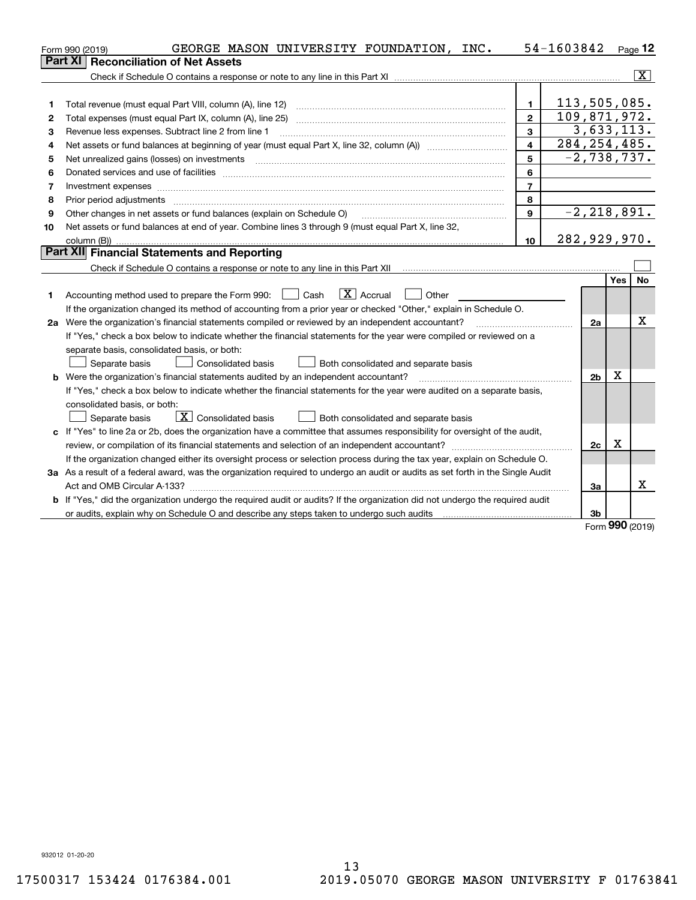|    | GEORGE MASON UNIVERSITY FOUNDATION, INC.<br>Form 990 (2019)                                                                     |                         | 54-1603842     |            | $Page$ 12               |
|----|---------------------------------------------------------------------------------------------------------------------------------|-------------------------|----------------|------------|-------------------------|
|    | <b>Reconciliation of Net Assets</b><br>Part XI                                                                                  |                         |                |            |                         |
|    |                                                                                                                                 |                         |                |            | $\overline{\mathbf{x}}$ |
|    |                                                                                                                                 |                         |                |            |                         |
| 1  | Total revenue (must equal Part VIII, column (A), line 12)                                                                       | 1.                      | 113,505,085.   |            |                         |
| 2  | Total expenses (must equal Part IX, column (A), line 25)                                                                        | $\overline{2}$          | 109,871,972.   |            |                         |
| 3  | Revenue less expenses. Subtract line 2 from line 1                                                                              | 3                       | 3,633,113.     |            |                         |
| 4  |                                                                                                                                 | $\overline{\mathbf{4}}$ | 284, 254, 485. |            |                         |
| 5  | Net unrealized gains (losses) on investments                                                                                    | 5                       | $-2,738,737.$  |            |                         |
| 6  |                                                                                                                                 | 6                       |                |            |                         |
| 7  |                                                                                                                                 | $\overline{7}$          |                |            |                         |
| 8  | Prior period adjustments                                                                                                        | 8                       |                |            |                         |
| 9  | Other changes in net assets or fund balances (explain on Schedule O)                                                            | $\mathbf{9}$            | $-2,218,891.$  |            |                         |
| 10 | Net assets or fund balances at end of year. Combine lines 3 through 9 (must equal Part X, line 32,                              |                         |                |            |                         |
|    | column (B))                                                                                                                     | 10                      | 282,929,970.   |            |                         |
|    | Part XII Financial Statements and Reporting                                                                                     |                         |                |            |                         |
|    |                                                                                                                                 |                         |                |            |                         |
|    |                                                                                                                                 |                         |                | <b>Yes</b> | <b>No</b>               |
| 1  | $\boxed{\mathbf{X}}$ Accrual<br>Accounting method used to prepare the Form 990: <u>I</u> Cash<br>Other                          |                         |                |            |                         |
|    | If the organization changed its method of accounting from a prior year or checked "Other," explain in Schedule O.               |                         |                |            |                         |
|    | 2a Were the organization's financial statements compiled or reviewed by an independent accountant?                              |                         | 2a             |            | x                       |
|    | If "Yes," check a box below to indicate whether the financial statements for the year were compiled or reviewed on a            |                         |                |            |                         |
|    | separate basis, consolidated basis, or both:                                                                                    |                         |                |            |                         |
|    | Separate basis<br><b>Consolidated basis</b><br>Both consolidated and separate basis                                             |                         |                |            |                         |
|    | <b>b</b> Were the organization's financial statements audited by an independent accountant?                                     |                         | 2 <sub>b</sub> | X          |                         |
|    | If "Yes," check a box below to indicate whether the financial statements for the year were audited on a separate basis,         |                         |                |            |                         |
|    | consolidated basis, or both:                                                                                                    |                         |                |            |                         |
|    | $\overline{X}$ Consolidated basis<br>Separate basis<br>Both consolidated and separate basis                                     |                         |                |            |                         |
|    | c If "Yes" to line 2a or 2b, does the organization have a committee that assumes responsibility for oversight of the audit,     |                         |                |            |                         |
|    |                                                                                                                                 |                         | 2c             | х          |                         |
|    | If the organization changed either its oversight process or selection process during the tax year, explain on Schedule O.       |                         |                |            |                         |
|    | 3a As a result of a federal award, was the organization required to undergo an audit or audits as set forth in the Single Audit |                         |                |            |                         |
|    |                                                                                                                                 |                         | За             |            | x                       |
|    | b If "Yes," did the organization undergo the required audit or audits? If the organization did not undergo the required audit   |                         |                |            |                         |
|    | or audits, explain why on Schedule O and describe any steps taken to undergo such audits                                        |                         | 3b             |            |                         |

Form (2019) **990**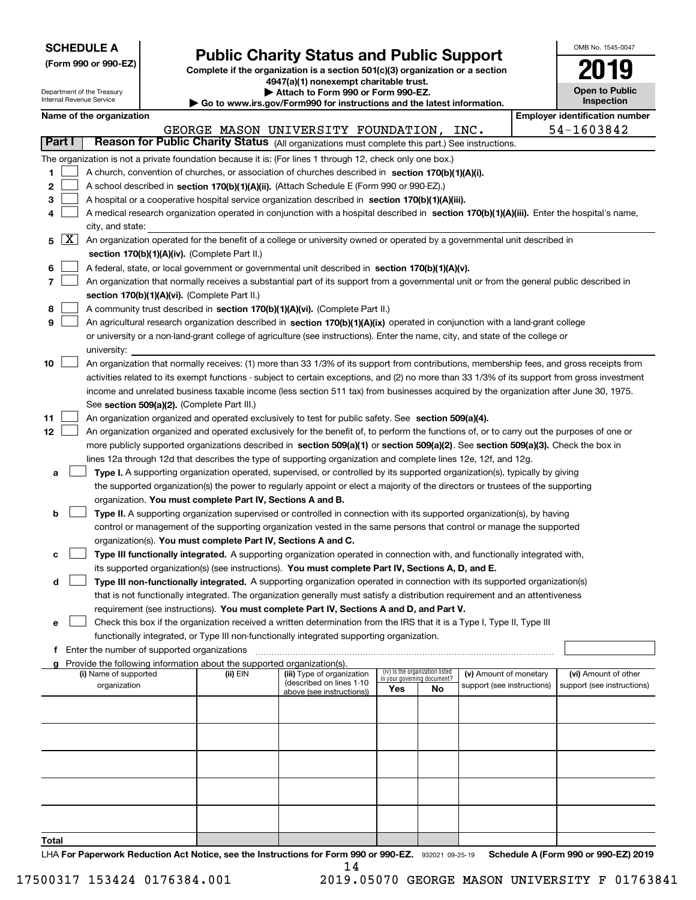| <b>SCHEDULE A</b> |  |
|-------------------|--|
|-------------------|--|

Department of the Treasury Internal Revenue Service

**(Form 990 or 990-EZ)**

# **Public Charity Status and Public Support**

**Complete if the organization is a section 501(c)(3) organization or a section 4947(a)(1) nonexempt charitable trust. | Attach to Form 990 or Form 990-EZ.** 

|  | Go to www.irs.gov/Form990 for instructions and the latest information. |  |
|--|------------------------------------------------------------------------|--|

| OMB No. 1545-0047                   |
|-------------------------------------|
| 19<br>U                             |
| <b>Open to Public</b><br>Inspection |
|                                     |

 $\overline{\phantom{a}}$ 

|                          |                                                                                                                                                                                                                                                                 |          | ad to www.morgown ormood for modiability and the ratest imprimation. |     |                                                                |                            |  |                                                    |  |  |
|--------------------------|-----------------------------------------------------------------------------------------------------------------------------------------------------------------------------------------------------------------------------------------------------------------|----------|----------------------------------------------------------------------|-----|----------------------------------------------------------------|----------------------------|--|----------------------------------------------------|--|--|
|                          | Name of the organization                                                                                                                                                                                                                                        |          |                                                                      |     |                                                                |                            |  | <b>Employer identification number</b>              |  |  |
|                          |                                                                                                                                                                                                                                                                 |          | GEORGE MASON UNIVERSITY FOUNDATION, INC.                             |     |                                                                |                            |  | 54-1603842                                         |  |  |
| Part I                   | Reason for Public Charity Status (All organizations must complete this part.) See instructions.                                                                                                                                                                 |          |                                                                      |     |                                                                |                            |  |                                                    |  |  |
|                          | The organization is not a private foundation because it is: (For lines 1 through 12, check only one box.)                                                                                                                                                       |          |                                                                      |     |                                                                |                            |  |                                                    |  |  |
| 1.                       | A church, convention of churches, or association of churches described in section 170(b)(1)(A)(i).                                                                                                                                                              |          |                                                                      |     |                                                                |                            |  |                                                    |  |  |
| 2                        | A school described in section 170(b)(1)(A)(ii). (Attach Schedule E (Form 990 or 990-EZ).)                                                                                                                                                                       |          |                                                                      |     |                                                                |                            |  |                                                    |  |  |
| 3                        | A hospital or a cooperative hospital service organization described in section 170(b)(1)(A)(iii).                                                                                                                                                               |          |                                                                      |     |                                                                |                            |  |                                                    |  |  |
| 4                        |                                                                                                                                                                                                                                                                 |          |                                                                      |     |                                                                |                            |  |                                                    |  |  |
|                          | A medical research organization operated in conjunction with a hospital described in section 170(b)(1)(A)(iii). Enter the hospital's name,<br>city, and state:                                                                                                  |          |                                                                      |     |                                                                |                            |  |                                                    |  |  |
| $\lfloor x \rfloor$<br>5 | An organization operated for the benefit of a college or university owned or operated by a governmental unit described in                                                                                                                                       |          |                                                                      |     |                                                                |                            |  |                                                    |  |  |
|                          | section 170(b)(1)(A)(iv). (Complete Part II.)                                                                                                                                                                                                                   |          |                                                                      |     |                                                                |                            |  |                                                    |  |  |
| 6                        | A federal, state, or local government or governmental unit described in section $170(b)(1)(A)(v)$ .                                                                                                                                                             |          |                                                                      |     |                                                                |                            |  |                                                    |  |  |
| 7                        | An organization that normally receives a substantial part of its support from a governmental unit or from the general public described in                                                                                                                       |          |                                                                      |     |                                                                |                            |  |                                                    |  |  |
|                          | section 170(b)(1)(A)(vi). (Complete Part II.)                                                                                                                                                                                                                   |          |                                                                      |     |                                                                |                            |  |                                                    |  |  |
| 8                        | A community trust described in section 170(b)(1)(A)(vi). (Complete Part II.)                                                                                                                                                                                    |          |                                                                      |     |                                                                |                            |  |                                                    |  |  |
| 9                        |                                                                                                                                                                                                                                                                 |          |                                                                      |     |                                                                |                            |  |                                                    |  |  |
|                          | An agricultural research organization described in section 170(b)(1)(A)(ix) operated in conjunction with a land-grant college<br>or university or a non-land-grant college of agriculture (see instructions). Enter the name, city, and state of the college or |          |                                                                      |     |                                                                |                            |  |                                                    |  |  |
|                          |                                                                                                                                                                                                                                                                 |          |                                                                      |     |                                                                |                            |  |                                                    |  |  |
|                          | university:                                                                                                                                                                                                                                                     |          |                                                                      |     |                                                                |                            |  |                                                    |  |  |
| 10                       | An organization that normally receives: (1) more than 33 1/3% of its support from contributions, membership fees, and gross receipts from                                                                                                                       |          |                                                                      |     |                                                                |                            |  |                                                    |  |  |
|                          | activities related to its exempt functions - subject to certain exceptions, and (2) no more than 33 1/3% of its support from gross investment                                                                                                                   |          |                                                                      |     |                                                                |                            |  |                                                    |  |  |
|                          | income and unrelated business taxable income (less section 511 tax) from businesses acquired by the organization after June 30, 1975.                                                                                                                           |          |                                                                      |     |                                                                |                            |  |                                                    |  |  |
|                          | See section 509(a)(2). (Complete Part III.)                                                                                                                                                                                                                     |          |                                                                      |     |                                                                |                            |  |                                                    |  |  |
| 11                       | An organization organized and operated exclusively to test for public safety. See section 509(a)(4).                                                                                                                                                            |          |                                                                      |     |                                                                |                            |  |                                                    |  |  |
| 12                       | An organization organized and operated exclusively for the benefit of, to perform the functions of, or to carry out the purposes of one or                                                                                                                      |          |                                                                      |     |                                                                |                            |  |                                                    |  |  |
|                          | more publicly supported organizations described in section 509(a)(1) or section 509(a)(2). See section 509(a)(3). Check the box in                                                                                                                              |          |                                                                      |     |                                                                |                            |  |                                                    |  |  |
|                          | lines 12a through 12d that describes the type of supporting organization and complete lines 12e, 12f, and 12g.                                                                                                                                                  |          |                                                                      |     |                                                                |                            |  |                                                    |  |  |
| а                        | Type I. A supporting organization operated, supervised, or controlled by its supported organization(s), typically by giving                                                                                                                                     |          |                                                                      |     |                                                                |                            |  |                                                    |  |  |
|                          | the supported organization(s) the power to regularly appoint or elect a majority of the directors or trustees of the supporting                                                                                                                                 |          |                                                                      |     |                                                                |                            |  |                                                    |  |  |
|                          | organization. You must complete Part IV, Sections A and B.                                                                                                                                                                                                      |          |                                                                      |     |                                                                |                            |  |                                                    |  |  |
| b                        | Type II. A supporting organization supervised or controlled in connection with its supported organization(s), by having                                                                                                                                         |          |                                                                      |     |                                                                |                            |  |                                                    |  |  |
|                          | control or management of the supporting organization vested in the same persons that control or manage the supported                                                                                                                                            |          |                                                                      |     |                                                                |                            |  |                                                    |  |  |
|                          | organization(s). You must complete Part IV, Sections A and C.                                                                                                                                                                                                   |          |                                                                      |     |                                                                |                            |  |                                                    |  |  |
| c                        | Type III functionally integrated. A supporting organization operated in connection with, and functionally integrated with,                                                                                                                                      |          |                                                                      |     |                                                                |                            |  |                                                    |  |  |
|                          | its supported organization(s) (see instructions). You must complete Part IV, Sections A, D, and E.                                                                                                                                                              |          |                                                                      |     |                                                                |                            |  |                                                    |  |  |
| d                        | Type III non-functionally integrated. A supporting organization operated in connection with its supported organization(s)                                                                                                                                       |          |                                                                      |     |                                                                |                            |  |                                                    |  |  |
|                          | that is not functionally integrated. The organization generally must satisfy a distribution requirement and an attentiveness                                                                                                                                    |          |                                                                      |     |                                                                |                            |  |                                                    |  |  |
|                          | requirement (see instructions). You must complete Part IV, Sections A and D, and Part V.                                                                                                                                                                        |          |                                                                      |     |                                                                |                            |  |                                                    |  |  |
| е                        | Check this box if the organization received a written determination from the IRS that it is a Type I, Type II, Type III                                                                                                                                         |          |                                                                      |     |                                                                |                            |  |                                                    |  |  |
|                          | functionally integrated, or Type III non-functionally integrated supporting organization.                                                                                                                                                                       |          |                                                                      |     |                                                                |                            |  |                                                    |  |  |
| f                        | Enter the number of supported organizations                                                                                                                                                                                                                     |          |                                                                      |     |                                                                |                            |  |                                                    |  |  |
| a                        | Provide the following information about the supported organization(s).                                                                                                                                                                                          |          |                                                                      |     |                                                                |                            |  |                                                    |  |  |
|                          | (i) Name of supported                                                                                                                                                                                                                                           | (ii) EIN | (iii) Type of organization<br>(described on lines 1-10               |     | (iv) Is the organization listed<br>in your governing document? | (v) Amount of monetary     |  | (vi) Amount of other<br>support (see instructions) |  |  |
|                          | organization                                                                                                                                                                                                                                                    |          | above (see instructions))                                            | Yes | No                                                             | support (see instructions) |  |                                                    |  |  |
|                          |                                                                                                                                                                                                                                                                 |          |                                                                      |     |                                                                |                            |  |                                                    |  |  |
|                          |                                                                                                                                                                                                                                                                 |          |                                                                      |     |                                                                |                            |  |                                                    |  |  |
|                          |                                                                                                                                                                                                                                                                 |          |                                                                      |     |                                                                |                            |  |                                                    |  |  |
|                          |                                                                                                                                                                                                                                                                 |          |                                                                      |     |                                                                |                            |  |                                                    |  |  |
|                          |                                                                                                                                                                                                                                                                 |          |                                                                      |     |                                                                |                            |  |                                                    |  |  |
|                          |                                                                                                                                                                                                                                                                 |          |                                                                      |     |                                                                |                            |  |                                                    |  |  |
|                          |                                                                                                                                                                                                                                                                 |          |                                                                      |     |                                                                |                            |  |                                                    |  |  |
|                          |                                                                                                                                                                                                                                                                 |          |                                                                      |     |                                                                |                            |  |                                                    |  |  |
|                          |                                                                                                                                                                                                                                                                 |          |                                                                      |     |                                                                |                            |  |                                                    |  |  |
|                          |                                                                                                                                                                                                                                                                 |          |                                                                      |     |                                                                |                            |  |                                                    |  |  |
|                          |                                                                                                                                                                                                                                                                 |          |                                                                      |     |                                                                |                            |  |                                                    |  |  |

**Total**

LHA For Paperwork Reduction Act Notice, see the Instructions for Form 990 or 990-EZ. 932021 09-25-19 Schedule A (Form 990 or 990-EZ) 2019 14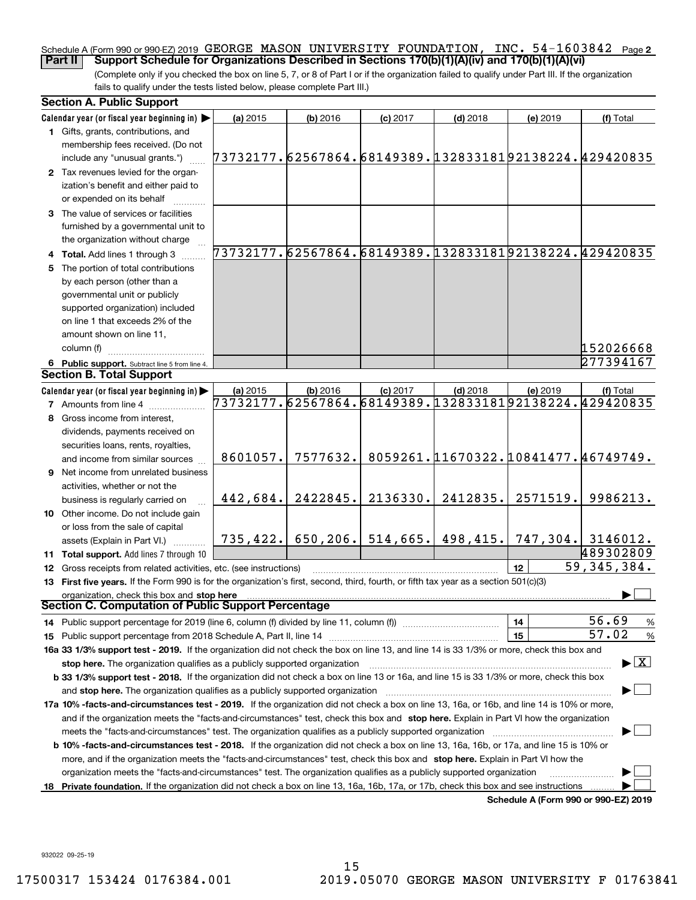### Schedule A (Form 990 or 990-EZ) 2019 <code>GEORGE MASON UNIVERSITY FOUNDATION</code> , <code>INC. 54–1603842 Page 2</code> **Part II Support Schedule for Organizations Described in Sections 170(b)(1)(A)(iv) and 170(b)(1)(A)(vi)**

(Complete only if you checked the box on line 5, 7, or 8 of Part I or if the organization failed to qualify under Part III. If the organization fails to qualify under the tests listed below, please complete Part III.)

|     | <b>Section A. Public Support</b>                                                                                                                                                                                               |                                                        |            |                       |                                     |          |                                                        |
|-----|--------------------------------------------------------------------------------------------------------------------------------------------------------------------------------------------------------------------------------|--------------------------------------------------------|------------|-----------------------|-------------------------------------|----------|--------------------------------------------------------|
|     | Calendar year (or fiscal year beginning in)                                                                                                                                                                                    | (a) 2015                                               | (b) 2016   | $(c)$ 2017            | $(d)$ 2018                          | (e) 2019 | (f) Total                                              |
|     | 1 Gifts, grants, contributions, and                                                                                                                                                                                            |                                                        |            |                       |                                     |          |                                                        |
|     | membership fees received. (Do not                                                                                                                                                                                              |                                                        |            |                       |                                     |          |                                                        |
|     | include any "unusual grants.")                                                                                                                                                                                                 | 73732177.62567864.68149389.13283318192138224.429420835 |            |                       |                                     |          |                                                        |
|     | 2 Tax revenues levied for the organ-                                                                                                                                                                                           |                                                        |            |                       |                                     |          |                                                        |
|     | ization's benefit and either paid to                                                                                                                                                                                           |                                                        |            |                       |                                     |          |                                                        |
|     | or expended on its behalf                                                                                                                                                                                                      |                                                        |            |                       |                                     |          |                                                        |
|     | 3 The value of services or facilities                                                                                                                                                                                          |                                                        |            |                       |                                     |          |                                                        |
|     | furnished by a governmental unit to                                                                                                                                                                                            |                                                        |            |                       |                                     |          |                                                        |
|     | the organization without charge                                                                                                                                                                                                |                                                        |            |                       |                                     |          |                                                        |
|     | 4 Total. Add lines 1 through 3                                                                                                                                                                                                 |                                                        |            |                       |                                     |          | 73732177.62567864.68149389.13283318192138224.429420835 |
|     | 5 The portion of total contributions                                                                                                                                                                                           |                                                        |            |                       |                                     |          |                                                        |
|     | by each person (other than a                                                                                                                                                                                                   |                                                        |            |                       |                                     |          |                                                        |
|     | governmental unit or publicly                                                                                                                                                                                                  |                                                        |            |                       |                                     |          |                                                        |
|     | supported organization) included                                                                                                                                                                                               |                                                        |            |                       |                                     |          |                                                        |
|     | on line 1 that exceeds 2% of the                                                                                                                                                                                               |                                                        |            |                       |                                     |          |                                                        |
|     | amount shown on line 11,                                                                                                                                                                                                       |                                                        |            |                       |                                     |          |                                                        |
|     | column (f)                                                                                                                                                                                                                     |                                                        |            |                       |                                     |          | 152026668                                              |
|     | 6 Public support. Subtract line 5 from line 4.                                                                                                                                                                                 |                                                        |            |                       |                                     |          | 277394167                                              |
|     | Section B. Total Support                                                                                                                                                                                                       |                                                        |            |                       |                                     |          |                                                        |
|     | Calendar year (or fiscal year beginning in)                                                                                                                                                                                    | (a) 2015                                               | $(b)$ 2016 | $(c)$ 2017            | $(d)$ 2018                          | (e) 2019 | (f) Total                                              |
|     | <b>7</b> Amounts from line 4                                                                                                                                                                                                   | 73732177.62567864.68149389.13283318192138224.429420835 |            |                       |                                     |          |                                                        |
| 8   | Gross income from interest,                                                                                                                                                                                                    |                                                        |            |                       |                                     |          |                                                        |
|     | dividends, payments received on                                                                                                                                                                                                |                                                        |            |                       |                                     |          |                                                        |
|     | securities loans, rents, royalties,                                                                                                                                                                                            |                                                        |            |                       |                                     |          |                                                        |
|     | and income from similar sources                                                                                                                                                                                                | 8601057.                                               | 7577632.   |                       | 8059261.11670322.10841477.46749749. |          |                                                        |
|     | <b>9</b> Net income from unrelated business                                                                                                                                                                                    |                                                        |            |                       |                                     |          |                                                        |
|     | activities, whether or not the                                                                                                                                                                                                 |                                                        |            |                       |                                     |          |                                                        |
|     | business is regularly carried on                                                                                                                                                                                               | 442,684.                                               | 2422845.   | 2136330.              | 2412835.                            | 2571519. | 9986213.                                               |
|     | 10 Other income. Do not include gain                                                                                                                                                                                           |                                                        |            |                       |                                     |          |                                                        |
|     | or loss from the sale of capital                                                                                                                                                                                               |                                                        |            |                       |                                     |          |                                                        |
|     | assets (Explain in Part VI.)                                                                                                                                                                                                   | 735,422.                                               |            | $650, 206$ . 514,665. | 498,415.                            |          | $\mid$ 747,304. $\mid$ 3146012.                        |
|     | 11 Total support. Add lines 7 through 10                                                                                                                                                                                       |                                                        |            |                       |                                     |          | 489302809                                              |
|     | 12 Gross receipts from related activities, etc. (see instructions)                                                                                                                                                             |                                                        |            |                       |                                     | 12       | 59, 345, 384.                                          |
|     | 13 First five years. If the Form 990 is for the organization's first, second, third, fourth, or fifth tax year as a section 501(c)(3)                                                                                          |                                                        |            |                       |                                     |          |                                                        |
|     | organization, check this box and stop here<br>Section C. Computation of Public Support Percentage                                                                                                                              |                                                        |            |                       |                                     |          |                                                        |
|     | 14 Public support percentage for 2019 (line 6, column (f) divided by line 11, column (f) <i></i>                                                                                                                               |                                                        |            |                       |                                     | 14       | 56.69<br>%                                             |
|     | 15 Public support percentage from 2018 Schedule A, Part II, line 14 [11] [11] manument continuum manument of Public support percentage from 2018 Schedule A, Part II, line 14 [11] manument continuum manument of Public suppo |                                                        |            |                       |                                     | 15       | 57.02<br>$\%$                                          |
|     | 16a 33 1/3% support test - 2019. If the organization did not check the box on line 13, and line 14 is 33 1/3% or more, check this box and                                                                                      |                                                        |            |                       |                                     |          |                                                        |
|     | stop here. The organization qualifies as a publicly supported organization                                                                                                                                                     |                                                        |            |                       |                                     |          | $\blacktriangleright$ $\boxed{\text{X}}$               |
|     | b 33 1/3% support test - 2018. If the organization did not check a box on line 13 or 16a, and line 15 is 33 1/3% or more, check this box                                                                                       |                                                        |            |                       |                                     |          |                                                        |
|     | and stop here. The organization qualifies as a publicly supported organization [[[[[[[[[[[[[[[[[[[[[[[[[[]]]]]                                                                                                                 |                                                        |            |                       |                                     |          |                                                        |
|     | 17a 10% -facts-and-circumstances test - 2019. If the organization did not check a box on line 13, 16a, or 16b, and line 14 is 10% or more,                                                                                     |                                                        |            |                       |                                     |          |                                                        |
|     | and if the organization meets the "facts-and-circumstances" test, check this box and stop here. Explain in Part VI how the organization                                                                                        |                                                        |            |                       |                                     |          |                                                        |
|     |                                                                                                                                                                                                                                |                                                        |            |                       |                                     |          |                                                        |
|     | <b>b 10% -facts-and-circumstances test - 2018.</b> If the organization did not check a box on line 13, 16a, 16b, or 17a, and line 15 is 10% or                                                                                 |                                                        |            |                       |                                     |          |                                                        |
|     | more, and if the organization meets the "facts-and-circumstances" test, check this box and stop here. Explain in Part VI how the                                                                                               |                                                        |            |                       |                                     |          |                                                        |
|     | organization meets the "facts-and-circumstances" test. The organization qualifies as a publicly supported organization                                                                                                         |                                                        |            |                       |                                     |          |                                                        |
| 18. | Private foundation. If the organization did not check a box on line 13, 16a, 16b, 17a, or 17b, check this box and see instructions                                                                                             |                                                        |            |                       |                                     |          |                                                        |
|     |                                                                                                                                                                                                                                |                                                        |            |                       |                                     |          | Schedule A (Form 990 or 990-EZ) 2019                   |

**Schedule A (Form 990 or 990-EZ) 2019**

932022 09-25-19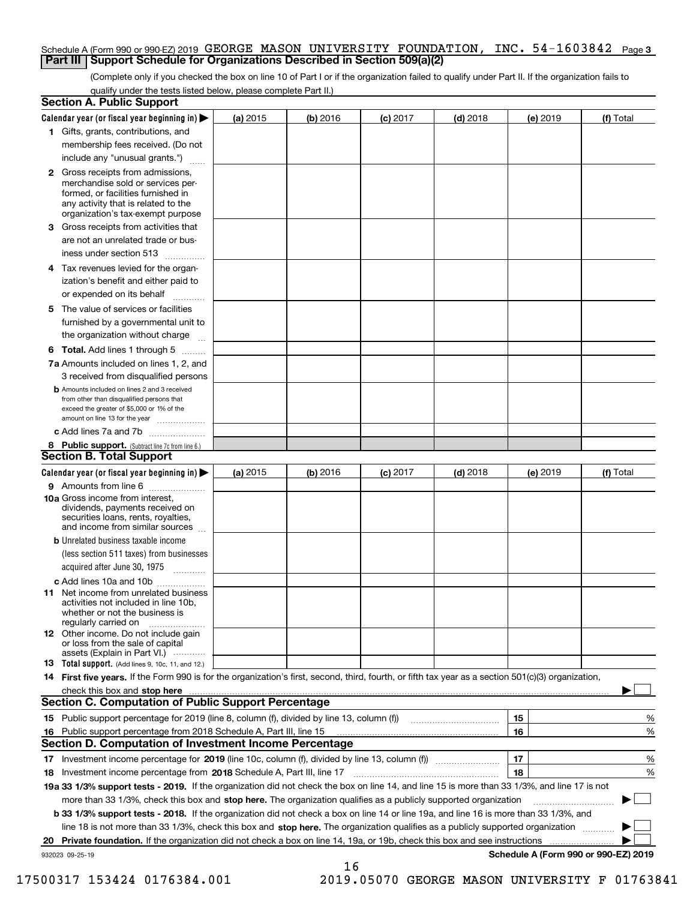### Schedule A (Form 990 or 990-EZ) 2019 <code>GEORGE MASON UNIVERSITY FOUNDATION</code> , <code>INC. 54–1603842 Page 3</code> **Part III Support Schedule for Organizations Described in Section 509(a)(2)**

(Complete only if you checked the box on line 10 of Part I or if the organization failed to qualify under Part II. If the organization fails to qualify under the tests listed below, please complete Part II.)

| <b>Section A. Public Support</b>                                                                                                                                                                                                                               |          |            |            |            |          |                                      |
|----------------------------------------------------------------------------------------------------------------------------------------------------------------------------------------------------------------------------------------------------------------|----------|------------|------------|------------|----------|--------------------------------------|
| Calendar year (or fiscal year beginning in)                                                                                                                                                                                                                    | (a) 2015 | $(b)$ 2016 | $(c)$ 2017 | $(d)$ 2018 | (e) 2019 | (f) Total                            |
| 1 Gifts, grants, contributions, and                                                                                                                                                                                                                            |          |            |            |            |          |                                      |
| membership fees received. (Do not                                                                                                                                                                                                                              |          |            |            |            |          |                                      |
| include any "unusual grants.")                                                                                                                                                                                                                                 |          |            |            |            |          |                                      |
| <b>2</b> Gross receipts from admissions,<br>merchandise sold or services per-<br>formed, or facilities furnished in<br>any activity that is related to the<br>organization's tax-exempt purpose                                                                |          |            |            |            |          |                                      |
| 3 Gross receipts from activities that<br>are not an unrelated trade or bus-                                                                                                                                                                                    |          |            |            |            |          |                                      |
| iness under section 513                                                                                                                                                                                                                                        |          |            |            |            |          |                                      |
| 4 Tax revenues levied for the organ-                                                                                                                                                                                                                           |          |            |            |            |          |                                      |
| ization's benefit and either paid to<br>or expended on its behalf                                                                                                                                                                                              |          |            |            |            |          |                                      |
| 5 The value of services or facilities                                                                                                                                                                                                                          |          |            |            |            |          |                                      |
| furnished by a governmental unit to                                                                                                                                                                                                                            |          |            |            |            |          |                                      |
| the organization without charge                                                                                                                                                                                                                                |          |            |            |            |          |                                      |
| <b>6 Total.</b> Add lines 1 through 5                                                                                                                                                                                                                          |          |            |            |            |          |                                      |
| 7a Amounts included on lines 1, 2, and<br>3 received from disqualified persons                                                                                                                                                                                 |          |            |            |            |          |                                      |
| <b>b</b> Amounts included on lines 2 and 3 received<br>from other than disqualified persons that<br>exceed the greater of \$5,000 or 1% of the<br>amount on line 13 for the year                                                                               |          |            |            |            |          |                                      |
| c Add lines 7a and 7b                                                                                                                                                                                                                                          |          |            |            |            |          |                                      |
| 8 Public support. (Subtract line 7c from line 6.)                                                                                                                                                                                                              |          |            |            |            |          |                                      |
| <b>Section B. Total Support</b>                                                                                                                                                                                                                                |          |            |            |            |          |                                      |
| Calendar year (or fiscal year beginning in) >                                                                                                                                                                                                                  | (a) 2015 | (b) 2016   | $(c)$ 2017 | $(d)$ 2018 | (e) 2019 | (f) Total                            |
| <b>9</b> Amounts from line 6<br>$\overline{\phantom{a}}$                                                                                                                                                                                                       |          |            |            |            |          |                                      |
| 10a Gross income from interest,<br>dividends, payments received on<br>securities loans, rents, royalties,<br>and income from similar sources                                                                                                                   |          |            |            |            |          |                                      |
| <b>b</b> Unrelated business taxable income<br>(less section 511 taxes) from businesses<br>acquired after June 30, 1975                                                                                                                                         |          |            |            |            |          |                                      |
| 1.1.1.1.1.1.1.1.1.1                                                                                                                                                                                                                                            |          |            |            |            |          |                                      |
| c Add lines 10a and 10b<br>11 Net income from unrelated business<br>activities not included in line 10b,<br>whether or not the business is<br>regularly carried on                                                                                             |          |            |            |            |          |                                      |
| <b>12</b> Other income. Do not include gain<br>or loss from the sale of capital<br>assets (Explain in Part VI.)                                                                                                                                                |          |            |            |            |          |                                      |
| <b>13 Total support.</b> (Add lines 9, 10c, 11, and 12.)                                                                                                                                                                                                       |          |            |            |            |          |                                      |
| 14 First five years. If the Form 990 is for the organization's first, second, third, fourth, or fifth tax year as a section 501(c)(3) organization,                                                                                                            |          |            |            |            |          |                                      |
| check this box and stop here with the continuum control to the control of the state of the state of the control of the state of the control of the control of the control of the control of the control of the control of the                                  |          |            |            |            |          |                                      |
| Section C. Computation of Public Support Percentage                                                                                                                                                                                                            |          |            |            |            |          |                                      |
| 15 Public support percentage for 2019 (line 8, column (f), divided by line 13, column (f))                                                                                                                                                                     |          |            |            |            | 15       | %                                    |
| 16 Public support percentage from 2018 Schedule A, Part III, line 15                                                                                                                                                                                           |          |            |            |            | 16       | %                                    |
| <b>Section D. Computation of Investment Income Percentage</b>                                                                                                                                                                                                  |          |            |            |            |          |                                      |
| 17 Investment income percentage for 2019 (line 10c, column (f), divided by line 13, column (f))                                                                                                                                                                |          |            |            |            | 17<br>18 | %                                    |
| <b>18</b> Investment income percentage from <b>2018</b> Schedule A, Part III, line 17<br>19a 33 1/3% support tests - 2019. If the organization did not check the box on line 14, and line 15 is more than 33 1/3%, and line 17 is not                          |          |            |            |            |          | %                                    |
|                                                                                                                                                                                                                                                                |          |            |            |            |          |                                      |
| more than 33 1/3%, check this box and stop here. The organization qualifies as a publicly supported organization                                                                                                                                               |          |            |            |            |          |                                      |
| b 33 1/3% support tests - 2018. If the organization did not check a box on line 14 or line 19a, and line 16 is more than 33 1/3%, and                                                                                                                          |          |            |            |            |          |                                      |
| line 18 is not more than 33 1/3%, check this box and stop here. The organization qualifies as a publicly supported organization<br>20 Private foundation. If the organization did not check a box on line 14, 19a, or 19b, check this box and see instructions |          |            |            |            |          |                                      |
| 932023 09-25-19                                                                                                                                                                                                                                                |          |            |            |            |          | Schedule A (Form 990 or 990-EZ) 2019 |
|                                                                                                                                                                                                                                                                |          | 16         |            |            |          |                                      |

 <sup>17500317 153424 0176384.001 2019.05070</sup> GEORGE MASON UNIVERSITY F 01763841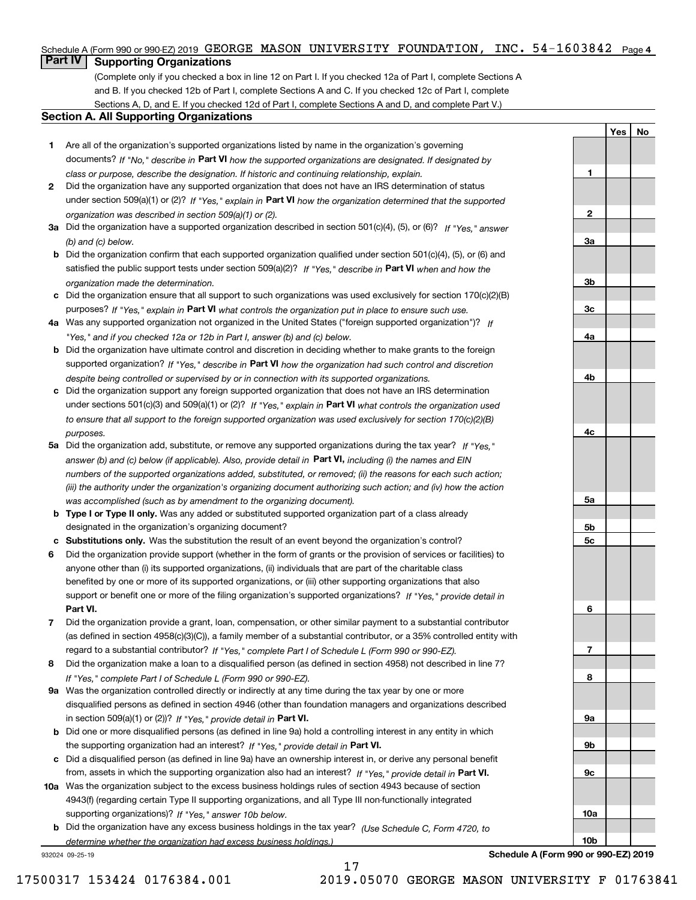### Schedule A (Form 990 or 990-EZ) 2019 GEORGE MASON UNIVERSITY FOUNDATION, INC. 54-1603842 Page 4

## **Part IV Supporting Organizations**

(Complete only if you checked a box in line 12 on Part I. If you checked 12a of Part I, complete Sections A and B. If you checked 12b of Part I, complete Sections A and C. If you checked 12c of Part I, complete Sections A, D, and E. If you checked 12d of Part I, complete Sections A and D, and complete Part V.)

### **Section A. All Supporting Organizations**

- **1** Are all of the organization's supported organizations listed by name in the organization's governing documents? If "No," describe in **Part VI** how the supported organizations are designated. If designated by *class or purpose, describe the designation. If historic and continuing relationship, explain.*
- **2** Did the organization have any supported organization that does not have an IRS determination of status under section 509(a)(1) or (2)? If "Yes," explain in Part VI how the organization determined that the supported *organization was described in section 509(a)(1) or (2).*
- **3a** Did the organization have a supported organization described in section 501(c)(4), (5), or (6)? If "Yes," answer *(b) and (c) below.*
- **b** Did the organization confirm that each supported organization qualified under section 501(c)(4), (5), or (6) and satisfied the public support tests under section 509(a)(2)? If "Yes," describe in **Part VI** when and how the *organization made the determination.*
- **c**Did the organization ensure that all support to such organizations was used exclusively for section 170(c)(2)(B) purposes? If "Yes," explain in **Part VI** what controls the organization put in place to ensure such use.
- **4a***If* Was any supported organization not organized in the United States ("foreign supported organization")? *"Yes," and if you checked 12a or 12b in Part I, answer (b) and (c) below.*
- **b** Did the organization have ultimate control and discretion in deciding whether to make grants to the foreign supported organization? If "Yes," describe in **Part VI** how the organization had such control and discretion *despite being controlled or supervised by or in connection with its supported organizations.*
- **c** Did the organization support any foreign supported organization that does not have an IRS determination under sections 501(c)(3) and 509(a)(1) or (2)? If "Yes," explain in **Part VI** what controls the organization used *to ensure that all support to the foreign supported organization was used exclusively for section 170(c)(2)(B) purposes.*
- **5a** Did the organization add, substitute, or remove any supported organizations during the tax year? If "Yes," answer (b) and (c) below (if applicable). Also, provide detail in **Part VI,** including (i) the names and EIN *numbers of the supported organizations added, substituted, or removed; (ii) the reasons for each such action; (iii) the authority under the organization's organizing document authorizing such action; and (iv) how the action was accomplished (such as by amendment to the organizing document).*
- **b** Type I or Type II only. Was any added or substituted supported organization part of a class already designated in the organization's organizing document?
- **cSubstitutions only.**  Was the substitution the result of an event beyond the organization's control?
- **6** Did the organization provide support (whether in the form of grants or the provision of services or facilities) to **Part VI.** *If "Yes," provide detail in* support or benefit one or more of the filing organization's supported organizations? anyone other than (i) its supported organizations, (ii) individuals that are part of the charitable class benefited by one or more of its supported organizations, or (iii) other supporting organizations that also
- **7**Did the organization provide a grant, loan, compensation, or other similar payment to a substantial contributor *If "Yes," complete Part I of Schedule L (Form 990 or 990-EZ).* regard to a substantial contributor? (as defined in section 4958(c)(3)(C)), a family member of a substantial contributor, or a 35% controlled entity with
- **8** Did the organization make a loan to a disqualified person (as defined in section 4958) not described in line 7? *If "Yes," complete Part I of Schedule L (Form 990 or 990-EZ).*
- **9a** Was the organization controlled directly or indirectly at any time during the tax year by one or more in section 509(a)(1) or (2))? If "Yes," *provide detail in* <code>Part VI.</code> disqualified persons as defined in section 4946 (other than foundation managers and organizations described
- **b** Did one or more disqualified persons (as defined in line 9a) hold a controlling interest in any entity in which the supporting organization had an interest? If "Yes," provide detail in P**art VI**.
- **c**Did a disqualified person (as defined in line 9a) have an ownership interest in, or derive any personal benefit from, assets in which the supporting organization also had an interest? If "Yes," provide detail in P**art VI.**
- **10a** Was the organization subject to the excess business holdings rules of section 4943 because of section supporting organizations)? If "Yes," answer 10b below. 4943(f) (regarding certain Type II supporting organizations, and all Type III non-functionally integrated
- **b** Did the organization have any excess business holdings in the tax year? (Use Schedule C, Form 4720, to *determine whether the organization had excess business holdings.)*

17

932024 09-25-19

**Schedule A (Form 990 or 990-EZ) 2019**

**YesNo**

**1**

**2**

**3a**

**3b**

**3c**

**4a**

**4b**

**4c**

**5a**

**5b5c**

**6**

**7**

**8**

**9a**

**9b**

**9c**

**10a**

**10b**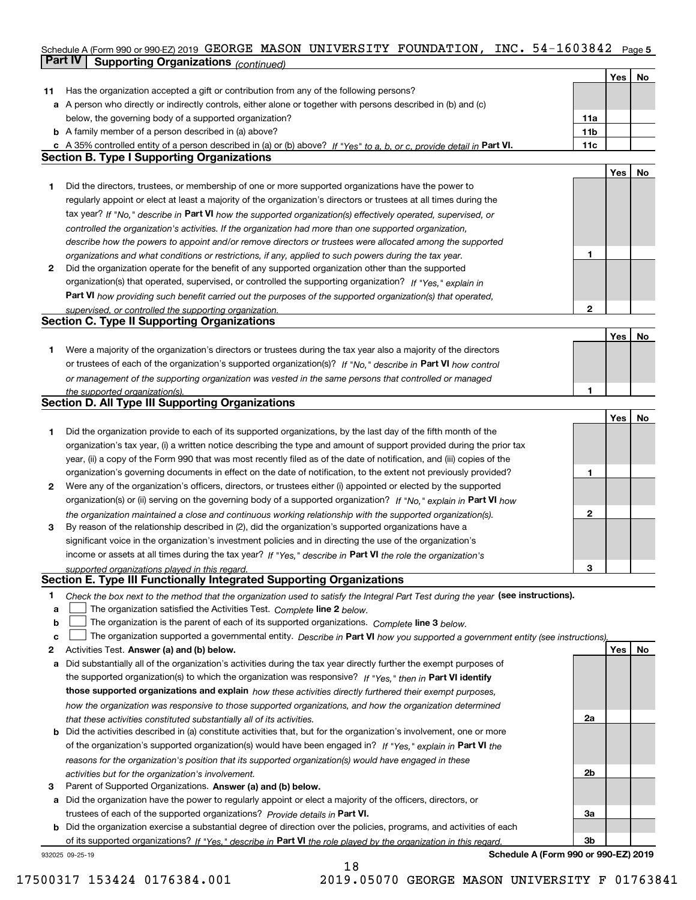## Schedule A (Form 990 or 990-EZ) 2019 <code>GEORGE MASON UNIVERSITY FOUNDATION</code> , <code>INC. 54–1603842 Page 5</code> **Part IV Supporting Organizations** *(continued)*

|    |                                                                                                                                   |              | Yes | No |
|----|-----------------------------------------------------------------------------------------------------------------------------------|--------------|-----|----|
| 11 | Has the organization accepted a gift or contribution from any of the following persons?                                           |              |     |    |
|    | a A person who directly or indirectly controls, either alone or together with persons described in (b) and (c)                    |              |     |    |
|    | below, the governing body of a supported organization?                                                                            | 11a          |     |    |
|    | <b>b</b> A family member of a person described in (a) above?                                                                      | 11b          |     |    |
|    | c A 35% controlled entity of a person described in (a) or (b) above? If "Yes" to a, b, or c, provide detail in Part VI.           | 11c          |     |    |
|    | <b>Section B. Type I Supporting Organizations</b>                                                                                 |              |     |    |
|    |                                                                                                                                   |              | Yes | No |
| 1  | Did the directors, trustees, or membership of one or more supported organizations have the power to                               |              |     |    |
|    | regularly appoint or elect at least a majority of the organization's directors or trustees at all times during the                |              |     |    |
|    | tax year? If "No," describe in Part VI how the supported organization(s) effectively operated, supervised, or                     |              |     |    |
|    | controlled the organization's activities. If the organization had more than one supported organization,                           |              |     |    |
|    | describe how the powers to appoint and/or remove directors or trustees were allocated among the supported                         |              |     |    |
|    | organizations and what conditions or restrictions, if any, applied to such powers during the tax year.                            | 1            |     |    |
| 2  | Did the organization operate for the benefit of any supported organization other than the supported                               |              |     |    |
|    | organization(s) that operated, supervised, or controlled the supporting organization? If "Yes," explain in                        |              |     |    |
|    | Part VI how providing such benefit carried out the purposes of the supported organization(s) that operated,                       |              |     |    |
|    | supervised, or controlled the supporting organization.                                                                            | $\mathbf{2}$ |     |    |
|    | <b>Section C. Type II Supporting Organizations</b>                                                                                |              |     |    |
|    |                                                                                                                                   |              | Yes | No |
| 1. | Were a majority of the organization's directors or trustees during the tax year also a majority of the directors                  |              |     |    |
|    | or trustees of each of the organization's supported organization(s)? If "No," describe in Part VI how control                     |              |     |    |
|    | or management of the supporting organization was vested in the same persons that controlled or managed                            |              |     |    |
|    | the supported organization(s).                                                                                                    | 1.           |     |    |
|    | <b>Section D. All Type III Supporting Organizations</b>                                                                           |              |     |    |
|    |                                                                                                                                   |              | Yes | No |
| 1  | Did the organization provide to each of its supported organizations, by the last day of the fifth month of the                    |              |     |    |
|    | organization's tax year, (i) a written notice describing the type and amount of support provided during the prior tax             |              |     |    |
|    | year, (ii) a copy of the Form 990 that was most recently filed as of the date of notification, and (iii) copies of the            |              |     |    |
|    | organization's governing documents in effect on the date of notification, to the extent not previously provided?                  | 1            |     |    |
| 2  | Were any of the organization's officers, directors, or trustees either (i) appointed or elected by the supported                  |              |     |    |
|    | organization(s) or (ii) serving on the governing body of a supported organization? If "No," explain in Part VI how                |              |     |    |
|    | the organization maintained a close and continuous working relationship with the supported organization(s).                       | 2            |     |    |
| 3  | By reason of the relationship described in (2), did the organization's supported organizations have a                             |              |     |    |
|    | significant voice in the organization's investment policies and in directing the use of the organization's                        |              |     |    |
|    | income or assets at all times during the tax year? If "Yes," describe in Part VI the role the organization's                      |              |     |    |
|    |                                                                                                                                   | 3            |     |    |
|    | supported organizations played in this regard.<br>Section E. Type III Functionally Integrated Supporting Organizations            |              |     |    |
| 1  | Check the box next to the method that the organization used to satisfy the Integral Part Test during the year (see instructions). |              |     |    |
| a  | The organization satisfied the Activities Test. Complete line 2 below.                                                            |              |     |    |
| b  | The organization is the parent of each of its supported organizations. Complete line 3 below.                                     |              |     |    |
| c  | The organization supported a governmental entity. Describe in Part VI how you supported a government entity (see instructions),   |              |     |    |
| 2  | Activities Test. Answer (a) and (b) below.                                                                                        |              | Yes | No |
| а  | Did substantially all of the organization's activities during the tax year directly further the exempt purposes of                |              |     |    |
|    | the supported organization(s) to which the organization was responsive? If "Yes," then in Part VI identify                        |              |     |    |
|    |                                                                                                                                   |              |     |    |
|    | those supported organizations and explain how these activities directly furthered their exempt purposes,                          |              |     |    |
|    | how the organization was responsive to those supported organizations, and how the organization determined                         | 2a           |     |    |
|    | that these activities constituted substantially all of its activities.                                                            |              |     |    |
| b  | Did the activities described in (a) constitute activities that, but for the organization's involvement, one or more               |              |     |    |
|    | of the organization's supported organization(s) would have been engaged in? If "Yes," explain in Part VI the                      |              |     |    |
|    | reasons for the organization's position that its supported organization(s) would have engaged in these                            |              |     |    |
|    | activities but for the organization's involvement.                                                                                | 2b           |     |    |
| з  | Parent of Supported Organizations. Answer (a) and (b) below.                                                                      |              |     |    |
| а  | Did the organization have the power to regularly appoint or elect a majority of the officers, directors, or                       |              |     |    |
|    | trustees of each of the supported organizations? Provide details in Part VI.                                                      | За           |     |    |
|    | <b>b</b> Did the organization exercise a substantial degree of direction over the policies, programs, and activities of each      |              |     |    |
|    | of its supported organizations? If "Yes," describe in Part VI the role played by the organization in this regard.                 | Зb           |     |    |
|    | Schedule A (Form 990 or 990-EZ) 2019<br>932025 09-25-19                                                                           |              |     |    |

18

17500317 153424 0176384.001 2019.05070 GEORGE MASON UNIVERSITY F 01763841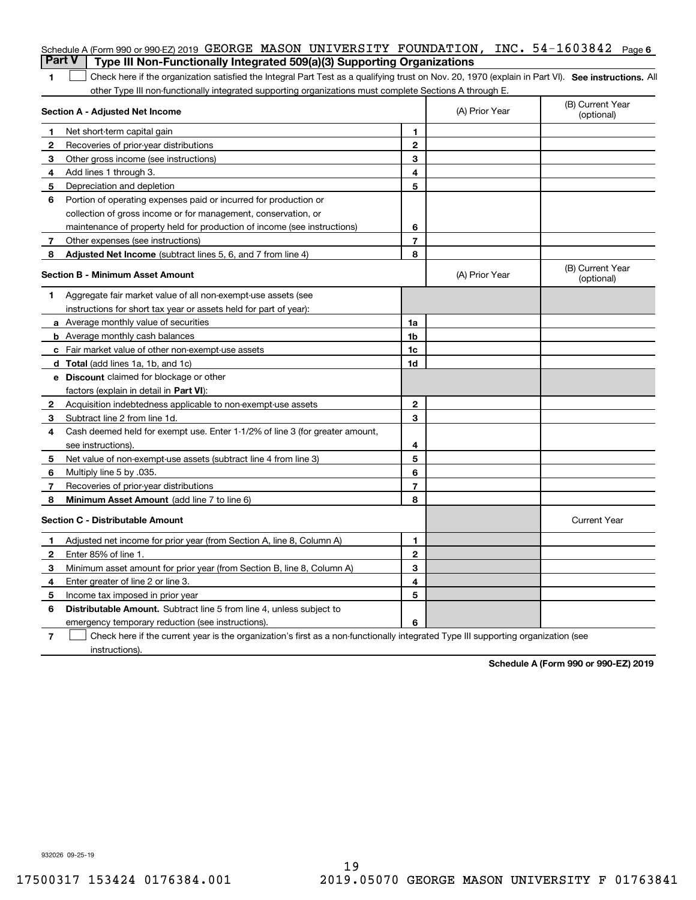| <b>Part V</b>  | Schedule A (Form 990 or 990-EZ) 2019 GEORGE MASON UNIVERSITY FOUNDATION, INC. $54-1603842$<br>Type III Non-Functionally Integrated 509(a)(3) Supporting Organizations |                |                | Page 6                         |
|----------------|-----------------------------------------------------------------------------------------------------------------------------------------------------------------------|----------------|----------------|--------------------------------|
| 1              | Check here if the organization satisfied the Integral Part Test as a qualifying trust on Nov. 20, 1970 (explain in Part VI). See instructions. Al                     |                |                |                                |
|                | other Type III non-functionally integrated supporting organizations must complete Sections A through E.                                                               |                |                |                                |
|                | Section A - Adjusted Net Income                                                                                                                                       |                | (A) Prior Year | (B) Current Year<br>(optional) |
| 1              | Net short-term capital gain                                                                                                                                           | 1.             |                |                                |
| $\overline{2}$ | Recoveries of prior-year distributions                                                                                                                                | $\mathbf{2}$   |                |                                |
| З              | Other gross income (see instructions)                                                                                                                                 | 3              |                |                                |
| 4              | Add lines 1 through 3.                                                                                                                                                | 4              |                |                                |
| 5              | Depreciation and depletion                                                                                                                                            | 5              |                |                                |
| 6              | Portion of operating expenses paid or incurred for production or                                                                                                      |                |                |                                |
|                | collection of gross income or for management, conservation, or                                                                                                        |                |                |                                |
|                | maintenance of property held for production of income (see instructions)                                                                                              | 6              |                |                                |
| 7              | Other expenses (see instructions)                                                                                                                                     | $\overline{7}$ |                |                                |
| 8              | Adjusted Net Income (subtract lines 5, 6, and 7 from line 4)                                                                                                          | 8              |                |                                |
|                | Section B - Minimum Asset Amount                                                                                                                                      |                | (A) Prior Year | (B) Current Year<br>(optional) |
| 1              | Aggregate fair market value of all non-exempt-use assets (see                                                                                                         |                |                |                                |
|                | instructions for short tax year or assets held for part of year):                                                                                                     |                |                |                                |
|                | <b>a</b> Average monthly value of securities                                                                                                                          | 1a             |                |                                |
|                | <b>b</b> Average monthly cash balances                                                                                                                                | 1b             |                |                                |
|                | c Fair market value of other non-exempt-use assets                                                                                                                    | 1c             |                |                                |
|                | d Total (add lines 1a, 1b, and 1c)                                                                                                                                    | 1d             |                |                                |
|                | <b>e</b> Discount claimed for blockage or other                                                                                                                       |                |                |                                |
|                | factors (explain in detail in Part VI):                                                                                                                               |                |                |                                |
| 2              | Acquisition indebtedness applicable to non-exempt-use assets                                                                                                          | $\mathbf{2}$   |                |                                |
| 3              | Subtract line 2 from line 1d.                                                                                                                                         | 3              |                |                                |
| 4              | Cash deemed held for exempt use. Enter 1-1/2% of line 3 (for greater amount,                                                                                          |                |                |                                |
|                | see instructions).                                                                                                                                                    | 4              |                |                                |
| 5              | Net value of non-exempt-use assets (subtract line 4 from line 3)                                                                                                      | 5              |                |                                |
| 6              | Multiply line 5 by .035.                                                                                                                                              | 6              |                |                                |
| 7              | Recoveries of prior-year distributions                                                                                                                                | $\overline{7}$ |                |                                |
| 8              | Minimum Asset Amount (add line 7 to line 6)                                                                                                                           | 8              |                |                                |
|                | <b>Section C - Distributable Amount</b>                                                                                                                               |                |                | <b>Current Year</b>            |
|                | Adjusted net income for prior year (from Section A, line 8, Column A)                                                                                                 | 1              |                |                                |
|                | Enter 85% of line 1.                                                                                                                                                  | 2              |                |                                |
| З              | Minimum asset amount for prior year (from Section B, line 8, Column A)                                                                                                | 3              |                |                                |
| 4              | Enter greater of line 2 or line 3.                                                                                                                                    | 4              |                |                                |
| 5              | Income tax imposed in prior year                                                                                                                                      | 5              |                |                                |
| 6              | <b>Distributable Amount.</b> Subtract line 5 from line 4, unless subject to                                                                                           |                |                |                                |
|                | emergency temporary reduction (see instructions).                                                                                                                     | 6              |                |                                |
| 7              | Check here if the current year is the organization's first as a non-functionally integrated Type III supporting organization (see                                     |                |                |                                |

instructions).

**Schedule A (Form 990 or 990-EZ) 2019**

932026 09-25-19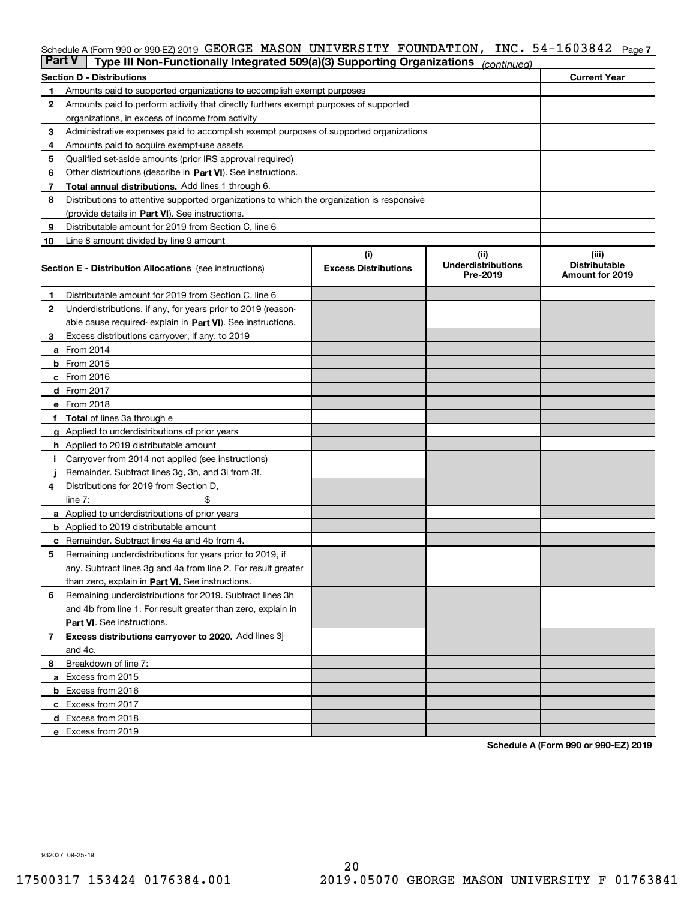## Schedule A (Form 990 or 990-EZ) 2019 <code>GEORGE MASON UNIVERSITY FOUNDATION</code> , <code>INC. 54-1603842 Page 7</code>

| <b>Part V</b> | Type III Non-Functionally Integrated 509(a)(3) Supporting Organizations                    |                             | (continued)                           |                                         |
|---------------|--------------------------------------------------------------------------------------------|-----------------------------|---------------------------------------|-----------------------------------------|
|               | <b>Section D - Distributions</b>                                                           |                             |                                       | <b>Current Year</b>                     |
| 1             | Amounts paid to supported organizations to accomplish exempt purposes                      |                             |                                       |                                         |
| 2             | Amounts paid to perform activity that directly furthers exempt purposes of supported       |                             |                                       |                                         |
|               | organizations, in excess of income from activity                                           |                             |                                       |                                         |
| 3             | Administrative expenses paid to accomplish exempt purposes of supported organizations      |                             |                                       |                                         |
| 4             | Amounts paid to acquire exempt-use assets                                                  |                             |                                       |                                         |
| 5             | Qualified set-aside amounts (prior IRS approval required)                                  |                             |                                       |                                         |
| 6             | Other distributions (describe in Part VI). See instructions.                               |                             |                                       |                                         |
| 7             | <b>Total annual distributions.</b> Add lines 1 through 6.                                  |                             |                                       |                                         |
| 8             | Distributions to attentive supported organizations to which the organization is responsive |                             |                                       |                                         |
|               | (provide details in Part VI). See instructions.                                            |                             |                                       |                                         |
| 9             | Distributable amount for 2019 from Section C, line 6                                       |                             |                                       |                                         |
| 10            | Line 8 amount divided by line 9 amount                                                     |                             |                                       |                                         |
|               |                                                                                            | (i)                         | (ii)                                  | (iii)                                   |
|               | <b>Section E - Distribution Allocations</b> (see instructions)                             | <b>Excess Distributions</b> | <b>Underdistributions</b><br>Pre-2019 | <b>Distributable</b><br>Amount for 2019 |
| 1             | Distributable amount for 2019 from Section C, line 6                                       |                             |                                       |                                         |
| 2             | Underdistributions, if any, for years prior to 2019 (reason-                               |                             |                                       |                                         |
|               | able cause required- explain in Part VI). See instructions.                                |                             |                                       |                                         |
| З             | Excess distributions carryover, if any, to 2019                                            |                             |                                       |                                         |
|               | <b>a</b> From 2014                                                                         |                             |                                       |                                         |
|               | <b>b</b> From 2015                                                                         |                             |                                       |                                         |
|               | $c$ From 2016                                                                              |                             |                                       |                                         |
|               | d From 2017                                                                                |                             |                                       |                                         |
|               | e From 2018                                                                                |                             |                                       |                                         |
|               | Total of lines 3a through e                                                                |                             |                                       |                                         |
| g             | Applied to underdistributions of prior years                                               |                             |                                       |                                         |
|               | <b>h</b> Applied to 2019 distributable amount                                              |                             |                                       |                                         |
|               | Carryover from 2014 not applied (see instructions)                                         |                             |                                       |                                         |
|               | Remainder. Subtract lines 3g, 3h, and 3i from 3f.                                          |                             |                                       |                                         |
| 4             | Distributions for 2019 from Section D,                                                     |                             |                                       |                                         |
|               | line $7:$                                                                                  |                             |                                       |                                         |
|               | <b>a</b> Applied to underdistributions of prior years                                      |                             |                                       |                                         |
|               | <b>b</b> Applied to 2019 distributable amount                                              |                             |                                       |                                         |
|               | c Remainder. Subtract lines 4a and 4b from 4.                                              |                             |                                       |                                         |
| 5             | Remaining underdistributions for years prior to 2019, if                                   |                             |                                       |                                         |
|               | any. Subtract lines 3g and 4a from line 2. For result greater                              |                             |                                       |                                         |
|               | than zero, explain in Part VI. See instructions.                                           |                             |                                       |                                         |
| 6             | Remaining underdistributions for 2019. Subtract lines 3h                                   |                             |                                       |                                         |
|               | and 4b from line 1. For result greater than zero, explain in                               |                             |                                       |                                         |
|               | Part VI. See instructions.                                                                 |                             |                                       |                                         |
| 7             | Excess distributions carryover to 2020. Add lines 3j                                       |                             |                                       |                                         |
|               | and 4c.                                                                                    |                             |                                       |                                         |
| 8             | Breakdown of line 7:                                                                       |                             |                                       |                                         |
|               | a Excess from 2015                                                                         |                             |                                       |                                         |
|               | <b>b</b> Excess from 2016                                                                  |                             |                                       |                                         |
|               | c Excess from 2017                                                                         |                             |                                       |                                         |
|               | d Excess from 2018                                                                         |                             |                                       |                                         |
|               | e Excess from 2019                                                                         |                             |                                       |                                         |
|               |                                                                                            |                             |                                       |                                         |

**Schedule A (Form 990 or 990-EZ) 2019**

932027 09-25-19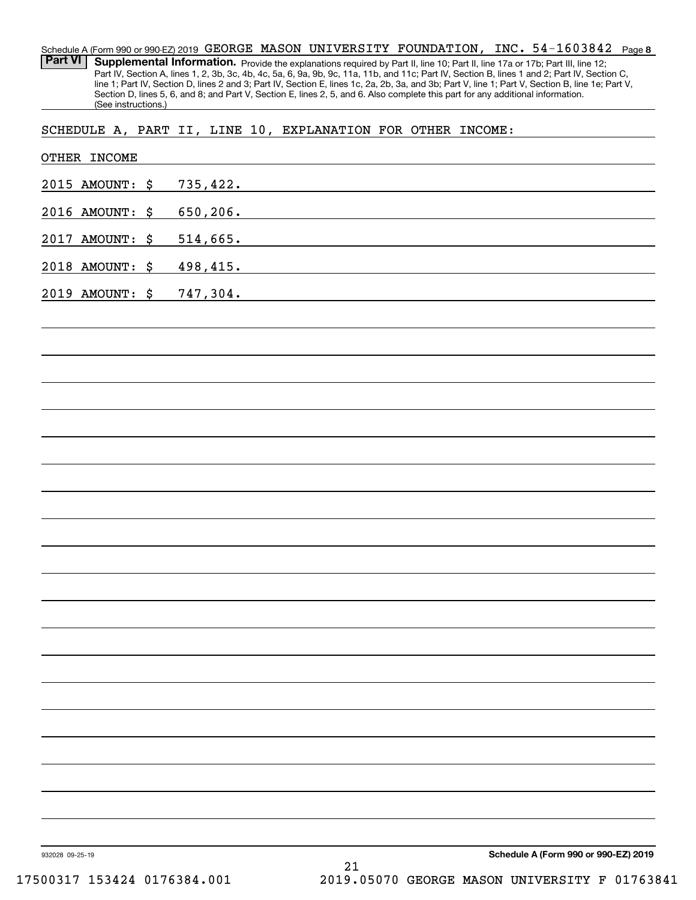**8** 54-1603842 Schedule A (Form 990 or 990-EZ) 2019  $\,$  GEORGE  $\,$  MASON  $\,$  UNIVERSITY  $\,$  FOUNDATION ,  $\,$  INC  $\,$   $\,$  54–1603842  $\,$  Page Part VI | Supplemental Information. Provide the explanations required by Part II, line 10; Part II, line 17a or 17b; Part III, line 12; Part IV, Section A, lines 1, 2, 3b, 3c, 4b, 4c, 5a, 6, 9a, 9b, 9c, 11a, 11b, and 11c; Part IV, Section B, lines 1 and 2; Part IV, Section C, line 1; Part IV, Section D, lines 2 and 3; Part IV, Section E, lines 1c, 2a, 2b, 3a, and 3b; Part V, line 1; Part V, Section B, line 1e; Part V, Section D, lines 5, 6, and 8; and Part V, Section E, lines 2, 5, and 6. Also complete this part for any additional information. (See instructions.)

SCHEDULE A, PART II, LINE 10, EXPLANATION FOR OTHER INCOME:

| 2015 AMOUNT: \$ 735,422. |          |
|--------------------------|----------|
| 2016 AMOUNT: \$          | 650,206. |
| 2017 AMOUNT: \$          | 514,665. |
| 2018 AMOUNT: \$ 498,415. |          |
| 2019 AMOUNT: \$ 747,304. |          |
|                          |          |
|                          |          |
|                          |          |
|                          |          |
|                          |          |
|                          |          |
|                          |          |
|                          |          |
|                          |          |
|                          |          |
|                          |          |
|                          |          |
|                          |          |
|                          |          |
|                          |          |
|                          |          |
|                          |          |
|                          |          |
|                          |          |
|                          |          |
|                          |          |
|                          |          |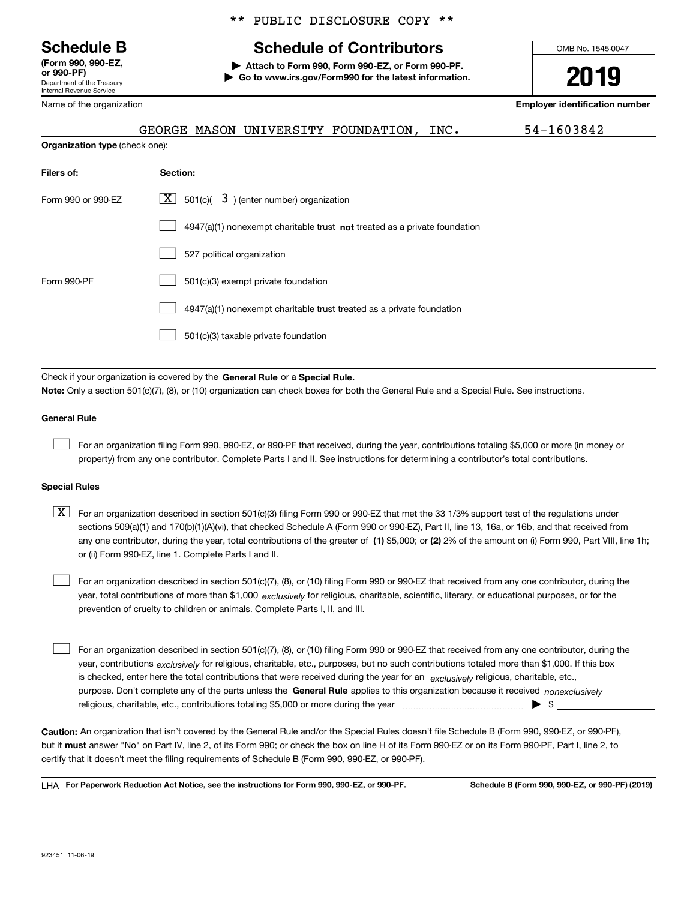Department of the Treasury Internal Revenue Service **(Form 990, 990-EZ, or 990-PF)**

Name of the organization

**Organization type** (check one):

## \*\* PUBLIC DISCLOSURE COPY \*\*

## **Schedule B Schedule of Contributors**

**| Attach to Form 990, Form 990-EZ, or Form 990-PF. | Go to www.irs.gov/Form990 for the latest information.** OMB No. 1545-0047

**2019**

**Employer identification number**

GEORGE MASON UNIVERSITY FOUNDATION, INC. 54-1603842

| Filers of:         | Section:                                                                    |
|--------------------|-----------------------------------------------------------------------------|
| Form 990 or 990-EZ | $\lfloor \mathbf{X} \rfloor$ 501(c)( 3) (enter number) organization         |
|                    | $4947(a)(1)$ nonexempt charitable trust not treated as a private foundation |
|                    | 527 political organization                                                  |
| Form 990-PF        | 501(c)(3) exempt private foundation                                         |
|                    | 4947(a)(1) nonexempt charitable trust treated as a private foundation       |
|                    | 501(c)(3) taxable private foundation                                        |

Check if your organization is covered by the **General Rule** or a **Special Rule. Note:**  Only a section 501(c)(7), (8), or (10) organization can check boxes for both the General Rule and a Special Rule. See instructions.

### **General Rule**

 $\mathcal{L}^{\text{max}}$ 

For an organization filing Form 990, 990-EZ, or 990-PF that received, during the year, contributions totaling \$5,000 or more (in money or property) from any one contributor. Complete Parts I and II. See instructions for determining a contributor's total contributions.

### **Special Rules**

any one contributor, during the year, total contributions of the greater of  $\,$  (1) \$5,000; or **(2)** 2% of the amount on (i) Form 990, Part VIII, line 1h;  $\boxed{\textbf{X}}$  For an organization described in section 501(c)(3) filing Form 990 or 990-EZ that met the 33 1/3% support test of the regulations under sections 509(a)(1) and 170(b)(1)(A)(vi), that checked Schedule A (Form 990 or 990-EZ), Part II, line 13, 16a, or 16b, and that received from or (ii) Form 990-EZ, line 1. Complete Parts I and II.

year, total contributions of more than \$1,000 *exclusively* for religious, charitable, scientific, literary, or educational purposes, or for the For an organization described in section 501(c)(7), (8), or (10) filing Form 990 or 990-EZ that received from any one contributor, during the prevention of cruelty to children or animals. Complete Parts I, II, and III.  $\mathcal{L}^{\text{max}}$ 

purpose. Don't complete any of the parts unless the **General Rule** applies to this organization because it received *nonexclusively* year, contributions <sub>exclusively</sub> for religious, charitable, etc., purposes, but no such contributions totaled more than \$1,000. If this box is checked, enter here the total contributions that were received during the year for an  $\;$ exclusively religious, charitable, etc., For an organization described in section 501(c)(7), (8), or (10) filing Form 990 or 990-EZ that received from any one contributor, during the religious, charitable, etc., contributions totaling \$5,000 or more during the year  $\Box$ — $\Box$   $\Box$  $\mathcal{L}^{\text{max}}$ 

**Caution:**  An organization that isn't covered by the General Rule and/or the Special Rules doesn't file Schedule B (Form 990, 990-EZ, or 990-PF),  **must** but it answer "No" on Part IV, line 2, of its Form 990; or check the box on line H of its Form 990-EZ or on its Form 990-PF, Part I, line 2, to certify that it doesn't meet the filing requirements of Schedule B (Form 990, 990-EZ, or 990-PF).

**For Paperwork Reduction Act Notice, see the instructions for Form 990, 990-EZ, or 990-PF. Schedule B (Form 990, 990-EZ, or 990-PF) (2019)** LHA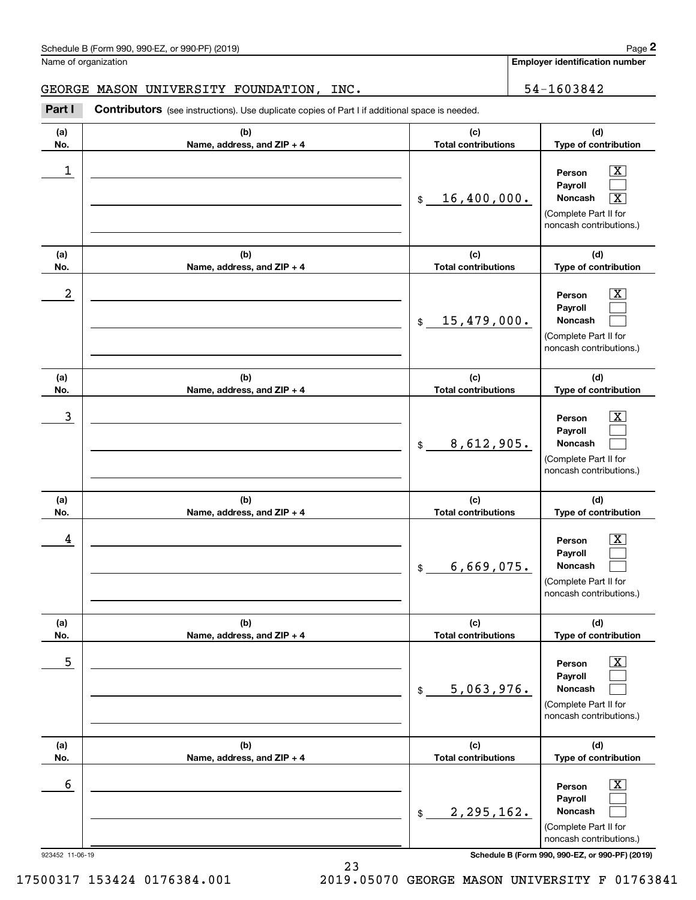### Schedule B (Form 990, 990-EZ, or 990-PF) (2019) **Page 2** and the state of the state of the state of the state of the state of the state of the state of the state of the state of the state of the state of the state of the s

Name of organization

**Employer identification number**

### GEORGE MASON UNIVERSITY FOUNDATION, INC.  $\vert$  54-1603842

**(a)No.(b)Name, address, and ZIP + 4 (c)Total contributions (d)Type of contribution PersonPayrollNoncash (a)No.(b)Name, address, and ZIP + 4 (c)Total contributions (d)Type of contribution PersonPayrollNoncash (a)No.(b)Name, address, and ZIP + 4 (c)Total contributions (d)Type of contribution PersonPayrollNoncash (a) No.(b) Name, address, and ZIP + 4 (c) Total contributions (d) Type of contribution PersonPayrollNoncash (a) No.(b) Name, address, and ZIP + 4 (c) Total contributions (d) Type of contribution PersonPayrollNoncash(a) No.(b)Name, address, and ZIP + 4 (c) Total contributions (d)Type of contribution PersonPayrollNoncash Contributors** (see instructions). Use duplicate copies of Part I if additional space is needed. \$(Complete Part II for noncash contributions.) \$(Complete Part II for noncash contributions.) \$(Complete Part II for noncash contributions.) \$(Complete Part II for noncash contributions.) \$(Complete Part II for noncash contributions.) \$(Complete Part II for noncash contributions.) Chedule B (Form 990, 990-EZ, or 990-PF) (2019)<br>Iame of organization<br>**2Part I 2Part I Contributors** (see instructions). Use duplicate copies of Part I if additional space is needed.  $|X|$  $\mathcal{L}^{\text{max}}$  $\boxed{\text{X}}$  $\boxed{\text{X}}$  $\mathcal{L}^{\text{max}}$  $\mathcal{L}^{\text{max}}$  $|X|$  $\mathcal{L}^{\text{max}}$  $\mathcal{L}^{\text{max}}$  $\boxed{\text{X}}$  $\mathcal{L}^{\text{max}}$  $\mathcal{L}^{\text{max}}$  $\boxed{\text{X}}$  $\mathcal{L}^{\text{max}}$  $\mathcal{L}^{\text{max}}$  $\boxed{\text{X}}$  $\mathcal{L}^{\text{max}}$  $\mathcal{L}^{\text{max}}$  $\begin{array}{c|c|c|c|c|c} 1 & \hspace{1.5cm} & \hspace{1.5cm} & \hspace{1.5cm} & \hspace{1.5cm} & \hspace{1.5cm} & \hspace{1.5cm} & \hspace{1.5cm} & \hspace{1.5cm} & \hspace{1.5cm} & \hspace{1.5cm} & \hspace{1.5cm} & \hspace{1.5cm} & \hspace{1.5cm} & \hspace{1.5cm} & \hspace{1.5cm} & \hspace{1.5cm} & \hspace{1.5cm} & \hspace{1.5cm} & \hspace{1.5cm} & \hspace{1.5cm} &$ 16,400,000.  $2$  | Person  $\overline{\text{X}}$ 15,479,000.  $\overline{3}$  | Person  $\overline{X}$ 8,612,905.  $4$  | Person  $\overline{\text{X}}$ 6,669,075.  $\sim$  5 | Person X 5,063,976.  $\sim$  6 | Person X 2,295,162.

923452 11-06-19 **Schedule B (Form 990, 990-EZ, or 990-PF) (2019)**

17500317 153424 0176384.001 2019.05070 GEORGE MASON UNIVERSITY F 01763841

23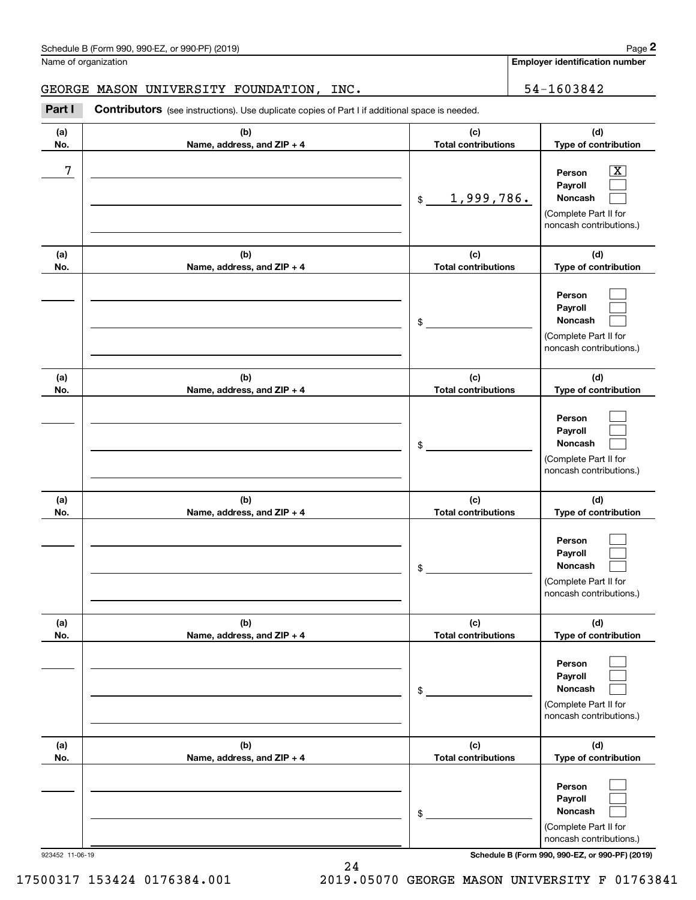### Schedule B (Form 990, 990-EZ, or 990-PF) (2019) **Page 2** and the state of the state of the state of the state of the state of the state of the state of the state of the state of the state of the state of the state of the s

Name of organization

**Employer identification number**

### GEORGE MASON UNIVERSITY FOUNDATION, INC.  $\vert$  54-1603842

**(a)No.(b)Name, address, and ZIP + 4 (c)Total contributions (d)Type of contribution PersonPayrollNoncash (a)No.(b)Name, address, and ZIP + 4 (c)Total contributions (d)Type of contribution PersonPayrollNoncash (a)No.(b)Name, address, and ZIP + 4 (c)Total contributions (d)Type of contribution PersonPayrollNoncash (a) No.(b) Name, address, and ZIP + 4 (c) Total contributions (d) Type of contribution PersonPayrollNoncash (a) No.(b) Name, address, and ZIP + 4 (c) Total contributions (d) Type of contribution PersonPayrollNoncash(a) No.(b)Name, address, and ZIP + 4 (c) Total contributions (d)Type of contribution PersonPayrollNoncash** Contributors (see instructions). Use duplicate copies of Part I if additional space is needed. \$(Complete Part II for noncash contributions.) \$(Complete Part II for noncash contributions.) \$(Complete Part II for noncash contributions.) \$(Complete Part II for noncash contributions.) \$(Complete Part II for noncash contributions.) \$(Complete Part II for noncash contributions.) Chedule B (Form 990, 990-EZ, or 990-PF) (2019)<br>Iame of organization<br>**2Part I 2Part I Contributors** (see instructions). Use duplicate copies of Part I if additional space is needed.  $|X|$  $\mathcal{L}^{\text{max}}$  $\mathcal{L}^{\text{max}}$  $\mathcal{L}^{\text{max}}$  $\mathcal{L}^{\text{max}}$  $\mathcal{L}^{\text{max}}$  $\mathcal{L}^{\text{max}}$  $\mathcal{L}^{\text{max}}$  $\mathcal{L}^{\text{max}}$  $\mathcal{L}^{\text{max}}$  $\mathcal{L}^{\text{max}}$  $\mathcal{L}^{\text{max}}$  $\mathcal{L}^{\text{max}}$  $\mathcal{L}^{\text{max}}$  $\mathcal{L}^{\text{max}}$  $\mathcal{L}^{\text{max}}$  $\mathcal{L}^{\text{max}}$  $\mathcal{L}^{\text{max}}$ 7 X 1,999,786.

923452 11-06-19 **Schedule B (Form 990, 990-EZ, or 990-PF) (2019)**

24 17500317 153424 0176384.001 2019.05070 GEORGE MASON UNIVERSITY F 01763841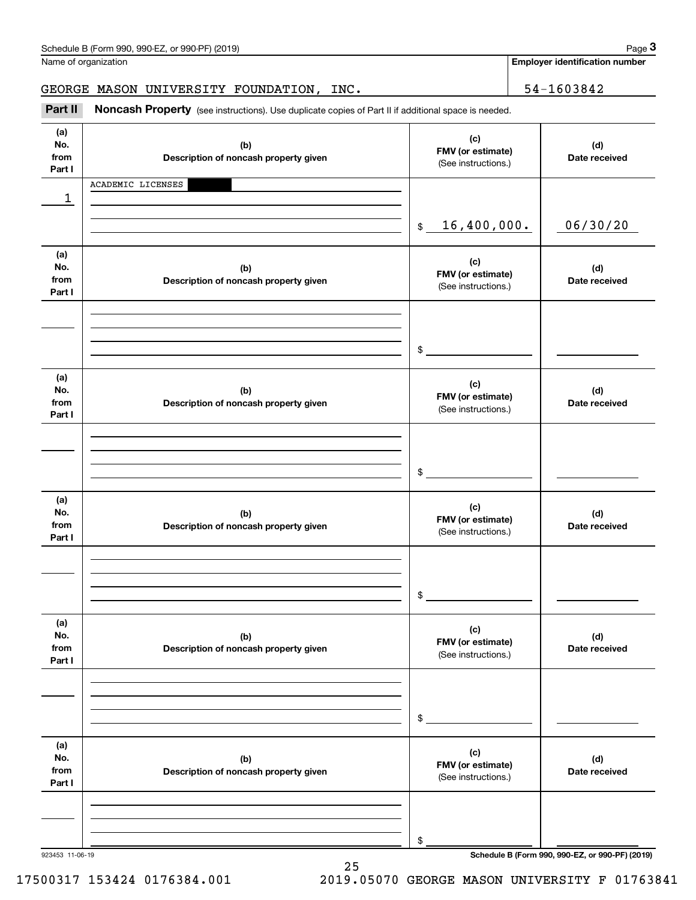|                              | Schedule B (Form 990, 990-EZ, or 990-PF) (2019)<br>Name of organization                             |                                                 | Page 3<br><b>Employer identification number</b> |
|------------------------------|-----------------------------------------------------------------------------------------------------|-------------------------------------------------|-------------------------------------------------|
|                              | GEORGE MASON UNIVERSITY FOUNDATION, INC.                                                            |                                                 | 54-1603842                                      |
| Part II                      | Noncash Property (see instructions). Use duplicate copies of Part II if additional space is needed. |                                                 |                                                 |
| (a)<br>No.<br>from<br>Part I | (b)<br>Description of noncash property given                                                        | (c)<br>FMV (or estimate)<br>(See instructions.) | (d)<br>Date received                            |
| 1                            | ACADEMIC LICENSES                                                                                   |                                                 |                                                 |
|                              |                                                                                                     | 16,400,000.<br>$$\mathbb{S}$$                   | 06/30/20                                        |
| (a)<br>No.<br>from<br>Part I | (b)<br>Description of noncash property given                                                        | (c)<br>FMV (or estimate)<br>(See instructions.) | (d)<br>Date received                            |
|                              |                                                                                                     | \$                                              |                                                 |
| (a)<br>No.<br>from<br>Part I | (b)<br>Description of noncash property given                                                        | (c)<br>FMV (or estimate)<br>(See instructions.) | (d)<br>Date received                            |
|                              |                                                                                                     | \$                                              |                                                 |
| (a)<br>No.<br>from<br>Part I | (b)<br>Description of noncash property given                                                        | (c)<br>FMV (or estimate)<br>(See instructions.) | (d)<br>Date received                            |
|                              |                                                                                                     | \$                                              |                                                 |
| (a)<br>No.<br>from<br>Part I | (b)<br>Description of noncash property given                                                        | (c)<br>FMV (or estimate)<br>(See instructions.) | (d)<br>Date received                            |
|                              |                                                                                                     | \$                                              |                                                 |
| (a)<br>No.<br>from<br>Part I | (b)<br>Description of noncash property given                                                        | (c)<br>FMV (or estimate)<br>(See instructions.) | (d)<br>Date received                            |
|                              |                                                                                                     |                                                 |                                                 |
|                              |                                                                                                     | \$                                              |                                                 |

923453 11-06-19 **Schedule B (Form 990, 990-EZ, or 990-PF) (2019)**

17500317 153424 0176384.001 2019.05070 GEORGE MASON UNIVERSITY F 01763841

25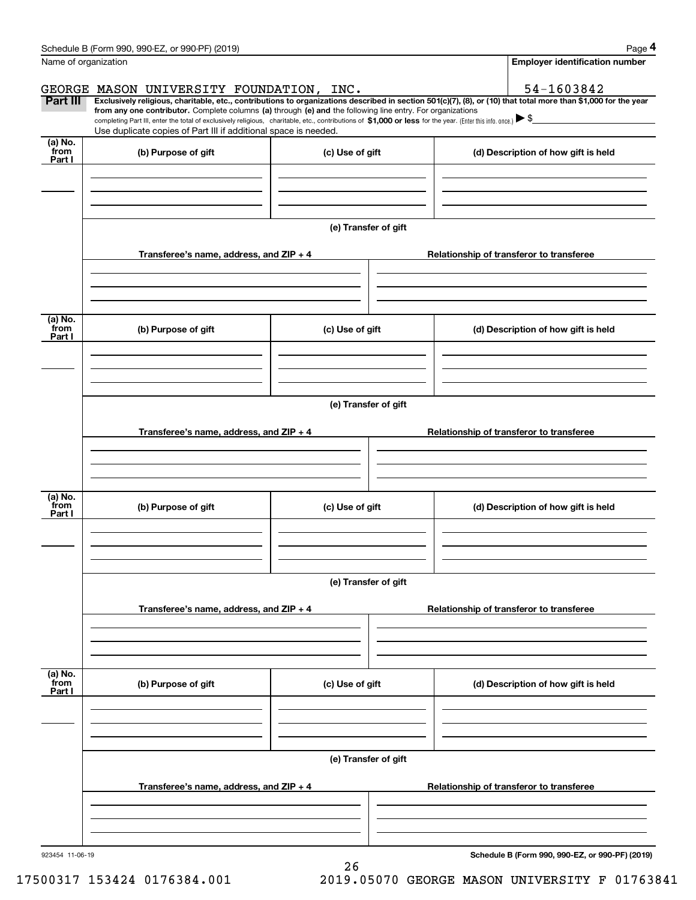|                           | Schedule B (Form 990, 990-EZ, or 990-PF) (2019)                                                                                                                                                                                                                              |                      |                                          | Page 4                                          |  |  |  |
|---------------------------|------------------------------------------------------------------------------------------------------------------------------------------------------------------------------------------------------------------------------------------------------------------------------|----------------------|------------------------------------------|-------------------------------------------------|--|--|--|
|                           | Name of organization                                                                                                                                                                                                                                                         |                      |                                          | <b>Employer identification number</b>           |  |  |  |
|                           | GEORGE MASON UNIVERSITY FOUNDATION, INC.                                                                                                                                                                                                                                     |                      |                                          | 54-1603842                                      |  |  |  |
| Part III                  | Exclusively religious, charitable, etc., contributions to organizations described in section 501(c)(7), (8), or (10) that total more than \$1,000 for the year<br>from any one contributor. Complete columns (a) through (e) and the following line entry. For organizations |                      |                                          |                                                 |  |  |  |
|                           | completing Part III, enter the total of exclusively religious, charitable, etc., contributions of \$1,000 or less for the year. (Enter this info. once.) $\blacktriangleright$ \$<br>Use duplicate copies of Part III if additional space is needed.                         |                      |                                          |                                                 |  |  |  |
| (a) No.                   |                                                                                                                                                                                                                                                                              |                      |                                          |                                                 |  |  |  |
| from<br>Part I            | (b) Purpose of gift                                                                                                                                                                                                                                                          | (c) Use of gift      |                                          | (d) Description of how gift is held             |  |  |  |
|                           |                                                                                                                                                                                                                                                                              |                      |                                          |                                                 |  |  |  |
|                           |                                                                                                                                                                                                                                                                              |                      |                                          |                                                 |  |  |  |
|                           |                                                                                                                                                                                                                                                                              |                      |                                          |                                                 |  |  |  |
|                           |                                                                                                                                                                                                                                                                              | (e) Transfer of gift |                                          |                                                 |  |  |  |
|                           | Transferee's name, address, and ZIP + 4                                                                                                                                                                                                                                      |                      |                                          | Relationship of transferor to transferee        |  |  |  |
|                           |                                                                                                                                                                                                                                                                              |                      |                                          |                                                 |  |  |  |
|                           |                                                                                                                                                                                                                                                                              |                      |                                          |                                                 |  |  |  |
|                           |                                                                                                                                                                                                                                                                              |                      |                                          |                                                 |  |  |  |
| (a) No.<br>from<br>Part I | (b) Purpose of gift                                                                                                                                                                                                                                                          | (c) Use of gift      |                                          | (d) Description of how gift is held             |  |  |  |
|                           |                                                                                                                                                                                                                                                                              |                      |                                          |                                                 |  |  |  |
|                           |                                                                                                                                                                                                                                                                              |                      |                                          |                                                 |  |  |  |
|                           |                                                                                                                                                                                                                                                                              |                      |                                          |                                                 |  |  |  |
|                           |                                                                                                                                                                                                                                                                              | (e) Transfer of gift |                                          |                                                 |  |  |  |
|                           |                                                                                                                                                                                                                                                                              |                      | Relationship of transferor to transferee |                                                 |  |  |  |
|                           | Transferee's name, address, and ZIP + 4                                                                                                                                                                                                                                      |                      |                                          |                                                 |  |  |  |
|                           |                                                                                                                                                                                                                                                                              |                      |                                          |                                                 |  |  |  |
|                           |                                                                                                                                                                                                                                                                              |                      |                                          |                                                 |  |  |  |
| (a) No.<br>from           | (b) Purpose of gift                                                                                                                                                                                                                                                          | (c) Use of gift      |                                          | (d) Description of how gift is held             |  |  |  |
| Part I                    |                                                                                                                                                                                                                                                                              |                      |                                          |                                                 |  |  |  |
|                           |                                                                                                                                                                                                                                                                              |                      |                                          |                                                 |  |  |  |
|                           |                                                                                                                                                                                                                                                                              |                      |                                          |                                                 |  |  |  |
|                           | (e) Transfer of gift                                                                                                                                                                                                                                                         |                      |                                          |                                                 |  |  |  |
|                           |                                                                                                                                                                                                                                                                              |                      |                                          |                                                 |  |  |  |
|                           | Transferee's name, address, and $ZIP + 4$                                                                                                                                                                                                                                    |                      |                                          | Relationship of transferor to transferee        |  |  |  |
|                           |                                                                                                                                                                                                                                                                              |                      |                                          |                                                 |  |  |  |
|                           |                                                                                                                                                                                                                                                                              |                      |                                          |                                                 |  |  |  |
| (a) No.<br>from           |                                                                                                                                                                                                                                                                              |                      |                                          |                                                 |  |  |  |
| Part I                    | (b) Purpose of gift                                                                                                                                                                                                                                                          | (c) Use of gift      |                                          | (d) Description of how gift is held             |  |  |  |
|                           |                                                                                                                                                                                                                                                                              |                      |                                          |                                                 |  |  |  |
|                           |                                                                                                                                                                                                                                                                              |                      |                                          |                                                 |  |  |  |
|                           |                                                                                                                                                                                                                                                                              |                      |                                          |                                                 |  |  |  |
|                           |                                                                                                                                                                                                                                                                              | (e) Transfer of gift |                                          |                                                 |  |  |  |
|                           | Transferee's name, address, and $ZIP + 4$                                                                                                                                                                                                                                    |                      |                                          | Relationship of transferor to transferee        |  |  |  |
|                           |                                                                                                                                                                                                                                                                              |                      |                                          |                                                 |  |  |  |
|                           |                                                                                                                                                                                                                                                                              |                      |                                          |                                                 |  |  |  |
|                           |                                                                                                                                                                                                                                                                              |                      |                                          |                                                 |  |  |  |
| 923454 11-06-19           |                                                                                                                                                                                                                                                                              | 26                   |                                          | Schedule B (Form 990, 990-EZ, or 990-PF) (2019) |  |  |  |

17500317 153424 0176384.001 2019.05070 GEORGE MASON UNIVERSITY F 01763841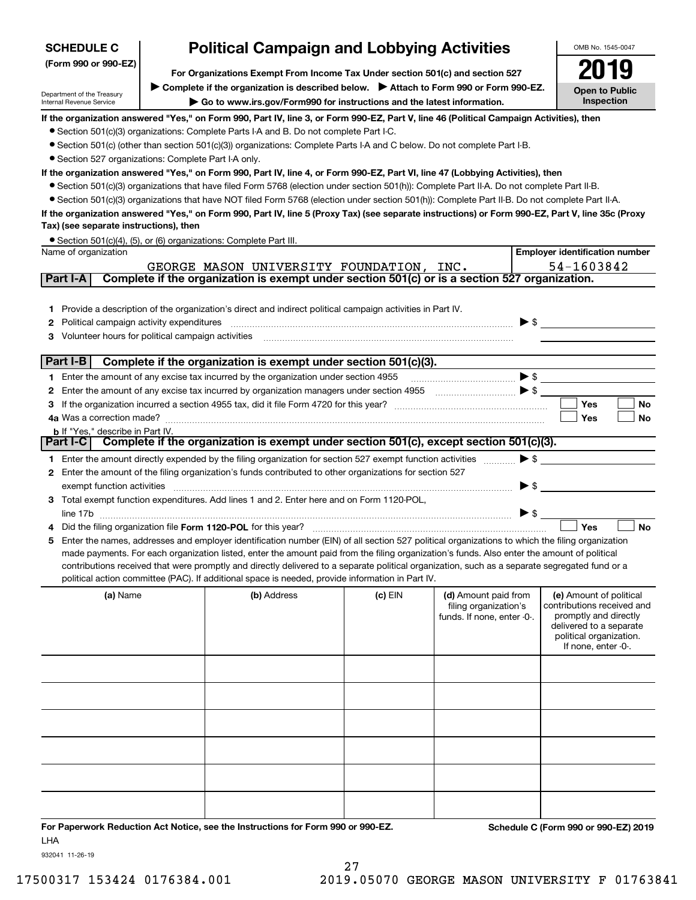| <b>Political Campaign and Lobbying Activities</b><br><b>SCHEDULE C</b> |                                                                               |                                                                                                                                                  |           | OMB No. 1545-0047                                                           |                          |                                                                                                                                                             |
|------------------------------------------------------------------------|-------------------------------------------------------------------------------|--------------------------------------------------------------------------------------------------------------------------------------------------|-----------|-----------------------------------------------------------------------------|--------------------------|-------------------------------------------------------------------------------------------------------------------------------------------------------------|
| (Form 990 or 990-EZ)                                                   | For Organizations Exempt From Income Tax Under section 501(c) and section 527 |                                                                                                                                                  |           |                                                                             |                          |                                                                                                                                                             |
|                                                                        |                                                                               | Complete if the organization is described below. Attach to Form 990 or Form 990-EZ.                                                              |           |                                                                             |                          | <b>Open to Public</b>                                                                                                                                       |
| Department of the Treasury<br>Internal Revenue Service                 |                                                                               | Go to www.irs.gov/Form990 for instructions and the latest information.                                                                           |           |                                                                             |                          | Inspection                                                                                                                                                  |
|                                                                        |                                                                               | If the organization answered "Yes," on Form 990, Part IV, line 3, or Form 990-EZ, Part V, line 46 (Political Campaign Activities), then          |           |                                                                             |                          |                                                                                                                                                             |
|                                                                        |                                                                               | • Section 501(c)(3) organizations: Complete Parts I-A and B. Do not complete Part I-C.                                                           |           |                                                                             |                          |                                                                                                                                                             |
|                                                                        |                                                                               | • Section 501(c) (other than section 501(c)(3)) organizations: Complete Parts I-A and C below. Do not complete Part I-B.                         |           |                                                                             |                          |                                                                                                                                                             |
| • Section 527 organizations: Complete Part I-A only.                   |                                                                               |                                                                                                                                                  |           |                                                                             |                          |                                                                                                                                                             |
|                                                                        |                                                                               | If the organization answered "Yes," on Form 990, Part IV, line 4, or Form 990-EZ, Part VI, line 47 (Lobbying Activities), then                   |           |                                                                             |                          |                                                                                                                                                             |
|                                                                        |                                                                               | • Section 501(c)(3) organizations that have filed Form 5768 (election under section 501(h)): Complete Part II-A. Do not complete Part II-B.      |           |                                                                             |                          |                                                                                                                                                             |
|                                                                        |                                                                               | • Section 501(c)(3) organizations that have NOT filed Form 5768 (election under section 501(h)): Complete Part II-B. Do not complete Part II-A.  |           |                                                                             |                          |                                                                                                                                                             |
|                                                                        |                                                                               | If the organization answered "Yes," on Form 990, Part IV, line 5 (Proxy Tax) (see separate instructions) or Form 990-EZ, Part V, line 35c (Proxy |           |                                                                             |                          |                                                                                                                                                             |
| Tax) (see separate instructions), then                                 |                                                                               |                                                                                                                                                  |           |                                                                             |                          |                                                                                                                                                             |
| Name of organization                                                   |                                                                               | • Section 501(c)(4), (5), or (6) organizations: Complete Part III.                                                                               |           |                                                                             |                          | <b>Employer identification number</b>                                                                                                                       |
|                                                                        |                                                                               | GEORGE MASON UNIVERSITY FOUNDATION, INC.                                                                                                         |           |                                                                             |                          | 54-1603842                                                                                                                                                  |
| Part I-A                                                               |                                                                               | Complete if the organization is exempt under section 501(c) or is a section 527 organization.                                                    |           |                                                                             |                          |                                                                                                                                                             |
|                                                                        |                                                                               |                                                                                                                                                  |           |                                                                             |                          |                                                                                                                                                             |
|                                                                        |                                                                               | 1 Provide a description of the organization's direct and indirect political campaign activities in Part IV.                                      |           |                                                                             |                          |                                                                                                                                                             |
| Political campaign activity expenditures<br>2                          |                                                                               |                                                                                                                                                  |           |                                                                             | $\blacktriangleright$ \$ |                                                                                                                                                             |
| Volunteer hours for political campaign activities<br>З                 |                                                                               |                                                                                                                                                  |           |                                                                             |                          |                                                                                                                                                             |
|                                                                        |                                                                               |                                                                                                                                                  |           |                                                                             |                          |                                                                                                                                                             |
| Part I-B                                                               |                                                                               | Complete if the organization is exempt under section 501(c)(3).                                                                                  |           |                                                                             |                          |                                                                                                                                                             |
|                                                                        |                                                                               | 1 Enter the amount of any excise tax incurred by the organization under section 4955                                                             |           |                                                                             | $\blacktriangleright$ \$ |                                                                                                                                                             |
| 2                                                                      |                                                                               | Enter the amount of any excise tax incurred by organization managers under section 4955                                                          |           | $\begin{array}{c}\n\bullet \\ \bullet \\ \bullet \\ \bullet\n\end{array}$   |                          |                                                                                                                                                             |
| з                                                                      |                                                                               |                                                                                                                                                  |           |                                                                             |                          | Yes<br>No                                                                                                                                                   |
|                                                                        |                                                                               |                                                                                                                                                  |           |                                                                             |                          | Yes<br>No                                                                                                                                                   |
| <b>b</b> If "Yes," describe in Part IV.                                |                                                                               | Part I-C   Complete if the organization is exempt under section 501(c), except section 501(c)(3).                                                |           |                                                                             |                          |                                                                                                                                                             |
|                                                                        |                                                                               |                                                                                                                                                  |           |                                                                             |                          |                                                                                                                                                             |
|                                                                        |                                                                               | 1 Enter the amount directly expended by the filing organization for section 527 exempt function activities                                       |           |                                                                             | $\blacktriangleright$ \$ |                                                                                                                                                             |
| exempt function activities                                             |                                                                               | 2 Enter the amount of the filing organization's funds contributed to other organizations for section 527                                         |           |                                                                             | $\blacktriangleright$ \$ |                                                                                                                                                             |
|                                                                        |                                                                               | 3 Total exempt function expenditures. Add lines 1 and 2. Enter here and on Form 1120-POL,                                                        |           |                                                                             |                          |                                                                                                                                                             |
|                                                                        |                                                                               |                                                                                                                                                  |           |                                                                             | $\blacktriangleright$ \$ |                                                                                                                                                             |
|                                                                        |                                                                               |                                                                                                                                                  |           |                                                                             |                          | Yes<br><b>No</b>                                                                                                                                            |
| 5                                                                      |                                                                               | Enter the names, addresses and employer identification number (EIN) of all section 527 political organizations to which the filing organization  |           |                                                                             |                          |                                                                                                                                                             |
|                                                                        |                                                                               | made payments. For each organization listed, enter the amount paid from the filing organization's funds. Also enter the amount of political      |           |                                                                             |                          |                                                                                                                                                             |
|                                                                        |                                                                               | contributions received that were promptly and directly delivered to a separate political organization, such as a separate segregated fund or a   |           |                                                                             |                          |                                                                                                                                                             |
|                                                                        |                                                                               | political action committee (PAC). If additional space is needed, provide information in Part IV.                                                 |           |                                                                             |                          |                                                                                                                                                             |
| (a) Name                                                               |                                                                               | (b) Address                                                                                                                                      | $(c)$ EIN | (d) Amount paid from<br>filing organization's<br>funds. If none, enter -0-. |                          | (e) Amount of political<br>contributions received and<br>promptly and directly<br>delivered to a separate<br>political organization.<br>If none, enter -0-. |
|                                                                        |                                                                               |                                                                                                                                                  |           |                                                                             |                          |                                                                                                                                                             |
|                                                                        |                                                                               |                                                                                                                                                  |           |                                                                             |                          |                                                                                                                                                             |
|                                                                        |                                                                               |                                                                                                                                                  |           |                                                                             |                          |                                                                                                                                                             |
|                                                                        |                                                                               |                                                                                                                                                  |           |                                                                             |                          |                                                                                                                                                             |
|                                                                        |                                                                               |                                                                                                                                                  |           |                                                                             |                          |                                                                                                                                                             |
|                                                                        |                                                                               |                                                                                                                                                  |           |                                                                             |                          |                                                                                                                                                             |
|                                                                        |                                                                               |                                                                                                                                                  |           |                                                                             |                          |                                                                                                                                                             |
|                                                                        |                                                                               |                                                                                                                                                  |           |                                                                             |                          |                                                                                                                                                             |
|                                                                        |                                                                               |                                                                                                                                                  |           |                                                                             |                          |                                                                                                                                                             |
|                                                                        |                                                                               |                                                                                                                                                  |           |                                                                             |                          |                                                                                                                                                             |

**For Paperwork Reduction Act Notice, see the Instructions for Form 990 or 990-EZ. Schedule C (Form 990 or 990-EZ) 2019** LHA

932041 11-26-19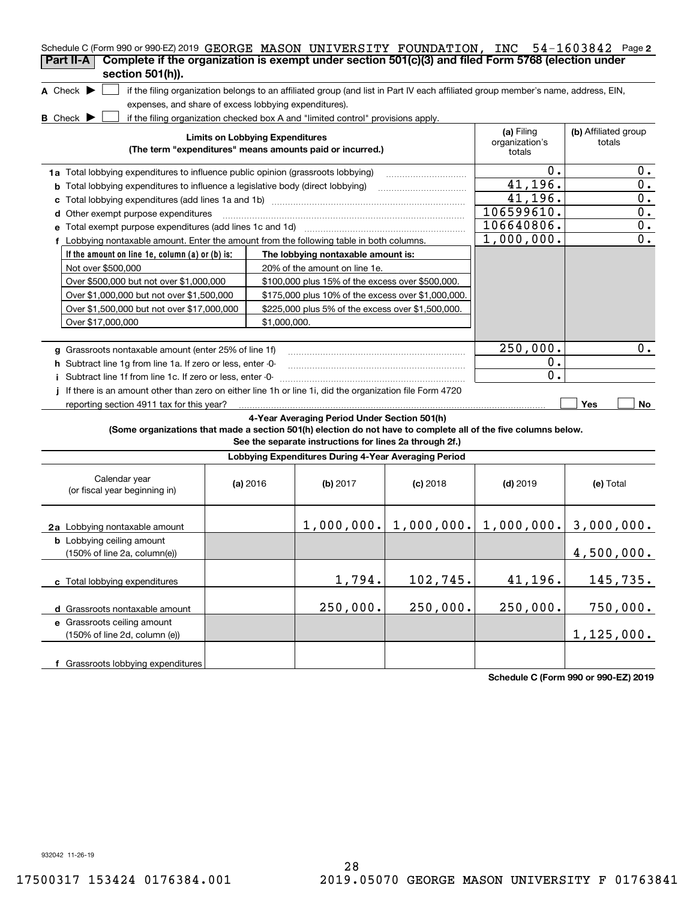| Schedule C (Form 990 or 990-EZ) 2019 GEORGE MASON UNIVERSITY FOUNDATION, INC 54-1603842 Page 2<br>Complete if the organization is exempt under section 501(c)(3) and filed Form 5768 (election under<br>Part II-A<br>section 501(h)). |                                                                                                                 |                                        |                                                                                                                                   |                            |                                        |                                |                  |
|---------------------------------------------------------------------------------------------------------------------------------------------------------------------------------------------------------------------------------------|-----------------------------------------------------------------------------------------------------------------|----------------------------------------|-----------------------------------------------------------------------------------------------------------------------------------|----------------------------|----------------------------------------|--------------------------------|------------------|
| A Check $\blacktriangleright$                                                                                                                                                                                                         |                                                                                                                 |                                        | if the filing organization belongs to an affiliated group (and list in Part IV each affiliated group member's name, address, EIN, |                            |                                        |                                |                  |
| expenses, and share of excess lobbying expenditures).                                                                                                                                                                                 |                                                                                                                 |                                        |                                                                                                                                   |                            |                                        |                                |                  |
| <b>B</b> Check $\blacktriangleright$                                                                                                                                                                                                  |                                                                                                                 |                                        | if the filing organization checked box A and "limited control" provisions apply.                                                  |                            |                                        |                                |                  |
|                                                                                                                                                                                                                                       |                                                                                                                 | <b>Limits on Lobbying Expenditures</b> | (The term "expenditures" means amounts paid or incurred.)                                                                         |                            | (a) Filing<br>organization's<br>totals | (b) Affiliated group<br>totals |                  |
|                                                                                                                                                                                                                                       | 1a Total lobbying expenditures to influence public opinion (grassroots lobbying)                                |                                        |                                                                                                                                   |                            |                                        |                                |                  |
| <b>b</b> Total lobbying expenditures to influence a legislative body (direct lobbying)                                                                                                                                                | 0.<br>41,196.                                                                                                   |                                        | $0$ .<br>0.                                                                                                                       |                            |                                        |                                |                  |
|                                                                                                                                                                                                                                       |                                                                                                                 |                                        |                                                                                                                                   |                            | 41,196.                                |                                | $0$ .            |
| d Other exempt purpose expenditures                                                                                                                                                                                                   |                                                                                                                 |                                        |                                                                                                                                   |                            | 106599610.                             |                                | $0$ .            |
| e Total exempt purpose expenditures (add lines 1c and 1d)                                                                                                                                                                             |                                                                                                                 |                                        |                                                                                                                                   |                            | 106640806.                             |                                | $\mathbf 0$ .    |
| f Lobbying nontaxable amount. Enter the amount from the following table in both columns.                                                                                                                                              |                                                                                                                 |                                        |                                                                                                                                   |                            | 1,000,000.                             |                                | $\overline{0}$ . |
| If the amount on line 1e, column $(a)$ or $(b)$ is:                                                                                                                                                                                   |                                                                                                                 |                                        | The lobbying nontaxable amount is:                                                                                                |                            |                                        |                                |                  |
| Not over \$500,000                                                                                                                                                                                                                    |                                                                                                                 |                                        | 20% of the amount on line 1e.                                                                                                     |                            |                                        |                                |                  |
| Over \$500,000 but not over \$1,000,000                                                                                                                                                                                               |                                                                                                                 |                                        | \$100,000 plus 15% of the excess over \$500,000.                                                                                  |                            |                                        |                                |                  |
|                                                                                                                                                                                                                                       |                                                                                                                 |                                        |                                                                                                                                   |                            |                                        |                                |                  |
|                                                                                                                                                                                                                                       | Over \$1,000,000 but not over \$1,500,000<br>\$175,000 plus 10% of the excess over \$1,000,000.                 |                                        |                                                                                                                                   |                            |                                        |                                |                  |
| Over \$17,000,000                                                                                                                                                                                                                     | Over \$1,500,000 but not over \$17,000,000<br>\$225,000 plus 5% of the excess over \$1,500,000.<br>\$1,000,000. |                                        |                                                                                                                                   |                            |                                        |                                |                  |
|                                                                                                                                                                                                                                       |                                                                                                                 |                                        |                                                                                                                                   |                            |                                        |                                |                  |
| g Grassroots nontaxable amount (enter 25% of line 1f)                                                                                                                                                                                 |                                                                                                                 |                                        |                                                                                                                                   |                            | 250,000.                               |                                | $0$ .            |
|                                                                                                                                                                                                                                       |                                                                                                                 |                                        |                                                                                                                                   |                            | 0.                                     |                                |                  |
| h Subtract line 1g from line 1a. If zero or less, enter -0-<br>i Subtract line 1f from line 1c. If zero or less, enter -0-                                                                                                            |                                                                                                                 |                                        |                                                                                                                                   |                            | 0.                                     |                                |                  |
| If there is an amount other than zero on either line 1h or line 1i, did the organization file Form 4720                                                                                                                               |                                                                                                                 |                                        |                                                                                                                                   |                            |                                        |                                |                  |
| reporting section 4911 tax for this year?                                                                                                                                                                                             |                                                                                                                 |                                        |                                                                                                                                   |                            |                                        | Yes                            | No               |
| (Some organizations that made a section 501(h) election do not have to complete all of the five columns below.                                                                                                                        |                                                                                                                 |                                        | 4-Year Averaging Period Under Section 501(h)<br>See the separate instructions for lines 2a through 2f.)                           |                            |                                        |                                |                  |
|                                                                                                                                                                                                                                       |                                                                                                                 |                                        | Lobbying Expenditures During 4-Year Averaging Period                                                                              |                            |                                        |                                |                  |
| Calendar year<br>(or fiscal year beginning in)                                                                                                                                                                                        |                                                                                                                 | (a) $2016$                             | (b) $2017$                                                                                                                        | $(c)$ 2018                 | $(d)$ 2019                             | (e) Total                      |                  |
| 2a Lobbying nontaxable amount                                                                                                                                                                                                         |                                                                                                                 |                                        |                                                                                                                                   | $1,000,000.$ $ 1,000,000.$ | $1,000,000.$ 3,000,000.                |                                |                  |
| <b>b</b> Lobbying ceiling amount<br>(150% of line 2a, column(e))                                                                                                                                                                      |                                                                                                                 |                                        |                                                                                                                                   |                            |                                        | 4,500,000.                     |                  |
| c Total lobbying expenditures                                                                                                                                                                                                         |                                                                                                                 |                                        | 1,794.                                                                                                                            | 102,745.                   | 41,196.                                | 145,735.                       |                  |
| d Grassroots nontaxable amount                                                                                                                                                                                                        |                                                                                                                 |                                        | 250,000.                                                                                                                          | 250,000.                   | 250,000.                               | 750,000.                       |                  |
| e Grassroots ceiling amount<br>(150% of line 2d, column (e))                                                                                                                                                                          |                                                                                                                 |                                        |                                                                                                                                   |                            |                                        | 1,125,000.                     |                  |
|                                                                                                                                                                                                                                       |                                                                                                                 |                                        |                                                                                                                                   |                            |                                        |                                |                  |

**Schedule C (Form 990 or 990-EZ) 2019**

932042 11-26-19

**f** Grassroots lobbying expenditures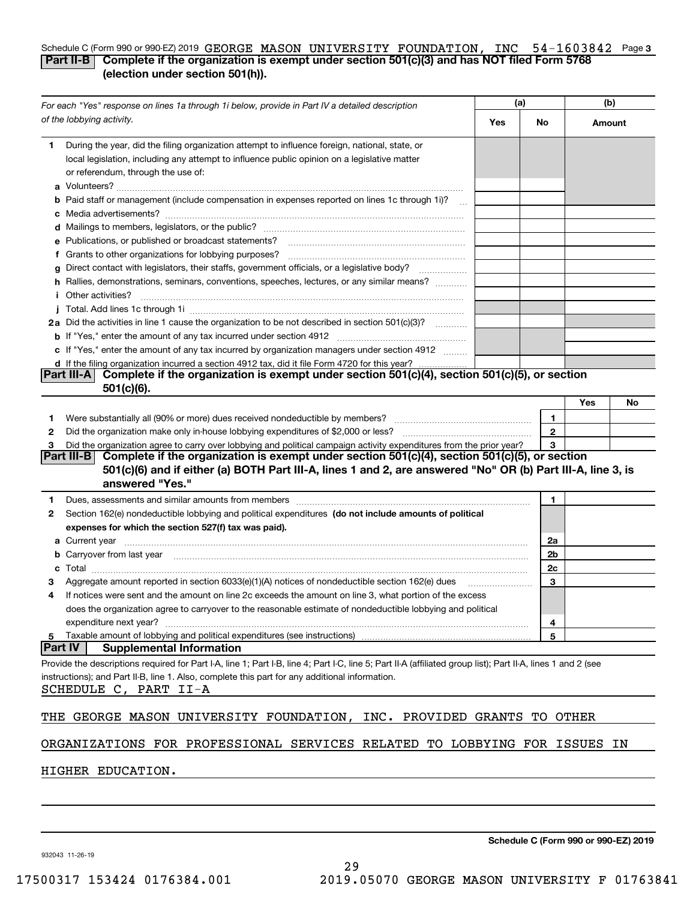### Schedule C (Form 990 or 990-EZ) 2019 GEORGE MASON UNIVERSITY FOUNDATION, INC 54-1603842 Page 3 **Part II-B Complete if the organization is exempt under section 501(c)(3) and has NOT filed Form 5768 (election under section 501(h)).**

| For each "Yes" response on lines 1a through 1i below, provide in Part IV a detailed description                                                                                                                                                                                                                                              |     | (a)          | (b)    |    |
|----------------------------------------------------------------------------------------------------------------------------------------------------------------------------------------------------------------------------------------------------------------------------------------------------------------------------------------------|-----|--------------|--------|----|
| of the lobbying activity.                                                                                                                                                                                                                                                                                                                    | Yes | No.          | Amount |    |
| During the year, did the filing organization attempt to influence foreign, national, state, or<br>1                                                                                                                                                                                                                                          |     |              |        |    |
| local legislation, including any attempt to influence public opinion on a legislative matter                                                                                                                                                                                                                                                 |     |              |        |    |
| or referendum, through the use of:                                                                                                                                                                                                                                                                                                           |     |              |        |    |
|                                                                                                                                                                                                                                                                                                                                              |     |              |        |    |
| <b>b</b> Paid staff or management (include compensation in expenses reported on lines 1c through 1i)?                                                                                                                                                                                                                                        |     |              |        |    |
|                                                                                                                                                                                                                                                                                                                                              |     |              |        |    |
|                                                                                                                                                                                                                                                                                                                                              |     |              |        |    |
| e Publications, or published or broadcast statements?                                                                                                                                                                                                                                                                                        |     |              |        |    |
| f Grants to other organizations for lobbying purposes?                                                                                                                                                                                                                                                                                       |     |              |        |    |
| Direct contact with legislators, their staffs, government officials, or a legislative body?<br>g<br>.<br>h Rallies, demonstrations, seminars, conventions, speeches, lectures, or any similar means?                                                                                                                                         |     |              |        |    |
| <i>i</i> Other activities?                                                                                                                                                                                                                                                                                                                   |     |              |        |    |
|                                                                                                                                                                                                                                                                                                                                              |     |              |        |    |
| 2a Did the activities in line 1 cause the organization to be not described in section 501(c)(3)?                                                                                                                                                                                                                                             |     |              |        |    |
|                                                                                                                                                                                                                                                                                                                                              |     |              |        |    |
| c If "Yes," enter the amount of any tax incurred by organization managers under section 4912                                                                                                                                                                                                                                                 |     |              |        |    |
| d If the filing organization incurred a section 4912 tax, did it file Form 4720 for this year?                                                                                                                                                                                                                                               |     |              |        |    |
| Complete if the organization is exempt under section 501(c)(4), section 501(c)(5), or section<br> Part III-A                                                                                                                                                                                                                                 |     |              |        |    |
| $501(c)(6)$ .                                                                                                                                                                                                                                                                                                                                |     |              |        |    |
|                                                                                                                                                                                                                                                                                                                                              |     |              | Yes    | No |
| 1.                                                                                                                                                                                                                                                                                                                                           |     | 1            |        |    |
| 2                                                                                                                                                                                                                                                                                                                                            |     | $\mathbf{2}$ |        |    |
| Did the organization agree to carry over lobbying and political campaign activity expenditures from the prior year?<br>з                                                                                                                                                                                                                     |     | 3            |        |    |
| Complete if the organization is exempt under section 501(c)(4), section 501(c)(5), or section<br> Part III-B                                                                                                                                                                                                                                 |     |              |        |    |
| 501(c)(6) and if either (a) BOTH Part III-A, lines 1 and 2, are answered "No" OR (b) Part III-A, line 3, is<br>answered "Yes."                                                                                                                                                                                                               |     |              |        |    |
|                                                                                                                                                                                                                                                                                                                                              |     |              |        |    |
| Dues, assessments and similar amounts from members [11] matter content to the state of the state of the state of the state of the state of the state of the state of the state of the state of the state of the state of the s<br>1<br>Section 162(e) nondeductible lobbying and political expenditures (do not include amounts of political |     | 1            |        |    |
| 2<br>expenses for which the section 527(f) tax was paid).                                                                                                                                                                                                                                                                                    |     |              |        |    |
|                                                                                                                                                                                                                                                                                                                                              |     | 2a           |        |    |
| <b>b</b> Carryover from last year 2000 minimum construction contracts and construct the construction of the construction of the construction of the construction of the construction of the construction of the construction of the                                                                                                          |     | 2b           |        |    |
| c                                                                                                                                                                                                                                                                                                                                            |     | 2c           |        |    |
| Aggregate amount reported in section 6033(e)(1)(A) notices of nondeductible section 162(e) dues                                                                                                                                                                                                                                              |     | 3            |        |    |
| If notices were sent and the amount on line 2c exceeds the amount on line 3, what portion of the excess<br>4                                                                                                                                                                                                                                 |     |              |        |    |
| does the organization agree to carryover to the reasonable estimate of nondeductible lobbying and political                                                                                                                                                                                                                                  |     |              |        |    |
| expenditure next year?                                                                                                                                                                                                                                                                                                                       |     | 4            |        |    |
| Taxable amount of lobbying and political expenditures (see instructions)<br>5                                                                                                                                                                                                                                                                |     | 5            |        |    |
| <b>Part IV</b><br><b>Supplemental Information</b>                                                                                                                                                                                                                                                                                            |     |              |        |    |
| Provide the descriptions required for Part I-A, line 1; Part I-B, line 4; Part I-C, line 5; Part II-A (affiliated group list); Part II-A, lines 1 and 2 (see                                                                                                                                                                                 |     |              |        |    |
| instructions); and Part II-B, line 1. Also, complete this part for any additional information.                                                                                                                                                                                                                                               |     |              |        |    |
| SCHEDULE C, PART II-A                                                                                                                                                                                                                                                                                                                        |     |              |        |    |
|                                                                                                                                                                                                                                                                                                                                              |     |              |        |    |
| GEORGE MASON UNIVERSITY FOUNDATION, INC. PROVIDED GRANTS<br>THE                                                                                                                                                                                                                                                                              |     | TO           | OTHER  |    |
|                                                                                                                                                                                                                                                                                                                                              |     |              |        |    |
| ORGANIZATIONS FOR PROFESSIONAL SERVICES RELATED TO LOBBYING FOR ISSUES                                                                                                                                                                                                                                                                       |     |              |        | ΙN |
|                                                                                                                                                                                                                                                                                                                                              |     |              |        |    |
| HIGHER EDUCATION.                                                                                                                                                                                                                                                                                                                            |     |              |        |    |

**Schedule C (Form 990 or 990-EZ) 2019**

932043 11-26-19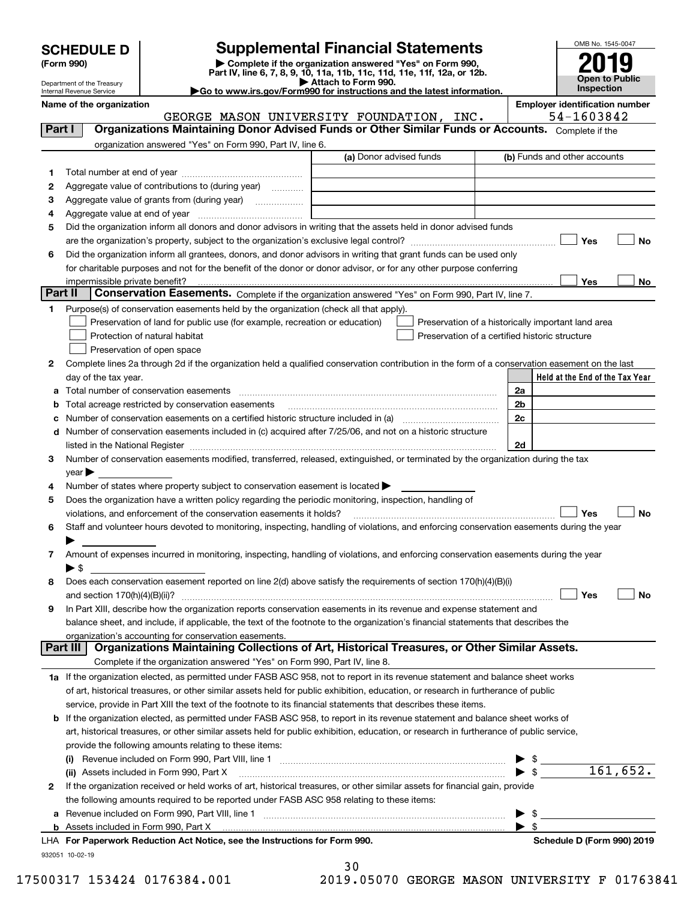| <b>SCHEDULE D</b> |  |
|-------------------|--|
|-------------------|--|

| (Form 990) |  |
|------------|--|
|------------|--|

## **Supplemental Financial Statements**

(Form 990)<br>
Pepartment of the Treasury<br>
Department of the Treasury<br>
Department of the Treasury<br>
Department of the Treasury<br> **Co to www.irs.gov/Form990 for instructions and the latest information.**<br> **Co to www.irs.gov/Form9** 



Department of the Treasury Internal Revenue Service

**Name of the organization Employer identification number**

|        | GEORGE MASON UNIVERSITY FOUNDATION, INC.                                                                                                                                                                                      |                         |                                                    | 54-1603842                      |           |
|--------|-------------------------------------------------------------------------------------------------------------------------------------------------------------------------------------------------------------------------------|-------------------------|----------------------------------------------------|---------------------------------|-----------|
| Part I | Organizations Maintaining Donor Advised Funds or Other Similar Funds or Accounts. Complete if the                                                                                                                             |                         |                                                    |                                 |           |
|        | organization answered "Yes" on Form 990, Part IV, line 6.                                                                                                                                                                     |                         |                                                    |                                 |           |
|        |                                                                                                                                                                                                                               | (a) Donor advised funds |                                                    | (b) Funds and other accounts    |           |
| 1.     |                                                                                                                                                                                                                               |                         |                                                    |                                 |           |
| 2      | Aggregate value of contributions to (during year)                                                                                                                                                                             |                         |                                                    |                                 |           |
| з      |                                                                                                                                                                                                                               |                         |                                                    |                                 |           |
| 4      |                                                                                                                                                                                                                               |                         |                                                    |                                 |           |
| 5      | Did the organization inform all donors and donor advisors in writing that the assets held in donor advised funds                                                                                                              |                         |                                                    |                                 |           |
|        |                                                                                                                                                                                                                               |                         |                                                    | Yes                             | No        |
|        | Did the organization inform all grantees, donors, and donor advisors in writing that grant funds can be used only                                                                                                             |                         |                                                    |                                 |           |
| 6      |                                                                                                                                                                                                                               |                         |                                                    |                                 |           |
|        | for charitable purposes and not for the benefit of the donor or donor advisor, or for any other purpose conferring                                                                                                            |                         |                                                    |                                 |           |
|        | Part II<br>Conservation Easements. Complete if the organization answered "Yes" on Form 990, Part IV, line 7.                                                                                                                  |                         |                                                    | <b>Yes</b>                      | No        |
|        |                                                                                                                                                                                                                               |                         |                                                    |                                 |           |
| 1      | Purpose(s) of conservation easements held by the organization (check all that apply).                                                                                                                                         |                         |                                                    |                                 |           |
|        | Preservation of land for public use (for example, recreation or education)                                                                                                                                                    |                         | Preservation of a historically important land area |                                 |           |
|        | Protection of natural habitat                                                                                                                                                                                                 |                         | Preservation of a certified historic structure     |                                 |           |
|        | Preservation of open space                                                                                                                                                                                                    |                         |                                                    |                                 |           |
| 2      | Complete lines 2a through 2d if the organization held a qualified conservation contribution in the form of a conservation easement on the last                                                                                |                         |                                                    |                                 |           |
|        | day of the tax year.                                                                                                                                                                                                          |                         |                                                    | Held at the End of the Tax Year |           |
| а      | Total number of conservation easements                                                                                                                                                                                        |                         | 2a                                                 |                                 |           |
| b      | Total acreage restricted by conservation easements                                                                                                                                                                            |                         | 2b                                                 |                                 |           |
| c      | Number of conservation easements on a certified historic structure included in (a) manufacture of conservation                                                                                                                |                         | 2c                                                 |                                 |           |
|        | Number of conservation easements included in (c) acquired after 7/25/06, and not on a historic structure                                                                                                                      |                         |                                                    |                                 |           |
|        | listed in the National Register [111] Marshall Register [11] Marshall Register [11] Marshall Register [11] Marshall Register [11] Marshall Register [11] Marshall Register [11] Marshall Register [11] Marshall Register [11] |                         | 2d                                                 |                                 |           |
| З.     | Number of conservation easements modified, transferred, released, extinguished, or terminated by the organization during the tax                                                                                              |                         |                                                    |                                 |           |
|        | $year \blacktriangleright$                                                                                                                                                                                                    |                         |                                                    |                                 |           |
| 4      | Number of states where property subject to conservation easement is located >                                                                                                                                                 |                         |                                                    |                                 |           |
| 5      | Does the organization have a written policy regarding the periodic monitoring, inspection, handling of                                                                                                                        |                         |                                                    |                                 |           |
|        | violations, and enforcement of the conservation easements it holds?                                                                                                                                                           |                         |                                                    | Yes                             | <b>No</b> |
| 6      | Staff and volunteer hours devoted to monitoring, inspecting, handling of violations, and enforcing conservation easements during the year                                                                                     |                         |                                                    |                                 |           |
|        |                                                                                                                                                                                                                               |                         |                                                    |                                 |           |
| 7      | Amount of expenses incurred in monitoring, inspecting, handling of violations, and enforcing conservation easements during the year                                                                                           |                         |                                                    |                                 |           |
|        | $\blacktriangleright$ \$                                                                                                                                                                                                      |                         |                                                    |                                 |           |
| 8      | Does each conservation easement reported on line 2(d) above satisfy the requirements of section 170(h)(4)(B)(i)                                                                                                               |                         |                                                    |                                 |           |
|        | and section $170(h)(4)(B)(ii)?$                                                                                                                                                                                               |                         |                                                    | Yes                             | No        |
| 9      | In Part XIII, describe how the organization reports conservation easements in its revenue and expense statement and                                                                                                           |                         |                                                    |                                 |           |
|        | balance sheet, and include, if applicable, the text of the footnote to the organization's financial statements that describes the                                                                                             |                         |                                                    |                                 |           |
|        | organization's accounting for conservation easements.                                                                                                                                                                         |                         |                                                    |                                 |           |
|        | Organizations Maintaining Collections of Art, Historical Treasures, or Other Similar Assets.<br>Part III                                                                                                                      |                         |                                                    |                                 |           |
|        | Complete if the organization answered "Yes" on Form 990, Part IV, line 8.                                                                                                                                                     |                         |                                                    |                                 |           |
|        | 1a If the organization elected, as permitted under FASB ASC 958, not to report in its revenue statement and balance sheet works                                                                                               |                         |                                                    |                                 |           |
|        | of art, historical treasures, or other similar assets held for public exhibition, education, or research in furtherance of public                                                                                             |                         |                                                    |                                 |           |
|        | service, provide in Part XIII the text of the footnote to its financial statements that describes these items.                                                                                                                |                         |                                                    |                                 |           |
| b      | If the organization elected, as permitted under FASB ASC 958, to report in its revenue statement and balance sheet works of                                                                                                   |                         |                                                    |                                 |           |
|        | art, historical treasures, or other similar assets held for public exhibition, education, or research in furtherance of public service,                                                                                       |                         |                                                    |                                 |           |
|        | provide the following amounts relating to these items:                                                                                                                                                                        |                         |                                                    |                                 |           |
|        |                                                                                                                                                                                                                               |                         | \$                                                 |                                 |           |
|        | (ii) Assets included in Form 990, Part X                                                                                                                                                                                      |                         | $\blacktriangleright$ \$                           |                                 | 161,652.  |
| 2      | If the organization received or held works of art, historical treasures, or other similar assets for financial gain, provide                                                                                                  |                         |                                                    |                                 |           |
|        | the following amounts required to be reported under FASB ASC 958 relating to these items:                                                                                                                                     |                         |                                                    |                                 |           |
| а      |                                                                                                                                                                                                                               |                         |                                                    | $\blacktriangleright$ \$        |           |
|        |                                                                                                                                                                                                                               |                         | $\blacktriangleright$ \$                           |                                 |           |
|        |                                                                                                                                                                                                                               |                         |                                                    |                                 |           |

### 932051 10-02-19 **For Paperwork Reduction Act Notice, see the Instructions for Form 990. Schedule D (Form 990) 2019** LHA

| 30 |  |  |  |
|----|--|--|--|
|    |  |  |  |

17500317 153424 0176384.001 2019.05070 GEORGE MASON UNIVERSITY F 01763841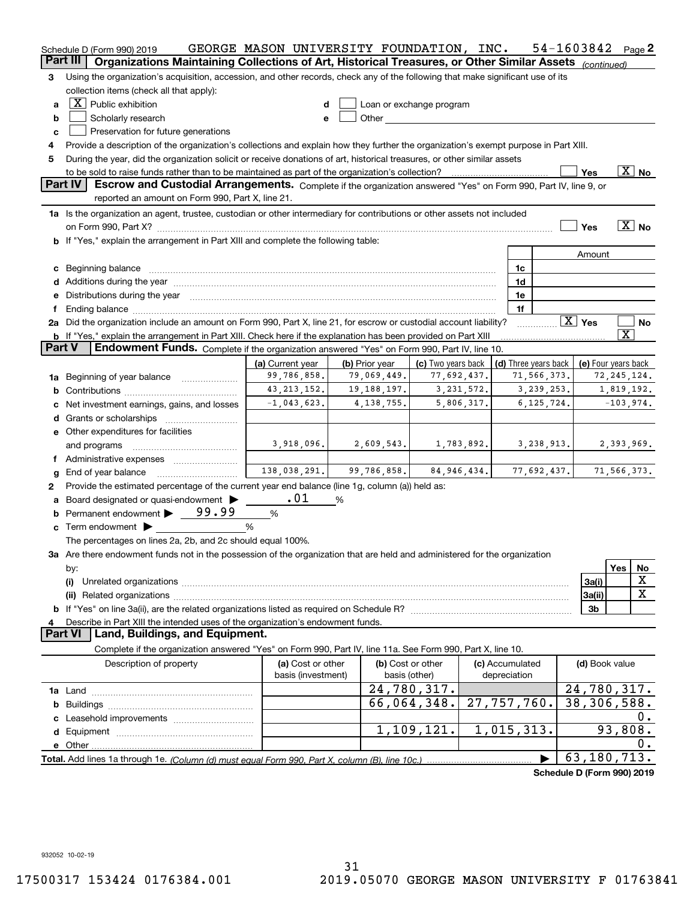|               | Schedule D (Form 990) 2019                                                                                                                                                                                                     | GEORGE MASON UNIVERSITY FOUNDATION, INC. |                                                    |                                                                                                                                                                                                                                |               |                                 |              | 54-1603842                                 |                       | Page 2                   |
|---------------|--------------------------------------------------------------------------------------------------------------------------------------------------------------------------------------------------------------------------------|------------------------------------------|----------------------------------------------------|--------------------------------------------------------------------------------------------------------------------------------------------------------------------------------------------------------------------------------|---------------|---------------------------------|--------------|--------------------------------------------|-----------------------|--------------------------|
|               | Part III<br>Organizations Maintaining Collections of Art, Historical Treasures, or Other Similar Assets (continued)                                                                                                            |                                          |                                                    |                                                                                                                                                                                                                                |               |                                 |              |                                            |                       |                          |
| 3             | Using the organization's acquisition, accession, and other records, check any of the following that make significant use of its                                                                                                |                                          |                                                    |                                                                                                                                                                                                                                |               |                                 |              |                                            |                       |                          |
|               | collection items (check all that apply):                                                                                                                                                                                       |                                          |                                                    |                                                                                                                                                                                                                                |               |                                 |              |                                            |                       |                          |
| a             | $\boxed{\textbf{X}}$ Public exhibition                                                                                                                                                                                         | d                                        |                                                    | Loan or exchange program                                                                                                                                                                                                       |               |                                 |              |                                            |                       |                          |
| b             | Scholarly research                                                                                                                                                                                                             | e                                        |                                                    | Other and the control of the control of the control of the control of the control of the control of the control of the control of the control of the control of the control of the control of the control of the control of th |               |                                 |              |                                            |                       |                          |
| c             | Preservation for future generations                                                                                                                                                                                            |                                          |                                                    |                                                                                                                                                                                                                                |               |                                 |              |                                            |                       |                          |
| 4             | Provide a description of the organization's collections and explain how they further the organization's exempt purpose in Part XIII.                                                                                           |                                          |                                                    |                                                                                                                                                                                                                                |               |                                 |              |                                            |                       |                          |
| 5             | During the year, did the organization solicit or receive donations of art, historical treasures, or other similar assets                                                                                                       |                                          |                                                    |                                                                                                                                                                                                                                |               |                                 |              |                                            |                       |                          |
|               |                                                                                                                                                                                                                                |                                          |                                                    |                                                                                                                                                                                                                                |               |                                 |              | Yes                                        |                       | $\overline{\text{X}}$ No |
|               | <b>Part IV</b><br>Escrow and Custodial Arrangements. Complete if the organization answered "Yes" on Form 990, Part IV, line 9, or                                                                                              |                                          |                                                    |                                                                                                                                                                                                                                |               |                                 |              |                                            |                       |                          |
|               | reported an amount on Form 990, Part X, line 21.                                                                                                                                                                               |                                          |                                                    |                                                                                                                                                                                                                                |               |                                 |              |                                            |                       |                          |
|               | 1a Is the organization an agent, trustee, custodian or other intermediary for contributions or other assets not included                                                                                                       |                                          |                                                    |                                                                                                                                                                                                                                |               |                                 |              |                                            |                       |                          |
|               | on Form 990, Part X? [11] matter contracts and contracts and contracts are contracted as a function of the set of the set of the set of the set of the set of the set of the set of the set of the set of the set of the set o |                                          |                                                    |                                                                                                                                                                                                                                |               |                                 |              | Yes                                        |                       | $\boxed{\text{X}}$ No    |
|               | b If "Yes," explain the arrangement in Part XIII and complete the following table:                                                                                                                                             |                                          |                                                    |                                                                                                                                                                                                                                |               |                                 |              |                                            |                       |                          |
|               |                                                                                                                                                                                                                                |                                          |                                                    |                                                                                                                                                                                                                                |               |                                 |              | Amount                                     |                       |                          |
|               | c Beginning balance                                                                                                                                                                                                            |                                          |                                                    |                                                                                                                                                                                                                                |               | 1c                              |              |                                            |                       |                          |
|               |                                                                                                                                                                                                                                |                                          |                                                    |                                                                                                                                                                                                                                |               | 1d                              |              |                                            |                       |                          |
|               | e Distributions during the year manufactured and contained and contained and contained and contained and contained and contained and contained and contained and contained and contained and contained and contained and conta |                                          |                                                    |                                                                                                                                                                                                                                |               | 1e                              |              |                                            |                       |                          |
| f             |                                                                                                                                                                                                                                |                                          |                                                    |                                                                                                                                                                                                                                |               | 1f                              |              |                                            |                       |                          |
|               | 2a Did the organization include an amount on Form 990, Part X, line 21, for escrow or custodial account liability?                                                                                                             |                                          |                                                    |                                                                                                                                                                                                                                |               |                                 |              | $\boxed{\text{X}}$ Yes                     |                       | No                       |
|               | b If "Yes," explain the arrangement in Part XIII. Check here if the explanation has been provided on Part XIII                                                                                                                 |                                          |                                                    |                                                                                                                                                                                                                                |               |                                 |              |                                            | $\overline{\text{X}}$ |                          |
| <b>Part V</b> | Endowment Funds. Complete if the organization answered "Yes" on Form 990, Part IV, line 10.                                                                                                                                    |                                          |                                                    |                                                                                                                                                                                                                                |               |                                 |              |                                            |                       |                          |
|               |                                                                                                                                                                                                                                | (a) Current year                         | (b) Prior year                                     | (c) Two years back                                                                                                                                                                                                             |               |                                 |              | (d) Three years back   (e) Four years back |                       |                          |
|               | 1a Beginning of year balance                                                                                                                                                                                                   | 99,786,858.                              | 79,069,449.                                        | 77,692,437.                                                                                                                                                                                                                    |               |                                 | 71,566,373.  |                                            | 72, 245, 124.         |                          |
|               |                                                                                                                                                                                                                                | 43, 213, 152.                            | 19, 188, 197.                                      | 3,231,572.                                                                                                                                                                                                                     |               |                                 | 3,239,253.   |                                            | 1,819,192.            |                          |
|               | c Net investment earnings, gains, and losses                                                                                                                                                                                   | $-1,043,623$ .                           | 4, 138, 755.                                       | 5,806,317.                                                                                                                                                                                                                     |               |                                 | 6, 125, 724. |                                            | $-103,974.$           |                          |
|               |                                                                                                                                                                                                                                |                                          |                                                    |                                                                                                                                                                                                                                |               |                                 |              |                                            |                       |                          |
|               | e Other expenditures for facilities                                                                                                                                                                                            |                                          |                                                    |                                                                                                                                                                                                                                |               |                                 |              |                                            |                       |                          |
|               | and programs                                                                                                                                                                                                                   | 3,918,096.                               | 2,609,543.                                         | 1,783,892.                                                                                                                                                                                                                     |               | 3,238,913.                      |              |                                            | 2,393,969.            |                          |
|               |                                                                                                                                                                                                                                |                                          |                                                    |                                                                                                                                                                                                                                |               |                                 |              |                                            |                       |                          |
| g             | End of year balance                                                                                                                                                                                                            |                                          | $138,038,291.$ 99,786,858. 84,946,434. 77,692,437. |                                                                                                                                                                                                                                |               |                                 |              |                                            | 71,566,373.           |                          |
| 2             | Provide the estimated percentage of the current year end balance (line 1g, column (a)) held as:                                                                                                                                |                                          |                                                    |                                                                                                                                                                                                                                |               |                                 |              |                                            |                       |                          |
|               | a Board designated or quasi-endowment >                                                                                                                                                                                        | .01                                      | %                                                  |                                                                                                                                                                                                                                |               |                                 |              |                                            |                       |                          |
|               | <b>b</b> Permanent endowment > 99.99                                                                                                                                                                                           | %                                        |                                                    |                                                                                                                                                                                                                                |               |                                 |              |                                            |                       |                          |
|               | $\circ$ Term endowment $\blacktriangleright$                                                                                                                                                                                   | %                                        |                                                    |                                                                                                                                                                                                                                |               |                                 |              |                                            |                       |                          |
|               | The percentages on lines 2a, 2b, and 2c should equal 100%.                                                                                                                                                                     |                                          |                                                    |                                                                                                                                                                                                                                |               |                                 |              |                                            |                       |                          |
|               | 3a Are there endowment funds not in the possession of the organization that are held and administered for the organization                                                                                                     |                                          |                                                    |                                                                                                                                                                                                                                |               |                                 |              |                                            |                       |                          |
|               | by:                                                                                                                                                                                                                            |                                          |                                                    |                                                                                                                                                                                                                                |               |                                 |              |                                            | Yes                   | No                       |
|               | (i)                                                                                                                                                                                                                            |                                          |                                                    |                                                                                                                                                                                                                                |               |                                 |              | 3a(i)                                      |                       | X                        |
|               |                                                                                                                                                                                                                                |                                          |                                                    |                                                                                                                                                                                                                                |               |                                 |              | 3a(ii)                                     |                       | X                        |
|               |                                                                                                                                                                                                                                |                                          |                                                    |                                                                                                                                                                                                                                |               |                                 |              | 3 <sub>b</sub>                             |                       |                          |
| 4             | Describe in Part XIII the intended uses of the organization's endowment funds.                                                                                                                                                 |                                          |                                                    |                                                                                                                                                                                                                                |               |                                 |              |                                            |                       |                          |
|               | Land, Buildings, and Equipment.<br><b>Part VI</b>                                                                                                                                                                              |                                          |                                                    |                                                                                                                                                                                                                                |               |                                 |              |                                            |                       |                          |
|               | Complete if the organization answered "Yes" on Form 990, Part IV, line 11a. See Form 990, Part X, line 10.                                                                                                                     |                                          |                                                    |                                                                                                                                                                                                                                |               |                                 |              |                                            |                       |                          |
|               | Description of property                                                                                                                                                                                                        | (a) Cost or other<br>basis (investment)  |                                                    | (b) Cost or other<br>basis (other)                                                                                                                                                                                             |               | (c) Accumulated<br>depreciation |              | (d) Book value                             |                       |                          |
|               |                                                                                                                                                                                                                                |                                          |                                                    | 24,780,317.                                                                                                                                                                                                                    |               |                                 |              | 24,780,317.                                |                       |                          |
|               |                                                                                                                                                                                                                                |                                          |                                                    | 66,064,348.                                                                                                                                                                                                                    | 27, 757, 760. |                                 |              | $\overline{38,306,588}$ .                  |                       |                          |
|               |                                                                                                                                                                                                                                |                                          |                                                    |                                                                                                                                                                                                                                |               |                                 |              |                                            |                       | 0.                       |
|               |                                                                                                                                                                                                                                |                                          |                                                    | 1,109,121.                                                                                                                                                                                                                     |               | 1,015,313.                      |              |                                            | 93,808.               |                          |
|               |                                                                                                                                                                                                                                |                                          |                                                    |                                                                                                                                                                                                                                |               |                                 |              |                                            |                       | 0.                       |
|               |                                                                                                                                                                                                                                |                                          |                                                    |                                                                                                                                                                                                                                |               |                                 |              | 63,180,713.                                |                       |                          |
|               |                                                                                                                                                                                                                                |                                          |                                                    |                                                                                                                                                                                                                                |               |                                 |              |                                            |                       |                          |

**Schedule D (Form 990) 2019**

932052 10-02-19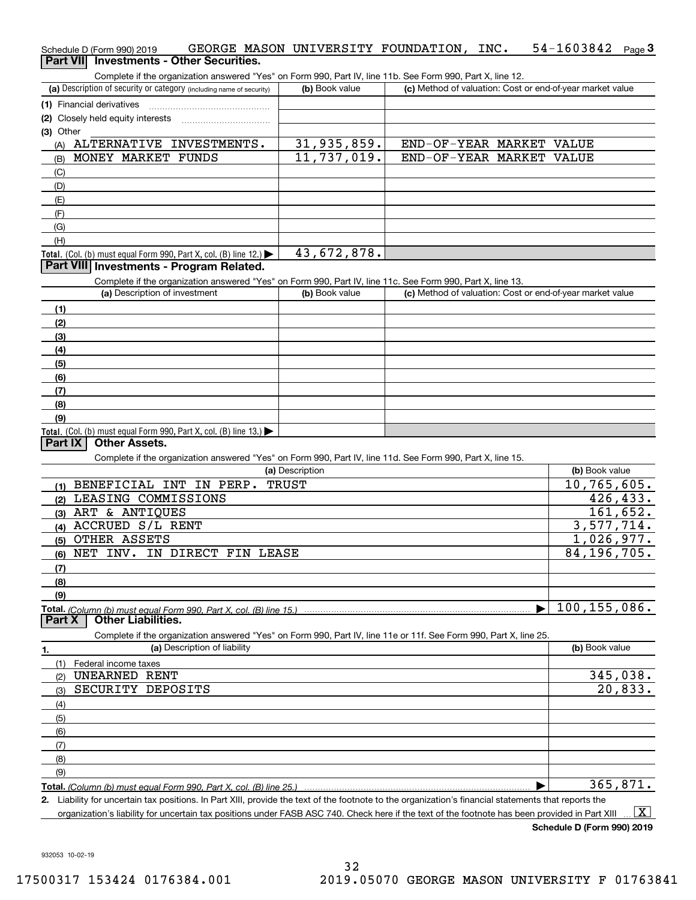| Schedule D (Form 990) 2019 |                                                 |  | GEORGE MASON UNIVERSITY FOUNDATION, | INC. | $54 - 1603842$ Page 3 |  |
|----------------------------|-------------------------------------------------|--|-------------------------------------|------|-----------------------|--|
|                            | <b>Part VII</b> Investments - Other Securities. |  |                                     |      |                       |  |

| Complete if the organization answered "Yes" on Form 990, Part IV, line 11b. See Form 990, Part X, line 12.        |                 |                                                           |                         |
|-------------------------------------------------------------------------------------------------------------------|-----------------|-----------------------------------------------------------|-------------------------|
| (a) Description of security or category (including name of security)                                              | (b) Book value  | (c) Method of valuation: Cost or end-of-year market value |                         |
| (1) Financial derivatives                                                                                         |                 |                                                           |                         |
| (2) Closely held equity interests                                                                                 |                 |                                                           |                         |
| (3) Other                                                                                                         |                 |                                                           |                         |
| (A) ALTERNATIVE INVESTMENTS.                                                                                      | 31,935,859.     | END-OF-YEAR MARKET VALUE                                  |                         |
| MONEY MARKET FUNDS<br>(B)                                                                                         | 11,737,019.     | END-OF-YEAR MARKET VALUE                                  |                         |
| (C)                                                                                                               |                 |                                                           |                         |
| (D)                                                                                                               |                 |                                                           |                         |
| (E)                                                                                                               |                 |                                                           |                         |
| (F)                                                                                                               |                 |                                                           |                         |
| (G)                                                                                                               |                 |                                                           |                         |
| (H)                                                                                                               |                 |                                                           |                         |
| Total. (Col. (b) must equal Form 990, Part X, col. (B) line 12.)                                                  | 43,672,878.     |                                                           |                         |
| Part VIII Investments - Program Related.                                                                          |                 |                                                           |                         |
| Complete if the organization answered "Yes" on Form 990, Part IV, line 11c. See Form 990, Part X, line 13.        |                 |                                                           |                         |
| (a) Description of investment                                                                                     | (b) Book value  | (c) Method of valuation: Cost or end-of-year market value |                         |
| (1)                                                                                                               |                 |                                                           |                         |
| (2)                                                                                                               |                 |                                                           |                         |
| (3)                                                                                                               |                 |                                                           |                         |
| (4)                                                                                                               |                 |                                                           |                         |
| (5)                                                                                                               |                 |                                                           |                         |
| (6)                                                                                                               |                 |                                                           |                         |
| (7)                                                                                                               |                 |                                                           |                         |
| (8)                                                                                                               |                 |                                                           |                         |
| (9)                                                                                                               |                 |                                                           |                         |
| <b>Total.</b> (Col. (b) must equal Form 990, Part X, col. (B) line 13.)                                           |                 |                                                           |                         |
| Part IX<br><b>Other Assets.</b>                                                                                   |                 |                                                           |                         |
| Complete if the organization answered "Yes" on Form 990, Part IV, line 11d. See Form 990, Part X, line 15.        |                 |                                                           |                         |
|                                                                                                                   | (a) Description |                                                           | (b) Book value          |
| (1) BENEFICIAL INT IN PERP.                                                                                       | <b>TRUST</b>    |                                                           | 10,765,605.             |
| LEASING COMMISSIONS<br>(2)                                                                                        |                 |                                                           | 426,433.                |
| (3) ART & ANTIQUES                                                                                                |                 |                                                           | 161,652.                |
| (4) ACCRUED S/L RENT                                                                                              |                 |                                                           | 3,577,714.              |
| (5) OTHER ASSETS                                                                                                  |                 |                                                           | $\overline{1,026,977.}$ |
| NET INV. IN DIRECT FIN LEASE<br>(6)                                                                               |                 |                                                           | 84, 196, 705.           |
| (7)                                                                                                               |                 |                                                           |                         |
| (8)                                                                                                               |                 |                                                           |                         |
|                                                                                                                   |                 |                                                           |                         |
| (9)                                                                                                               |                 | $\blacktriangleright$                                     | 100, 155, 086.          |
| Part X<br><b>Other Liabilities.</b>                                                                               |                 |                                                           |                         |
| Complete if the organization answered "Yes" on Form 990, Part IV, line 11e or 11f. See Form 990, Part X, line 25. |                 |                                                           |                         |
| (a) Description of liability<br>1.                                                                                |                 |                                                           | (b) Book value          |
|                                                                                                                   |                 |                                                           |                         |

| Federal income taxes<br>(1) |                          |
|-----------------------------|--------------------------|
| UNEARNED RENT<br>(2)        | $\frac{345,038}{20,833}$ |
| SECURITY DEPOSITS<br>(3)    |                          |
| (4)                         |                          |
| (5)                         |                          |
| (6)                         |                          |
| (7)                         |                          |
| (8)                         |                          |
| (9)                         |                          |
|                             | 365,871.                 |

**Total.**  *(Column (b) must equal Form 990, Part X, col. (B) line 25.)* 

**2.** Liability for uncertain tax positions. In Part XIII, provide the text of the footnote to the organization's financial statements that reports the organization's liability for uncertain tax positions under FASB ASC 740. Check here if the text of the footnote has been provided in Part XIII  $\boxed{\text{X}}$ 

**Schedule D (Form 990) 2019**

932053 10-02-19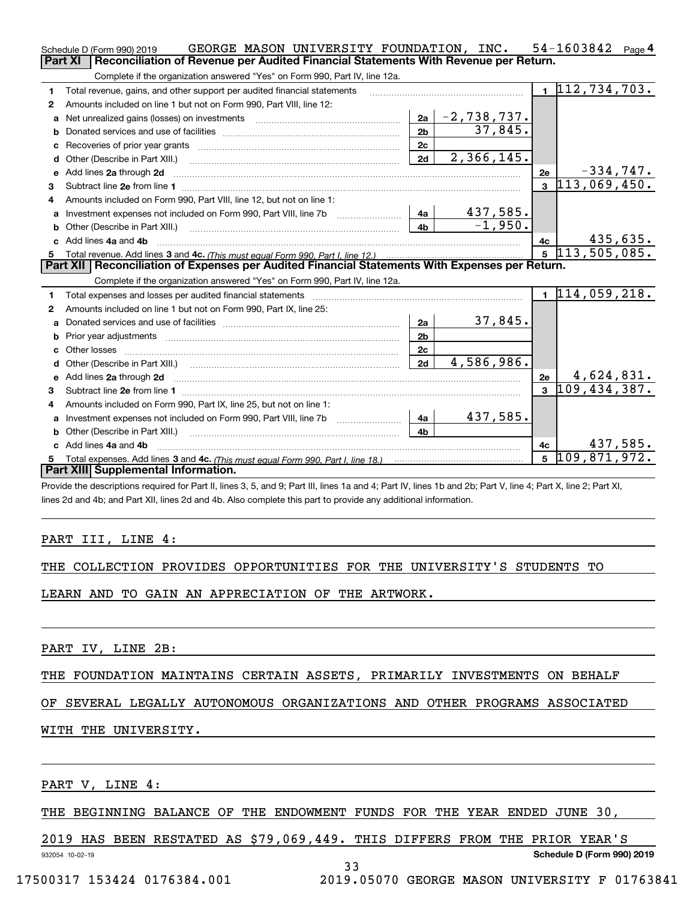|              | GEORGE MASON UNIVERSITY FOUNDATION, INC.<br>Schedule D (Form 990) 2019                                                                                                                                                         |                |               |                | $54 - 1603842$ Page 4         |             |
|--------------|--------------------------------------------------------------------------------------------------------------------------------------------------------------------------------------------------------------------------------|----------------|---------------|----------------|-------------------------------|-------------|
|              | Reconciliation of Revenue per Audited Financial Statements With Revenue per Return.<br><b>Part XI</b>                                                                                                                          |                |               |                |                               |             |
|              | Complete if the organization answered "Yes" on Form 990, Part IV, line 12a.                                                                                                                                                    |                |               |                |                               |             |
| 1            | Total revenue, gains, and other support per audited financial statements                                                                                                                                                       |                |               |                | $\overline{1112}$ , 734, 703. |             |
| 2            | Amounts included on line 1 but not on Form 990, Part VIII, line 12:                                                                                                                                                            |                |               |                |                               |             |
| a            |                                                                                                                                                                                                                                | 2a             | $-2,738,737.$ |                |                               |             |
|              |                                                                                                                                                                                                                                | 2 <sub>b</sub> | 37,845.       |                |                               |             |
| c            | Recoveries of prior year grants [11] matter contracts and prior year grants [11] matter contracts and prior year grants and all the contracts and all the contracts of prior year.                                             | 2c             |               |                |                               |             |
| d            |                                                                                                                                                                                                                                | 2d             | 2,366,145.    |                |                               |             |
| e            | Add lines 2a through 2d                                                                                                                                                                                                        |                |               | 2e             |                               | $-334,747.$ |
| 3            |                                                                                                                                                                                                                                |                |               | $\mathbf{a}$   | 113,069,450.                  |             |
| 4            | Amounts included on Form 990, Part VIII, line 12, but not on line 1:                                                                                                                                                           |                |               |                |                               |             |
|              | Investment expenses not included on Form 990, Part VIII, line 7b [100] [100] [100] [4a]                                                                                                                                        |                | 437,585.      |                |                               |             |
| b            |                                                                                                                                                                                                                                | 4 <sub>b</sub> | $-1,950.$     |                |                               |             |
| c.           | Add lines 4a and 4b                                                                                                                                                                                                            |                |               | 4c             |                               | 435,635.    |
|              |                                                                                                                                                                                                                                |                |               |                | $5\overline{113,505,085}$ .   |             |
|              |                                                                                                                                                                                                                                |                |               |                |                               |             |
|              | Part XII   Reconciliation of Expenses per Audited Financial Statements With Expenses per Return.                                                                                                                               |                |               |                |                               |             |
|              | Complete if the organization answered "Yes" on Form 990, Part IV, line 12a.                                                                                                                                                    |                |               |                |                               |             |
| 1            | Total expenses and losses per audited financial statements [11] [12] contain an intervention and contain a statements [13] [13] and the statements [13] [13] and the statements [13] and the statements [13] and the statement |                |               |                | $1\vert 114, 059, 218.$       |             |
| 2            | Amounts included on line 1 but not on Form 990, Part IX, line 25:                                                                                                                                                              |                |               |                |                               |             |
| $\mathbf{a}$ |                                                                                                                                                                                                                                | 2a             | 37,845.       |                |                               |             |
|              |                                                                                                                                                                                                                                | 2 <sub>b</sub> |               |                |                               |             |
| C.           |                                                                                                                                                                                                                                | 2c             |               |                |                               |             |
|              |                                                                                                                                                                                                                                | 2d             | 4,586,986.    |                |                               |             |
|              |                                                                                                                                                                                                                                |                |               | 2e             | 4,624,831.                    |             |
| 3            |                                                                                                                                                                                                                                |                |               |                | $3\overline{109,434,387}$ .   |             |
| 4            | Amounts included on Form 990, Part IX, line 25, but not on line 1:                                                                                                                                                             |                |               |                |                               |             |
| a            | Investment expenses not included on Form 990, Part VIII, line 7b [1000000000000000000000000000000000                                                                                                                           | 4a             | 437,585.      |                |                               |             |
| b            |                                                                                                                                                                                                                                | 4b             |               |                |                               |             |
|              | Add lines 4a and 4b                                                                                                                                                                                                            |                |               | 4c             |                               | 437,585.    |
|              | Part XIII Supplemental Information.                                                                                                                                                                                            |                |               | $5\phantom{a}$ | 109,871,972.                  |             |

Provide the descriptions required for Part II, lines 3, 5, and 9; Part III, lines 1a and 4; Part IV, lines 1b and 2b; Part V, line 4; Part X, line 2; Part XI, lines 2d and 4b; and Part XII, lines 2d and 4b. Also complete this part to provide any additional information.

### PART III, LINE 4:

|  |  |  | THE COLLECTION PROVIDES OPPORTUNITIES FOR THE UNIVERSITY'S STUDENTS TO |  |  |  |  |  |
|--|--|--|------------------------------------------------------------------------|--|--|--|--|--|
|--|--|--|------------------------------------------------------------------------|--|--|--|--|--|

LEARN AND TO GAIN AN APPRECIATION OF THE ARTWORK.

PART IV, LINE 2B:

THE FOUNDATION MAINTAINS CERTAIN ASSETS, PRIMARILY INVESTMENTS ON BEHALF

## OF SEVERAL LEGALLY AUTONOMOUS ORGANIZATIONS AND OTHER PROGRAMS ASSOCIATED

### WITH THE UNIVERSITY.

PART V, LINE 4:

THE BEGINNING BALANCE OF THE ENDOWMENT FUNDS FOR THE YEAR ENDED JUNE 30,

2019 HAS BEEN RESTATED AS \$79,069,449. THIS DIFFERS FROM THE PRIOR YEAR'S

932054 10-02-19

33

17500317 153424 0176384.001 2019.05070 GEORGE MASON UNIVERSITY F 01763841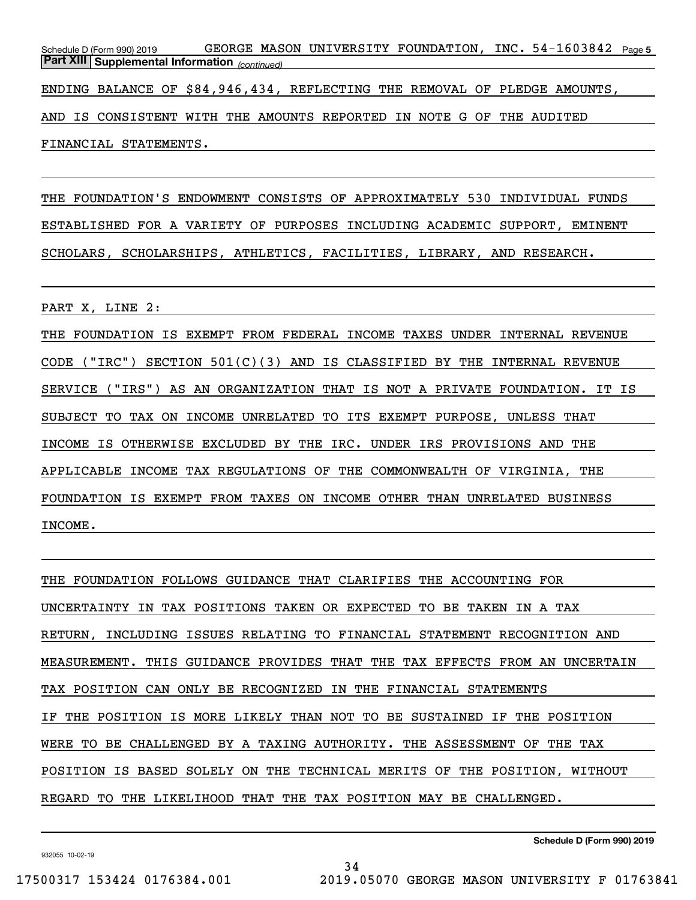Schedule D (Form 990) 2019 GEORGE MASON UNIVERSITY FOUNDATION,INC。54-1603842 <sub>Page 5</sub> *(continued)* **Part XIII Supplemental Information** 

ENDING BALANCE OF \$84,946,434, REFLECTING THE REMOVAL OF PLEDGE AMOUNTS,

AND IS CONSISTENT WITH THE AMOUNTS REPORTED IN NOTE G OF THE AUDITED

FINANCIAL STATEMENTS.

THE FOUNDATION'S ENDOWMENT CONSISTS OF APPROXIMATELY 530 INDIVIDUAL FUNDS ESTABLISHED FOR A VARIETY OF PURPOSES INCLUDING ACADEMIC SUPPORT, EMINENT SCHOLARS, SCHOLARSHIPS, ATHLETICS, FACILITIES, LIBRARY, AND RESEARCH.

PART X, LINE 2:

THE FOUNDATION IS EXEMPT FROM FEDERAL INCOME TAXES UNDER INTERNAL REVENUE CODE ("IRC") SECTION 501(C)(3) AND IS CLASSIFIED BY THE INTERNAL REVENUE SERVICE ("IRS") AS AN ORGANIZATION THAT IS NOT A PRIVATE FOUNDATION. IT IS SUBJECT TO TAX ON INCOME UNRELATED TO ITS EXEMPT PURPOSE, UNLESS THAT INCOME IS OTHERWISE EXCLUDED BY THE IRC. UNDER IRS PROVISIONS AND THE APPLICABLE INCOME TAX REGULATIONS OF THE COMMONWEALTH OF VIRGINIA, THE FOUNDATION IS EXEMPT FROM TAXES ON INCOME OTHER THAN UNRELATED BUSINESS INCOME.

THE FOUNDATION FOLLOWS GUIDANCE THAT CLARIFIES THE ACCOUNTING FOR UNCERTAINTY IN TAX POSITIONS TAKEN OR EXPECTED TO BE TAKEN IN A TAX RETURN, INCLUDING ISSUES RELATING TO FINANCIAL STATEMENT RECOGNITION AND MEASUREMENT. THIS GUIDANCE PROVIDES THAT THE TAX EFFECTS FROM AN UNCERTAIN TAX POSITION CAN ONLY BE RECOGNIZED IN THE FINANCIAL STATEMENTS IF THE POSITION IS MORE LIKELY THAN NOT TO BE SUSTAINED IF THE POSITION WERE TO BE CHALLENGED BY A TAXING AUTHORITY. THE ASSESSMENT OF THE TAX POSITION IS BASED SOLELY ON THE TECHNICAL MERITS OF THE POSITION, WITHOUT REGARD TO THE LIKELIHOOD THAT THE TAX POSITION MAY BE CHALLENGED.

34

**Schedule D (Form 990) 2019**

932055 10-02-19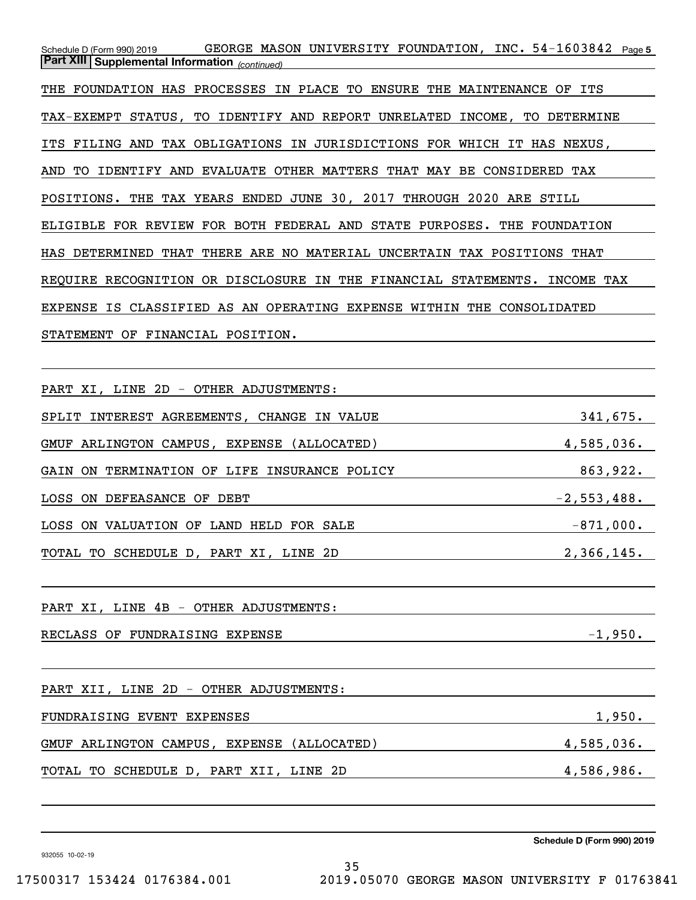Schedule D (Form 990) 2019 GEORGE MASON UNIVERSITY FOUNDATION,INC。54-1603842 <sub>Page 5</sub> *(continued)* **Part XIII Supplemental Information**  THE FOUNDATION HAS PROCESSES IN PLACE TO ENSURE THE MAINTENANCE OF ITS TAX-EXEMPT STATUS, TO IDENTIFY AND REPORT UNRELATED INCOME, TO DETERMINE ITS FILING AND TAX OBLIGATIONS IN JURISDICTIONS FOR WHICH IT HAS NEXUS, AND TO IDENTIFY AND EVALUATE OTHER MATTERS THAT MAY BE CONSIDERED TAX POSITIONS. THE TAX YEARS ENDED JUNE 30, 2017 THROUGH 2020 ARE STILL ELIGIBLE FOR REVIEW FOR BOTH FEDERAL AND STATE PURPOSES. THE FOUNDATION HAS DETERMINED THAT THERE ARE NO MATERIAL UNCERTAIN TAX POSITIONS THAT REQUIRE RECOGNITION OR DISCLOSURE IN THE FINANCIAL STATEMENTS. INCOME TAX EXPENSE IS CLASSIFIED AS AN OPERATING EXPENSE WITHIN THE CONSOLIDATED STATEMENT OF FINANCIAL POSITION.

PART XI, LINE 2D - OTHER ADJUSTMENTS: SPLIT INTEREST AGREEMENTS, CHANGE IN VALUE 341,675. GMUF ARLINGTON CAMPUS, EXPENSE (ALLOCATED) 4,585,036. GAIN ON TERMINATION OF LIFE INSURANCE POLICY 863,922. LOSS ON DEFEASANCE OF DEBT  $-2,553,488$ . LOSS ON VALUATION OF LAND HELD FOR SALE  $-871,000$ . TOTAL TO SCHEDULE D, PART XI, LINE 2D 2,366,145. PART XI, LINE 4B - OTHER ADJUSTMENTS: RECLASS OF FUNDRAISING EXPENSE  $-1,950$ . PART XII, LINE 2D - OTHER ADJUSTMENTS: FUNDRAISING EVENT EXPENSES 1,950. GMUF ARLINGTON CAMPUS, EXPENSE (ALLOCATED) 4,585,036. TOTAL TO SCHEDULE D, PART XII, LINE 2D 4,586,986.

35

**Schedule D (Form 990) 2019**

932055 10-02-19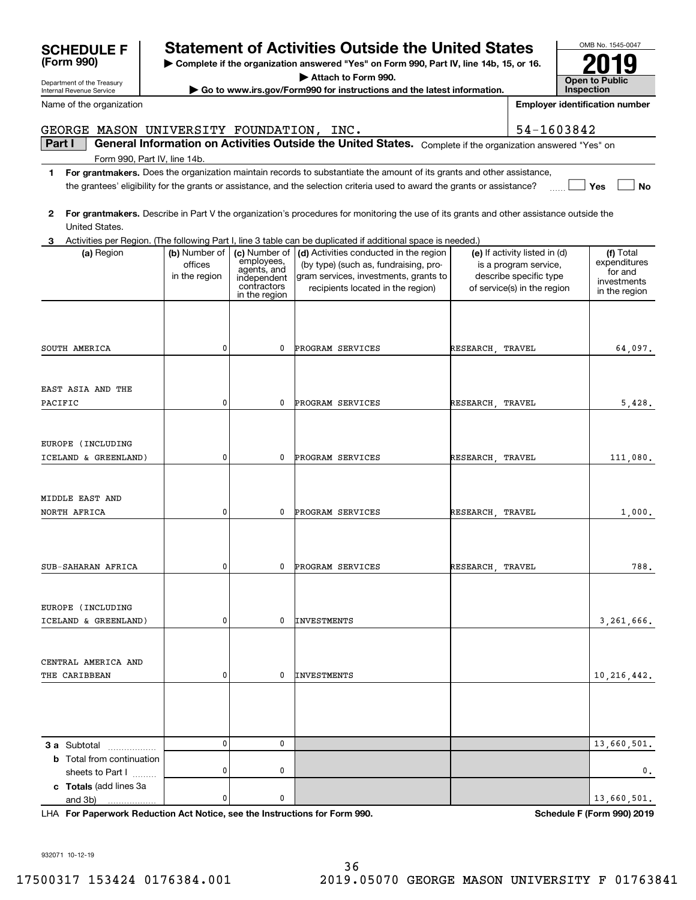| <b>SCHEDULE F</b><br>(Form 990)<br>Department of the Treasury<br><b>Internal Revenue Service</b> | <b>Statement of Activities Outside the United States</b><br>▶ Complete if the organization answered "Yes" on Form 990, Part IV, line 14b, 15, or 16.<br>Attach to Form 990.<br>► Go to www.irs.gov/Form990 for instructions and the latest information. |            | OMB No. 15<br>Open to Pub<br>Inspection |
|--------------------------------------------------------------------------------------------------|---------------------------------------------------------------------------------------------------------------------------------------------------------------------------------------------------------------------------------------------------------|------------|-----------------------------------------|
| Name of the organization                                                                         |                                                                                                                                                                                                                                                         |            | <b>Employer identification</b>          |
|                                                                                                  | GEORGE MASON UNIVERSITY FOUNDATION,<br>INC.                                                                                                                                                                                                             | 54-1603842 |                                         |
| Part I                                                                                           | <b>General Information on Activities Outside the United States.</b><br>Complete if the organization answered "Yes" on                                                                                                                                   |            |                                         |
|                                                                                                  | Form 990, Part IV, line 14b.                                                                                                                                                                                                                            |            |                                         |
|                                                                                                  | For grantmakers. Does the organization maintain records to substantiate the amount of its grants and other assistance,<br>the grantees' eligibility for the grants or assistance, and the selection criteria used to award the grants or assistance?    |            | Yes                                     |

| 2 For grantmakers. Describe in Part V the organization's procedures for monitoring the use of its grants and other assistance outside the |
|-------------------------------------------------------------------------------------------------------------------------------------------|
| United States.                                                                                                                            |

| 3                                                                         |                                           |                                                                                           | Activities per Region. (The following Part I, line 3 table can be duplicated if additional space is needed.)                                                  |                                                                                                                 |                                                                      |
|---------------------------------------------------------------------------|-------------------------------------------|-------------------------------------------------------------------------------------------|---------------------------------------------------------------------------------------------------------------------------------------------------------------|-----------------------------------------------------------------------------------------------------------------|----------------------------------------------------------------------|
| (a) Region                                                                | (b) Number of<br>offices<br>in the region | (c) Number of<br>employees,<br>agents, and<br>independent<br>contractors<br>in the region | (d) Activities conducted in the region<br>(by type) (such as, fundraising, pro-<br>gram services, investments, grants to<br>recipients located in the region) | (e) If activity listed in (d)<br>is a program service,<br>describe specific type<br>of service(s) in the region | (f) Total<br>expenditures<br>for and<br>investments<br>in the region |
| SOUTH AMERICA                                                             | 0                                         | 0                                                                                         | PROGRAM SERVICES                                                                                                                                              | RESEARCH TRAVEL                                                                                                 | 64,097.                                                              |
| EAST ASIA AND THE<br>PACIFIC                                              | 0                                         | 0                                                                                         | PROGRAM SERVICES                                                                                                                                              | RESEARCH<br>TRAVEL                                                                                              | 5,428.                                                               |
| EUROPE (INCLUDING<br>ICELAND & GREENLAND)                                 | 0                                         | 0                                                                                         | PROGRAM SERVICES                                                                                                                                              | RESEARCH TRAVEL                                                                                                 | 111,080.                                                             |
| MIDDLE EAST AND<br>NORTH AFRICA                                           | 0                                         | 0                                                                                         | PROGRAM SERVICES                                                                                                                                              | RESEARCH TRAVEL                                                                                                 | 1,000.                                                               |
| SUB-SAHARAN AFRICA                                                        | 0                                         | $\mathbf{0}$                                                                              | PROGRAM SERVICES                                                                                                                                              | RESEARCH TRAVEL                                                                                                 | 788.                                                                 |
| EUROPE (INCLUDING<br>ICELAND & GREENLAND)                                 | 0                                         | 0                                                                                         | <b>INVESTMENTS</b>                                                                                                                                            |                                                                                                                 | 3,261,666.                                                           |
| CENTRAL AMERICA AND<br>THE CARIBBEAN                                      | 0                                         | 0                                                                                         | <b>INVESTMENTS</b>                                                                                                                                            |                                                                                                                 | 10, 216, 442.                                                        |
|                                                                           |                                           |                                                                                           |                                                                                                                                                               |                                                                                                                 |                                                                      |
| 3 a Subtotal<br>.<br><b>b</b> Total from continuation<br>sheets to Part I | $\mathbf{0}$<br>0                         | 0<br>0                                                                                    |                                                                                                                                                               |                                                                                                                 | 13,660,501.<br>0.                                                    |
| c Totals (add lines 3a<br>and 3b)<br>.                                    | 0                                         | 0                                                                                         |                                                                                                                                                               |                                                                                                                 | 13,660,501.                                                          |

**For Paperwork Reduction Act Notice, see the Instructions for Form 990. Schedule F (Form 990) 2019** LHA

932071 10-12-19



OMB No. 1545-0047 **Open to Public Inspection 2019**

**Yes No**

**Employer identification number**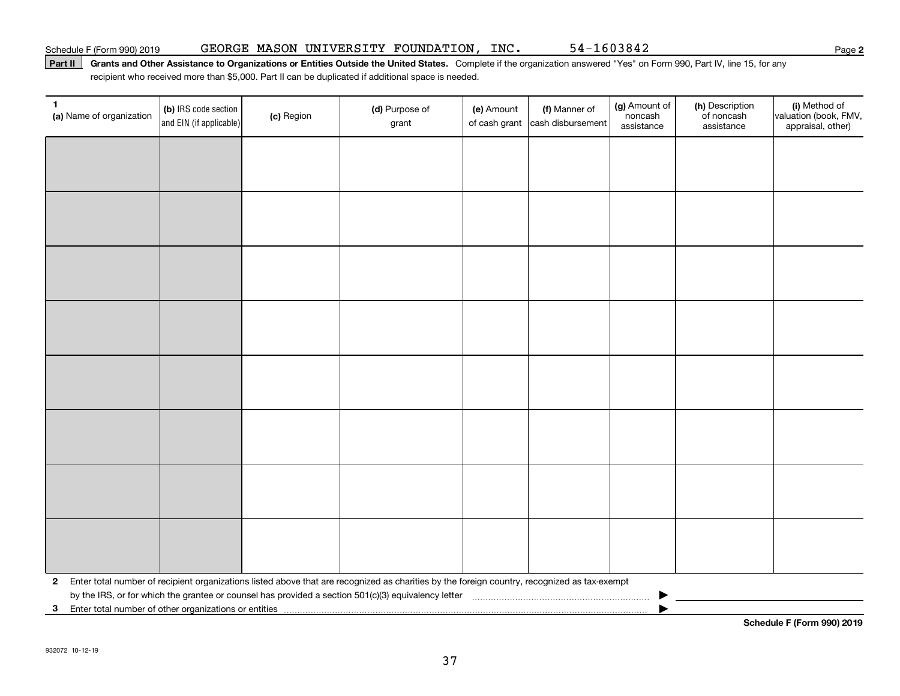### Part II | Grants and Other Assistance to Organizations or Entities Outside the United States. Complete if the organization answered "Yes" on Form 990, Part IV, line 15, for any recipient who received more than \$5,000. Part II can be duplicated if additional space is needed.

| 1<br>(a) Name of organization | (b) IRS code section<br>and EIN (if applicable)                                                                                              | (c) Region | (d) Purpose of<br>grant | (e) Amount<br>of cash grant | (f) Manner of<br>cash disbursement | (g) Amount of<br>noncash<br>assistance | (h) Description<br>of noncash<br>assistance | (i) Method of<br>valuation (book, FMV,<br>appraisal, other) |
|-------------------------------|----------------------------------------------------------------------------------------------------------------------------------------------|------------|-------------------------|-----------------------------|------------------------------------|----------------------------------------|---------------------------------------------|-------------------------------------------------------------|
|                               |                                                                                                                                              |            |                         |                             |                                    |                                        |                                             |                                                             |
|                               |                                                                                                                                              |            |                         |                             |                                    |                                        |                                             |                                                             |
|                               |                                                                                                                                              |            |                         |                             |                                    |                                        |                                             |                                                             |
|                               |                                                                                                                                              |            |                         |                             |                                    |                                        |                                             |                                                             |
|                               |                                                                                                                                              |            |                         |                             |                                    |                                        |                                             |                                                             |
|                               |                                                                                                                                              |            |                         |                             |                                    |                                        |                                             |                                                             |
|                               |                                                                                                                                              |            |                         |                             |                                    |                                        |                                             |                                                             |
|                               |                                                                                                                                              |            |                         |                             |                                    |                                        |                                             |                                                             |
|                               |                                                                                                                                              |            |                         |                             |                                    |                                        |                                             |                                                             |
|                               |                                                                                                                                              |            |                         |                             |                                    |                                        |                                             |                                                             |
|                               |                                                                                                                                              |            |                         |                             |                                    |                                        |                                             |                                                             |
|                               |                                                                                                                                              |            |                         |                             |                                    |                                        |                                             |                                                             |
|                               |                                                                                                                                              |            |                         |                             |                                    |                                        |                                             |                                                             |
|                               |                                                                                                                                              |            |                         |                             |                                    |                                        |                                             |                                                             |
|                               |                                                                                                                                              |            |                         |                             |                                    |                                        |                                             |                                                             |
|                               |                                                                                                                                              |            |                         |                             |                                    |                                        |                                             |                                                             |
| $\mathbf{2}$                  | Enter total number of recipient organizations listed above that are recognized as charities by the foreign country, recognized as tax-exempt |            |                         |                             |                                    |                                        |                                             |                                                             |
|                               | 3 Enter total number of other organizations or entities                                                                                      |            |                         |                             |                                    |                                        |                                             |                                                             |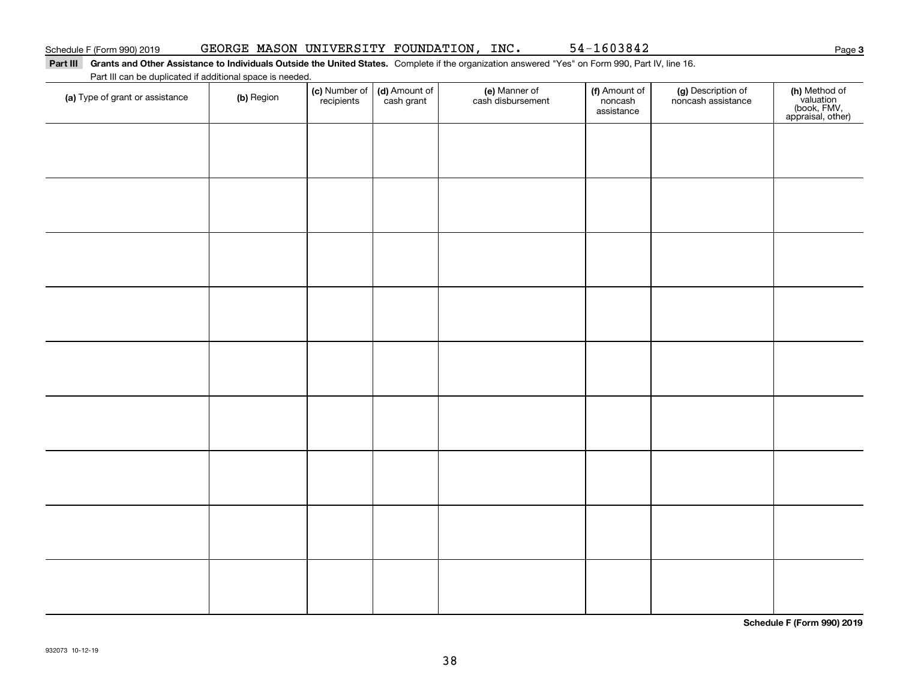## Part III Grants and Other Assistance to Individuals Outside the United States. Complete if the organization answered "Yes" on Form 990, Part IV, line 16.

| Part III can be duplicated if additional space is needed. |  |
|-----------------------------------------------------------|--|
|                                                           |  |

| (a) Type of grant or assistance | (b) Region | (c) Number of<br>recipients | (d) Amount of<br>cash grant | (e) Manner of<br>cash disbursement | (f) Amount of<br>noncash<br>assistance | (g) Description of<br>noncash assistance | (h) Method of<br>valuation<br>(book, FMV,<br>appraisal, other) |
|---------------------------------|------------|-----------------------------|-----------------------------|------------------------------------|----------------------------------------|------------------------------------------|----------------------------------------------------------------|
|                                 |            |                             |                             |                                    |                                        |                                          |                                                                |
|                                 |            |                             |                             |                                    |                                        |                                          |                                                                |
|                                 |            |                             |                             |                                    |                                        |                                          |                                                                |
|                                 |            |                             |                             |                                    |                                        |                                          |                                                                |
|                                 |            |                             |                             |                                    |                                        |                                          |                                                                |
|                                 |            |                             |                             |                                    |                                        |                                          |                                                                |
|                                 |            |                             |                             |                                    |                                        |                                          |                                                                |
|                                 |            |                             |                             |                                    |                                        |                                          |                                                                |
|                                 |            |                             |                             |                                    |                                        |                                          |                                                                |

**Schedule F (Form 990) 2019**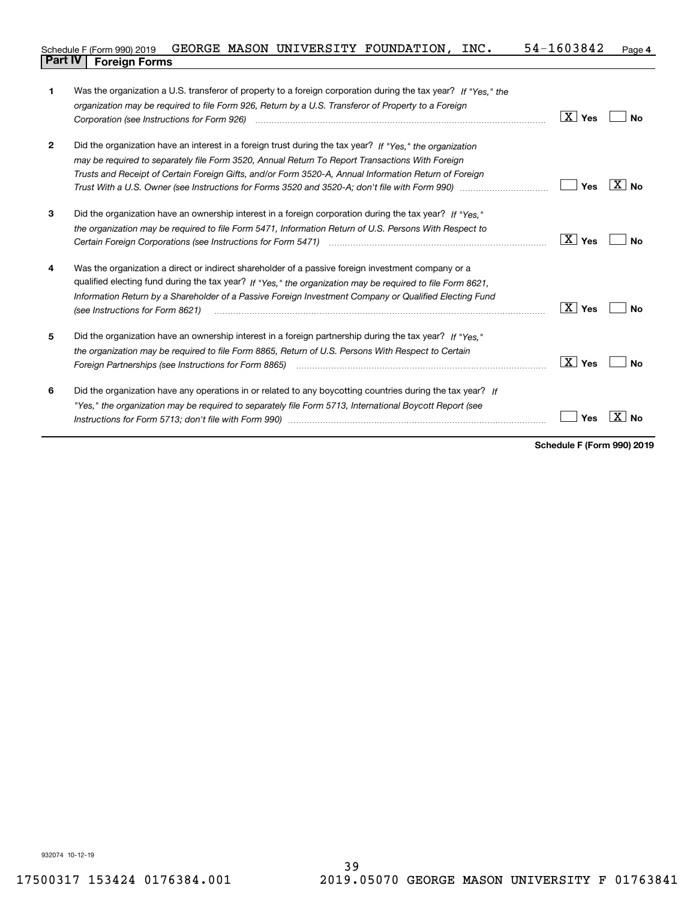### **4** Schedule F (Form 990) 2019  $\,$  <code>GEORGE MASON UNIVERSITY FOUNDATION, INC.  $\,$  54-1603842  $\,$  Page  $\,$ </code> **Part IV Foreign Forms**

| 1            | Was the organization a U.S. transferor of property to a foreign corporation during the tax year? If "Yes," the<br>organization may be required to file Form 926, Return by a U.S. Transferor of Property to a Foreign                                                                                                                                          | $\boxed{\text{X}}$ Yes | No          |
|--------------|----------------------------------------------------------------------------------------------------------------------------------------------------------------------------------------------------------------------------------------------------------------------------------------------------------------------------------------------------------------|------------------------|-------------|
| $\mathbf{2}$ | Did the organization have an interest in a foreign trust during the tax year? If "Yes," the organization<br>may be required to separately file Form 3520, Annual Return To Report Transactions With Foreign<br>Trusts and Receipt of Certain Foreign Gifts, and/or Form 3520-A, Annual Information Return of Foreign                                           | Yes                    | $X \mid No$ |
| 3            | Did the organization have an ownership interest in a foreign corporation during the tax year? If "Yes."<br>the organization may be required to file Form 5471, Information Return of U.S. Persons With Respect to                                                                                                                                              | ∣X ∣ Yes               | Nο          |
| 4            | Was the organization a direct or indirect shareholder of a passive foreign investment company or a<br>qualified electing fund during the tax year? If "Yes," the organization may be required to file Form 8621,<br>Information Return by a Shareholder of a Passive Foreign Investment Company or Qualified Electing Fund<br>(see Instructions for Form 8621) | $\boxed{\text{X}}$ Yes | Nο          |
| 5            | Did the organization have an ownership interest in a foreign partnership during the tax year? If "Yes."<br>the organization may be required to file Form 8865, Return of U.S. Persons With Respect to Certain                                                                                                                                                  | $\boxed{\text{X}}$ Yes | Nο          |
| 6            | Did the organization have any operations in or related to any boycotting countries during the tax year? If<br>"Yes," the organization may be required to separately file Form 5713, International Boycott Report (see                                                                                                                                          | Yes                    |             |

**Schedule F (Form 990) 2019**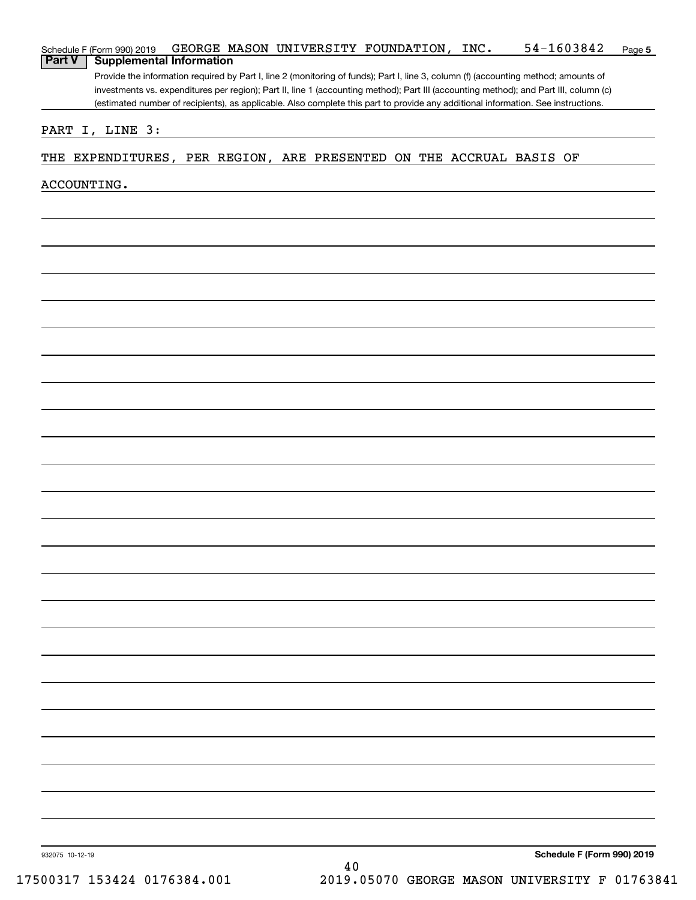|             | (estimated number of recipients), as applicable. Also complete this part to provide any additional information. See instructions. |
|-------------|-----------------------------------------------------------------------------------------------------------------------------------|
|             | PART I, LINE 3:                                                                                                                   |
|             | THE EXPENDITURES, PER REGION, ARE PRESENTED ON THE ACCRUAL BASIS OF                                                               |
|             |                                                                                                                                   |
| ACCOUNTING. |                                                                                                                                   |
|             |                                                                                                                                   |
|             |                                                                                                                                   |
|             |                                                                                                                                   |
|             |                                                                                                                                   |
|             |                                                                                                                                   |
|             |                                                                                                                                   |
|             |                                                                                                                                   |
|             |                                                                                                                                   |
|             |                                                                                                                                   |
|             |                                                                                                                                   |
|             |                                                                                                                                   |
|             |                                                                                                                                   |
|             |                                                                                                                                   |
|             |                                                                                                                                   |
|             |                                                                                                                                   |
|             |                                                                                                                                   |
|             |                                                                                                                                   |
|             |                                                                                                                                   |
|             |                                                                                                                                   |
|             |                                                                                                                                   |
|             |                                                                                                                                   |
|             |                                                                                                                                   |
|             |                                                                                                                                   |
|             |                                                                                                                                   |
|             |                                                                                                                                   |
|             |                                                                                                                                   |
|             |                                                                                                                                   |
|             |                                                                                                                                   |
|             |                                                                                                                                   |
|             |                                                                                                                                   |
|             |                                                                                                                                   |
|             |                                                                                                                                   |
|             |                                                                                                                                   |
|             |                                                                                                                                   |
|             |                                                                                                                                   |
|             |                                                                                                                                   |
|             |                                                                                                                                   |
|             |                                                                                                                                   |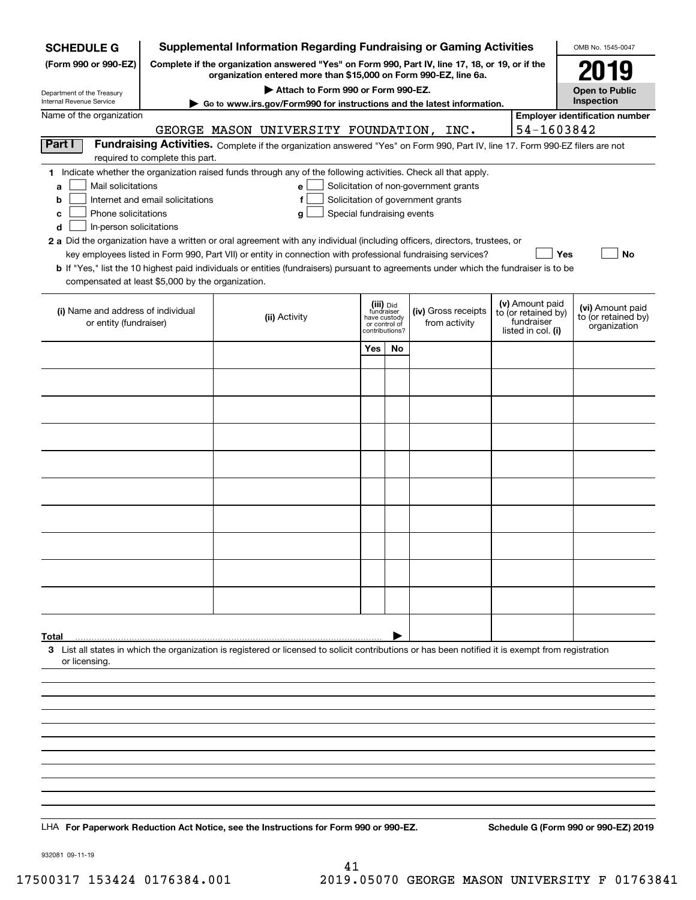| <b>SCHEDULE G</b>                                                                                                                                                                                                      |                                                                                                                                                                     | <b>Supplemental Information Regarding Fundraising or Gaming Activities</b>                                                                                                                                                                                                                                                                                                                                                  |                                                                            |    |                                                                            |  |                                                                            | OMB No. 1545-0047                                       |
|------------------------------------------------------------------------------------------------------------------------------------------------------------------------------------------------------------------------|---------------------------------------------------------------------------------------------------------------------------------------------------------------------|-----------------------------------------------------------------------------------------------------------------------------------------------------------------------------------------------------------------------------------------------------------------------------------------------------------------------------------------------------------------------------------------------------------------------------|----------------------------------------------------------------------------|----|----------------------------------------------------------------------------|--|----------------------------------------------------------------------------|---------------------------------------------------------|
| (Form 990 or 990-EZ)                                                                                                                                                                                                   | Complete if the organization answered "Yes" on Form 990, Part IV, line 17, 18, or 19, or if the<br>organization entered more than \$15,000 on Form 990-EZ, line 6a. |                                                                                                                                                                                                                                                                                                                                                                                                                             | 2019                                                                       |    |                                                                            |  |                                                                            |                                                         |
| Department of the Treasury                                                                                                                                                                                             |                                                                                                                                                                     |                                                                                                                                                                                                                                                                                                                                                                                                                             | <b>Open to Public</b>                                                      |    |                                                                            |  |                                                                            |                                                         |
| Internal Revenue Service<br>Name of the organization                                                                                                                                                                   |                                                                                                                                                                     | ► Go to www.irs.gov/Form990 for instructions and the latest information.                                                                                                                                                                                                                                                                                                                                                    |                                                                            |    |                                                                            |  |                                                                            | Inspection<br><b>Employer identification number</b>     |
|                                                                                                                                                                                                                        |                                                                                                                                                                     | GEORGE MASON UNIVERSITY FOUNDATION, INC.                                                                                                                                                                                                                                                                                                                                                                                    |                                                                            |    |                                                                            |  | 54-1603842                                                                 |                                                         |
| Part I                                                                                                                                                                                                                 |                                                                                                                                                                     | Fundraising Activities. Complete if the organization answered "Yes" on Form 990, Part IV, line 17. Form 990-EZ filers are not                                                                                                                                                                                                                                                                                               |                                                                            |    |                                                                            |  |                                                                            |                                                         |
|                                                                                                                                                                                                                        | required to complete this part.                                                                                                                                     |                                                                                                                                                                                                                                                                                                                                                                                                                             |                                                                            |    |                                                                            |  |                                                                            |                                                         |
| Mail solicitations<br>a<br>b<br>Phone solicitations<br>c<br>In-person solicitations<br>d<br>2 a Did the organization have a written or oral agreement with any individual (including officers, directors, trustees, or | Internet and email solicitations                                                                                                                                    | 1 Indicate whether the organization raised funds through any of the following activities. Check all that apply.<br>e<br>f<br>Special fundraising events<br>g<br>key employees listed in Form 990, Part VII) or entity in connection with professional fundraising services?<br><b>b</b> If "Yes," list the 10 highest paid individuals or entities (fundraisers) pursuant to agreements under which the fundraiser is to be |                                                                            |    | Solicitation of non-government grants<br>Solicitation of government grants |  | Yes                                                                        | No                                                      |
| compensated at least \$5,000 by the organization.                                                                                                                                                                      |                                                                                                                                                                     |                                                                                                                                                                                                                                                                                                                                                                                                                             |                                                                            |    |                                                                            |  |                                                                            |                                                         |
| (i) Name and address of individual<br>or entity (fundraiser)                                                                                                                                                           |                                                                                                                                                                     | (ii) Activity                                                                                                                                                                                                                                                                                                                                                                                                               | (iii) Did<br>fundraiser<br>have custody<br>or control of<br>contributions? |    | (iv) Gross receipts<br>from activity                                       |  | (v) Amount paid<br>to (or retained by)<br>fundraiser<br>listed in col. (i) | (vi) Amount paid<br>to (or retained by)<br>organization |
|                                                                                                                                                                                                                        |                                                                                                                                                                     |                                                                                                                                                                                                                                                                                                                                                                                                                             | Yes                                                                        | No |                                                                            |  |                                                                            |                                                         |
|                                                                                                                                                                                                                        |                                                                                                                                                                     |                                                                                                                                                                                                                                                                                                                                                                                                                             |                                                                            |    |                                                                            |  |                                                                            |                                                         |
|                                                                                                                                                                                                                        |                                                                                                                                                                     |                                                                                                                                                                                                                                                                                                                                                                                                                             |                                                                            |    |                                                                            |  |                                                                            |                                                         |
|                                                                                                                                                                                                                        |                                                                                                                                                                     |                                                                                                                                                                                                                                                                                                                                                                                                                             |                                                                            |    |                                                                            |  |                                                                            |                                                         |
|                                                                                                                                                                                                                        |                                                                                                                                                                     |                                                                                                                                                                                                                                                                                                                                                                                                                             |                                                                            |    |                                                                            |  |                                                                            |                                                         |
|                                                                                                                                                                                                                        |                                                                                                                                                                     |                                                                                                                                                                                                                                                                                                                                                                                                                             |                                                                            |    |                                                                            |  |                                                                            |                                                         |
|                                                                                                                                                                                                                        |                                                                                                                                                                     |                                                                                                                                                                                                                                                                                                                                                                                                                             |                                                                            |    |                                                                            |  |                                                                            |                                                         |
|                                                                                                                                                                                                                        |                                                                                                                                                                     |                                                                                                                                                                                                                                                                                                                                                                                                                             |                                                                            |    |                                                                            |  |                                                                            |                                                         |
|                                                                                                                                                                                                                        |                                                                                                                                                                     |                                                                                                                                                                                                                                                                                                                                                                                                                             |                                                                            |    |                                                                            |  |                                                                            |                                                         |
|                                                                                                                                                                                                                        |                                                                                                                                                                     |                                                                                                                                                                                                                                                                                                                                                                                                                             |                                                                            |    |                                                                            |  |                                                                            |                                                         |
|                                                                                                                                                                                                                        |                                                                                                                                                                     |                                                                                                                                                                                                                                                                                                                                                                                                                             |                                                                            |    |                                                                            |  |                                                                            |                                                         |
|                                                                                                                                                                                                                        |                                                                                                                                                                     |                                                                                                                                                                                                                                                                                                                                                                                                                             |                                                                            |    |                                                                            |  |                                                                            |                                                         |
| Total                                                                                                                                                                                                                  |                                                                                                                                                                     |                                                                                                                                                                                                                                                                                                                                                                                                                             |                                                                            |    |                                                                            |  |                                                                            |                                                         |
| 3 List all states in which the organization is registered or licensed to solicit contributions or has been notified it is exempt from registration<br>or licensing.                                                    |                                                                                                                                                                     |                                                                                                                                                                                                                                                                                                                                                                                                                             |                                                                            |    |                                                                            |  |                                                                            |                                                         |
|                                                                                                                                                                                                                        |                                                                                                                                                                     |                                                                                                                                                                                                                                                                                                                                                                                                                             |                                                                            |    |                                                                            |  |                                                                            |                                                         |
|                                                                                                                                                                                                                        |                                                                                                                                                                     |                                                                                                                                                                                                                                                                                                                                                                                                                             |                                                                            |    |                                                                            |  |                                                                            |                                                         |
|                                                                                                                                                                                                                        |                                                                                                                                                                     |                                                                                                                                                                                                                                                                                                                                                                                                                             |                                                                            |    |                                                                            |  |                                                                            |                                                         |
|                                                                                                                                                                                                                        |                                                                                                                                                                     |                                                                                                                                                                                                                                                                                                                                                                                                                             |                                                                            |    |                                                                            |  |                                                                            |                                                         |
|                                                                                                                                                                                                                        |                                                                                                                                                                     |                                                                                                                                                                                                                                                                                                                                                                                                                             |                                                                            |    |                                                                            |  |                                                                            |                                                         |
|                                                                                                                                                                                                                        |                                                                                                                                                                     |                                                                                                                                                                                                                                                                                                                                                                                                                             |                                                                            |    |                                                                            |  |                                                                            |                                                         |
|                                                                                                                                                                                                                        |                                                                                                                                                                     |                                                                                                                                                                                                                                                                                                                                                                                                                             |                                                                            |    |                                                                            |  |                                                                            |                                                         |
| LHA For Paperwork Reduction Act Notice, see the Instructions for Form 990 or 990-EZ.                                                                                                                                   |                                                                                                                                                                     |                                                                                                                                                                                                                                                                                                                                                                                                                             |                                                                            |    |                                                                            |  |                                                                            | Schedule G (Form 990 or 990-EZ) 2019                    |

932081 09-11-19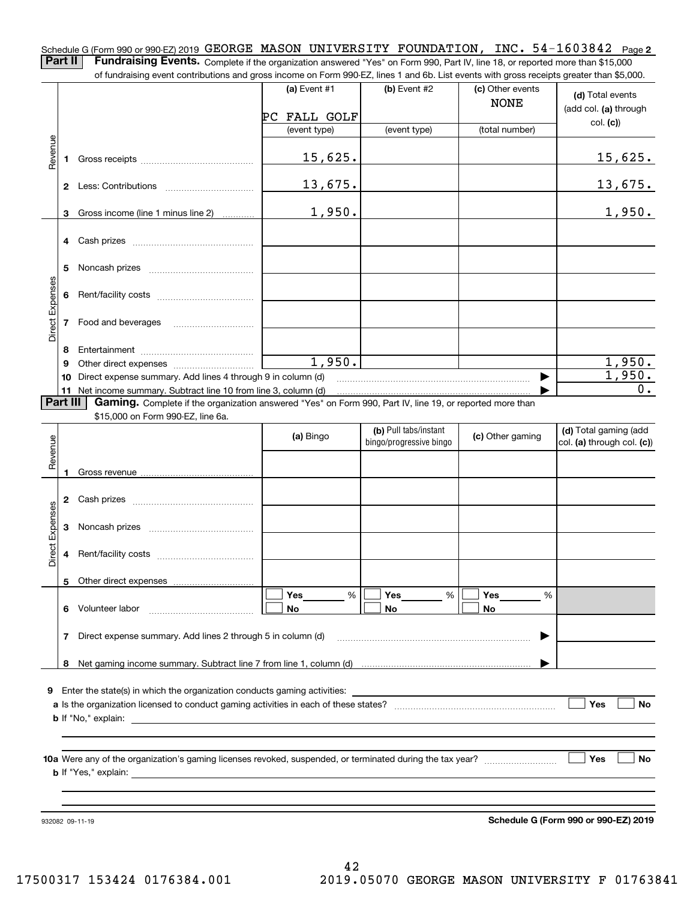Schedule G (Form 990 or 990-EZ) 2019 <code>GEORGE MASON UNIVERSITY FOUNDATION</code> , <code>INC. 54-1603842 Page 2</code> **Part II** | Fundraising Events. Complete if the organization answered "Yes" on Form 990, Part IV, line 18, or reported more than \$15,000

of fundraising event contributions and gross income on Form 990-EZ, lines 1 and 6b. List events with gross receipts greater than \$5,000. (c) Other events **(a)** Event #1  $\vert$  **(b)** Event #2 **(d)**  Total events NONE (add col. **(a)** through PC FALL GOLF col. **(c)**) (event type) (event type) (total number) Revenue Revenue 15,625. 15,625. **1**Gross receipts ~~~~~~~~~~~~~~13,675. 13,675. **2** Less: Contributions ................................ 1,950. 1,950. Gross income (line 1 minus line 2) **3**. . . . . . . . . . . . **4** Cash prizes \_\_\_\_\_\_\_\_\_\_\_\_\_\_\_\_\_\_\_\_\_\_\_\_\_\_\_\_\_\_\_\_ **5** Noncash prizes \_\_\_\_\_\_\_\_\_\_\_\_\_\_\_\_\_\_\_\_\_\_\_\_\_\_\_\_ Direct Expenses Direct Expense **6**Rent/facility costs ~~~~~~~~~~~~ **7**Food and beverages **8**Entertainment ~~~~~~~~~~~~~~ 1,950. 1,950. Other direct expenses ~~~~~~~~~~ **9**1,950.  $\blacktriangleright$ **10** Direct expense summary. Add lines 4 through 9 in column (d) 0. …… ▶ **11** Net income summary. Subtract line 10 from line 3, column (d) Part III | Gaming. Complete if the organization answered "Yes" on Form 990, Part IV, line 19, or reported more than \$15,000 on Form 990-EZ, line 6a. **(b)**  Pull tabs/instant **(d)**  Total gaming (add **(a)**  Revenue Bingo **Contract of Contract Contract Contract Contract Contract Contract Contract Contract Contract Contract Contract Contract Contract Contract Contract Contract Contract Contract Contract Contract Contract Contract Contr** Revenue bingo/progressive bingo col. **(a)** through col. **(c)**) **1**Gross revenue **2** Cash prizes \_\_\_\_\_\_\_\_\_\_\_\_\_\_\_\_\_\_\_\_\_\_\_\_\_\_\_\_\_\_\_\_ Direct Expenses Direct Expenses **3**Noncash prizes <sub>………………………………</sub>… **4**Rent/facility costs ~~~~~~~~~~~~**5**Other direct expenses  $\boxed{\Box}$  Yes \_\_\_\_\_\_\_ %  $\boxed{\Box}$  Yes \_\_\_\_\_\_\_ %  $\boxed{\Box}$  $\mathcal{L}^{\text{max}}$ %**Yes Yes Yes** % %  $\mathcal{L}^{\text{max}}$ **6** Volunteer labor **No No No**  $\overline{\phantom{a}}$ **7**Direct expense summary. Add lines 2 through 5 in column (d) ~~~~~~~~~~~~~~~~~~~~~~~~ | …… ▶ **8**Net gaming income summary. Subtract line 7 from line 1, column (d) **9**Enter the state(s) in which the organization conducts gaming activities: **Yes**  $\mathcal{L}^{\text{max}}$ **a**Is the organization licensed to conduct gaming activities in each of these states? ~~~~~~~~~~~~~~~~~~~~ **No b**If "No," explain: **Yes No 10a**Were any of the organization's gaming licenses revoked, suspended, or terminated during the tax year? **b** If "Yes," explain:

932082 09-11-19

**Schedule G (Form 990 or 990-EZ) 2019**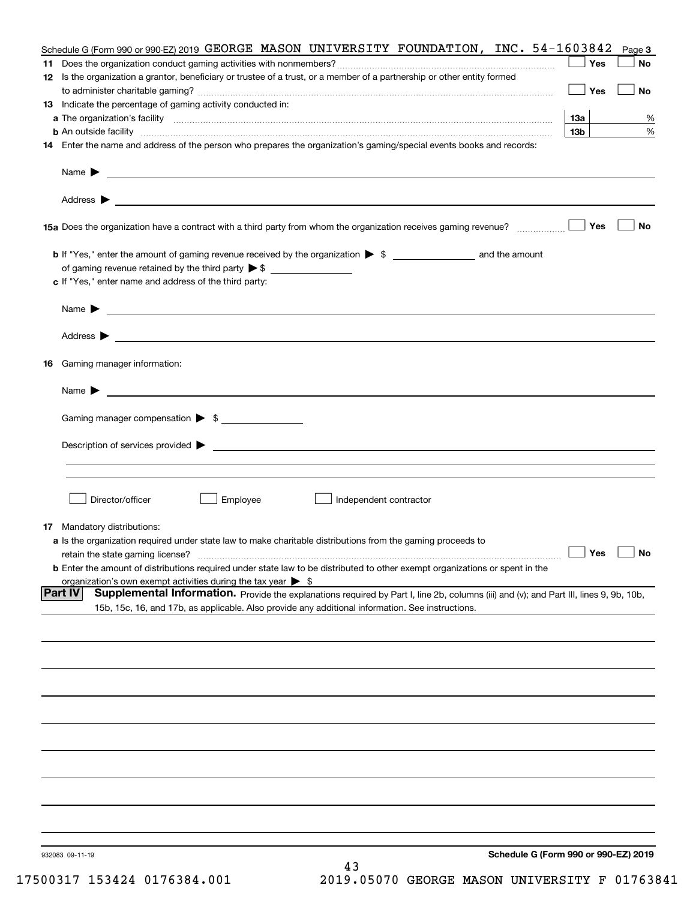|    | Schedule G (Form 990 or 990-EZ) 2019 GEORGE MASON UNIVERSITY FOUNDATION, INC. 54-1603842                                                                 |                 | Page 3    |
|----|----------------------------------------------------------------------------------------------------------------------------------------------------------|-----------------|-----------|
|    |                                                                                                                                                          | Yes             | No        |
|    | 12 Is the organization a grantor, beneficiary or trustee of a trust, or a member of a partnership or other entity formed                                 | Yes             | No        |
|    | 13 Indicate the percentage of gaming activity conducted in:                                                                                              |                 |           |
|    |                                                                                                                                                          | 13а             | %         |
|    |                                                                                                                                                          | 13 <sub>b</sub> | %         |
|    | 14 Enter the name and address of the person who prepares the organization's gaming/special events books and records:                                     |                 |           |
|    |                                                                                                                                                          |                 |           |
|    |                                                                                                                                                          |                 |           |
|    |                                                                                                                                                          | Yes             | No        |
|    |                                                                                                                                                          |                 |           |
|    | of gaming revenue retained by the third party $\triangleright$ \$                                                                                        |                 |           |
|    | c If "Yes," enter name and address of the third party:                                                                                                   |                 |           |
|    | <u> 1989 - Johann Barbara, marka a shekara tsa na shekara tsa na shekara tsa na shekara tsa na shekara tsa na sh</u><br>Name $\blacktriangleright$       |                 |           |
|    | Address $\blacktriangleright$                                                                                                                            |                 |           |
| 16 | Gaming manager information:                                                                                                                              |                 |           |
|    | $Name \rightarrow$                                                                                                                                       |                 |           |
|    | Gaming manager compensation > \$                                                                                                                         |                 |           |
|    |                                                                                                                                                          |                 |           |
|    |                                                                                                                                                          |                 |           |
|    |                                                                                                                                                          |                 |           |
|    | Director/officer<br>Employee<br>Independent contractor                                                                                                   |                 |           |
|    | <b>17</b> Mandatory distributions:                                                                                                                       |                 |           |
|    | a Is the organization required under state law to make charitable distributions from the gaming proceeds to                                              |                 |           |
|    | retain the state gaming license?                                                                                                                         | $\Box$ Yes      | $\Box$ No |
|    | <b>b</b> Enter the amount of distributions required under state law to be distributed to other exempt organizations or spent in the                      |                 |           |
|    | organization's own exempt activities during the tax year $\triangleright$ \$                                                                             |                 |           |
|    | <b>Part IV</b><br>Supplemental Information. Provide the explanations required by Part I, line 2b, columns (iii) and (v); and Part III, lines 9, 9b, 10b, |                 |           |
|    | 15b, 15c, 16, and 17b, as applicable. Also provide any additional information. See instructions.                                                         |                 |           |
|    |                                                                                                                                                          |                 |           |
|    |                                                                                                                                                          |                 |           |
|    |                                                                                                                                                          |                 |           |
|    |                                                                                                                                                          |                 |           |
|    |                                                                                                                                                          |                 |           |
|    |                                                                                                                                                          |                 |           |
|    |                                                                                                                                                          |                 |           |
|    |                                                                                                                                                          |                 |           |
|    |                                                                                                                                                          |                 |           |
|    | Schedule G (Form 990 or 990-EZ) 2019<br>932083 09-11-19                                                                                                  |                 |           |
|    | 43                                                                                                                                                       |                 |           |

17500317 153424 0176384.001 2019.05070 GEORGE MASON UNIVERSITY F 01763841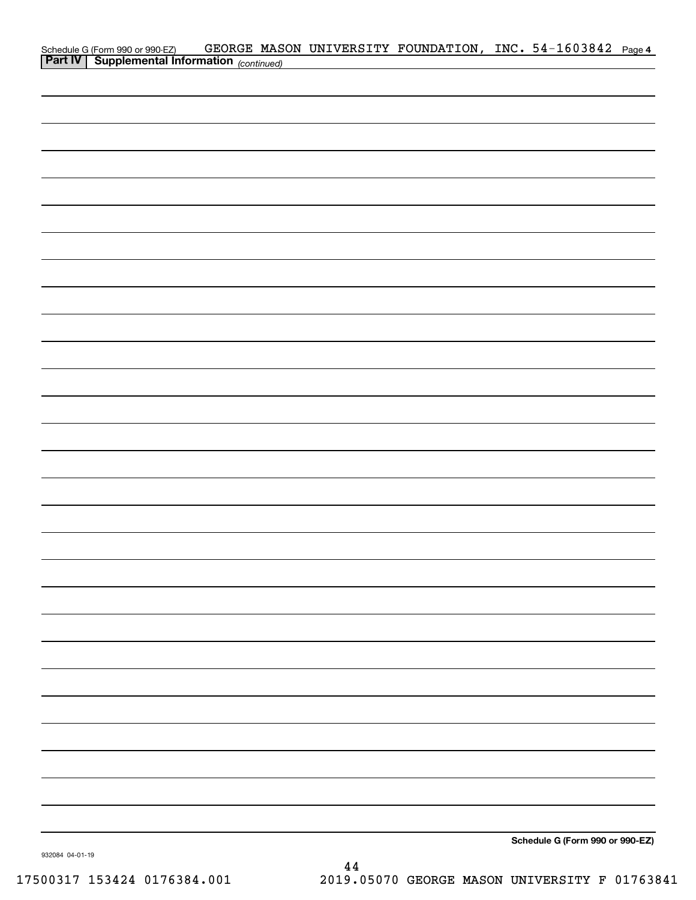| Schedule G (Form 990 or 990-EZ) GEORGE MAS<br><b>Part IV</b> Supplemental Information (continued) |  | GEORGE MASON UNIVERSITY FOUNDATION, INC. 54-1603842 Page 4 |                                 |  |
|---------------------------------------------------------------------------------------------------|--|------------------------------------------------------------|---------------------------------|--|
|                                                                                                   |  |                                                            |                                 |  |
|                                                                                                   |  |                                                            |                                 |  |
|                                                                                                   |  |                                                            |                                 |  |
|                                                                                                   |  |                                                            |                                 |  |
|                                                                                                   |  |                                                            |                                 |  |
|                                                                                                   |  |                                                            |                                 |  |
|                                                                                                   |  |                                                            |                                 |  |
|                                                                                                   |  |                                                            |                                 |  |
|                                                                                                   |  |                                                            |                                 |  |
|                                                                                                   |  |                                                            |                                 |  |
|                                                                                                   |  |                                                            |                                 |  |
|                                                                                                   |  |                                                            |                                 |  |
|                                                                                                   |  |                                                            |                                 |  |
|                                                                                                   |  |                                                            |                                 |  |
|                                                                                                   |  |                                                            |                                 |  |
|                                                                                                   |  |                                                            |                                 |  |
|                                                                                                   |  |                                                            |                                 |  |
|                                                                                                   |  |                                                            |                                 |  |
|                                                                                                   |  |                                                            |                                 |  |
|                                                                                                   |  |                                                            |                                 |  |
|                                                                                                   |  |                                                            |                                 |  |
|                                                                                                   |  |                                                            |                                 |  |
|                                                                                                   |  |                                                            |                                 |  |
|                                                                                                   |  |                                                            |                                 |  |
|                                                                                                   |  |                                                            |                                 |  |
|                                                                                                   |  |                                                            |                                 |  |
|                                                                                                   |  |                                                            |                                 |  |
|                                                                                                   |  |                                                            |                                 |  |
|                                                                                                   |  |                                                            |                                 |  |
|                                                                                                   |  |                                                            |                                 |  |
|                                                                                                   |  |                                                            |                                 |  |
|                                                                                                   |  |                                                            |                                 |  |
|                                                                                                   |  |                                                            |                                 |  |
|                                                                                                   |  |                                                            |                                 |  |
|                                                                                                   |  |                                                            |                                 |  |
|                                                                                                   |  |                                                            |                                 |  |
|                                                                                                   |  |                                                            |                                 |  |
|                                                                                                   |  |                                                            |                                 |  |
|                                                                                                   |  |                                                            |                                 |  |
|                                                                                                   |  |                                                            |                                 |  |
|                                                                                                   |  |                                                            |                                 |  |
|                                                                                                   |  |                                                            |                                 |  |
|                                                                                                   |  |                                                            |                                 |  |
|                                                                                                   |  |                                                            |                                 |  |
|                                                                                                   |  |                                                            | Schedule G (Form 990 or 990-EZ) |  |

932084 04-01-19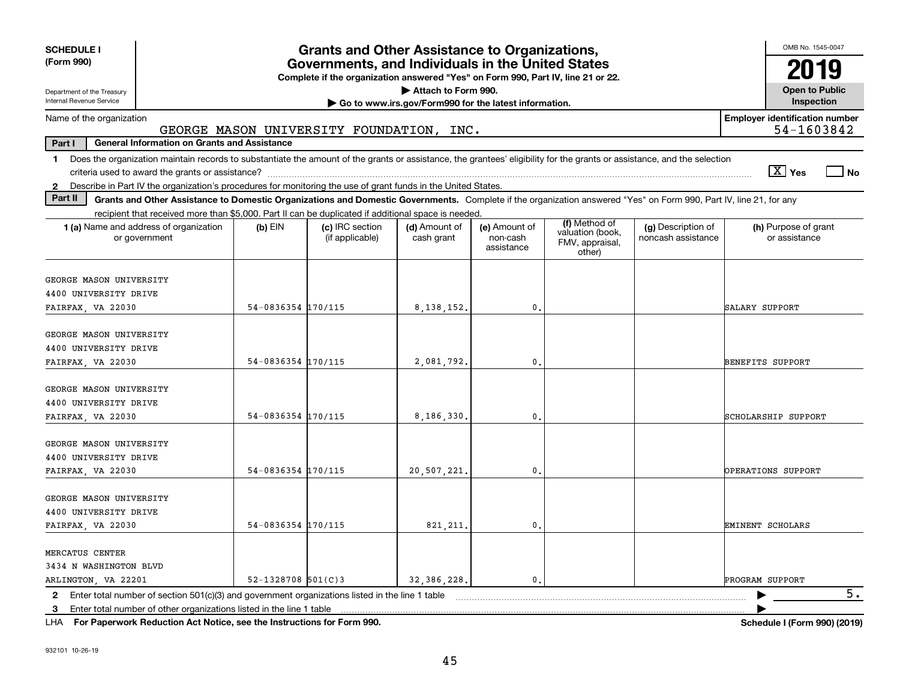| <b>SCHEDULE I</b><br>(Form 990)                                                                                                                                                                |                        | <b>Grants and Other Assistance to Organizations,</b><br>Governments, and Individuals in the United States |                             |                                         |                                               |                                          | OMB No. 1545-0047<br>2019                           |  |  |
|------------------------------------------------------------------------------------------------------------------------------------------------------------------------------------------------|------------------------|-----------------------------------------------------------------------------------------------------------|-----------------------------|-----------------------------------------|-----------------------------------------------|------------------------------------------|-----------------------------------------------------|--|--|
| Department of the Treasury<br>Internal Revenue Service                                                                                                                                         |                        | Complete if the organization answered "Yes" on Form 990, Part IV, line 21 or 22.                          | Attach to Form 990.         |                                         |                                               |                                          | <b>Open to Public</b><br>Inspection                 |  |  |
| Go to www.irs.gov/Form990 for the latest information.                                                                                                                                          |                        |                                                                                                           |                             |                                         |                                               |                                          |                                                     |  |  |
| Name of the organization                                                                                                                                                                       |                        | GEORGE MASON UNIVERSITY FOUNDATION, INC.                                                                  |                             |                                         |                                               |                                          | <b>Employer identification number</b><br>54-1603842 |  |  |
| Part I<br><b>General Information on Grants and Assistance</b>                                                                                                                                  |                        |                                                                                                           |                             |                                         |                                               |                                          |                                                     |  |  |
| Does the organization maintain records to substantiate the amount of the grants or assistance, the grantees' eligibility for the grants or assistance, and the selection<br>$\mathbf 1$        |                        |                                                                                                           |                             |                                         |                                               |                                          | $\sqrt{X}$ Yes<br>l No                              |  |  |
| Describe in Part IV the organization's procedures for monitoring the use of grant funds in the United States.<br>$\mathbf{2}$                                                                  |                        |                                                                                                           |                             |                                         |                                               |                                          |                                                     |  |  |
| Part II<br>Grants and Other Assistance to Domestic Organizations and Domestic Governments. Complete if the organization answered "Yes" on Form 990, Part IV, line 21, for any                  |                        |                                                                                                           |                             |                                         |                                               |                                          |                                                     |  |  |
| recipient that received more than \$5,000. Part II can be duplicated if additional space is needed.                                                                                            |                        |                                                                                                           |                             |                                         | (f) Method of                                 |                                          |                                                     |  |  |
| <b>1 (a)</b> Name and address of organization<br>or government                                                                                                                                 | $(b)$ EIN              | (c) IRC section<br>(if applicable)                                                                        | (d) Amount of<br>cash grant | (e) Amount of<br>non-cash<br>assistance | valuation (book,<br>FMV, appraisal,<br>other) | (g) Description of<br>noncash assistance | (h) Purpose of grant<br>or assistance               |  |  |
| GEORGE MASON UNIVERSITY                                                                                                                                                                        |                        |                                                                                                           |                             |                                         |                                               |                                          |                                                     |  |  |
| 4400 UNIVERSITY DRIVE                                                                                                                                                                          |                        |                                                                                                           |                             |                                         |                                               |                                          |                                                     |  |  |
| FAIRFAX, VA 22030                                                                                                                                                                              | 54-0836354 170/115     |                                                                                                           | 8, 138, 152.                | $\mathbf{0}$                            |                                               |                                          | SALARY SUPPORT                                      |  |  |
| GEORGE MASON UNIVERSITY<br>4400 UNIVERSITY DRIVE                                                                                                                                               |                        |                                                                                                           |                             |                                         |                                               |                                          |                                                     |  |  |
| FAIRFAX, VA 22030                                                                                                                                                                              | 54-0836354 170/115     |                                                                                                           | 2.081.792.                  | $\mathbf{0}$                            |                                               |                                          | BENEFITS SUPPORT                                    |  |  |
| GEORGE MASON UNIVERSITY<br>4400 UNIVERSITY DRIVE<br>FAIRFAX, VA 22030                                                                                                                          | 54-0836354 170/115     |                                                                                                           | 8,186,330.                  | 0.                                      |                                               |                                          | SCHOLARSHIP SUPPORT                                 |  |  |
| GEORGE MASON UNIVERSITY<br>4400 UNIVERSITY DRIVE<br>FAIRFAX, VA 22030                                                                                                                          | 54-0836354 170/115     |                                                                                                           | 20,507,221.                 | 0.                                      |                                               |                                          | OPERATIONS SUPPORT                                  |  |  |
| GEORGE MASON UNIVERSITY<br>4400 UNIVERSITY DRIVE<br>FAIRFAX, VA 22030                                                                                                                          | 54-0836354 170/115     |                                                                                                           | 821, 211.                   | $\mathbf{0}$ .                          |                                               |                                          | EMINENT SCHOLARS                                    |  |  |
| MERCATUS CENTER<br>3434 N WASHINGTON BLVD<br>ARLINGTON, VA 22201                                                                                                                               | $52 - 1328708$ 501(C)3 |                                                                                                           | 32, 386, 228.               | $\mathfrak{o}$ .                        |                                               |                                          | PROGRAM SUPPORT                                     |  |  |
| Enter total number of section $501(c)(3)$ and government organizations listed in the line 1 table<br>$\mathbf{2}$<br>Enter total number of other organizations listed in the line 1 table<br>3 |                        |                                                                                                           |                             |                                         |                                               |                                          | 5.                                                  |  |  |

**For Paperwork Reduction Act Notice, see the Instructions for Form 990. Schedule I (Form 990) (2019)** LHA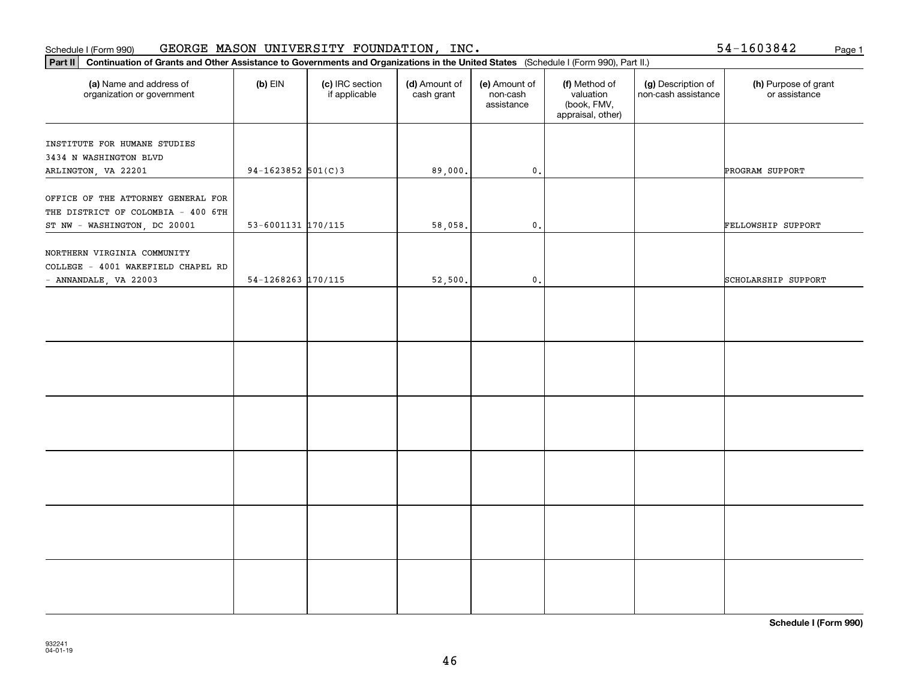### Schedule I (Form 990) GEORGE MASON UNIVERSITY FOUNDATION, INC. 54-1603842 <sub>Page 1</sub>

54-1603842

| Continuation of Grants and Other Assistance to Governments and Organizations in the United States (Schedule I (Form 990), Part II.)<br>$ $ Part II |                        |                                  |                             |                                         |                                                                |                                           |                                       |  |  |  |
|----------------------------------------------------------------------------------------------------------------------------------------------------|------------------------|----------------------------------|-----------------------------|-----------------------------------------|----------------------------------------------------------------|-------------------------------------------|---------------------------------------|--|--|--|
| (a) Name and address of<br>organization or government                                                                                              | $(b)$ EIN              | (c) IRC section<br>if applicable | (d) Amount of<br>cash grant | (e) Amount of<br>non-cash<br>assistance | (f) Method of<br>valuation<br>(book, FMV,<br>appraisal, other) | (g) Description of<br>non-cash assistance | (h) Purpose of grant<br>or assistance |  |  |  |
| INSTITUTE FOR HUMANE STUDIES<br>3434 N WASHINGTON BLVD<br>ARLINGTON, VA 22201                                                                      | $94-1623852$ 501(C)3   |                                  | 89,000.                     | $\mathbf 0$ .                           |                                                                |                                           | PROGRAM SUPPORT                       |  |  |  |
| OFFICE OF THE ATTORNEY GENERAL FOR<br>THE DISTRICT OF COLOMBIA - 400 6TH<br>ST NW - WASHINGTON, DC 20001                                           | $53 - 6001131$ 170/115 |                                  | 58,058.                     | $\mathsf{0}\,.$                         |                                                                |                                           | FELLOWSHIP SUPPORT                    |  |  |  |
| NORTHERN VIRGINIA COMMUNITY<br>COLLEGE - 4001 WAKEFIELD CHAPEL RD<br>- ANNANDALE, VA 22003                                                         | $54 - 1268263$ 170/115 |                                  | 52,500.                     | 0.                                      |                                                                |                                           | SCHOLARSHIP SUPPORT                   |  |  |  |
|                                                                                                                                                    |                        |                                  |                             |                                         |                                                                |                                           |                                       |  |  |  |
|                                                                                                                                                    |                        |                                  |                             |                                         |                                                                |                                           |                                       |  |  |  |
|                                                                                                                                                    |                        |                                  |                             |                                         |                                                                |                                           |                                       |  |  |  |
|                                                                                                                                                    |                        |                                  |                             |                                         |                                                                |                                           |                                       |  |  |  |
|                                                                                                                                                    |                        |                                  |                             |                                         |                                                                |                                           |                                       |  |  |  |
|                                                                                                                                                    |                        |                                  |                             |                                         |                                                                |                                           |                                       |  |  |  |

**Schedule I (Form 990)**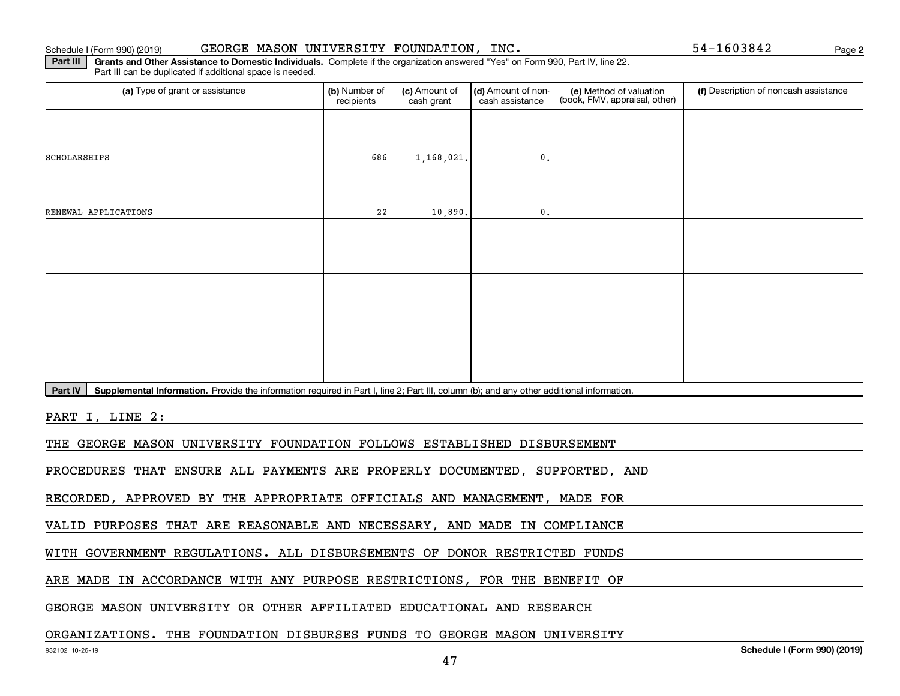### Schedule I (Form 990) (2019) GEORGE MASON UNIVERSITY FOUNDATION, INC. 54-1603842 Page

**2**

**Part III | Grants and Other Assistance to Domestic Individuals. Complete if the organization answered "Yes" on Form 990, Part IV, line 22.** Part III can be duplicated if additional space is needed.

| (a) Type of grant or assistance                                                                                                                      | (b) Number of<br>recipients | (c) Amount of<br>cash grant | (d) Amount of non-<br>cash assistance | (e) Method of valuation<br>(book, FMV, appraisal, other) | (f) Description of noncash assistance |
|------------------------------------------------------------------------------------------------------------------------------------------------------|-----------------------------|-----------------------------|---------------------------------------|----------------------------------------------------------|---------------------------------------|
|                                                                                                                                                      |                             |                             |                                       |                                                          |                                       |
| SCHOLARSHIPS                                                                                                                                         | 686                         | 1,168,021.                  | $\mathbf{0}$ .                        |                                                          |                                       |
|                                                                                                                                                      |                             |                             |                                       |                                                          |                                       |
| RENEWAL APPLICATIONS                                                                                                                                 | 22                          | 10,890.                     | $\mathbf{0}$ .                        |                                                          |                                       |
|                                                                                                                                                      |                             |                             |                                       |                                                          |                                       |
|                                                                                                                                                      |                             |                             |                                       |                                                          |                                       |
|                                                                                                                                                      |                             |                             |                                       |                                                          |                                       |
|                                                                                                                                                      |                             |                             |                                       |                                                          |                                       |
|                                                                                                                                                      |                             |                             |                                       |                                                          |                                       |
|                                                                                                                                                      |                             |                             |                                       |                                                          |                                       |
| Part IV<br>Supplemental Information. Provide the information required in Part I, line 2; Part III, column (b); and any other additional information. |                             |                             |                                       |                                                          |                                       |
| PART I, LINE 2:                                                                                                                                      |                             |                             |                                       |                                                          |                                       |
| THE GEORGE MASON UNIVERSITY FOUNDATION FOLLOWS ESTABLISHED DISBURSEMENT                                                                              |                             |                             |                                       |                                                          |                                       |
| PROCEDURES THAT ENSURE ALL PAYMENTS ARE PROPERLY DOCUMENTED, SUPPORTED, AND                                                                          |                             |                             |                                       |                                                          |                                       |
| RECORDED, APPROVED BY THE APPROPRIATE OFFICIALS AND MANAGEMENT, MADE FOR                                                                             |                             |                             |                                       |                                                          |                                       |
| VALID PURPOSES THAT ARE REASONABLE AND NECESSARY, AND MADE IN COMPLIANCE                                                                             |                             |                             |                                       |                                                          |                                       |
| WITH GOVERNMENT REGULATIONS. ALL DISBURSEMENTS OF DONOR RESTRICTED FUNDS                                                                             |                             |                             |                                       |                                                          |                                       |
| ARE MADE IN ACCORDANCE WITH ANY PURPOSE RESTRICTIONS, FOR THE BENEFIT OF                                                                             |                             |                             |                                       |                                                          |                                       |
|                                                                                                                                                      |                             |                             |                                       |                                                          |                                       |

GEORGE MASON UNIVERSITY OR OTHER AFFILIATED EDUCATIONAL AND RESEARCH

### ORGANIZATIONS. THE FOUNDATION DISBURSES FUNDS TO GEORGE MASON UNIVERSITY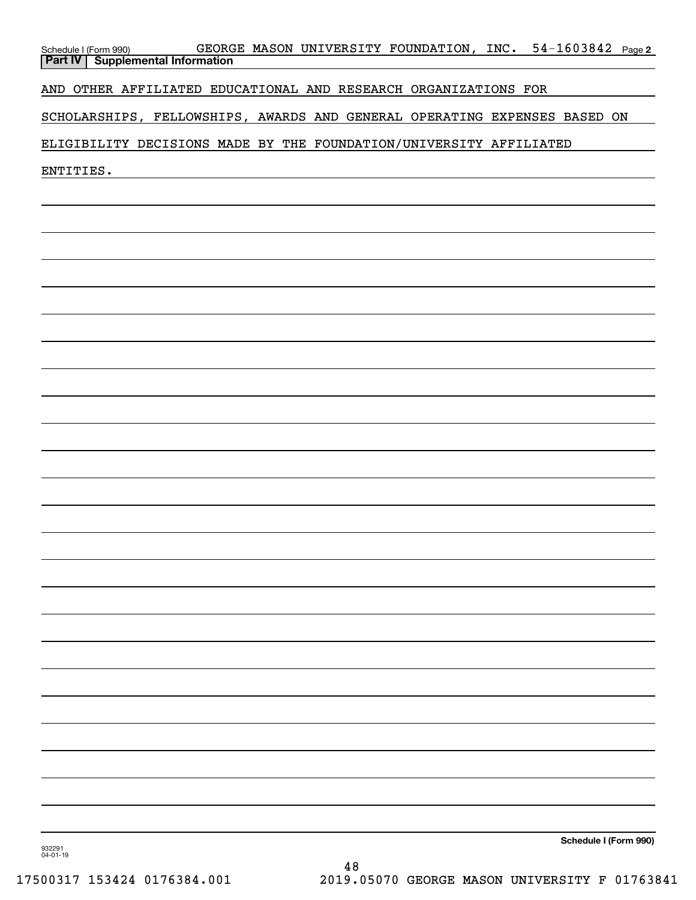| GEORGE MASON UNIVERSITY FOUNDATION, INC. 54-1603842 Page 2<br>Schedule I (Form 990)<br><b>Supplemental Information</b><br><b>Part IV</b> |
|------------------------------------------------------------------------------------------------------------------------------------------|
| AND OTHER AFFILIATED EDUCATIONAL AND RESEARCH ORGANIZATIONS FOR                                                                          |
| SCHOLARSHIPS, FELLOWSHIPS, AWARDS AND GENERAL OPERATING EXPENSES BASED ON                                                                |
| ELIGIBILITY DECISIONS MADE BY THE FOUNDATION/UNIVERSITY AFFILIATED                                                                       |
| ENTITIES.                                                                                                                                |
|                                                                                                                                          |
|                                                                                                                                          |
|                                                                                                                                          |
|                                                                                                                                          |
|                                                                                                                                          |
|                                                                                                                                          |
|                                                                                                                                          |
|                                                                                                                                          |
|                                                                                                                                          |
|                                                                                                                                          |
|                                                                                                                                          |
|                                                                                                                                          |
|                                                                                                                                          |
|                                                                                                                                          |
|                                                                                                                                          |
|                                                                                                                                          |
|                                                                                                                                          |
|                                                                                                                                          |
|                                                                                                                                          |
|                                                                                                                                          |
|                                                                                                                                          |
|                                                                                                                                          |
| Schedule I (Form 990)                                                                                                                    |
| 932291<br>04-01-19                                                                                                                       |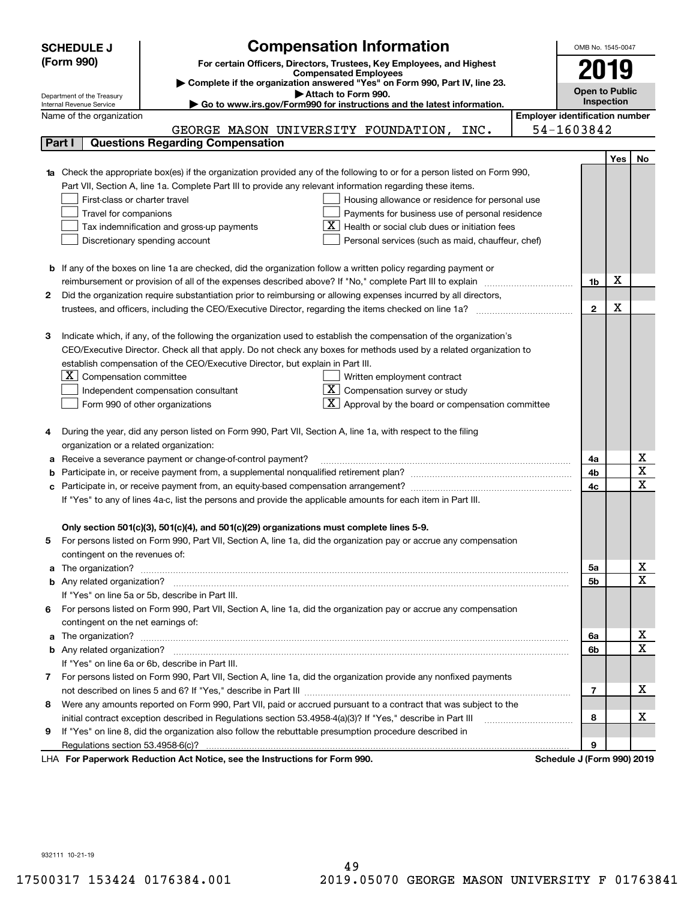|        | <b>Compensation Information</b><br><b>SCHEDULE J</b>                                                                                                    | OMB No. 1545-0047     |            |                         |  |
|--------|---------------------------------------------------------------------------------------------------------------------------------------------------------|-----------------------|------------|-------------------------|--|
|        | (Form 990)<br>For certain Officers, Directors, Trustees, Key Employees, and Highest                                                                     |                       |            |                         |  |
|        | <b>Compensated Employees</b>                                                                                                                            |                       | 2019       |                         |  |
|        | Complete if the organization answered "Yes" on Form 990, Part IV, line 23.                                                                              | <b>Open to Public</b> |            |                         |  |
|        | Attach to Form 990.<br>Department of the Treasury<br>Go to www.irs.gov/Form990 for instructions and the latest information.<br>Internal Revenue Service |                       | Inspection |                         |  |
|        | <b>Employer identification number</b><br>Name of the organization                                                                                       |                       |            |                         |  |
|        | GEORGE MASON UNIVERSITY FOUNDATION, INC.                                                                                                                | 54-1603842            |            |                         |  |
| Part I | <b>Questions Regarding Compensation</b>                                                                                                                 |                       |            |                         |  |
|        |                                                                                                                                                         |                       | Yes        | No                      |  |
|        | 1a Check the appropriate box(es) if the organization provided any of the following to or for a person listed on Form 990,                               |                       |            |                         |  |
|        | Part VII, Section A, line 1a. Complete Part III to provide any relevant information regarding these items.                                              |                       |            |                         |  |
|        | First-class or charter travel<br>Housing allowance or residence for personal use                                                                        |                       |            |                         |  |
|        | Travel for companions<br>Payments for business use of personal residence                                                                                |                       |            |                         |  |
|        | Health or social club dues or initiation fees<br>Tax indemnification and gross-up payments                                                              |                       |            |                         |  |
|        | Discretionary spending account<br>Personal services (such as maid, chauffeur, chef)                                                                     |                       |            |                         |  |
|        |                                                                                                                                                         |                       |            |                         |  |
|        | <b>b</b> If any of the boxes on line 1a are checked, did the organization follow a written policy regarding payment or                                  |                       |            |                         |  |
|        | reimbursement or provision of all of the expenses described above? If "No," complete Part III to explain                                                | 1b                    | X          |                         |  |
| 2      | Did the organization require substantiation prior to reimbursing or allowing expenses incurred by all directors,                                        |                       |            |                         |  |
|        | trustees, and officers, including the CEO/Executive Director, regarding the items checked on line 1a?                                                   | $\mathbf{2}$          | X          |                         |  |
|        |                                                                                                                                                         |                       |            |                         |  |
| З      | Indicate which, if any, of the following the organization used to establish the compensation of the organization's                                      |                       |            |                         |  |
|        | CEO/Executive Director. Check all that apply. Do not check any boxes for methods used by a related organization to                                      |                       |            |                         |  |
|        | establish compensation of the CEO/Executive Director, but explain in Part III.                                                                          |                       |            |                         |  |
|        | $X$ Compensation committee<br>Written employment contract                                                                                               |                       |            |                         |  |
|        | $X$ Compensation survey or study<br>Independent compensation consultant                                                                                 |                       |            |                         |  |
|        | $\mathbf{X}$ Approval by the board or compensation committee<br>Form 990 of other organizations                                                         |                       |            |                         |  |
|        |                                                                                                                                                         |                       |            |                         |  |
|        | During the year, did any person listed on Form 990, Part VII, Section A, line 1a, with respect to the filing                                            |                       |            |                         |  |
|        | organization or a related organization:                                                                                                                 |                       |            |                         |  |
| а      | Receive a severance payment or change-of-control payment?                                                                                               | 4a                    |            | х                       |  |
|        |                                                                                                                                                         | 4b                    |            | $\overline{\texttt{x}}$ |  |
| с      | Participate in, or receive payment from, an equity-based compensation arrangement?                                                                      | 4c                    |            | $\overline{\text{x}}$   |  |
|        | If "Yes" to any of lines 4a-c, list the persons and provide the applicable amounts for each item in Part III.                                           |                       |            |                         |  |
|        |                                                                                                                                                         |                       |            |                         |  |
|        | Only section 501(c)(3), 501(c)(4), and 501(c)(29) organizations must complete lines 5-9.                                                                |                       |            |                         |  |
|        | For persons listed on Form 990, Part VII, Section A, line 1a, did the organization pay or accrue any compensation                                       |                       |            |                         |  |
|        | contingent on the revenues of:                                                                                                                          |                       |            |                         |  |
| а      |                                                                                                                                                         | 5а                    |            | x                       |  |
|        |                                                                                                                                                         | <b>5b</b>             |            | $\overline{\text{x}}$   |  |
|        | If "Yes" on line 5a or 5b, describe in Part III.                                                                                                        |                       |            |                         |  |
| 6.     | For persons listed on Form 990, Part VII, Section A, line 1a, did the organization pay or accrue any compensation                                       |                       |            |                         |  |
|        | contingent on the net earnings of:                                                                                                                      |                       |            |                         |  |
| a      |                                                                                                                                                         | 6a                    |            | x                       |  |
|        |                                                                                                                                                         | 6b                    |            | $\overline{\text{x}}$   |  |
|        | If "Yes" on line 6a or 6b, describe in Part III.                                                                                                        |                       |            |                         |  |
|        | 7 For persons listed on Form 990, Part VII, Section A, line 1a, did the organization provide any nonfixed payments                                      |                       |            |                         |  |
|        |                                                                                                                                                         | 7                     |            | х                       |  |
| 8      | Were any amounts reported on Form 990, Part VII, paid or accrued pursuant to a contract that was subject to the                                         |                       |            |                         |  |
|        | initial contract exception described in Regulations section 53.4958-4(a)(3)? If "Yes," describe in Part III                                             | 8                     |            | x                       |  |
| 9      | If "Yes" on line 8, did the organization also follow the rebuttable presumption procedure described in                                                  |                       |            |                         |  |
|        |                                                                                                                                                         | 9                     |            |                         |  |
|        | sucely Deduction Act Nation, and the Instructions for Form 000<br><b>Cohodule I</b> (Found                                                              |                       |            |                         |  |

LHA For Paperwork Reduction Act Notice, see the Instructions for Form 990. Schedule J (Form 990) 2019

932111 10-21-19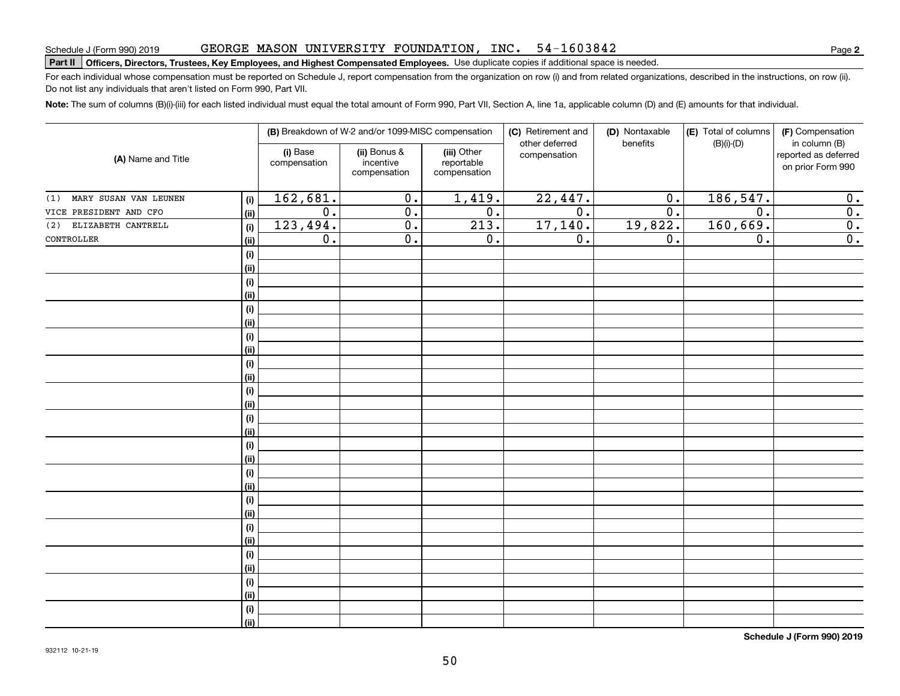### GEORGE MASON UNIVERSITY FOUNDATION, INC. 54-1603842

# Schedule J (Form 990) 2019 GEORGE MASON UNIVERSITY FOUNDATION,INC。 54-I 6 0 3 8 4 Z<br>Part II **Officers, Directors, Trustees, Key Employees, and Highest Compensated Employees.** Use duplicate copies if add

For each individual whose compensation must be reported on Schedule J, report compensation from the organization on row (i) and from related organizations, described in the instructions, on row (ii). Do not list any individuals that aren't listed on Form 990, Part VII.

**Note:**  The sum of columns (B)(i)-(iii) for each listed individual must equal the total amount of Form 990, Part VII, Section A, line 1a, applicable column (D) and (E) amounts for that individual.

| (A) Name and Title           |                                      |                          | (B) Breakdown of W-2 and/or 1099-MISC compensation |                                           | (C) Retirement and             | (D) Nontaxable   | (E) Total of columns | (F) Compensation                                           |
|------------------------------|--------------------------------------|--------------------------|----------------------------------------------------|-------------------------------------------|--------------------------------|------------------|----------------------|------------------------------------------------------------|
|                              |                                      | (i) Base<br>compensation | (ii) Bonus &<br>incentive<br>compensation          | (iii) Other<br>reportable<br>compensation | other deferred<br>compensation | benefits         | $(B)(i)-(D)$         | in column (B)<br>reported as deferred<br>on prior Form 990 |
| MARY SUSAN VAN LEUNEN<br>(1) | $(\sf{i})$                           | 162,681.                 | $\overline{0}$ .                                   | 1,419.                                    | 22,447.                        | $\overline{0}$ . | 186, 547.            | $\overline{0}$ .                                           |
| VICE PRESIDENT AND CFO       | (ii)                                 | $\overline{0}$ .         | $\overline{0}$ .                                   | $\overline{0}$ .                          | $\overline{0}$ .               | $\overline{0}$ . | $\overline{0}$ .     | $\overline{\mathbf{0}}$ .                                  |
| ELIZABETH CANTRELL<br>(2)    | (i)                                  | 123,494.                 | 0.                                                 | 213.                                      | 17, 140.                       | 19,822.          | 160,669.             | $\overline{\mathbf{0}}$ .                                  |
| CONTROLLER                   | (ii)                                 | $\overline{0}$ .         | 0.                                                 | 0.                                        | $\overline{0}$ .               | 0.               | $\overline{0}$ .     | $\overline{0}$ .                                           |
|                              | $(\sf{i})$                           |                          |                                                    |                                           |                                |                  |                      |                                                            |
|                              | (ii)                                 |                          |                                                    |                                           |                                |                  |                      |                                                            |
|                              | $(\sf{i})$                           |                          |                                                    |                                           |                                |                  |                      |                                                            |
|                              | (ii)                                 |                          |                                                    |                                           |                                |                  |                      |                                                            |
|                              | $\qquad \qquad \textbf{(i)}$         |                          |                                                    |                                           |                                |                  |                      |                                                            |
|                              | (ii)                                 |                          |                                                    |                                           |                                |                  |                      |                                                            |
|                              | $\qquad \qquad \textbf{(i)}$         |                          |                                                    |                                           |                                |                  |                      |                                                            |
|                              | (ii)                                 |                          |                                                    |                                           |                                |                  |                      |                                                            |
|                              | $\qquad \qquad \textbf{(i)}$         |                          |                                                    |                                           |                                |                  |                      |                                                            |
|                              | (ii)                                 |                          |                                                    |                                           |                                |                  |                      |                                                            |
|                              | $\qquad \qquad \textbf{(i)}$         |                          |                                                    |                                           |                                |                  |                      |                                                            |
|                              | (ii)                                 |                          |                                                    |                                           |                                |                  |                      |                                                            |
|                              | $\qquad \qquad \textbf{(i)}$         |                          |                                                    |                                           |                                |                  |                      |                                                            |
|                              | (ii)                                 |                          |                                                    |                                           |                                |                  |                      |                                                            |
|                              | $\qquad \qquad \textbf{(i)}$<br>(ii) |                          |                                                    |                                           |                                |                  |                      |                                                            |
|                              | (i)                                  |                          |                                                    |                                           |                                |                  |                      |                                                            |
|                              | (ii)                                 |                          |                                                    |                                           |                                |                  |                      |                                                            |
|                              | $\qquad \qquad \textbf{(i)}$         |                          |                                                    |                                           |                                |                  |                      |                                                            |
|                              | (ii)                                 |                          |                                                    |                                           |                                |                  |                      |                                                            |
|                              | $\qquad \qquad \textbf{(i)}$         |                          |                                                    |                                           |                                |                  |                      |                                                            |
|                              | (ii)                                 |                          |                                                    |                                           |                                |                  |                      |                                                            |
|                              | $\qquad \qquad \textbf{(i)}$         |                          |                                                    |                                           |                                |                  |                      |                                                            |
|                              | (ii)                                 |                          |                                                    |                                           |                                |                  |                      |                                                            |
|                              | $\qquad \qquad \textbf{(i)}$         |                          |                                                    |                                           |                                |                  |                      |                                                            |
|                              | (ii)                                 |                          |                                                    |                                           |                                |                  |                      |                                                            |
|                              | (i)                                  |                          |                                                    |                                           |                                |                  |                      |                                                            |
|                              | (ii)                                 |                          |                                                    |                                           |                                |                  |                      |                                                            |

**Schedule J (Form 990) 2019**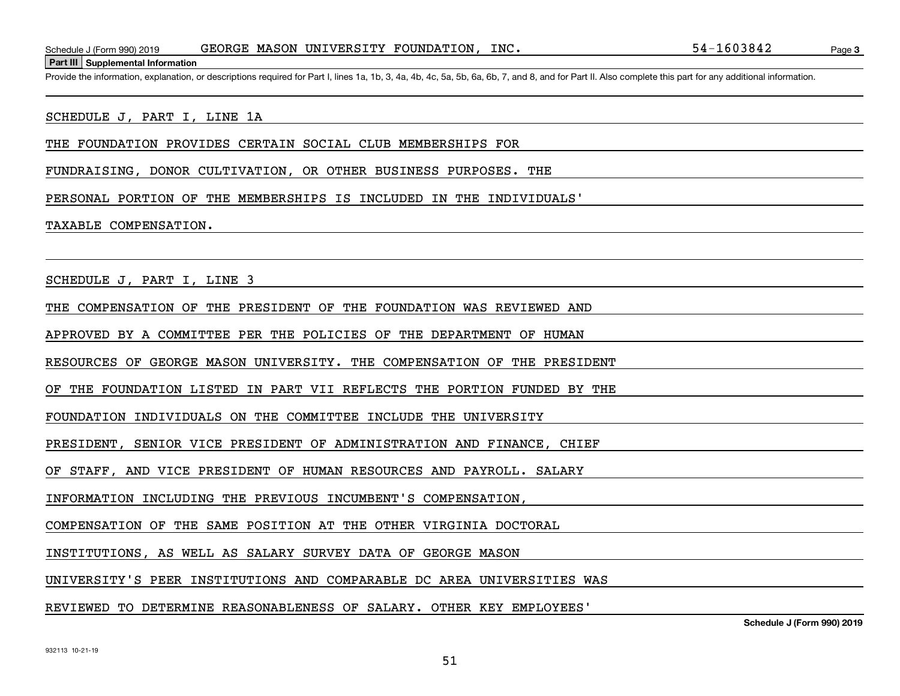**Part III Supplemental Information**

Schedule J (Form 990) 2019 GEORGE MASON UNIVERSITY FOUNDATION, INC.<br>Part III Supplemental Information<br>Provide the information, explanation, or descriptions required for Part I, lines 1a, 1b, 3, 4a, 4b, 4c, 5a, 5b, 6a, 6b,

### SCHEDULE J, PART I, LINE 1A

THE FOUNDATION PROVIDES CERTAIN SOCIAL CLUB MEMBERSHIPS FOR

FUNDRAISING, DONOR CULTIVATION, OR OTHER BUSINESS PURPOSES. THE

PERSONAL PORTION OF THE MEMBERSHIPS IS INCLUDED IN THE INDIVIDUALS'

### TAXABLE COMPENSATION.

SCHEDULE J, PART I, LINE 3

THE COMPENSATION OF THE PRESIDENT OF THE FOUNDATION WAS REVIEWED AND

APPROVED BY A COMMITTEE PER THE POLICIES OF THE DEPARTMENT OF HUMAN

RESOURCES OF GEORGE MASON UNIVERSITY. THE COMPENSATION OF THE PRESIDENT

OF THE FOUNDATION LISTED IN PART VII REFLECTS THE PORTION FUNDED BY THE

FOUNDATION INDIVIDUALS ON THE COMMITTEE INCLUDE THE UNIVERSITY

PRESIDENT, SENIOR VICE PRESIDENT OF ADMINISTRATION AND FINANCE, CHIEF

OF STAFF, AND VICE PRESIDENT OF HUMAN RESOURCES AND PAYROLL. SALARY

INFORMATION INCLUDING THE PREVIOUS INCUMBENT'S COMPENSATION,

COMPENSATION OF THE SAME POSITION AT THE OTHER VIRGINIA DOCTORAL

INSTITUTIONS, AS WELL AS SALARY SURVEY DATA OF GEORGE MASON

UNIVERSITY'S PEER INSTITUTIONS AND COMPARABLE DC AREA UNIVERSITIES WAS

REVIEWED TO DETERMINE REASONABLENESS OF SALARY. OTHER KEY EMPLOYEES'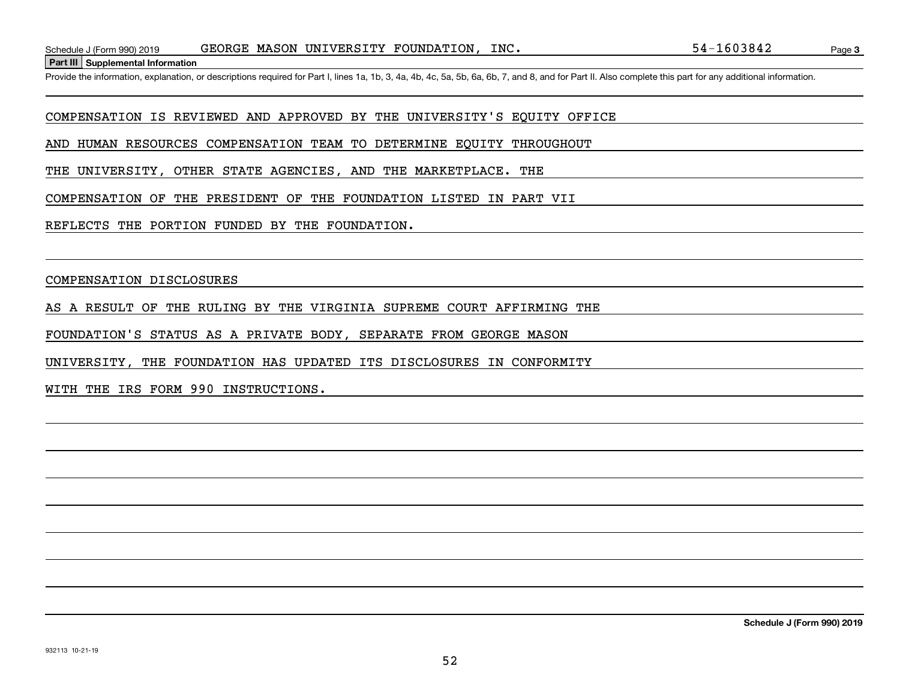**Part III Supplemental Information**

Schedule J (Form 990) 2019 GEORGE MASON UNIVERSITY FOUNDATION, INC.<br>Part III Supplemental Information<br>Provide the information, explanation, or descriptions required for Part I, lines 1a, 1b, 3, 4a, 4b, 4c, 5a, 5b, 6a, 6b,

COMPENSATION IS REVIEWED AND APPROVED BY THE UNIVERSITY'S EQUITY OFFICE

AND HUMAN RESOURCES COMPENSATION TEAM TO DETERMINE EQUITY THROUGHOUT

THE UNIVERSITY, OTHER STATE AGENCIES, AND THE MARKETPLACE. THE

COMPENSATION OF THE PRESIDENT OF THE FOUNDATION LISTED IN PART VII

REFLECTS THE PORTION FUNDED BY THE FOUNDATION.

COMPENSATION DISCLOSURES

AS A RESULT OF THE RULING BY THE VIRGINIA SUPREME COURT AFFIRMING THE

FOUNDATION'S STATUS AS A PRIVATE BODY, SEPARATE FROM GEORGE MASON

UNIVERSITY, THE FOUNDATION HAS UPDATED ITS DISCLOSURES IN CONFORMITY

WITH THE IRS FORM 990 INSTRUCTIONS.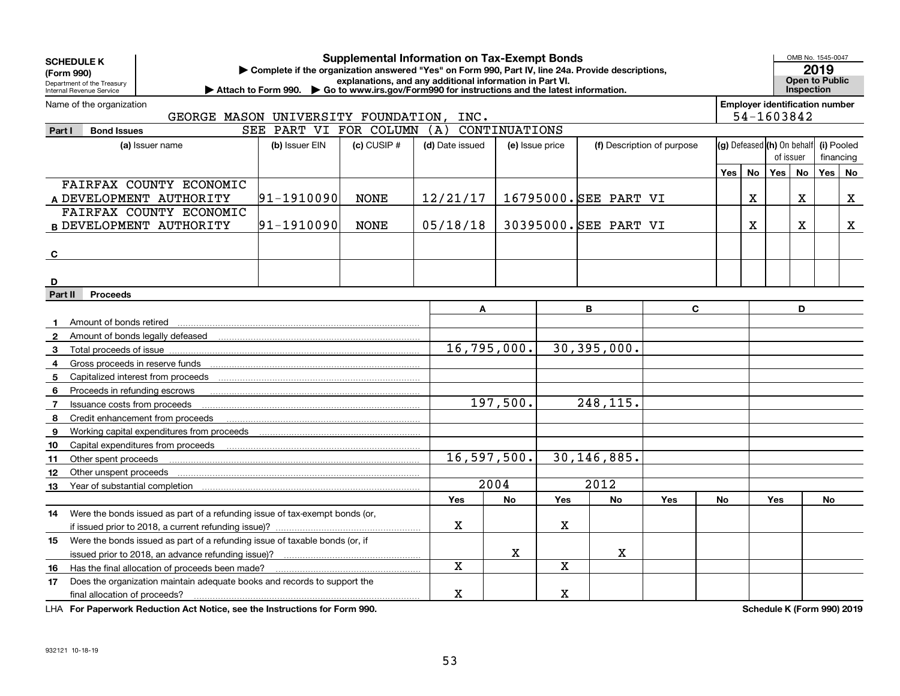|                | <b>Supplemental Information on Tax-Exempt Bonds</b><br><b>SCHEDULE K</b><br>Complete if the organization answered "Yes" on Form 990, Part IV, line 24a. Provide descriptions,<br>(Form 990) |                                                                             |                        |                 |                                                                                                                                      |                 |                         |                       |                            |     |                        |                                          |                                     | OMB No. 1545-0047<br>2019             |    |  |
|----------------|---------------------------------------------------------------------------------------------------------------------------------------------------------------------------------------------|-----------------------------------------------------------------------------|------------------------|-----------------|--------------------------------------------------------------------------------------------------------------------------------------|-----------------|-------------------------|-----------------------|----------------------------|-----|------------------------|------------------------------------------|-------------------------------------|---------------------------------------|----|--|
|                | Department of the Treasury<br>Internal Revenue Service                                                                                                                                      | Attach to Form 990.                                                         |                        |                 | explanations, and any additional information in Part VI.<br>▶ Go to www.irs.gov/Form990 for instructions and the latest information. |                 |                         |                       |                            |     |                        |                                          | Open to Public<br><b>Inspection</b> |                                       |    |  |
|                | Name of the organization                                                                                                                                                                    |                                                                             |                        |                 |                                                                                                                                      |                 |                         |                       |                            |     |                        |                                          |                                     | <b>Employer identification number</b> |    |  |
|                |                                                                                                                                                                                             | GEORGE MASON UNIVERSITY FOUNDATION,                                         |                        |                 | INC.                                                                                                                                 |                 |                         |                       |                            |     |                        |                                          |                                     | 54-1603842                            |    |  |
| Part I         | <b>Bond Issues</b>                                                                                                                                                                          |                                                                             | SEE PART VI FOR COLUMN |                 | (A)                                                                                                                                  | CONTINUATIONS   |                         |                       |                            |     |                        |                                          |                                     |                                       |    |  |
|                |                                                                                                                                                                                             | (a) Issuer name                                                             | (b) Issuer EIN         | $(c)$ CUSIP $#$ | (d) Date issued                                                                                                                      | (e) Issue price |                         |                       | (f) Description of purpose |     |                        | (g) Defeased (h) On behalf<br>(i) Pooled |                                     |                                       |    |  |
|                |                                                                                                                                                                                             |                                                                             |                        |                 |                                                                                                                                      |                 |                         |                       |                            |     | of issuer<br>financing |                                          |                                     |                                       |    |  |
|                |                                                                                                                                                                                             |                                                                             |                        |                 |                                                                                                                                      |                 |                         |                       |                            | Yes | <b>No</b>              | Yes                                      | No                                  | Yes                                   | No |  |
|                |                                                                                                                                                                                             | FAIRFAX COUNTY ECONOMIC                                                     |                        |                 |                                                                                                                                      |                 |                         |                       |                            |     |                        |                                          |                                     |                                       |    |  |
|                |                                                                                                                                                                                             | A DEVELOPMENT AUTHORITY                                                     | 91-1910090             | <b>NONE</b>     | 12/21/17                                                                                                                             |                 |                         | 16795000. SEE PART VI |                            |     | $\mathbf X$            |                                          | X.                                  |                                       | X  |  |
|                |                                                                                                                                                                                             | FAIRFAX COUNTY ECONOMIC                                                     |                        |                 |                                                                                                                                      |                 |                         |                       |                            |     |                        |                                          |                                     |                                       |    |  |
|                |                                                                                                                                                                                             | <b>B DEVELOPMENT AUTHORITY</b>                                              | 91-1910090             | <b>NONE</b>     | 05/18/18                                                                                                                             |                 |                         | 30395000. SEE PART VI |                            |     | Х                      |                                          | $\mathbf X$                         |                                       | X. |  |
|                |                                                                                                                                                                                             |                                                                             |                        |                 |                                                                                                                                      |                 |                         |                       |                            |     |                        |                                          |                                     |                                       |    |  |
| C              |                                                                                                                                                                                             |                                                                             |                        |                 |                                                                                                                                      |                 |                         |                       |                            |     |                        |                                          |                                     |                                       |    |  |
| D              |                                                                                                                                                                                             |                                                                             |                        |                 |                                                                                                                                      |                 |                         |                       |                            |     |                        |                                          |                                     |                                       |    |  |
|                | <b>Proceeds</b><br>Part II                                                                                                                                                                  |                                                                             |                        |                 |                                                                                                                                      |                 |                         |                       |                            |     |                        |                                          |                                     |                                       |    |  |
|                |                                                                                                                                                                                             |                                                                             |                        |                 | A                                                                                                                                    |                 |                         | B                     | C                          |     |                        |                                          | D                                   |                                       |    |  |
|                | Amount of bonds retired                                                                                                                                                                     |                                                                             |                        |                 |                                                                                                                                      |                 |                         |                       |                            |     |                        |                                          |                                     |                                       |    |  |
| $\mathbf{2}$   |                                                                                                                                                                                             |                                                                             |                        |                 |                                                                                                                                      |                 |                         |                       |                            |     |                        |                                          |                                     |                                       |    |  |
| $3^{\circ}$    | Total proceeds of issue                                                                                                                                                                     |                                                                             |                        |                 |                                                                                                                                      | 16,795,000.     |                         | 30,395,000.           |                            |     |                        |                                          |                                     |                                       |    |  |
| 4              |                                                                                                                                                                                             |                                                                             |                        |                 |                                                                                                                                      |                 |                         |                       |                            |     |                        |                                          |                                     |                                       |    |  |
| 5              |                                                                                                                                                                                             |                                                                             |                        |                 |                                                                                                                                      |                 |                         |                       |                            |     |                        |                                          |                                     |                                       |    |  |
| 6              | Proceeds in refunding escrows                                                                                                                                                               |                                                                             |                        |                 |                                                                                                                                      |                 |                         |                       |                            |     |                        |                                          |                                     |                                       |    |  |
| $\overline{7}$ | Issuance costs from proceeds                                                                                                                                                                |                                                                             |                        |                 |                                                                                                                                      | 197,500.        |                         | 248,115.              |                            |     |                        |                                          |                                     |                                       |    |  |
| 8              | Credit enhancement from proceeds                                                                                                                                                            |                                                                             |                        |                 |                                                                                                                                      |                 |                         |                       |                            |     |                        |                                          |                                     |                                       |    |  |
| 9              |                                                                                                                                                                                             |                                                                             |                        |                 |                                                                                                                                      |                 |                         |                       |                            |     |                        |                                          |                                     |                                       |    |  |
| 10             |                                                                                                                                                                                             |                                                                             |                        |                 |                                                                                                                                      |                 |                         |                       |                            |     |                        |                                          |                                     |                                       |    |  |
| 11             | Other spent proceeds                                                                                                                                                                        |                                                                             |                        |                 |                                                                                                                                      | 16,597,500.     |                         | 30,146,885.           |                            |     |                        |                                          |                                     |                                       |    |  |
| 12             | Other unspent proceeds                                                                                                                                                                      |                                                                             |                        |                 |                                                                                                                                      |                 |                         |                       |                            |     |                        |                                          |                                     |                                       |    |  |
| 13             | Year of substantial completion                                                                                                                                                              |                                                                             |                        |                 |                                                                                                                                      | 2004            |                         | 2012                  |                            |     |                        |                                          |                                     |                                       |    |  |
|                |                                                                                                                                                                                             |                                                                             |                        |                 | Yes                                                                                                                                  | No              | Yes                     | No                    | Yes                        | No  |                        | Yes                                      |                                     | No                                    |    |  |
| 14             |                                                                                                                                                                                             | Were the bonds issued as part of a refunding issue of tax-exempt bonds (or, |                        |                 |                                                                                                                                      |                 |                         |                       |                            |     |                        |                                          |                                     |                                       |    |  |
|                |                                                                                                                                                                                             |                                                                             |                        |                 | $\mathbf X$                                                                                                                          |                 | $\mathbf X$             |                       |                            |     |                        |                                          |                                     |                                       |    |  |
| 15             |                                                                                                                                                                                             | Were the bonds issued as part of a refunding issue of taxable bonds (or, if |                        |                 |                                                                                                                                      |                 |                         |                       |                            |     |                        |                                          |                                     |                                       |    |  |
|                |                                                                                                                                                                                             |                                                                             |                        |                 |                                                                                                                                      | X               |                         | X                     |                            |     |                        |                                          |                                     |                                       |    |  |
| 16             |                                                                                                                                                                                             | Has the final allocation of proceeds been made?                             |                        |                 | $\overline{\mathbf{x}}$                                                                                                              |                 | $\overline{\mathbf{x}}$ |                       |                            |     |                        |                                          |                                     |                                       |    |  |
| 17             |                                                                                                                                                                                             | Does the organization maintain adequate books and records to support the    |                        |                 |                                                                                                                                      |                 |                         |                       |                            |     |                        |                                          |                                     |                                       |    |  |
|                | final allocation of proceeds?                                                                                                                                                               |                                                                             |                        |                 | x                                                                                                                                    |                 | x                       |                       |                            |     |                        |                                          |                                     |                                       |    |  |

**For Paperwork Reduction Act Notice, see the Instructions for Form 990. Schedule K (Form 990) 2019** LHA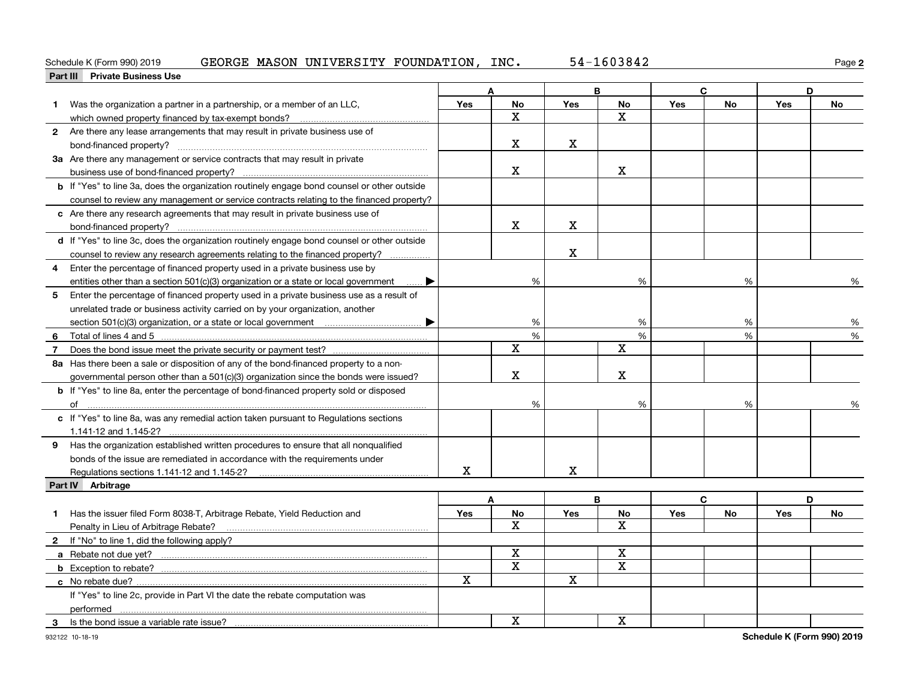### **<u>Part III</u> Private Business Use**<br>**Part III Private Business Use** Schedule K (Form 990) 2019 GEORGE MASON UNIVERSITY FOUNDATION, INC. 5 $4\text{--}1603842$  Page

|                | Part III Private business Use                                                                      |            |              |             |                         |            |               |            |    |  |
|----------------|----------------------------------------------------------------------------------------------------|------------|--------------|-------------|-------------------------|------------|---------------|------------|----|--|
|                |                                                                                                    |            | A            |             | B                       |            | C             |            | D  |  |
| $\mathbf 1$    | Was the organization a partner in a partnership, or a member of an LLC,                            | Yes        | <b>No</b>    | Yes         | No                      | Yes        | No            | <b>Yes</b> | No |  |
|                | which owned property financed by tax-exempt bonds?                                                 |            | X            |             | X                       |            |               |            |    |  |
|                | 2 Are there any lease arrangements that may result in private business use of                      |            |              |             |                         |            |               |            |    |  |
|                |                                                                                                    |            | x            | X           |                         |            |               |            |    |  |
|                | 3a Are there any management or service contracts that may result in private                        |            |              |             |                         |            |               |            |    |  |
|                |                                                                                                    |            | X            |             | $\mathbf X$             |            |               |            |    |  |
|                | <b>b</b> If "Yes" to line 3a, does the organization routinely engage bond counsel or other outside |            |              |             |                         |            |               |            |    |  |
|                | counsel to review any management or service contracts relating to the financed property?           |            |              |             |                         |            |               |            |    |  |
|                | c Are there any research agreements that may result in private business use of                     |            |              |             |                         |            |               |            |    |  |
|                |                                                                                                    |            | X            | X           |                         |            |               |            |    |  |
|                | d If "Yes" to line 3c, does the organization routinely engage bond counsel or other outside        |            |              |             |                         |            |               |            |    |  |
|                | counsel to review any research agreements relating to the financed property?                       |            |              | $\mathbf X$ |                         |            |               |            |    |  |
| 4              | Enter the percentage of financed property used in a private business use by                        |            |              |             |                         |            |               |            |    |  |
|                | entities other than a section 501(c)(3) organization or a state or local government                |            | %            |             | %                       |            | %             |            | %  |  |
| 5              | Enter the percentage of financed property used in a private business use as a result of            |            |              |             |                         |            |               |            |    |  |
|                | unrelated trade or business activity carried on by your organization, another                      |            |              |             |                         |            |               |            |    |  |
|                |                                                                                                    |            | %            |             | %                       |            | %             |            | %  |  |
|                |                                                                                                    |            | $\%$         |             | $\%$                    |            | $\frac{0}{0}$ |            | %  |  |
| $\overline{7}$ |                                                                                                    |            | $\mathbf X$  |             | $\mathbf X$             |            |               |            |    |  |
|                | 8a Has there been a sale or disposition of any of the bond-financed property to a non-             |            |              |             |                         |            |               |            |    |  |
|                | governmental person other than a 501(c)(3) organization since the bonds were issued?               |            | X            |             | $\mathbf X$             |            |               |            |    |  |
|                | <b>b</b> If "Yes" to line 8a, enter the percentage of bond-financed property sold or disposed      |            |              |             |                         |            |               |            |    |  |
|                | of                                                                                                 |            | %            |             | %                       |            | %             |            |    |  |
|                | c If "Yes" to line 8a, was any remedial action taken pursuant to Regulations sections              |            |              |             |                         |            |               |            |    |  |
|                |                                                                                                    |            |              |             |                         |            |               |            |    |  |
|                | 9 Has the organization established written procedures to ensure that all nonqualified              |            |              |             |                         |            |               |            |    |  |
|                | bonds of the issue are remediated in accordance with the requirements under                        |            |              |             |                         |            |               |            |    |  |
|                |                                                                                                    | X          |              | X           |                         |            |               |            |    |  |
|                | Part IV Arbitrage                                                                                  |            |              |             |                         |            |               |            |    |  |
|                |                                                                                                    |            | A            |             | B                       |            | C             |            | D  |  |
|                | 1 Has the issuer filed Form 8038-T, Arbitrage Rebate, Yield Reduction and                          | <b>Yes</b> | <b>No</b>    | Yes         | No                      | <b>Yes</b> | <b>No</b>     | Yes        | No |  |
|                | Penalty in Lieu of Arbitrage Rebate?                                                               |            | $\mathbf{x}$ |             | $\mathbf{x}$            |            |               |            |    |  |
|                | 2 If "No" to line 1, did the following apply?                                                      |            |              |             |                         |            |               |            |    |  |
|                |                                                                                                    |            | x            |             | х                       |            |               |            |    |  |
|                |                                                                                                    |            | $\mathbf x$  |             | $\overline{\mathbf{x}}$ |            |               |            |    |  |
|                |                                                                                                    | X          |              | X           |                         |            |               |            |    |  |
|                | If "Yes" to line 2c, provide in Part VI the date the rebate computation was                        |            |              |             |                         |            |               |            |    |  |
|                | performed                                                                                          |            |              |             |                         |            |               |            |    |  |
|                | 3 Is the bond issue a variable rate issue?                                                         |            | X            |             | X                       |            |               |            |    |  |
|                |                                                                                                    |            |              |             |                         |            |               |            |    |  |

**2**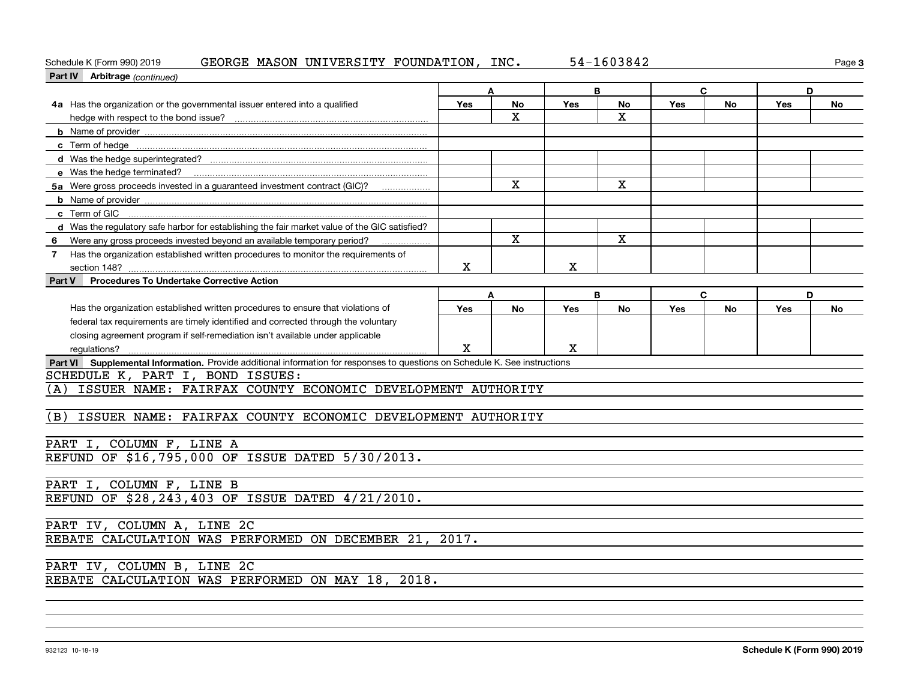### Schedule K (Form 990) 2019 GEORGE MASON UNIVERSITY FOUNDATION, INC. 5 $4\text{--}1603842$  Page

|     | Part IV Arbitrage (continued)                                                                                               |     |                         |     |              |     |           |     |           |
|-----|-----------------------------------------------------------------------------------------------------------------------------|-----|-------------------------|-----|--------------|-----|-----------|-----|-----------|
|     |                                                                                                                             |     | A                       | B   |              |     | C         |     | D         |
|     | 4a Has the organization or the governmental issuer entered into a qualified                                                 | Yes | No                      | Yes | <b>No</b>    | Yes | <b>No</b> | Yes | <b>No</b> |
|     |                                                                                                                             |     | $\mathbf X$             |     | $\mathbf X$  |     |           |     |           |
|     |                                                                                                                             |     |                         |     |              |     |           |     |           |
|     |                                                                                                                             |     |                         |     |              |     |           |     |           |
|     |                                                                                                                             |     |                         |     |              |     |           |     |           |
|     | e Was the hedge terminated?                                                                                                 |     |                         |     |              |     |           |     |           |
|     | 5a Were gross proceeds invested in a guaranteed investment contract (GIC)?                                                  |     | $\overline{\mathbf{x}}$ |     | X            |     |           |     |           |
|     |                                                                                                                             |     |                         |     |              |     |           |     |           |
|     | c Term of GIC                                                                                                               |     |                         |     |              |     |           |     |           |
|     | d Was the regulatory safe harbor for establishing the fair market value of the GIC satisfied?                               |     |                         |     |              |     |           |     |           |
|     | 6 Were any gross proceeds invested beyond an available temporary period?                                                    |     | $\mathbf{x}$            |     | $\mathbf{x}$ |     |           |     |           |
|     | 7 Has the organization established written procedures to monitor the requirements of                                        |     |                         |     |              |     |           |     |           |
|     | section 148?                                                                                                                | X   |                         | X   |              |     |           |     |           |
|     | Part V Procedures To Undertake Corrective Action                                                                            |     |                         |     |              |     |           |     |           |
|     |                                                                                                                             |     | A                       | B   |              |     | D         |     |           |
|     | Has the organization established written procedures to ensure that violations of                                            | Yes | No                      | Yes | <b>No</b>    | Yes | <b>No</b> | Yes | <b>No</b> |
|     | federal tax requirements are timely identified and corrected through the voluntary                                          |     |                         |     |              |     |           |     |           |
|     | closing agreement program if self-remediation isn't available under applicable                                              |     |                         |     |              |     |           |     |           |
|     | regulations?                                                                                                                | X   |                         | X   |              |     |           |     |           |
|     | Part VI Supplemental Information. Provide additional information for responses to questions on Schedule K. See instructions |     |                         |     |              |     |           |     |           |
|     | SCHEDULE K, PART I, BOND ISSUES:                                                                                            |     |                         |     |              |     |           |     |           |
|     | (A) ISSUER NAME: FAIRFAX COUNTY ECONOMIC DEVELOPMENT AUTHORITY                                                              |     |                         |     |              |     |           |     |           |
|     |                                                                                                                             |     |                         |     |              |     |           |     |           |
| (B) | ISSUER NAME: FAIRFAX COUNTY ECONOMIC DEVELOPMENT AUTHORITY                                                                  |     |                         |     |              |     |           |     |           |
|     |                                                                                                                             |     |                         |     |              |     |           |     |           |
|     | PART I, COLUMN F, LINE A                                                                                                    |     |                         |     |              |     |           |     |           |
|     | REFUND OF \$16,795,000 OF ISSUE DATED 5/30/2013.                                                                            |     |                         |     |              |     |           |     |           |
|     |                                                                                                                             |     |                         |     |              |     |           |     |           |
|     | PART I, COLUMN F, LINE B                                                                                                    |     |                         |     |              |     |           |     |           |
|     | REFUND OF \$28,243,403 OF ISSUE DATED 4/21/2010.                                                                            |     |                         |     |              |     |           |     |           |
|     |                                                                                                                             |     |                         |     |              |     |           |     |           |
|     | PART IV, COLUMN A, LINE 2C                                                                                                  |     |                         |     |              |     |           |     |           |
|     | REBATE CALCULATION WAS PERFORMED ON DECEMBER 21, 2017.                                                                      |     |                         |     |              |     |           |     |           |
|     |                                                                                                                             |     |                         |     |              |     |           |     |           |
|     | PART IV, COLUMN B, LINE 2C                                                                                                  |     |                         |     |              |     |           |     |           |
|     | REBATE CALCULATION WAS PERFORMED ON MAY 18, 2018.                                                                           |     |                         |     |              |     |           |     |           |
|     |                                                                                                                             |     |                         |     |              |     |           |     |           |

**3**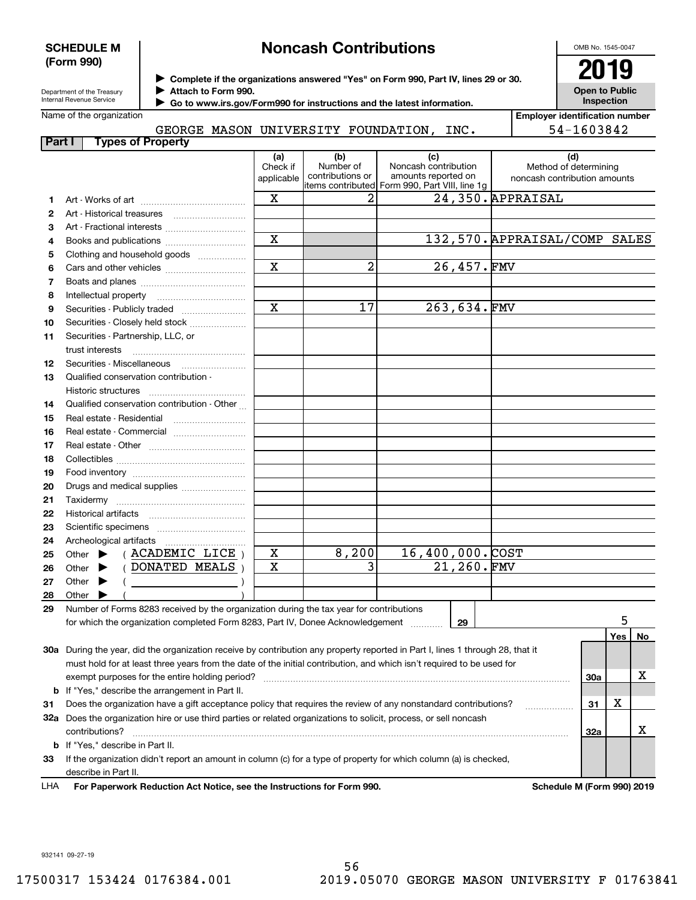### **SCHEDULE M (Form 990)**

## **Noncash Contributions**

OMB No. 1545-0047

Department of the Treasury Internal Revenue Service

**Complete if the organizations answered "Yes" on Form 990, Part IV, lines 29 or 30.** <sup>J</sup>**2019 Attach to Form 990.** J

**Open to Public Inspection**

|  | Name of the organization |
|--|--------------------------|
|--|--------------------------|

 **Go to www.irs.gov/Form990 for instructions and the latest information.** J

| Name of the organization  |        |  |                             |      | <b>Emplover identification number</b> |
|---------------------------|--------|--|-----------------------------|------|---------------------------------------|
|                           | GEORGE |  | MASON UNIVERSITY FOUNDATION | INC. | 54-1603842                            |
| Part<br>Tynes of Pronerty |        |  |                             |      |                                       |

|     |                                                                                                                                | (a)                     | (b)<br>Number of | (c)<br>Noncash contribution                    |             | (d)                                                   |     |     |    |
|-----|--------------------------------------------------------------------------------------------------------------------------------|-------------------------|------------------|------------------------------------------------|-------------|-------------------------------------------------------|-----|-----|----|
|     |                                                                                                                                | Check if<br>applicable  | contributions or | amounts reported on                            |             | Method of determining<br>noncash contribution amounts |     |     |    |
|     |                                                                                                                                |                         |                  | items contributed Form 990, Part VIII, line 1g |             |                                                       |     |     |    |
| 1.  |                                                                                                                                | $\mathbf X$             | 2                |                                                |             | 24,350. APPRAISAL                                     |     |     |    |
| 2   |                                                                                                                                |                         |                  |                                                |             |                                                       |     |     |    |
| З   |                                                                                                                                |                         |                  |                                                |             |                                                       |     |     |    |
| 4   | Books and publications                                                                                                         | $\overline{\mathbf{x}}$ |                  |                                                |             | 132,570. APPRAISAL/COMP SALES                         |     |     |    |
| 5   | Clothing and household goods                                                                                                   |                         |                  |                                                |             |                                                       |     |     |    |
| 6   |                                                                                                                                | $\overline{\mathbf{x}}$ | 2                |                                                | 26,457.FMV  |                                                       |     |     |    |
| 7   |                                                                                                                                |                         |                  |                                                |             |                                                       |     |     |    |
| 8   |                                                                                                                                |                         |                  |                                                |             |                                                       |     |     |    |
| 9   | Securities - Publicly traded                                                                                                   | $\overline{\mathbf{x}}$ | 17               |                                                | 263,634.FMV |                                                       |     |     |    |
| 10  | Securities - Closely held stock                                                                                                |                         |                  |                                                |             |                                                       |     |     |    |
| 11  | Securities - Partnership, LLC, or                                                                                              |                         |                  |                                                |             |                                                       |     |     |    |
|     | trust interests                                                                                                                |                         |                  |                                                |             |                                                       |     |     |    |
| 12  | Securities - Miscellaneous                                                                                                     |                         |                  |                                                |             |                                                       |     |     |    |
| 13  | Qualified conservation contribution -                                                                                          |                         |                  |                                                |             |                                                       |     |     |    |
|     | Historic structures                                                                                                            |                         |                  |                                                |             |                                                       |     |     |    |
| 14  | Qualified conservation contribution - Other                                                                                    |                         |                  |                                                |             |                                                       |     |     |    |
| 15  | Real estate - Residential                                                                                                      |                         |                  |                                                |             |                                                       |     |     |    |
| 16  | Real estate - Commercial                                                                                                       |                         |                  |                                                |             |                                                       |     |     |    |
|     |                                                                                                                                |                         |                  |                                                |             |                                                       |     |     |    |
| 17  |                                                                                                                                |                         |                  |                                                |             |                                                       |     |     |    |
| 18  |                                                                                                                                |                         |                  |                                                |             |                                                       |     |     |    |
| 19  |                                                                                                                                |                         |                  |                                                |             |                                                       |     |     |    |
| 20  | Drugs and medical supplies                                                                                                     |                         |                  |                                                |             |                                                       |     |     |    |
| 21  |                                                                                                                                |                         |                  |                                                |             |                                                       |     |     |    |
| 22  |                                                                                                                                |                         |                  |                                                |             |                                                       |     |     |    |
| 23  |                                                                                                                                |                         |                  |                                                |             |                                                       |     |     |    |
| 24  |                                                                                                                                |                         |                  |                                                |             |                                                       |     |     |    |
| 25  | (ACADEMIC LICE)<br>Other $\blacktriangleright$                                                                                 | $\mathbf X$             | 8,200            | 16,400,000.COST                                |             |                                                       |     |     |    |
| 26  | (DONATED MEALS)<br>Other $\blacktriangleright$                                                                                 | $\mathbf X$             | 3                |                                                | 21,260.FMV  |                                                       |     |     |    |
| 27  | Other $\blacktriangleright$                                                                                                    |                         |                  |                                                |             |                                                       |     |     |    |
| 28  | Other $\blacktriangleright$                                                                                                    |                         |                  |                                                |             |                                                       |     |     |    |
| 29  | Number of Forms 8283 received by the organization during the tax year for contributions                                        |                         |                  |                                                |             |                                                       |     |     |    |
|     | for which the organization completed Form 8283, Part IV, Donee Acknowledgement                                                 |                         |                  |                                                | 29          |                                                       |     | 5   |    |
|     |                                                                                                                                |                         |                  |                                                |             |                                                       |     | Yes | No |
|     | 30a During the year, did the organization receive by contribution any property reported in Part I, lines 1 through 28, that it |                         |                  |                                                |             |                                                       |     |     |    |
|     | must hold for at least three years from the date of the initial contribution, and which isn't required to be used for          |                         |                  |                                                |             |                                                       |     |     |    |
|     | exempt purposes for the entire holding period?                                                                                 |                         |                  |                                                |             |                                                       | 30a |     | х  |
|     | <b>b</b> If "Yes," describe the arrangement in Part II.                                                                        |                         |                  |                                                |             |                                                       |     |     |    |
| 31  | Does the organization have a gift acceptance policy that requires the review of any nonstandard contributions?                 |                         |                  |                                                |             |                                                       | 31  | х   |    |
|     | 32a Does the organization hire or use third parties or related organizations to solicit, process, or sell noncash              |                         |                  |                                                |             |                                                       |     |     |    |
|     | contributions?                                                                                                                 |                         |                  |                                                |             |                                                       | 32a |     | х  |
|     | <b>b</b> If "Yes," describe in Part II.                                                                                        |                         |                  |                                                |             |                                                       |     |     |    |
| 33  | If the organization didn't report an amount in column (c) for a type of property for which column (a) is checked,              |                         |                  |                                                |             |                                                       |     |     |    |
|     | describe in Part II.                                                                                                           |                         |                  |                                                |             |                                                       |     |     |    |
| LHA | For Paperwork Reduction Act Notice, see the Instructions for Form 990.                                                         |                         |                  |                                                |             | Schedule M (Form 990) 2019                            |     |     |    |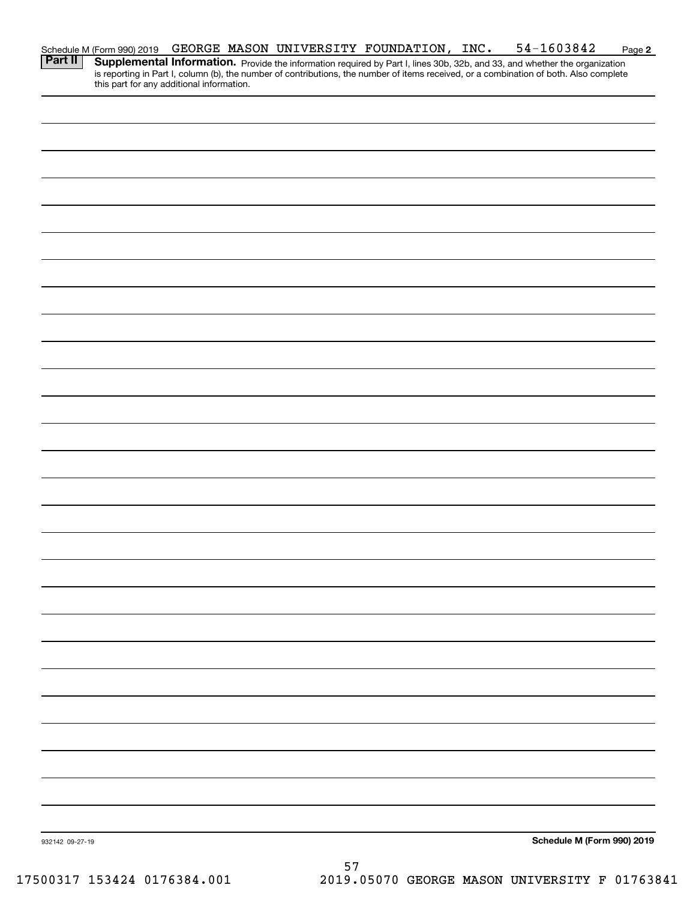|                 | Schedule M (Form 990) 2019<br><b>Part II</b>   Supplementa |  | GEORGE MASON UNIVERSITY FOUNDATION, INC. | 54-1603842                                                                                                                                                                                                                          | Page 2 |
|-----------------|------------------------------------------------------------|--|------------------------------------------|-------------------------------------------------------------------------------------------------------------------------------------------------------------------------------------------------------------------------------------|--------|
|                 | this part for any additional information.                  |  |                                          | <b>Supplemental Information.</b> Provide the information required by Part I, lines 30b, 32b, and 33, and whether the organization is reporting in Part I, column (b), the number of contributions, the number of items received, or |        |
|                 |                                                            |  |                                          |                                                                                                                                                                                                                                     |        |
|                 |                                                            |  |                                          |                                                                                                                                                                                                                                     |        |
|                 |                                                            |  |                                          |                                                                                                                                                                                                                                     |        |
|                 |                                                            |  |                                          |                                                                                                                                                                                                                                     |        |
|                 |                                                            |  |                                          |                                                                                                                                                                                                                                     |        |
|                 |                                                            |  |                                          |                                                                                                                                                                                                                                     |        |
|                 |                                                            |  |                                          |                                                                                                                                                                                                                                     |        |
|                 |                                                            |  |                                          |                                                                                                                                                                                                                                     |        |
|                 |                                                            |  |                                          |                                                                                                                                                                                                                                     |        |
|                 |                                                            |  |                                          |                                                                                                                                                                                                                                     |        |
|                 |                                                            |  |                                          |                                                                                                                                                                                                                                     |        |
|                 |                                                            |  |                                          |                                                                                                                                                                                                                                     |        |
|                 |                                                            |  |                                          |                                                                                                                                                                                                                                     |        |
|                 |                                                            |  |                                          |                                                                                                                                                                                                                                     |        |
|                 |                                                            |  |                                          |                                                                                                                                                                                                                                     |        |
|                 |                                                            |  |                                          |                                                                                                                                                                                                                                     |        |
|                 |                                                            |  |                                          |                                                                                                                                                                                                                                     |        |
|                 |                                                            |  |                                          |                                                                                                                                                                                                                                     |        |
|                 |                                                            |  |                                          |                                                                                                                                                                                                                                     |        |
|                 |                                                            |  |                                          |                                                                                                                                                                                                                                     |        |
|                 |                                                            |  |                                          |                                                                                                                                                                                                                                     |        |
|                 |                                                            |  |                                          |                                                                                                                                                                                                                                     |        |
|                 |                                                            |  |                                          |                                                                                                                                                                                                                                     |        |
|                 |                                                            |  |                                          |                                                                                                                                                                                                                                     |        |
|                 |                                                            |  |                                          |                                                                                                                                                                                                                                     |        |
|                 |                                                            |  |                                          |                                                                                                                                                                                                                                     |        |
|                 |                                                            |  |                                          |                                                                                                                                                                                                                                     |        |
|                 |                                                            |  |                                          |                                                                                                                                                                                                                                     |        |
| 932142 09-27-19 |                                                            |  |                                          | Schedule M (Form 990) 2019                                                                                                                                                                                                          |        |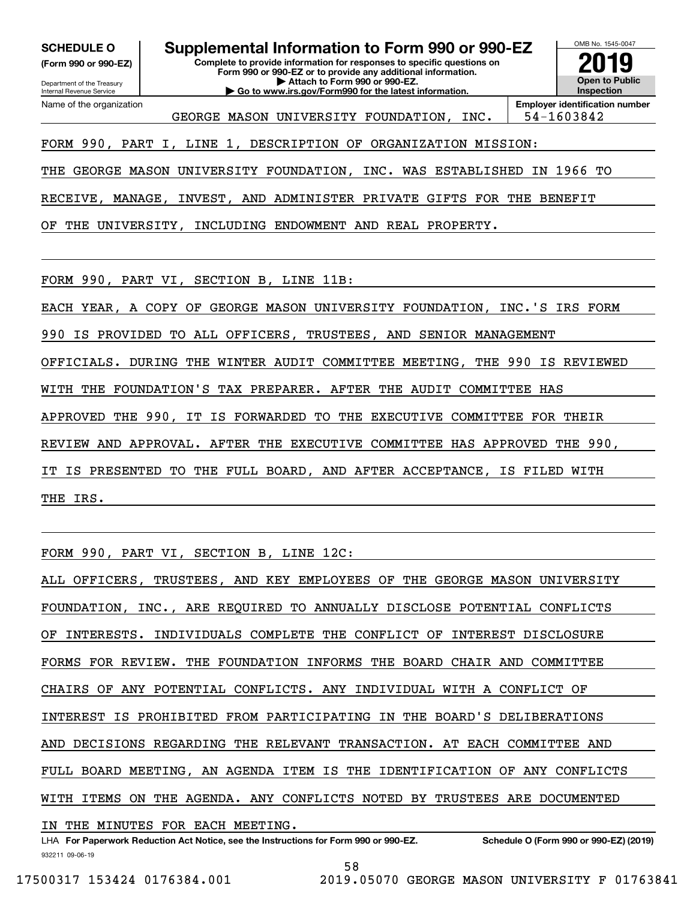**(Form 990 or 990-EZ)**

Department of the Treasury Internal Revenue Service Name of the organization

**Complete to provide information for responses to specific questions on SCHEDULE O Supplemental Information to Form 990 or 990-EZ**

**Form 990 or 990-EZ or to provide any additional information. | Attach to Form 990 or 990-EZ. | Go to www.irs.gov/Form990 for the latest information.**



GEORGE MASON UNIVERSITY FOUNDATION, INC. | 54-1603842

FORM 990, PART I, LINE 1, DESCRIPTION OF ORGANIZATION MISSION:

THE GEORGE MASON UNIVERSITY FOUNDATION, INC. WAS ESTABLISHED IN 1966 TO

RECEIVE, MANAGE, INVEST, AND ADMINISTER PRIVATE GIFTS FOR THE BENEFIT

OF THE UNIVERSITY, INCLUDING ENDOWMENT AND REAL PROPERTY.

FORM 990, PART VI, SECTION B, LINE 11B:

EACH YEAR, A COPY OF GEORGE MASON UNIVERSITY FOUNDATION, INC.'S IRS FORM

990 IS PROVIDED TO ALL OFFICERS, TRUSTEES, AND SENIOR MANAGEMENT

OFFICIALS. DURING THE WINTER AUDIT COMMITTEE MEETING, THE 990 IS REVIEWED

WITH THE FOUNDATION'S TAX PREPARER. AFTER THE AUDIT COMMITTEE HAS

APPROVED THE 990, IT IS FORWARDED TO THE EXECUTIVE COMMITTEE FOR THEIR

REVIEW AND APPROVAL. AFTER THE EXECUTIVE COMMITTEE HAS APPROVED THE 990,

IT IS PRESENTED TO THE FULL BOARD, AND AFTER ACCEPTANCE, IS FILED WITH

THE IRS.

FORM 990, PART VI, SECTION B, LINE 12C:

ALL OFFICERS, TRUSTEES, AND KEY EMPLOYEES OF THE GEORGE MASON UNIVERSITY FOUNDATION, INC., ARE REQUIRED TO ANNUALLY DISCLOSE POTENTIAL CONFLICTS INTERESTS. INDIVIDUALS COMPLETE THE CONFLICT OF INTEREST DISCLOSURE FORMS FOR REVIEW. THE FOUNDATION INFORMS THE BOARD CHAIR AND COMMITTEE CHAIRS OF ANY POTENTIAL CONFLICTS. ANY INDIVIDUAL WITH A CONFLICT OF INTEREST IS PROHIBITED FROM PARTICIPATING IN THE BOARD'S DELIBERATIONS AND DECISIONS REGARDING THE RELEVANT TRANSACTION. AT EACH COMMITTEE AND FULL BOARD MEETING, AN AGENDA ITEM IS THE IDENTIFICATION OF ANY CONFLICTS WITH ITEMS ON THE AGENDA. ANY CONFLICTS NOTED BY TRUSTEES ARE DOCUMENTED IN THE MINUTES FOR EACH MEETING.

932211 09-06-19 LHA For Paperwork Reduction Act Notice, see the Instructions for Form 990 or 990-EZ. Schedule O (Form 990 or 990-EZ) (2019) 58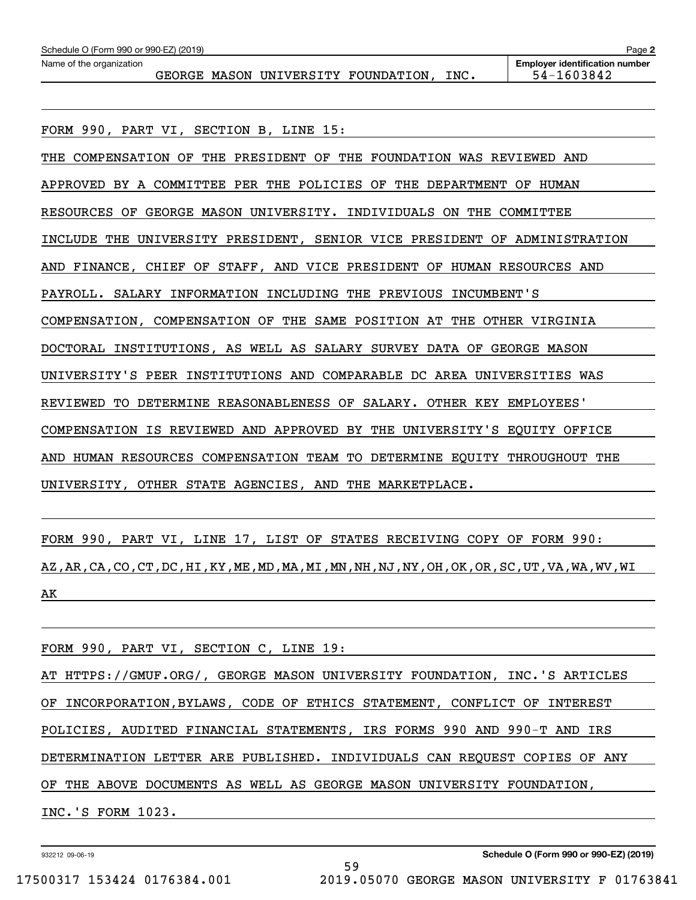| Schedule O (Form 990 or 990-EZ) (2019)<br>Page 2 |  |  |  |                                     |      |                                                     |  |  |  |
|--------------------------------------------------|--|--|--|-------------------------------------|------|-----------------------------------------------------|--|--|--|
| Name of the organization                         |  |  |  | GEORGE MASON UNIVERSITY FOUNDATION, | INC. | <b>Employer identification number</b><br>54-1603842 |  |  |  |
|                                                  |  |  |  |                                     |      |                                                     |  |  |  |

FORM 990, PART VI, SECTION B, LINE 15: THE COMPENSATION OF THE PRESIDENT OF THE FOUNDATION WAS REVIEWED AND APPROVED BY A COMMITTEE PER THE POLICIES OF THE DEPARTMENT OF HUMAN RESOURCES OF GEORGE MASON UNIVERSITY. INDIVIDUALS ON THE COMMITTEE INCLUDE THE UNIVERSITY PRESIDENT, SENIOR VICE PRESIDENT OF ADMINISTRATION AND FINANCE, CHIEF OF STAFF, AND VICE PRESIDENT OF HUMAN RESOURCES AND PAYROLL. SALARY INFORMATION INCLUDING THE PREVIOUS INCUMBENT'S COMPENSATION, COMPENSATION OF THE SAME POSITION AT THE OTHER VIRGINIA DOCTORAL INSTITUTIONS, AS WELL AS SALARY SURVEY DATA OF GEORGE MASON UNIVERSITY'S PEER INSTITUTIONS AND COMPARABLE DC AREA UNIVERSITIES WAS REVIEWED TO DETERMINE REASONABLENESS OF SALARY. OTHER KEY EMPLOYEES' COMPENSATION IS REVIEWED AND APPROVED BY THE UNIVERSITY'S EQUITY OFFICE AND HUMAN RESOURCES COMPENSATION TEAM TO DETERMINE EQUITY THROUGHOUT THE UNIVERSITY, OTHER STATE AGENCIES, AND THE MARKETPLACE.

FORM 990, PART VI, LINE 17, LIST OF STATES RECEIVING COPY OF FORM 990: AZ,AR,CA,CO,CT,DC,HI,KY,ME,MD,MA,MI,MN,NH,NJ,NY,OH,OK,OR,SC,UT,VA,WA,WV,WI AK

FORM 990, PART VI, SECTION C, LINE 19:

AT HTTPS://GMUF.ORG/, GEORGE MASON UNIVERSITY FOUNDATION, INC.'S ARTICLES OF INCORPORATION,BYLAWS, CODE OF ETHICS STATEMENT, CONFLICT OF INTEREST POLICIES, AUDITED FINANCIAL STATEMENTS, IRS FORMS 990 AND 990-T AND IRS DETERMINATION LETTER ARE PUBLISHED. INDIVIDUALS CAN REQUEST COPIES OF ANY OF THE ABOVE DOCUMENTS AS WELL AS GEORGE MASON UNIVERSITY FOUNDATION, INC.'S FORM 1023.

59

932212 09-06-19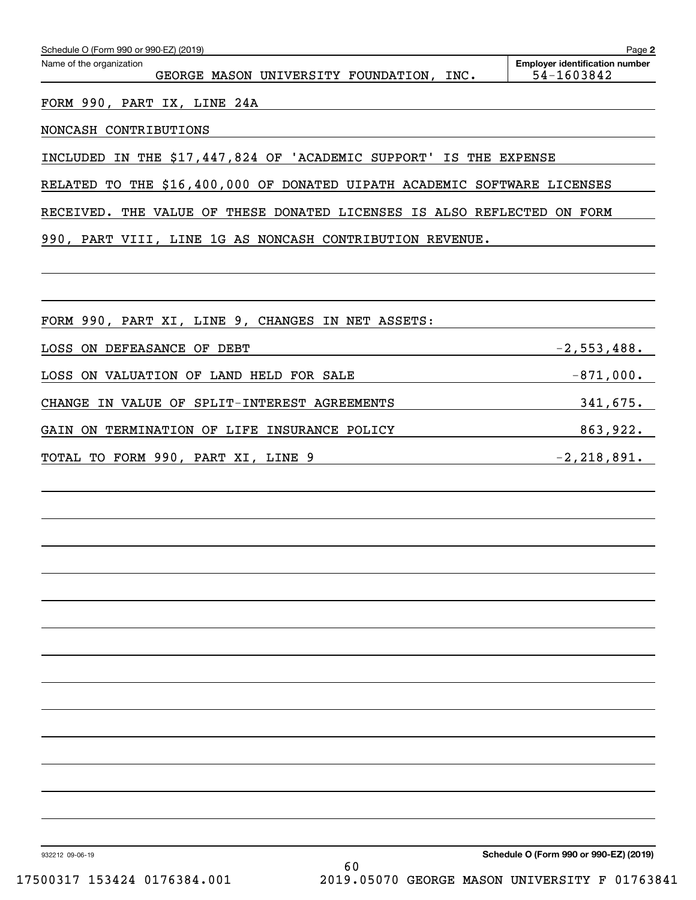| Schedule O (Form 990 or 990-EZ) (2019)                                   | Page 2                                              |
|--------------------------------------------------------------------------|-----------------------------------------------------|
| Name of the organization<br>GEORGE MASON UNIVERSITY FOUNDATION, INC.     | <b>Employer identification number</b><br>54-1603842 |
| FORM 990, PART IX, LINE 24A                                              |                                                     |
| NONCASH CONTRIBUTIONS                                                    |                                                     |
| INCLUDED IN THE \$17,447,824 OF 'ACADEMIC SUPPORT' IS THE EXPENSE        |                                                     |
| RELATED TO THE \$16,400,000 OF DONATED UIPATH ACADEMIC SOFTWARE LICENSES |                                                     |
| RECEIVED. THE VALUE OF THESE DONATED LICENSES IS ALSO REFLECTED ON FORM  |                                                     |
| 990, PART VIII, LINE 1G AS NONCASH CONTRIBUTION REVENUE.                 |                                                     |
|                                                                          |                                                     |
|                                                                          |                                                     |
| FORM 990, PART XI, LINE 9, CHANGES IN NET ASSETS:                        |                                                     |
| LOSS ON DEFEASANCE OF DEBT                                               | $-2,553,488.$                                       |
| LOSS ON VALUATION OF LAND HELD FOR SALE                                  | $-871,000.$                                         |
| CHANGE IN VALUE OF SPLIT-INTEREST AGREEMENTS                             | 341,675.                                            |
| GAIN ON TERMINATION OF LIFE INSURANCE POLICY                             | 863,922.                                            |
| TOTAL TO FORM 990, PART XI, LINE 9                                       | $-2, 218, 891.$                                     |
|                                                                          |                                                     |
|                                                                          |                                                     |
|                                                                          |                                                     |
|                                                                          |                                                     |
|                                                                          |                                                     |
|                                                                          |                                                     |
|                                                                          |                                                     |
|                                                                          |                                                     |
|                                                                          |                                                     |
|                                                                          |                                                     |
|                                                                          |                                                     |
|                                                                          |                                                     |
|                                                                          |                                                     |
|                                                                          |                                                     |
| 932212 09-06-19                                                          | Schedule O (Form 990 or 990-EZ) (2019)              |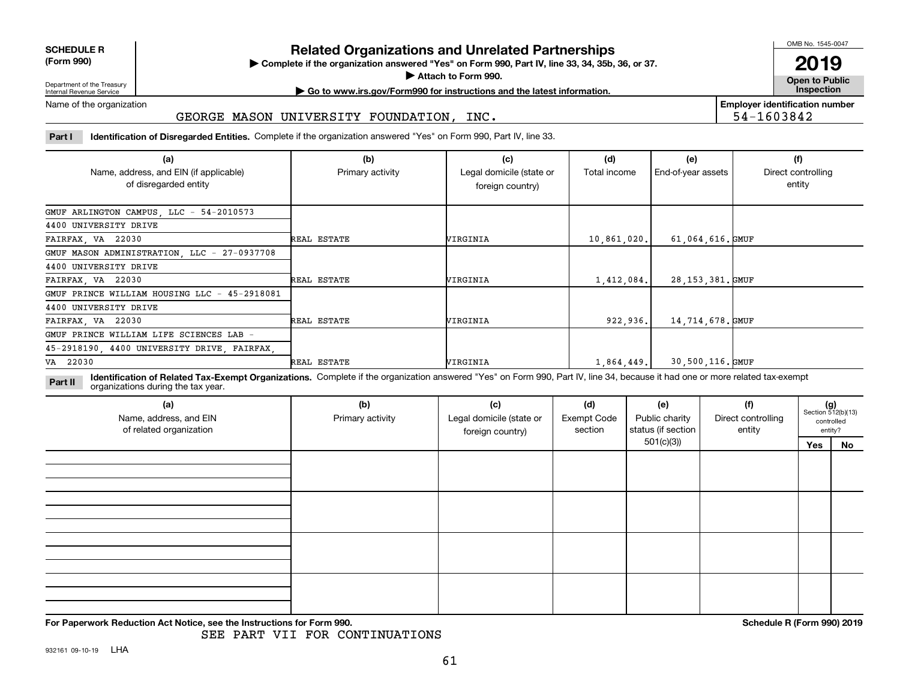| <b>SCHEDULE R</b>                          |  |
|--------------------------------------------|--|
| $\mathbf{r}$ , $\mathbf{r}$ , $\mathbf{r}$ |  |

**(Form 990)**

## **Related Organizations and Unrelated Partnerships**

**Complete if the organization answered "Yes" on Form 990, Part IV, line 33, 34, 35b, 36, or 37.** |

**Attach to Form 990.**  |

OMB No. 1545-0047

**Open to Public 2019**

**Employer identification number**

54-1603842

Department of the Treasury Internal Revenue Service

## **| Go to www.irs.gov/Form990 for instructions and the latest information. Inspection**

Name of the organization

### GEORGE MASON UNIVERSITY FOUNDATION, INC.

**Part I Identification of Disregarded Entities.**  Complete if the organization answered "Yes" on Form 990, Part IV, line 33.

| (a)                                                             | (b)              | (c)                                          | (d)          | (e)                | (f)                          |
|-----------------------------------------------------------------|------------------|----------------------------------------------|--------------|--------------------|------------------------------|
| Name, address, and EIN (if applicable)<br>of disregarded entity | Primary activity | Legal domicile (state or<br>foreign country) | Total income | End-of-year assets | Direct controlling<br>entity |
| GMUF ARLINGTON CAMPUS, LLC - 54-2010573                         |                  |                                              |              |                    |                              |
| 4400 UNIVERSITY DRIVE                                           |                  |                                              |              |                    |                              |
| FAIRFAX, VA 22030                                               | REAL ESTATE      | VIRGINIA                                     | 10,861,020.  | 61,064,616.GMUF    |                              |
| GMUF MASON ADMINISTRATION, LLC - 27-0937708                     |                  |                                              |              |                    |                              |
| 4400 UNIVERSITY DRIVE                                           |                  |                                              |              |                    |                              |
| FAIRFAX, VA 22030                                               | REAL ESTATE      | VIRGINIA                                     | 1,412,084.   | 28,153,381.GMUF    |                              |
| GMUF PRINCE WILLIAM HOUSING LLC - 45-2918081                    |                  |                                              |              |                    |                              |
| 4400 UNIVERSITY DRIVE                                           |                  |                                              |              |                    |                              |
| FAIRFAX, VA 22030                                               | REAL ESTATE      | WIRGINIA                                     | 922,936.     | 14,714,678.GMUF    |                              |
| GMUF PRINCE WILLIAM LIFE SCIENCES LAB -                         |                  |                                              |              |                    |                              |
| 45-2918190, 4400 UNIVERSITY DRIVE, FAIRFAX,                     |                  |                                              |              |                    |                              |
| VA 22030                                                        | REAL ESTATE      | VIRGINIA                                     | 1,864,449.   | 30,500,116.GMUF    |                              |

**Identification of Related Tax-Exempt Organizations.** Complete if the organization answered "Yes" on Form 990, Part IV, line 34, because it had one or more related tax-exempt **Part II** organizations during the tax year.

| (a)<br>Name, address, and EIN<br>of related organization | (b)<br>Primary activity | (c)<br>Legal domicile (state or<br>foreign country) | (d)<br><b>Exempt Code</b><br>section | (e)<br>Public charity<br>status (if section | (f)<br>Direct controlling<br>entity |     | $(g)$<br>Section 512(b)(13)<br>controlled<br>entity? |
|----------------------------------------------------------|-------------------------|-----------------------------------------------------|--------------------------------------|---------------------------------------------|-------------------------------------|-----|------------------------------------------------------|
|                                                          |                         |                                                     |                                      | 501(c)(3)                                   |                                     | Yes | No                                                   |
|                                                          |                         |                                                     |                                      |                                             |                                     |     |                                                      |
|                                                          |                         |                                                     |                                      |                                             |                                     |     |                                                      |
|                                                          |                         |                                                     |                                      |                                             |                                     |     |                                                      |
|                                                          |                         |                                                     |                                      |                                             |                                     |     |                                                      |

**For Paperwork Reduction Act Notice, see the Instructions for Form 990. Schedule R (Form 990) 2019**

SEE PART VII FOR CONTINUATIONS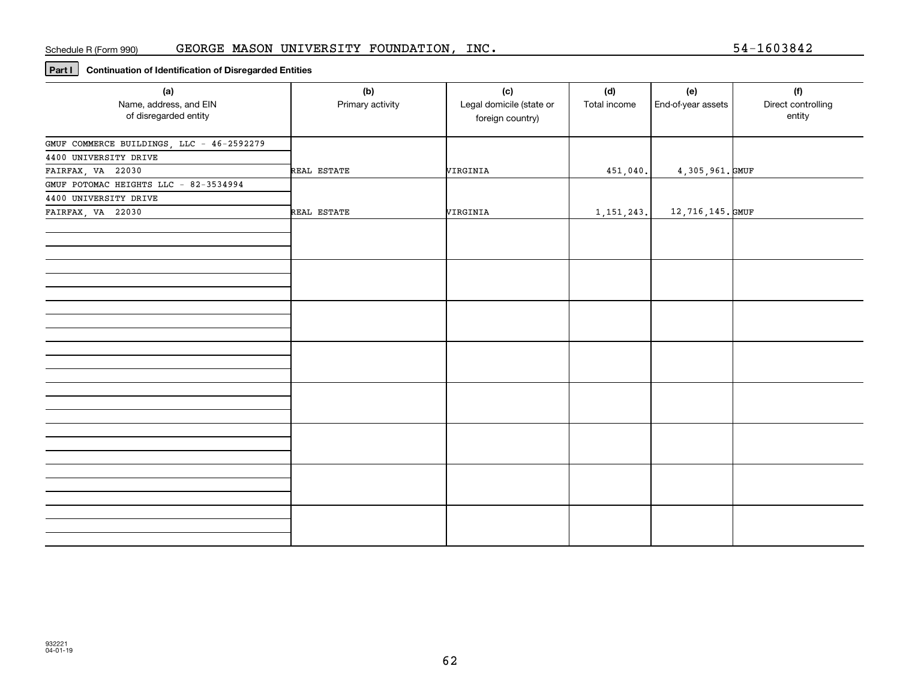### Schedule R (Form 990) GEORGE MASON UNIVERSITY FOUNDATION, INC.

**Part I Continuation of Identification of Disregarded Entities**

| (a)<br>Name, address, and EIN<br>of disregarded entity                                  | (b)<br>Primary activity | (c)<br>Legal domicile (state or<br>foreign country) | (d)<br>Total income | (e)<br>End-of-year assets | (f)<br>Direct controlling<br>entity |
|-----------------------------------------------------------------------------------------|-------------------------|-----------------------------------------------------|---------------------|---------------------------|-------------------------------------|
| GMUF COMMERCE BUILDINGS, LLC - 46-2592279<br>4400 UNIVERSITY DRIVE<br>FAIRFAX, VA 22030 | REAL ESTATE             | VIRGINIA                                            | 451,040.            | $4,305,961.$ GMUF         |                                     |
| GMUF POTOMAC HEIGHTS LLC - 82-3534994<br>4400 UNIVERSITY DRIVE<br>FAIRFAX, VA 22030     | REAL ESTATE             | VIRGINIA                                            | 1, 151, 243.        | 12,716,145.GMUF           |                                     |
|                                                                                         |                         |                                                     |                     |                           |                                     |
|                                                                                         |                         |                                                     |                     |                           |                                     |
|                                                                                         |                         |                                                     |                     |                           |                                     |
|                                                                                         |                         |                                                     |                     |                           |                                     |
|                                                                                         |                         |                                                     |                     |                           |                                     |
|                                                                                         |                         |                                                     |                     |                           |                                     |
|                                                                                         |                         |                                                     |                     |                           |                                     |
|                                                                                         |                         |                                                     |                     |                           |                                     |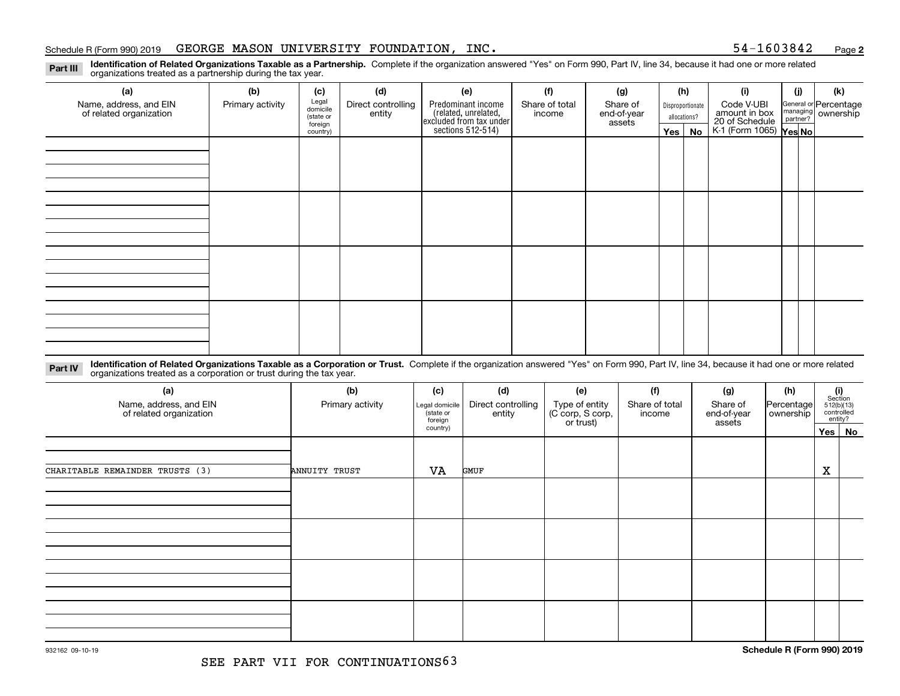### Schedule R (Form 990) 2019  $\,$  GEORGE MASON UNIVERSITY FOUNDATION, INC  $\,$  states the state of the state of  $\,$  54 $-1603842$  and  $\,$

**2**

**Identification of Related Organizations Taxable as a Partnership.** Complete if the organization answered "Yes" on Form 990, Part IV, line 34, because it had one or more related **Part III** organizations treated as a partnership during the tax year.

| (a)                                               | (b)              | (c)                  | (d)                          | (e)                                                                 | (f)                      | (g)                     |                  | (h)          | (i)                                      | (j) | (k)                                                     |
|---------------------------------------------------|------------------|----------------------|------------------------------|---------------------------------------------------------------------|--------------------------|-------------------------|------------------|--------------|------------------------------------------|-----|---------------------------------------------------------|
| Name, address, and EIN<br>of related organization | Primary activity | Legal<br>domicile    | Direct controlling<br>entity | Predominant income                                                  | Share of total<br>income | Share of<br>end-of-year | Disproportionate |              | Code V-UBI<br>amount in box              |     | General or Percentage<br>managing ownership<br>partner? |
|                                                   |                  | (state or<br>foreign |                              | related, unrelated,<br>excluded from tax under<br>sections 512-514) |                          | assets                  |                  | allocations? | 20 of Schedule<br>K-1 (Form 1065) Yes No |     |                                                         |
|                                                   |                  | country)             |                              |                                                                     |                          |                         | Yes $ $          | No           |                                          |     |                                                         |
|                                                   |                  |                      |                              |                                                                     |                          |                         |                  |              |                                          |     |                                                         |
|                                                   |                  |                      |                              |                                                                     |                          |                         |                  |              |                                          |     |                                                         |
|                                                   |                  |                      |                              |                                                                     |                          |                         |                  |              |                                          |     |                                                         |
|                                                   |                  |                      |                              |                                                                     |                          |                         |                  |              |                                          |     |                                                         |
|                                                   |                  |                      |                              |                                                                     |                          |                         |                  |              |                                          |     |                                                         |
|                                                   |                  |                      |                              |                                                                     |                          |                         |                  |              |                                          |     |                                                         |
|                                                   |                  |                      |                              |                                                                     |                          |                         |                  |              |                                          |     |                                                         |
|                                                   |                  |                      |                              |                                                                     |                          |                         |                  |              |                                          |     |                                                         |
|                                                   |                  |                      |                              |                                                                     |                          |                         |                  |              |                                          |     |                                                         |
|                                                   |                  |                      |                              |                                                                     |                          |                         |                  |              |                                          |     |                                                         |
|                                                   |                  |                      |                              |                                                                     |                          |                         |                  |              |                                          |     |                                                         |
|                                                   |                  |                      |                              |                                                                     |                          |                         |                  |              |                                          |     |                                                         |
|                                                   |                  |                      |                              |                                                                     |                          |                         |                  |              |                                          |     |                                                         |
|                                                   |                  |                      |                              |                                                                     |                          |                         |                  |              |                                          |     |                                                         |
|                                                   |                  |                      |                              |                                                                     |                          |                         |                  |              |                                          |     |                                                         |
|                                                   |                  |                      |                              |                                                                     |                          |                         |                  |              |                                          |     |                                                         |
|                                                   |                  |                      |                              |                                                                     |                          |                         |                  |              |                                          |     |                                                         |

**Identification of Related Organizations Taxable as a Corporation or Trust.** Complete if the organization answered "Yes" on Form 990, Part IV, line 34, because it had one or more related **Part IV** organizations treated as a corporation or trust during the tax year.

| (a)<br>Name, address, and EIN<br>of related organization | (b)<br>Primary activity | (c)<br>Legal domicile<br>state or<br>foreign | (d)<br>Direct controlling<br>entity | (e)<br>Type of entity<br>(C corp, S corp,<br>or trust) | (f)<br>Share of total<br>income | (g)<br>Share of<br>end-of-year<br>assets | (h)<br>Percentage<br>ownership |            | $(i)$<br>Section<br>512(b)(13)<br>controlled<br>entity? |
|----------------------------------------------------------|-------------------------|----------------------------------------------|-------------------------------------|--------------------------------------------------------|---------------------------------|------------------------------------------|--------------------------------|------------|---------------------------------------------------------|
|                                                          |                         | country)                                     |                                     |                                                        |                                 |                                          |                                | $Yes \mid$ | No                                                      |
| CHARITABLE REMAINDER TRUSTS (3)                          | ANNUITY TRUST           | VA                                           | GMUF                                |                                                        |                                 |                                          |                                | X          |                                                         |
|                                                          |                         |                                              |                                     |                                                        |                                 |                                          |                                |            |                                                         |
|                                                          |                         |                                              |                                     |                                                        |                                 |                                          |                                |            |                                                         |
|                                                          |                         |                                              |                                     |                                                        |                                 |                                          |                                |            |                                                         |
|                                                          |                         |                                              |                                     |                                                        |                                 |                                          |                                |            |                                                         |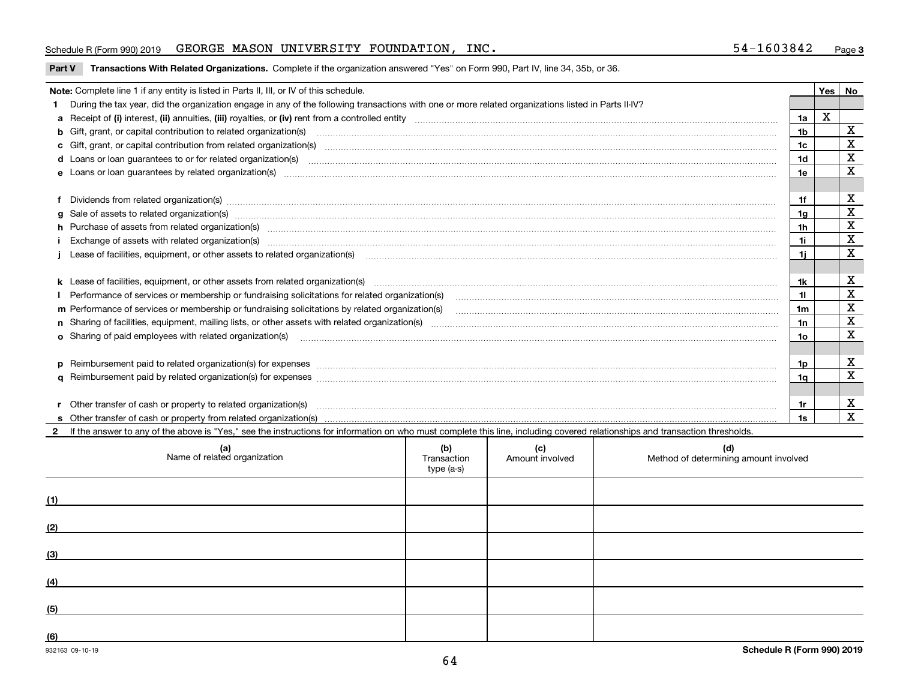### Schedule R (Form 990) 2019  $\,$  GEORGE MASON UNIVERSITY FOUNDATION, INC  $\,$  states the state of the state of  $\,$  54 $-1603842$  and  $\,$

**Part V** T**ransactions With Related Organizations.** Complete if the organization answered "Yes" on Form 990, Part IV, line 34, 35b, or 36.

| Note: Complete line 1 if any entity is listed in Parts II, III, or IV of this schedule.                                                                                                                                           |                | Yes | No          |
|-----------------------------------------------------------------------------------------------------------------------------------------------------------------------------------------------------------------------------------|----------------|-----|-------------|
| During the tax year, did the organization engage in any of the following transactions with one or more related organizations listed in Parts II-IV?                                                                               |                |     |             |
|                                                                                                                                                                                                                                   | 1a             | х   |             |
| b Gift, grant, or capital contribution to related organization(s) mature and contained and contribution to related organization(s) matures are contained and contribution to related organization(s)                              | 1 <sub>b</sub> |     | x           |
| c Gift, grant, or capital contribution from related organization(s) manufaction(s) and contribution from related organization(s) manufaction contribution from related organization(s) manufaction contribution from related o    | 1c             |     | Χ           |
| d Loans or loan guarantees to or for related organization(s) committion contracts are constructed as a control or contract or contract or contract or contract or contract or contract or contract or contract or contract or     | 1 <sub>d</sub> |     | $\mathbf X$ |
|                                                                                                                                                                                                                                   | 1e             |     | X           |
| Dividends from related organization(s) www.communically.communically.communically and all proportional contracts of the contracts of the contracts of the contracts of the contracts of the contracts of the contracts of the     | 1f             |     | х           |
|                                                                                                                                                                                                                                   | 1g             |     | X           |
| h Purchase of assets from related organization(s) www.assettion.com/www.assettion.com/www.assettion.com/www.assettion.com/www.assettion.com/www.assettion.com/www.assettion.com/www.assettion.com/www.assettion.com/www.assett    | 1h             |     | х           |
| Exchange of assets with related organization(s) www.communically.communically contract and a set of assets with related organization(s) www.communically.communically and a set of a set of the set of a set of a set of a set    | 1i.            |     | X           |
| Lease of facilities, equipment, or other assets to related organization(s) [11] manufactured manufactured manufactured manufactured manufactured manufactured manufactured manufactured manufactured manufactured manufactured    | 1i.            |     | X           |
|                                                                                                                                                                                                                                   | 1k.            |     | х           |
| Performance of services or membership or fundraising solicitations for related organization(s) manufaction manufactured content and the services or membership or fundraising solicitations for related organization(s) manufa    |                |     | $\mathbf X$ |
| m Performance of services or membership or fundraising solicitations by related organization(s)                                                                                                                                   | 1m             |     | X           |
|                                                                                                                                                                                                                                   | 1n             |     | $\mathbf X$ |
| <b>o</b> Sharing of paid employees with related organization(s)                                                                                                                                                                   | 1o.            |     | X           |
|                                                                                                                                                                                                                                   | 1p.            |     | X           |
|                                                                                                                                                                                                                                   | 1q             |     | X           |
| r Other transfer of cash or property to related organization(s)                                                                                                                                                                   | 1r             |     | х           |
| r Other transfer of cash or property to related organization(s) www.community.com/www.community.com/www.communi<br>S Other transfer of cash or property from related organization(s) www.community.community.community.community. | 1s             |     | $\mathbf X$ |
| 2 If the answer to any of the above is "Yes." see the instructions for information on who must complete this line, including covered relationships and transaction thresholds.                                                    |                |     |             |

| (a)<br>Name of related organization | (b)<br>Transaction<br>type (a-s) | (c)<br>Amount involved | (d)<br>Method of determining amount involved |
|-------------------------------------|----------------------------------|------------------------|----------------------------------------------|
| (1)                                 |                                  |                        |                                              |
| (2)                                 |                                  |                        |                                              |
| (3)                                 |                                  |                        |                                              |
| (4)                                 |                                  |                        |                                              |
| (5)                                 |                                  |                        |                                              |
| (6)                                 |                                  |                        |                                              |

 $\overline{\phantom{a}}$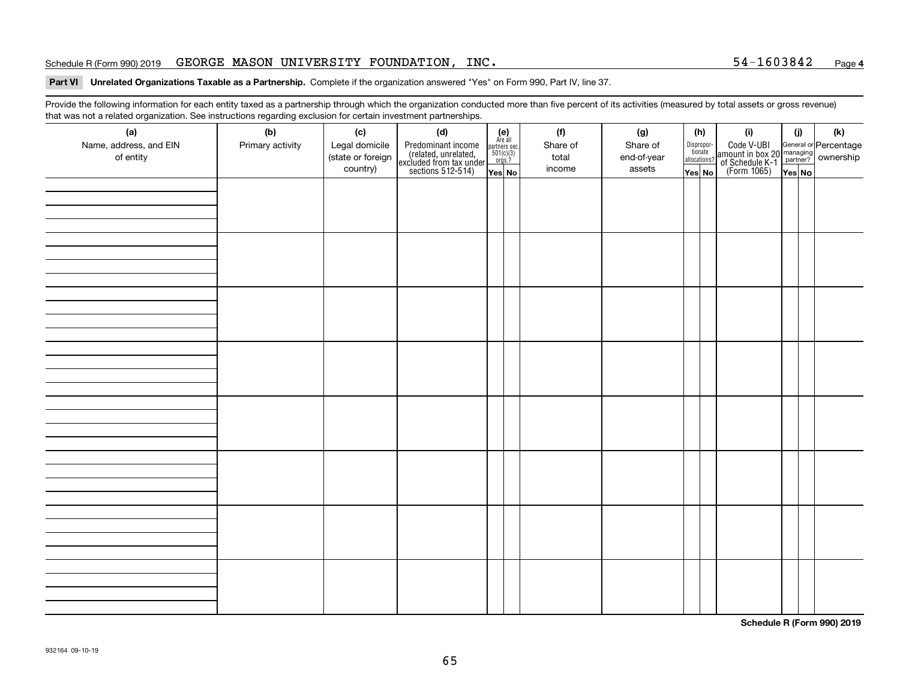### Schedule R (Form 990) 2019  $\,$  GEORGE MASON UNIVERSITY FOUNDATION, INC  $\,$  states the set of the set of the set of the set of the set of the set of the set of the set of the set of the set of the set of the set of the s

### **Part VI Unrelated Organizations Taxable as a Partnership. Complete if the organization answered "Yes" on Form 990, Part IV, line 37.**

Provide the following information for each entity taxed as a partnership through which the organization conducted more than five percent of its activities (measured by total assets or gross revenue) that was not a related organization. See instructions regarding exclusion for certain investment partnerships.

| ັ<br>(a)<br>Name, address, and EIN<br>of entity | ັ<br>ັ<br>(b)<br>Primary activity | (c)<br>Legal domicile<br>(state or foreign<br>country) | (d)<br>Predominant income<br>(related, unrelated,<br>excluded from tax under<br>sections 512-514) | (e)<br>Are all<br>$\begin{array}{c}\n\text{partners} \sec.\n\\ \n501(c)(3)\n\\ \n0rgs.?\n\end{array}$<br>Yes No | (f)<br>Share of<br>total<br>income | (g)<br>Share of<br>end-of-year<br>assets | (h)<br>Dispropor-<br>tionate<br>allocations?<br>Yes No | (i)<br>Code V-UBI<br>amount in box 20 managing<br>of Schedule K-1<br>(Form 1065)<br>$\overline{Yes}$ No | (i)<br>Yes No | (k) |
|-------------------------------------------------|-----------------------------------|--------------------------------------------------------|---------------------------------------------------------------------------------------------------|-----------------------------------------------------------------------------------------------------------------|------------------------------------|------------------------------------------|--------------------------------------------------------|---------------------------------------------------------------------------------------------------------|---------------|-----|
|                                                 |                                   |                                                        |                                                                                                   |                                                                                                                 |                                    |                                          |                                                        |                                                                                                         |               |     |
|                                                 |                                   |                                                        |                                                                                                   |                                                                                                                 |                                    |                                          |                                                        |                                                                                                         |               |     |
|                                                 |                                   |                                                        |                                                                                                   |                                                                                                                 |                                    |                                          |                                                        |                                                                                                         |               |     |
|                                                 |                                   |                                                        |                                                                                                   |                                                                                                                 |                                    |                                          |                                                        |                                                                                                         |               |     |
|                                                 |                                   |                                                        |                                                                                                   |                                                                                                                 |                                    |                                          |                                                        |                                                                                                         |               |     |
|                                                 |                                   |                                                        |                                                                                                   |                                                                                                                 |                                    |                                          |                                                        |                                                                                                         |               |     |
|                                                 |                                   |                                                        |                                                                                                   |                                                                                                                 |                                    |                                          |                                                        |                                                                                                         |               |     |
|                                                 |                                   |                                                        |                                                                                                   |                                                                                                                 |                                    |                                          |                                                        |                                                                                                         |               |     |

**Schedule R (Form 990) 2019**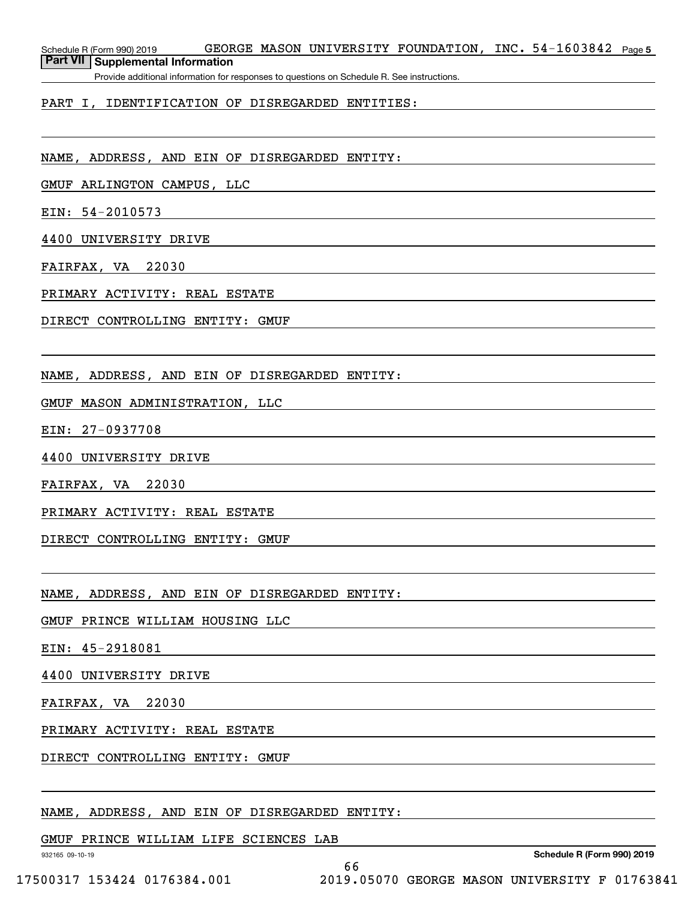Schedule R (Form 990) 2019 GEORGE MASON UNIVERSITY FOUNDATION,INC。54-1603842 <sub>Page 5</sub> **Part VII Supplemental Information**

Provide additional information for responses to questions on Schedule R. See instructions.

### PART I, IDENTIFICATION OF DISREGARDED ENTITIES:

NAME, ADDRESS, AND EIN OF DISREGARDED ENTITY:

GMUF ARLINGTON CAMPUS, LLC

EIN: 54-2010573

4400 UNIVERSITY DRIVE

FAIRFAX, VA 22030

PRIMARY ACTIVITY: REAL ESTATE

DIRECT CONTROLLING ENTITY: GMUF

NAME, ADDRESS, AND EIN OF DISREGARDED ENTITY:

GMUF MASON ADMINISTRATION, LLC

EIN: 27-0937708

4400 UNIVERSITY DRIVE

FAIRFAX, VA 22030

PRIMARY ACTIVITY: REAL ESTATE

DIRECT CONTROLLING ENTITY: GMUF

NAME, ADDRESS, AND EIN OF DISREGARDED ENTITY:

GMUF PRINCE WILLIAM HOUSING LLC

EIN: 45-2918081

4400 UNIVERSITY DRIVE

FAIRFAX, VA 22030

PRIMARY ACTIVITY: REAL ESTATE

DIRECT CONTROLLING ENTITY: GMUF

NAME, ADDRESS, AND EIN OF DISREGARDED ENTITY:

GMUF PRINCE WILLIAM LIFE SCIENCES LAB

932165 09-10-19

**Schedule R (Form 990) 2019**